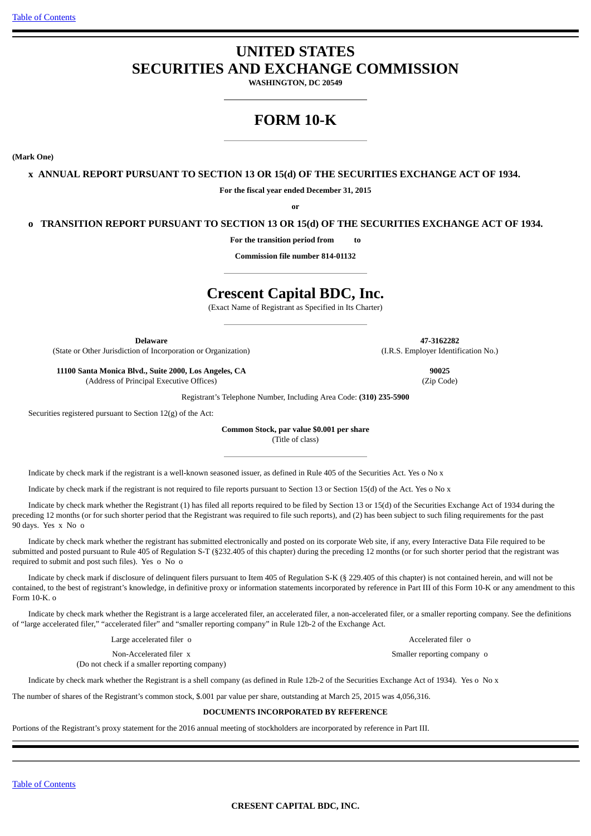# **UNITED STATES SECURITIES AND EXCHANGE COMMISSION**

**WASHINGTON, DC 20549**

# **FORM 10-K**

**(Mark One)**

**x ANNUAL REPORT PURSUANT TO SECTION 13 OR 15(d) OF THE SECURITIES EXCHANGE ACT OF 1934.**

**For the fiscal year ended December 31, 2015**

**or**

**o TRANSITION REPORT PURSUANT TO SECTION 13 OR 15(d) OF THE SECURITIES EXCHANGE ACT OF 1934.**

**For the transition period from to**

**Commission file number 814-01132**

# **Crescent Capital BDC, Inc.**

(Exact Name of Registrant as Specified in Its Charter)

(State or Other Jurisdiction of Incorporation or Organization) (I.R.S. Employer Identification No.)

**11100 Santa Monica Blvd., Suite 2000, Los Angeles, CA 90025**

(Address of Principal Executive Offices) (Zip Code)

Registrant's Telephone Number, Including Area Code: **(310) 235-5900**

Securities registered pursuant to Section 12(g) of the Act:

**Common Stock, par value \$0.001 per share**

(Title of class)

Indicate by check mark if the registrant is a well-known seasoned issuer, as defined in Rule 405 of the Securities Act. Yes o No x

Indicate by check mark if the registrant is not required to file reports pursuant to Section 13 or Section 15(d) of the Act. Yes o No x

Indicate by check mark whether the Registrant (1) has filed all reports required to be filed by Section 13 or 15(d) of the Securities Exchange Act of 1934 during the preceding 12 months (or for such shorter period that the Registrant was required to file such reports), and (2) has been subject to such filing requirements for the past 90 days. Yes x No o

Indicate by check mark whether the registrant has submitted electronically and posted on its corporate Web site, if any, every Interactive Data File required to be submitted and posted pursuant to Rule 405 of Regulation S-T (§232.405 of this chapter) during the preceding 12 months (or for such shorter period that the registrant was required to submit and post such files). Yes o No o

Indicate by check mark if disclosure of delinquent filers pursuant to Item 405 of Regulation S-K (§ 229.405 of this chapter) is not contained herein, and will not be contained, to the best of registrant's knowledge, in definitive proxy or information statements incorporated by reference in Part III of this Form 10-K or any amendment to this Form  $10-K$ . o

Indicate by check mark whether the Registrant is a large accelerated filer, an accelerated filer, a non-accelerated filer, or a smaller reporting company. See the definitions of "large accelerated filer," "accelerated filer" and "smaller reporting company" in Rule 12b-2 of the Exchange Act.

Large accelerated filer o and the contract of the Accelerated filer of Accelerated filer of Accelerated filer o

(Do not check if a smaller reporting company)

Indicate by check mark whether the Registrant is a shell company (as defined in Rule 12b-2 of the Securities Exchange Act of 1934). Yes o No x

The number of shares of the Registrant's common stock, \$.001 par value per share, outstanding at March 25, 2015 was 4,056,316.

#### **DOCUMENTS INCORPORATED BY REFERENCE**

Portions of the Registrant's proxy statement for the 2016 annual meeting of stockholders are incorporated by reference in Part III.

**Delaware 47-3162282**

#### **CRESENT CAPITAL BDC, INC.**

Non-Accelerated filer x  $\blacksquare$  Smaller reporting company o

<span id="page-0-0"></span>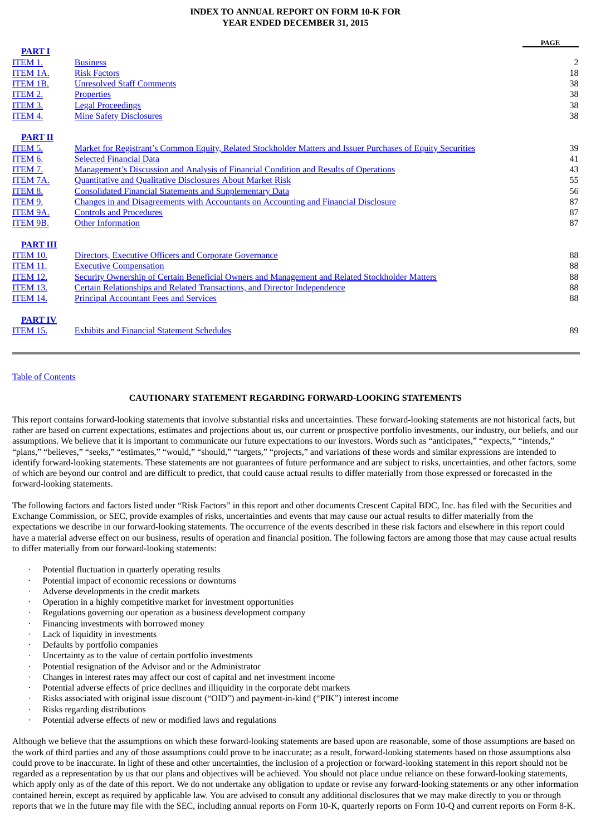# **INDEX TO ANNUAL REPORT ON FORM 10-K FOR YEAR ENDED DECEMBER 31, 2015**

|                     |                                                                                                              | PAGE           |
|---------------------|--------------------------------------------------------------------------------------------------------------|----------------|
| <b>PART I</b>       |                                                                                                              |                |
| ITEM 1.             | <b>Business</b>                                                                                              | $\overline{2}$ |
| ITEM 1A.            | <b>Risk Factors</b>                                                                                          | 18             |
| <b>ITEM 1B.</b>     | <b>Unresolved Staff Comments</b>                                                                             | 38             |
| ITEM 2.             | <b>Properties</b>                                                                                            | 38             |
| ITEM 3.             | <b>Legal Proceedings</b>                                                                                     | 38             |
| ITEM 4.             | <b>Mine Safety Disclosures</b>                                                                               | 38             |
| <b>PART II</b>      |                                                                                                              |                |
| ITEM <sub>5</sub> . | Market for Registrant's Common Equity, Related Stockholder Matters and Issuer Purchases of Equity Securities | 39             |
| ITEM 6.             | <b>Selected Financial Data</b>                                                                               | 41             |
| ITEM 7.             | Management's Discussion and Analysis of Financial Condition and Results of Operations                        | 43             |
| ITEM 7A.            | <b>Quantitative and Qualitative Disclosures About Market Risk</b>                                            | 55             |
| ITEM 8.             | <b>Consolidated Financial Statements and Supplementary Data</b>                                              | 56             |
| ITEM 9.             | <b>Changes in and Disagreements with Accountants on Accounting and Financial Disclosure</b>                  | 87             |
| ITEM 9A.            | <b>Controls and Procedures</b>                                                                               | 87             |
| ITEM 9B.            | <b>Other Information</b>                                                                                     | 87             |
| <b>PART III</b>     |                                                                                                              |                |
| <b>ITEM 10.</b>     | Directors, Executive Officers and Corporate Governance                                                       | 88             |
| <b>ITEM 11.</b>     | <b>Executive Compensation</b>                                                                                | 88             |
| <b>ITEM 12.</b>     | Security Ownership of Certain Beneficial Owners and Management and Related Stockholder Matters               | 88             |
| <b>ITEM 13.</b>     | <b>Certain Relationships and Related Transactions, and Director Independence</b>                             | 88             |
| <b>ITEM 14.</b>     | <b>Principal Accountant Fees and Services</b>                                                                | 88             |
| <b>PART IV</b>      |                                                                                                              |                |
| ITEM 15.            | <b>Exhibits and Financial Statement Schedules</b>                                                            | 89             |
|                     |                                                                                                              |                |

# Table of [Contents](#page-0-0)

# **CAUTIONARY STATEMENT REGARDING FORWARD-LOOKING STATEMENTS**

This report contains forward-looking statements that involve substantial risks and uncertainties. These forward-looking statements are not historical facts, but rather are based on current expectations, estimates and projections about us, our current or prospective portfolio investments, our industry, our beliefs, and our assumptions. We believe that it is important to communicate our future expectations to our investors. Words such as "anticipates," "expects," "intends," "plans," "believes," "seeks," "estimates," "would," "should," "targets," "projects," and variations of these words and similar expressions are intended to identify forward-looking statements. These statements are not guarantees of future performance and are subject to risks, uncertainties, and other factors, some of which are beyond our control and are difficult to predict, that could cause actual results to differ materially from those expressed or forecasted in the forward-looking statements.

The following factors and factors listed under "Risk Factors" in this report and other documents Crescent Capital BDC, Inc. has filed with the Securities and Exchange Commission, or SEC, provide examples of risks, uncertainties and events that may cause our actual results to differ materially from the expectations we describe in our forward-looking statements. The occurrence of the events described in these risk factors and elsewhere in this report could have a material adverse effect on our business, results of operation and financial position. The following factors are among those that may cause actual results to differ materially from our forward-looking statements:

- Potential fluctuation in quarterly operating results
- Potential impact of economic recessions or downturns
- · Adverse developments in the credit markets
- · Operation in a highly competitive market for investment opportunities
- Regulations governing our operation as a business development company
- Financing investments with borrowed money
- Lack of liquidity in investments
- Defaults by portfolio companies
- Uncertainty as to the value of certain portfolio investments
- Potential resignation of the Advisor and or the Administrator
- · Changes in interest rates may affect our cost of capital and net investment income
- Potential adverse effects of price declines and illiquidity in the corporate debt markets
- · Risks associated with original issue discount ("OID") and payment-in-kind ("PIK") interest income
- Risks regarding distributions
- Potential adverse effects of new or modified laws and regulations

Although we believe that the assumptions on which these forward-looking statements are based upon are reasonable, some of those assumptions are based on the work of third parties and any of those assumptions could prove to be inaccurate; as a result, forward-looking statements based on those assumptions also could prove to be inaccurate. In light of these and other uncertainties, the inclusion of a projection or forward-looking statement in this report should not be regarded as a representation by us that our plans and objectives will be achieved. You should not place undue reliance on these forward-looking statements, which apply only as of the date of this report. We do not undertake any obligation to update or revise any forward-looking statements or any other information contained herein, except as required by applicable law. You are advised to consult any additional disclosures that we may make directly to you or through reports that we in the future may file with the SEC, including annual reports on Form 10-K, quarterly reports on Form 10-Q and current reports on Form 8-K.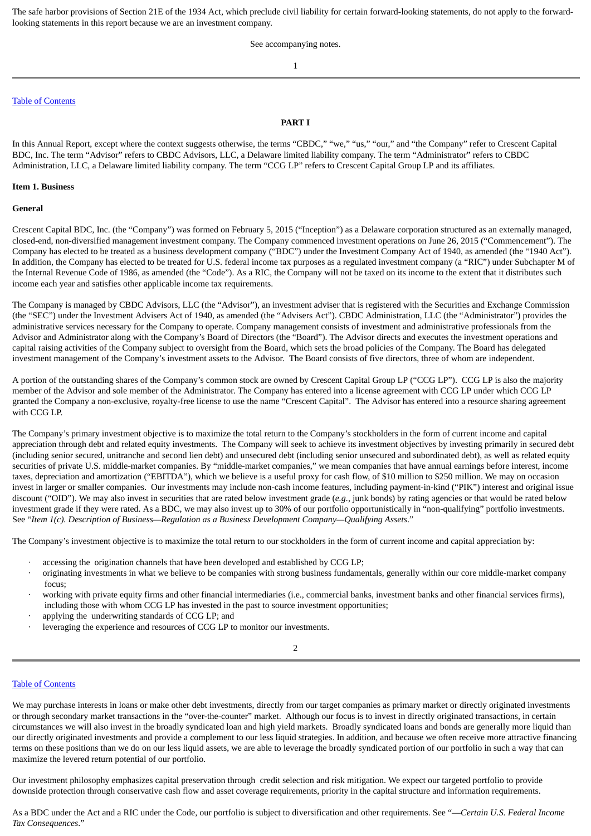The safe harbor provisions of Section 21E of the 1934 Act, which preclude civil liability for certain forward-looking statements, do not apply to the forwardlooking statements in this report because we are an investment company.

#### See accompanying notes.

1

#### Table of [Contents](#page-0-0)

#### <span id="page-2-0"></span>**PART I**

In this Annual Report, except where the context suggests otherwise, the terms "CBDC," "we," "us," "our," and "the Company" refer to Crescent Capital BDC, Inc. The term "Advisor" refers to CBDC Advisors, LLC, a Delaware limited liability company. The term "Administrator" refers to CBDC Administration, LLC, a Delaware limited liability company. The term "CCG LP" refers to Crescent Capital Group LP and its affiliates.

#### <span id="page-2-1"></span>**Item 1. Business**

#### **General**

Crescent Capital BDC, Inc. (the "Company") was formed on February 5, 2015 ("Inception") as a Delaware corporation structured as an externally managed, closed-end, non-diversified management investment company. The Company commenced investment operations on June 26, 2015 ("Commencement"). The Company has elected to be treated as a business development company ("BDC") under the Investment Company Act of 1940, as amended (the "1940 Act"). In addition, the Company has elected to be treated for U.S. federal income tax purposes as a regulated investment company (a "RIC") under Subchapter M of the Internal Revenue Code of 1986, as amended (the "Code"). As a RIC, the Company will not be taxed on its income to the extent that it distributes such income each year and satisfies other applicable income tax requirements.

The Company is managed by CBDC Advisors, LLC (the "Advisor"), an investment adviser that is registered with the Securities and Exchange Commission (the "SEC") under the Investment Advisers Act of 1940, as amended (the "Advisers Act"). CBDC Administration, LLC (the "Administrator") provides the administrative services necessary for the Company to operate. Company management consists of investment and administrative professionals from the Advisor and Administrator along with the Company's Board of Directors (the "Board"). The Advisor directs and executes the investment operations and capital raising activities of the Company subject to oversight from the Board, which sets the broad policies of the Company. The Board has delegated investment management of the Company's investment assets to the Advisor. The Board consists of five directors, three of whom are independent.

A portion of the outstanding shares of the Company's common stock are owned by Crescent Capital Group LP ("CCG LP"). CCG LP is also the majority member of the Advisor and sole member of the Administrator. The Company has entered into a license agreement with CCG LP under which CCG LP granted the Company a non-exclusive, royalty-free license to use the name "Crescent Capital". The Advisor has entered into a resource sharing agreement with CCG LP.

The Company's primary investment objective is to maximize the total return to the Company's stockholders in the form of current income and capital appreciation through debt and related equity investments. The Company will seek to achieve its investment objectives by investing primarily in secured debt (including senior secured, unitranche and second lien debt) and unsecured debt (including senior unsecured and subordinated debt), as well as related equity securities of private U.S. middle-market companies. By "middle-market companies," we mean companies that have annual earnings before interest, income taxes, depreciation and amortization ("EBITDA"), which we believe is a useful proxy for cash flow, of \$10 million to \$250 million. We may on occasion invest in larger or smaller companies. Our investments may include non-cash income features, including payment-in-kind ("PIK") interest and original issue discount ("OID"). We may also invest in securities that are rated below investment grade (*e.g.*, junk bonds) by rating agencies or that would be rated below investment grade if they were rated. As a BDC, we may also invest up to 30% of our portfolio opportunistically in "non-qualifying" portfolio investments. See "*Item 1(c). Description of Business—Regulation as a Business Development Company—Qualifying Assets*."

The Company's investment objective is to maximize the total return to our stockholders in the form of current income and capital appreciation by:

- accessing the origination channels that have been developed and established by CCG LP;
- · originating investments in what we believe to be companies with strong business fundamentals, generally within our core middle-market company focus;
- working with private equity firms and other financial intermediaries (i.e., commercial banks, investment banks and other financial services firms), including those with whom CCG LP has invested in the past to source investment opportunities;
- applying the underwriting standards of CCG LP; and
- leveraging the experience and resources of CCG LP to monitor our investments.

# 2

#### Table of [Contents](#page-0-0)

We may purchase interests in loans or make other debt investments, directly from our target companies as primary market or directly originated investments or through secondary market transactions in the "over-the-counter" market. Although our focus is to invest in directly originated transactions, in certain circumstances we will also invest in the broadly syndicated loan and high yield markets. Broadly syndicated loans and bonds are generally more liquid than our directly originated investments and provide a complement to our less liquid strategies. In addition, and because we often receive more attractive financing terms on these positions than we do on our less liquid assets, we are able to leverage the broadly syndicated portion of our portfolio in such a way that can maximize the levered return potential of our portfolio.

Our investment philosophy emphasizes capital preservation through credit selection and risk mitigation. We expect our targeted portfolio to provide downside protection through conservative cash flow and asset coverage requirements, priority in the capital structure and information requirements.

As a BDC under the Act and a RIC under the Code, our portfolio is subject to diversification and other requirements. See "—*Certain U.S. Federal Income Tax Consequences*."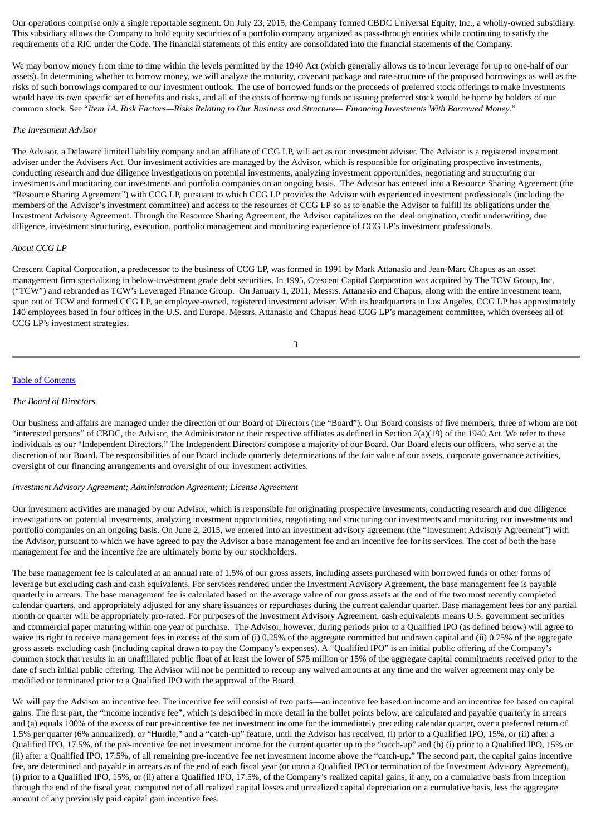Our operations comprise only a single reportable segment. On July 23, 2015, the Company formed CBDC Universal Equity, Inc., a wholly-owned subsidiary. This subsidiary allows the Company to hold equity securities of a portfolio company organized as pass-through entities while continuing to satisfy the requirements of a RIC under the Code. The financial statements of this entity are consolidated into the financial statements of the Company.

We may borrow money from time to time within the levels permitted by the 1940 Act (which generally allows us to incur leverage for up to one-half of our assets). In determining whether to borrow money, we will analyze the maturity, covenant package and rate structure of the proposed borrowings as well as the risks of such borrowings compared to our investment outlook. The use of borrowed funds or the proceeds of preferred stock offerings to make investments would have its own specific set of benefits and risks, and all of the costs of borrowing funds or issuing preferred stock would be borne by holders of our common stock. See "Item 1A. Risk Factors—Risks Relating to Our Business and Structure— Financing Investments With Borrowed Money."

### *The Investment Advisor*

The Advisor, a Delaware limited liability company and an affiliate of CCG LP, will act as our investment adviser. The Advisor is a registered investment adviser under the Advisers Act. Our investment activities are managed by the Advisor, which is responsible for originating prospective investments, conducting research and due diligence investigations on potential investments, analyzing investment opportunities, negotiating and structuring our investments and monitoring our investments and portfolio companies on an ongoing basis. The Advisor has entered into a Resource Sharing Agreement (the "Resource Sharing Agreement") with CCG LP, pursuant to which CCG LP provides the Advisor with experienced investment professionals (including the members of the Advisor's investment committee) and access to the resources of CCG LP so as to enable the Advisor to fulfill its obligations under the Investment Advisory Agreement. Through the Resource Sharing Agreement, the Advisor capitalizes on the deal origination, credit underwriting, due diligence, investment structuring, execution, portfolio management and monitoring experience of CCG LP's investment professionals.

# *About CCG LP*

Crescent Capital Corporation, a predecessor to the business of CCG LP, was formed in 1991 by Mark Attanasio and Jean-Marc Chapus as an asset management firm specializing in below-investment grade debt securities. In 1995, Crescent Capital Corporation was acquired by The TCW Group, Inc. ("TCW") and rebranded as TCW's Leveraged Finance Group. On January 1, 2011, Messrs. Attanasio and Chapus, along with the entire investment team, spun out of TCW and formed CCG LP, an employee-owned, registered investment adviser. With its headquarters in Los Angeles, CCG LP has approximately 140 employees based in four offices in the U.S. and Europe. Messrs. Attanasio and Chapus head CCG LP's management committee, which oversees all of CCG LP's investment strategies.

| ٦<br>۰. |
|---------|
| ×<br>v  |

#### Table of [Contents](#page-0-0)

#### *The Board of Directors*

Our business and affairs are managed under the direction of our Board of Directors (the "Board"). Our Board consists of five members, three of whom are not "interested persons" of CBDC, the Advisor, the Administrator or their respective affiliates as defined in Section 2(a)(19) of the 1940 Act. We refer to these individuals as our "Independent Directors." The Independent Directors compose a majority of our Board. Our Board elects our officers, who serve at the discretion of our Board. The responsibilities of our Board include quarterly determinations of the fair value of our assets, corporate governance activities, oversight of our financing arrangements and oversight of our investment activities.

#### *Investment Advisory Agreement; Administration Agreement; License Agreement*

Our investment activities are managed by our Advisor, which is responsible for originating prospective investments, conducting research and due diligence investigations on potential investments, analyzing investment opportunities, negotiating and structuring our investments and monitoring our investments and portfolio companies on an ongoing basis. On June 2, 2015, we entered into an investment advisory agreement (the "Investment Advisory Agreement") with the Advisor, pursuant to which we have agreed to pay the Advisor a base management fee and an incentive fee for its services. The cost of both the base management fee and the incentive fee are ultimately borne by our stockholders.

The base management fee is calculated at an annual rate of 1.5% of our gross assets, including assets purchased with borrowed funds or other forms of leverage but excluding cash and cash equivalents. For services rendered under the Investment Advisory Agreement, the base management fee is payable quarterly in arrears. The base management fee is calculated based on the average value of our gross assets at the end of the two most recently completed calendar quarters, and appropriately adjusted for any share issuances or repurchases during the current calendar quarter. Base management fees for any partial month or quarter will be appropriately pro-rated. For purposes of the Investment Advisory Agreement, cash equivalents means U.S. government securities and commercial paper maturing within one year of purchase. The Advisor, however, during periods prior to a Qualified IPO (as defined below) will agree to waive its right to receive management fees in excess of the sum of (i) 0.25% of the aggregate committed but undrawn capital and (ii) 0.75% of the aggregate gross assets excluding cash (including capital drawn to pay the Company's expenses). A "Qualified IPO" is an initial public offering of the Company's common stock that results in an unaffiliated public float of at least the lower of \$75 million or 15% of the aggregate capital commitments received prior to the date of such initial public offering. The Advisor will not be permitted to recoup any waived amounts at any time and the waiver agreement may only be modified or terminated prior to a Qualified IPO with the approval of the Board.

We will pay the Advisor an incentive fee. The incentive fee will consist of two parts—an incentive fee based on income and an incentive fee based on capital gains. The first part, the "income incentive fee", which is described in more detail in the bullet points below, are calculated and payable quarterly in arrears and (a) equals 100% of the excess of our pre-incentive fee net investment income for the immediately preceding calendar quarter, over a preferred return of 1.5% per quarter (6% annualized), or "Hurdle," and a "catch-up" feature, until the Advisor has received, (i) prior to a Qualified IPO, 15%, or (ii) after a Qualified IPO, 17.5%, of the pre-incentive fee net investment income for the current quarter up to the "catch-up" and (b) (i) prior to a Qualified IPO, 15% or (ii) after a Qualified IPO, 17.5%, of all remaining pre-incentive fee net investment income above the "catch-up." The second part, the capital gains incentive fee, are determined and payable in arrears as of the end of each fiscal year (or upon a Qualified IPO or termination of the Investment Advisory Agreement), (i) prior to a Qualified IPO, 15%, or (ii) after a Qualified IPO, 17.5%, of the Company's realized capital gains, if any, on a cumulative basis from inception through the end of the fiscal year, computed net of all realized capital losses and unrealized capital depreciation on a cumulative basis, less the aggregate amount of any previously paid capital gain incentive fees.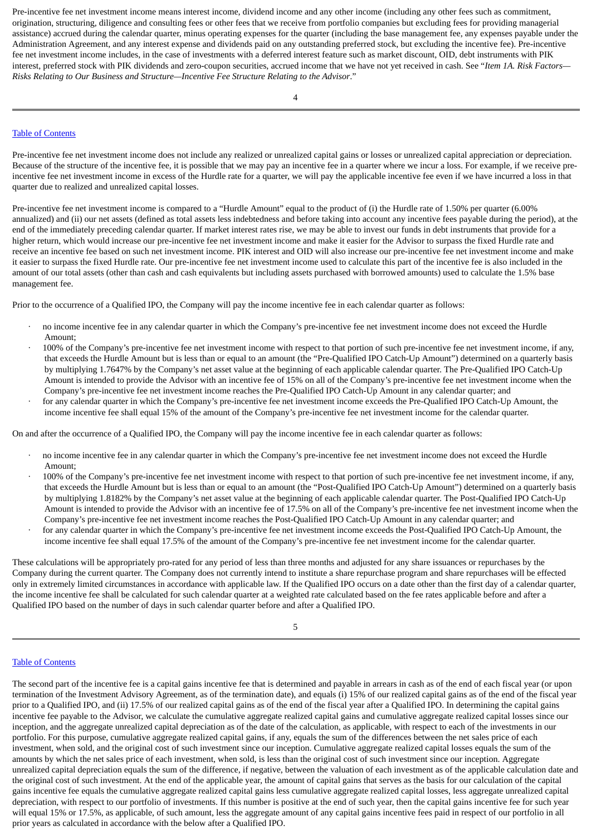Pre-incentive fee net investment income means interest income, dividend income and any other income (including any other fees such as commitment, origination, structuring, diligence and consulting fees or other fees that we receive from portfolio companies but excluding fees for providing managerial assistance) accrued during the calendar quarter, minus operating expenses for the quarter (including the base management fee, any expenses payable under the Administration Agreement, and any interest expense and dividends paid on any outstanding preferred stock, but excluding the incentive fee). Pre-incentive fee net investment income includes, in the case of investments with a deferred interest feature such as market discount, OID, debt instruments with PIK interest, preferred stock with PIK dividends and zero-coupon securities, accrued income that we have not yet received in cash. See "*Item 1A. Risk Factors— Risks Relating to Our Business and Structure—Incentive Fee Structure Relating to the Advisor*."

# Table of [Contents](#page-0-0)

Pre-incentive fee net investment income does not include any realized or unrealized capital gains or losses or unrealized capital appreciation or depreciation. Because of the structure of the incentive fee, it is possible that we may pay an incentive fee in a quarter where we incur a loss. For example, if we receive preincentive fee net investment income in excess of the Hurdle rate for a quarter, we will pay the applicable incentive fee even if we have incurred a loss in that quarter due to realized and unrealized capital losses.

Pre-incentive fee net investment income is compared to a "Hurdle Amount" equal to the product of (i) the Hurdle rate of 1.50% per quarter (6.00%) annualized) and (ii) our net assets (defined as total assets less indebtedness and before taking into account any incentive fees payable during the period), at the end of the immediately preceding calendar quarter. If market interest rates rise, we may be able to invest our funds in debt instruments that provide for a higher return, which would increase our pre-incentive fee net investment income and make it easier for the Advisor to surpass the fixed Hurdle rate and receive an incentive fee based on such net investment income. PIK interest and OID will also increase our pre-incentive fee net investment income and make it easier to surpass the fixed Hurdle rate. Our pre-incentive fee net investment income used to calculate this part of the incentive fee is also included in the amount of our total assets (other than cash and cash equivalents but including assets purchased with borrowed amounts) used to calculate the 1.5% base management fee.

Prior to the occurrence of a Qualified IPO, the Company will pay the income incentive fee in each calendar quarter as follows:

- · no income incentive fee in any calendar quarter in which the Company's pre-incentive fee net investment income does not exceed the Hurdle Amount;
- · 100% of the Company's pre-incentive fee net investment income with respect to that portion of such pre-incentive fee net investment income, if any, that exceeds the Hurdle Amount but is less than or equal to an amount (the "Pre-Qualified IPO Catch-Up Amount") determined on a quarterly basis by multiplying 1.7647% by the Company's net asset value at the beginning of each applicable calendar quarter. The Pre-Qualified IPO Catch-Up Amount is intended to provide the Advisor with an incentive fee of 15% on all of the Company's pre-incentive fee net investment income when the Company's pre-incentive fee net investment income reaches the Pre-Qualified IPO Catch-Up Amount in any calendar quarter; and
- for any calendar quarter in which the Company's pre-incentive fee net investment income exceeds the Pre-Qualified IPO Catch-Up Amount, the income incentive fee shall equal 15% of the amount of the Company's pre-incentive fee net investment income for the calendar quarter.

On and after the occurrence of a Qualified IPO, the Company will pay the income incentive fee in each calendar quarter as follows:

- · no income incentive fee in any calendar quarter in which the Company's pre-incentive fee net investment income does not exceed the Hurdle Amount;
- · 100% of the Company's pre-incentive fee net investment income with respect to that portion of such pre-incentive fee net investment income, if any, that exceeds the Hurdle Amount but is less than or equal to an amount (the "Post-Qualified IPO Catch-Up Amount") determined on a quarterly basis by multiplying 1.8182% by the Company's net asset value at the beginning of each applicable calendar quarter. The Post-Qualified IPO Catch-Up Amount is intended to provide the Advisor with an incentive fee of 17.5% on all of the Company's pre-incentive fee net investment income when the Company's pre-incentive fee net investment income reaches the Post-Qualified IPO Catch-Up Amount in any calendar quarter; and
- for any calendar quarter in which the Company's pre-incentive fee net investment income exceeds the Post-Qualified IPO Catch-Up Amount, the income incentive fee shall equal 17.5% of the amount of the Company's pre-incentive fee net investment income for the calendar quarter.

These calculations will be appropriately pro-rated for any period of less than three months and adjusted for any share issuances or repurchases by the Company during the current quarter. The Company does not currently intend to institute a share repurchase program and share repurchases will be effected only in extremely limited circumstances in accordance with applicable law. If the Qualified IPO occurs on a date other than the first day of a calendar quarter, the income incentive fee shall be calculated for such calendar quarter at a weighted rate calculated based on the fee rates applicable before and after a Qualified IPO based on the number of days in such calendar quarter before and after a Qualified IPO.

5

#### Table of [Contents](#page-0-0)

The second part of the incentive fee is a capital gains incentive fee that is determined and payable in arrears in cash as of the end of each fiscal year (or upon termination of the Investment Advisory Agreement, as of the termination date), and equals (i) 15% of our realized capital gains as of the end of the fiscal year prior to a Qualified IPO, and (ii) 17.5% of our realized capital gains as of the end of the fiscal year after a Qualified IPO. In determining the capital gains incentive fee payable to the Advisor, we calculate the cumulative aggregate realized capital gains and cumulative aggregate realized capital losses since our inception, and the aggregate unrealized capital depreciation as of the date of the calculation, as applicable, with respect to each of the investments in our portfolio. For this purpose, cumulative aggregate realized capital gains, if any, equals the sum of the differences between the net sales price of each investment, when sold, and the original cost of such investment since our inception. Cumulative aggregate realized capital losses equals the sum of the amounts by which the net sales price of each investment, when sold, is less than the original cost of such investment since our inception. Aggregate unrealized capital depreciation equals the sum of the difference, if negative, between the valuation of each investment as of the applicable calculation date and the original cost of such investment. At the end of the applicable year, the amount of capital gains that serves as the basis for our calculation of the capital gains incentive fee equals the cumulative aggregate realized capital gains less cumulative aggregate realized capital losses, less aggregate unrealized capital depreciation, with respect to our portfolio of investments. If this number is positive at the end of such year, then the capital gains incentive fee for such year will equal 15% or 17.5%, as applicable, of such amount, less the aggregate amount of any capital gains incentive fees paid in respect of our portfolio in all prior years as calculated in accordance with the below after a Qualified IPO.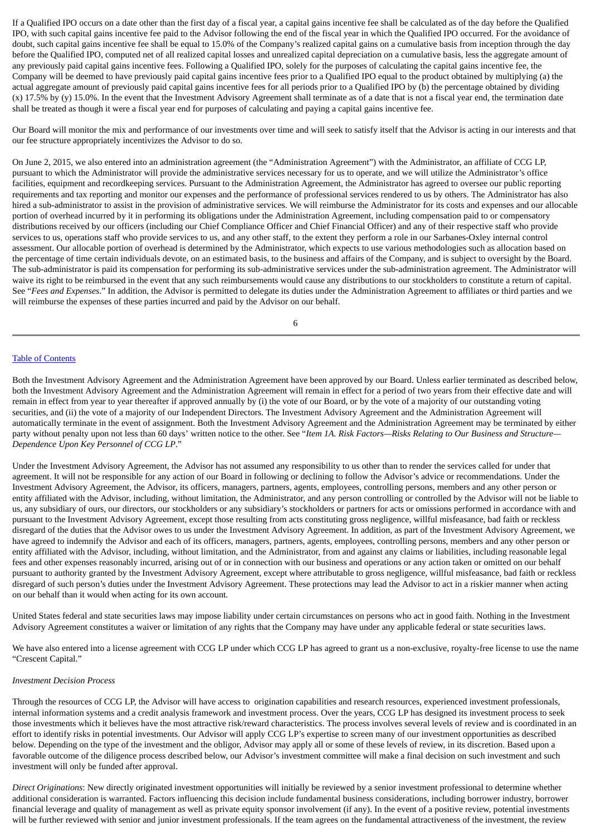If a Qualified IPO occurs on a date other than the first day of a fiscal year, a capital gains incentive fee shall be calculated as of the day before the Qualified IPO, with such capital gains incentive fee paid to the Advisor following the end of the fiscal year in which the Qualified IPO occurred. For the avoidance of doubt, such capital gains incentive fee shall be equal to 15.0% of the Company's realized capital gains on a cumulative basis from inception through the day before the Qualified IPO, computed net of all realized capital losses and unrealized capital depreciation on a cumulative basis, less the aggregate amount of any previously paid capital gains incentive fees. Following a Qualified IPO, solely for the purposes of calculating the capital gains incentive fee, the Company will be deemed to have previously paid capital gains incentive fees prior to a Qualified IPO equal to the product obtained by multiplying (a) the actual aggregate amount of previously paid capital gains incentive fees for all periods prior to a Qualified IPO by (b) the percentage obtained by dividing (x) 17.5% by (y) 15.0%. In the event that the Investment Advisory Agreement shall terminate as of a date that is not a fiscal year end, the termination date shall be treated as though it were a fiscal year end for purposes of calculating and paying a capital gains incentive fee.

Our Board will monitor the mix and performance of our investments over time and will seek to satisfy itself that the Advisor is acting in our interests and that our fee structure appropriately incentivizes the Advisor to do so.

On June 2, 2015, we also entered into an administration agreement (the "Administration Agreement") with the Administrator, an affiliate of CCG LP, pursuant to which the Administrator will provide the administrative services necessary for us to operate, and we will utilize the Administrator's office facilities, equipment and recordkeeping services. Pursuant to the Administration Agreement, the Administrator has agreed to oversee our public reporting requirements and tax reporting and monitor our expenses and the performance of professional services rendered to us by others. The Administrator has also hired a sub-administrator to assist in the provision of administrative services. We will reimburse the Administrator for its costs and expenses and our allocable portion of overhead incurred by it in performing its obligations under the Administration Agreement, including compensation paid to or compensatory distributions received by our officers (including our Chief Compliance Officer and Chief Financial Officer) and any of their respective staff who provide services to us, operations staff who provide services to us, and any other staff, to the extent they perform a role in our Sarbanes-Oxley internal control assessment. Our allocable portion of overhead is determined by the Administrator, which expects to use various methodologies such as allocation based on the percentage of time certain individuals devote, on an estimated basis, to the business and affairs of the Company, and is subject to oversight by the Board. The sub-administrator is paid its compensation for performing its sub-administrative services under the sub-administration agreement. The Administrator will waive its right to be reimbursed in the event that any such reimbursements would cause any distributions to our stockholders to constitute a return of capital. See "*Fees and Expenses*." In addition, the Advisor is permitted to delegate its duties under the Administration Agreement to affiliates or third parties and we will reimburse the expenses of these parties incurred and paid by the Advisor on our behalf.

6

#### Table of [Contents](#page-0-0)

Both the Investment Advisory Agreement and the Administration Agreement have been approved by our Board. Unless earlier terminated as described below, both the Investment Advisory Agreement and the Administration Agreement will remain in effect for a period of two years from their effective date and will remain in effect from year to year thereafter if approved annually by (i) the vote of our Board, or by the vote of a majority of our outstanding voting securities, and (ii) the vote of a majority of our Independent Directors. The Investment Advisory Agreement and the Administration Agreement will automatically terminate in the event of assignment. Both the Investment Advisory Agreement and the Administration Agreement may be terminated by either party without penalty upon not less than 60 days' written notice to the other. See "*Item 1A. Risk Factors—Risks Relating to Our Business and Structure— Dependence Upon Key Personnel of CCG LP*."

Under the Investment Advisory Agreement, the Advisor has not assumed any responsibility to us other than to render the services called for under that agreement. It will not be responsible for any action of our Board in following or declining to follow the Advisor's advice or recommendations. Under the Investment Advisory Agreement, the Advisor, its officers, managers, partners, agents, employees, controlling persons, members and any other person or entity affiliated with the Advisor, including, without limitation, the Administrator, and any person controlling or controlled by the Advisor will not be liable to us, any subsidiary of ours, our directors, our stockholders or any subsidiary's stockholders or partners for acts or omissions performed in accordance with and pursuant to the Investment Advisory Agreement, except those resulting from acts constituting gross negligence, willful misfeasance, bad faith or reckless disregard of the duties that the Advisor owes to us under the Investment Advisory Agreement. In addition, as part of the Investment Advisory Agreement, we have agreed to indemnify the Advisor and each of its officers, managers, partners, agents, employees, controlling persons, members and any other person or entity affiliated with the Advisor, including, without limitation, and the Administrator, from and against any claims or liabilities, including reasonable legal fees and other expenses reasonably incurred, arising out of or in connection with our business and operations or any action taken or omitted on our behalf pursuant to authority granted by the Investment Advisory Agreement, except where attributable to gross negligence, willful misfeasance, bad faith or reckless disregard of such person's duties under the Investment Advisory Agreement. These protections may lead the Advisor to act in a riskier manner when acting on our behalf than it would when acting for its own account.

United States federal and state securities laws may impose liability under certain circumstances on persons who act in good faith. Nothing in the Investment Advisory Agreement constitutes a waiver or limitation of any rights that the Company may have under any applicable federal or state securities laws.

We have also entered into a license agreement with CCG LP under which CCG LP has agreed to grant us a non-exclusive, royalty-free license to use the name "Crescent Capital."

### *Investment Decision Process*

Through the resources of CCG LP, the Advisor will have access to origination capabilities and research resources, experienced investment professionals, internal information systems and a credit analysis framework and investment process. Over the years, CCG LP has designed its investment process to seek those investments which it believes have the most attractive risk/reward characteristics. The process involves several levels of review and is coordinated in an effort to identify risks in potential investments. Our Advisor will apply CCG LP's expertise to screen many of our investment opportunities as described below. Depending on the type of the investment and the obligor, Advisor may apply all or some of these levels of review, in its discretion. Based upon a favorable outcome of the diligence process described below, our Advisor's investment committee will make a final decision on such investment and such investment will only be funded after approval.

*Direct Originations*: New directly originated investment opportunities will initially be reviewed by a senior investment professional to determine whether additional consideration is warranted. Factors influencing this decision include fundamental business considerations, including borrower industry, borrower financial leverage and quality of management as well as private equity sponsor involvement (if any). In the event of a positive review, potential investments will be further reviewed with senior and junior investment professionals. If the team agrees on the fundamental attractiveness of the investment, the review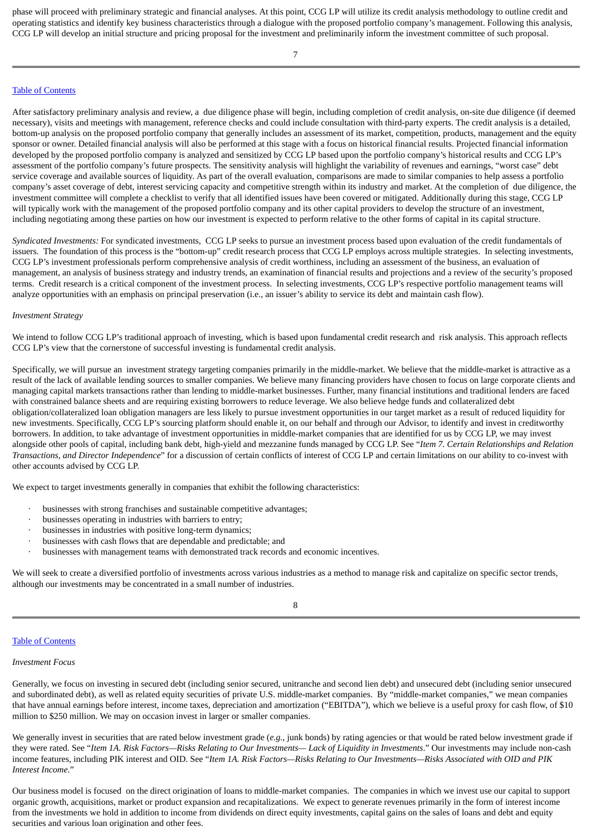phase will proceed with preliminary strategic and financial analyses. At this point, CCG LP will utilize its credit analysis methodology to outline credit and operating statistics and identify key business characteristics through a dialogue with the proposed portfolio company's management. Following this analysis, CCG LP will develop an initial structure and pricing proposal for the investment and preliminarily inform the investment committee of such proposal.

# Table of [Contents](#page-0-0)

After satisfactory preliminary analysis and review, a due diligence phase will begin, including completion of credit analysis, on-site due diligence (if deemed necessary), visits and meetings with management, reference checks and could include consultation with third-party experts. The credit analysis is a detailed, bottom-up analysis on the proposed portfolio company that generally includes an assessment of its market, competition, products, management and the equity sponsor or owner. Detailed financial analysis will also be performed at this stage with a focus on historical financial results. Projected financial information developed by the proposed portfolio company is analyzed and sensitized by CCG LP based upon the portfolio company's historical results and CCG LP's assessment of the portfolio company's future prospects. The sensitivity analysis will highlight the variability of revenues and earnings, "worst case" debt service coverage and available sources of liquidity. As part of the overall evaluation, comparisons are made to similar companies to help assess a portfolio company's asset coverage of debt, interest servicing capacity and competitive strength within its industry and market. At the completion of due diligence, the investment committee will complete a checklist to verify that all identified issues have been covered or mitigated. Additionally during this stage, CCG LP will typically work with the management of the proposed portfolio company and its other capital providers to develop the structure of an investment, including negotiating among these parties on how our investment is expected to perform relative to the other forms of capital in its capital structure.

*Syndicated Investments:* For syndicated investments, CCG LP seeks to pursue an investment process based upon evaluation of the credit fundamentals of issuers. The foundation of this process is the "bottom-up" credit research process that CCG LP employs across multiple strategies. In selecting investments, CCG LP's investment professionals perform comprehensive analysis of credit worthiness, including an assessment of the business, an evaluation of management, an analysis of business strategy and industry trends, an examination of financial results and projections and a review of the security's proposed terms. Credit research is a critical component of the investment process. In selecting investments, CCG LP's respective portfolio management teams will analyze opportunities with an emphasis on principal preservation (i.e., an issuer's ability to service its debt and maintain cash flow).

#### *Investment Strategy*

We intend to follow CCG LP's traditional approach of investing, which is based upon fundamental credit research and risk analysis. This approach reflects CCG LP's view that the cornerstone of successful investing is fundamental credit analysis.

Specifically, we will pursue an investment strategy targeting companies primarily in the middle-market. We believe that the middle-market is attractive as a result of the lack of available lending sources to smaller companies. We believe many financing providers have chosen to focus on large corporate clients and managing capital markets transactions rather than lending to middle-market businesses. Further, many financial institutions and traditional lenders are faced with constrained balance sheets and are requiring existing borrowers to reduce leverage. We also believe hedge funds and collateralized debt obligation/collateralized loan obligation managers are less likely to pursue investment opportunities in our target market as a result of reduced liquidity for new investments. Specifically, CCG LP's sourcing platform should enable it, on our behalf and through our Advisor, to identify and invest in creditworthy borrowers. In addition, to take advantage of investment opportunities in middle-market companies that are identified for us by CCG LP, we may invest alongside other pools of capital, including bank debt, high-yield and mezzanine funds managed by CCG LP. See "*Item 7. Certain Relationships and Relation Transactions, and Director Independence*" for a discussion of certain conflicts of interest of CCG LP and certain limitations on our ability to co-invest with other accounts advised by CCG LP.

We expect to target investments generally in companies that exhibit the following characteristics:

- · businesses with strong franchises and sustainable competitive advantages;
- businesses operating in industries with barriers to entry;
- businesses in industries with positive long-term dynamics;
- businesses with cash flows that are dependable and predictable; and
- · businesses with management teams with demonstrated track records and economic incentives.

We will seek to create a diversified portfolio of investments across various industries as a method to manage risk and capitalize on specific sector trends, although our investments may be concentrated in a small number of industries.

8

#### Table of [Contents](#page-0-0)

#### *Investment Focus*

Generally, we focus on investing in secured debt (including senior secured, unitranche and second lien debt) and unsecured debt (including senior unsecured and subordinated debt), as well as related equity securities of private U.S. middle-market companies. By "middle-market companies," we mean companies that have annual earnings before interest, income taxes, depreciation and amortization ("EBITDA"), which we believe is a useful proxy for cash flow, of \$10 million to \$250 million. We may on occasion invest in larger or smaller companies.

We generally invest in securities that are rated below investment grade (*e.g.*, junk bonds) by rating agencies or that would be rated below investment grade if they were rated. See "Item 1A. Risk Factors-Risks Relating to Our Investments-Lack of Liquidity in Investments." Our investments may include non-cash income features, including PIK interest and OID. See "Item 1A. Risk Factors-Risks Relating to Our Investments-Risks Associated with OID and PIK *Interest Income*."

Our business model is focused on the direct origination of loans to middle-market companies. The companies in which we invest use our capital to support organic growth, acquisitions, market or product expansion and recapitalizations. We expect to generate revenues primarily in the form of interest income from the investments we hold in addition to income from dividends on direct equity investments, capital gains on the sales of loans and debt and equity securities and various loan origination and other fees.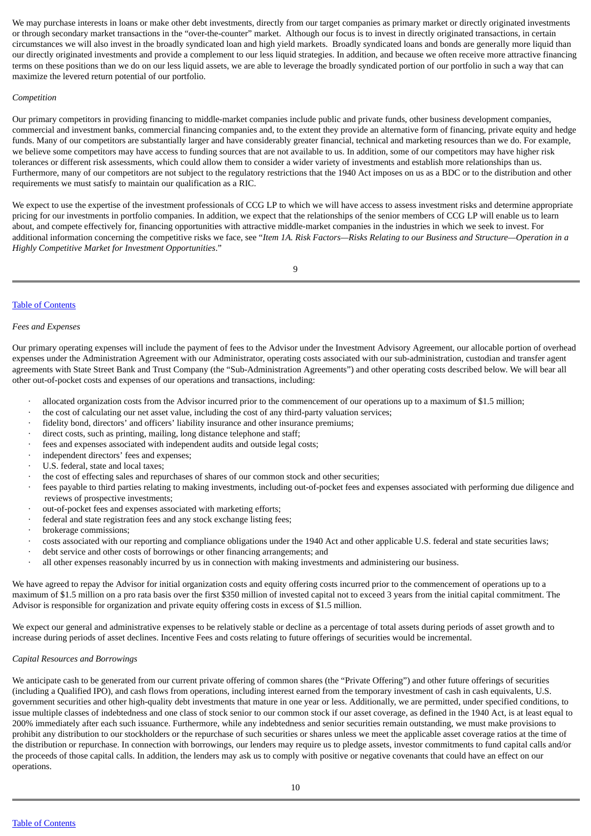We may purchase interests in loans or make other debt investments, directly from our target companies as primary market or directly originated investments or through secondary market transactions in the "over-the-counter" market. Although our focus is to invest in directly originated transactions, in certain circumstances we will also invest in the broadly syndicated loan and high yield markets. Broadly syndicated loans and bonds are generally more liquid than our directly originated investments and provide a complement to our less liquid strategies. In addition, and because we often receive more attractive financing terms on these positions than we do on our less liquid assets, we are able to leverage the broadly syndicated portion of our portfolio in such a way that can maximize the levered return potential of our portfolio.

### *Competition*

Our primary competitors in providing financing to middle-market companies include public and private funds, other business development companies, commercial and investment banks, commercial financing companies and, to the extent they provide an alternative form of financing, private equity and hedge funds. Many of our competitors are substantially larger and have considerably greater financial, technical and marketing resources than we do. For example, we believe some competitors may have access to funding sources that are not available to us. In addition, some of our competitors may have higher risk tolerances or different risk assessments, which could allow them to consider a wider variety of investments and establish more relationships than us. Furthermore, many of our competitors are not subject to the regulatory restrictions that the 1940 Act imposes on us as a BDC or to the distribution and other requirements we must satisfy to maintain our qualification as a RIC.

We expect to use the expertise of the investment professionals of CCG LP to which we will have access to assess investment risks and determine appropriate pricing for our investments in portfolio companies. In addition, we expect that the relationships of the senior members of CCG LP will enable us to learn about, and compete effectively for, financing opportunities with attractive middle-market companies in the industries in which we seek to invest. For additional information concerning the competitive risks we face, see "Item 1A. Risk Factors-Risks Relating to our Business and Structure-Operation in a *Highly Competitive Market for Investment Opportunities*."

9

# Table of [Contents](#page-0-0)

# *Fees and Expenses*

Our primary operating expenses will include the payment of fees to the Advisor under the Investment Advisory Agreement, our allocable portion of overhead expenses under the Administration Agreement with our Administrator, operating costs associated with our sub-administration, custodian and transfer agent agreements with State Street Bank and Trust Company (the "Sub-Administration Agreements") and other operating costs described below. We will bear all other out-of-pocket costs and expenses of our operations and transactions, including:

- · allocated organization costs from the Advisor incurred prior to the commencement of our operations up to a maximum of \$1.5 million;
- · the cost of calculating our net asset value, including the cost of any third-party valuation services;
- fidelity bond, directors' and officers' liability insurance and other insurance premiums;
- direct costs, such as printing, mailing, long distance telephone and staff;
- fees and expenses associated with independent audits and outside legal costs;
- independent directors' fees and expenses;
- U.S. federal, state and local taxes;
- · the cost of effecting sales and repurchases of shares of our common stock and other securities;
- fees payable to third parties relating to making investments, including out-of-pocket fees and expenses associated with performing due diligence and reviews of prospective investments;
- · out-of-pocket fees and expenses associated with marketing efforts;
- federal and state registration fees and any stock exchange listing fees;
- · brokerage commissions;
- · costs associated with our reporting and compliance obligations under the 1940 Act and other applicable U.S. federal and state securities laws;
- · debt service and other costs of borrowings or other financing arrangements; and
- · all other expenses reasonably incurred by us in connection with making investments and administering our business.

We have agreed to repay the Advisor for initial organization costs and equity offering costs incurred prior to the commencement of operations up to a maximum of \$1.5 million on a pro rata basis over the first \$350 million of invested capital not to exceed 3 years from the initial capital commitment. The Advisor is responsible for organization and private equity offering costs in excess of \$1.5 million.

We expect our general and administrative expenses to be relatively stable or decline as a percentage of total assets during periods of asset growth and to increase during periods of asset declines. Incentive Fees and costs relating to future offerings of securities would be incremental.

# *Capital Resources and Borrowings*

We anticipate cash to be generated from our current private offering of common shares (the "Private Offering") and other future offerings of securities (including a Qualified IPO), and cash flows from operations, including interest earned from the temporary investment of cash in cash equivalents, U.S. government securities and other high-quality debt investments that mature in one year or less. Additionally, we are permitted, under specified conditions, to issue multiple classes of indebtedness and one class of stock senior to our common stock if our asset coverage, as defined in the 1940 Act, is at least equal to 200% immediately after each such issuance. Furthermore, while any indebtedness and senior securities remain outstanding, we must make provisions to prohibit any distribution to our stockholders or the repurchase of such securities or shares unless we meet the applicable asset coverage ratios at the time of the distribution or repurchase. In connection with borrowings, our lenders may require us to pledge assets, investor commitments to fund capital calls and/or the proceeds of those capital calls. In addition, the lenders may ask us to comply with positive or negative covenants that could have an effect on our operations.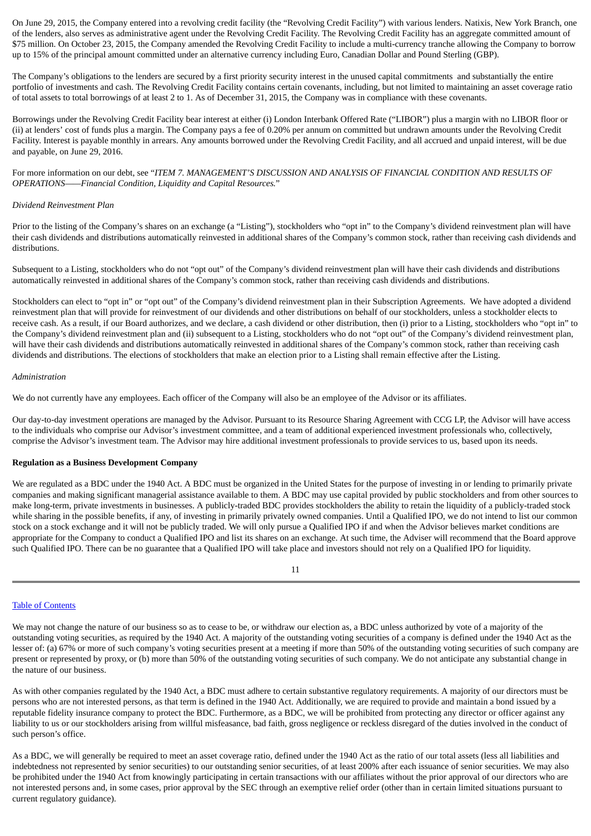On June 29, 2015, the Company entered into a revolving credit facility (the "Revolving Credit Facility") with various lenders. Natixis, New York Branch, one of the lenders, also serves as administrative agent under the Revolving Credit Facility. The Revolving Credit Facility has an aggregate committed amount of \$75 million. On October 23, 2015, the Company amended the Revolving Credit Facility to include a multi-currency tranche allowing the Company to borrow up to 15% of the principal amount committed under an alternative currency including Euro, Canadian Dollar and Pound Sterling (GBP).

The Company's obligations to the lenders are secured by a first priority security interest in the unused capital commitments and substantially the entire portfolio of investments and cash. The Revolving Credit Facility contains certain covenants, including, but not limited to maintaining an asset coverage ratio of total assets to total borrowings of at least 2 to 1. As of December 31, 2015, the Company was in compliance with these covenants.

Borrowings under the Revolving Credit Facility bear interest at either (i) London Interbank Offered Rate ("LIBOR") plus a margin with no LIBOR floor or (ii) at lenders' cost of funds plus a margin. The Company pays a fee of 0.20% per annum on committed but undrawn amounts under the Revolving Credit Facility. Interest is payable monthly in arrears. Any amounts borrowed under the Revolving Credit Facility, and all accrued and unpaid interest, will be due and payable, on June 29, 2016.

For more information on our debt, see "*ITEM 7. MANAGEMENT'S DISCUSSION AND ANALYSIS OF FINANCIAL CONDITION AND RESULTS OF OPERATIONS——Financial Condition, Liquidity and Capital Resources.*"

# *Dividend Reinvestment Plan*

Prior to the listing of the Company's shares on an exchange (a "Listing"), stockholders who "opt in" to the Company's dividend reinvestment plan will have their cash dividends and distributions automatically reinvested in additional shares of the Company's common stock, rather than receiving cash dividends and distributions.

Subsequent to a Listing, stockholders who do not "opt out" of the Company's dividend reinvestment plan will have their cash dividends and distributions automatically reinvested in additional shares of the Company's common stock, rather than receiving cash dividends and distributions.

Stockholders can elect to "opt in" or "opt out" of the Company's dividend reinvestment plan in their Subscription Agreements. We have adopted a dividend reinvestment plan that will provide for reinvestment of our dividends and other distributions on behalf of our stockholders, unless a stockholder elects to receive cash. As a result, if our Board authorizes, and we declare, a cash dividend or other distribution, then (i) prior to a Listing, stockholders who "opt in" to the Company's dividend reinvestment plan and (ii) subsequent to a Listing, stockholders who do not "opt out" of the Company's dividend reinvestment plan, will have their cash dividends and distributions automatically reinvested in additional shares of the Company's common stock, rather than receiving cash dividends and distributions. The elections of stockholders that make an election prior to a Listing shall remain effective after the Listing.

# *Administration*

We do not currently have any employees. Each officer of the Company will also be an employee of the Advisor or its affiliates.

Our day-to-day investment operations are managed by the Advisor. Pursuant to its Resource Sharing Agreement with CCG LP, the Advisor will have access to the individuals who comprise our Advisor's investment committee, and a team of additional experienced investment professionals who, collectively, comprise the Advisor's investment team. The Advisor may hire additional investment professionals to provide services to us, based upon its needs.

# **Regulation as a Business Development Company**

We are regulated as a BDC under the 1940 Act. A BDC must be organized in the United States for the purpose of investing in or lending to primarily private companies and making significant managerial assistance available to them. A BDC may use capital provided by public stockholders and from other sources to make long-term, private investments in businesses. A publicly-traded BDC provides stockholders the ability to retain the liquidity of a publicly-traded stock while sharing in the possible benefits, if any, of investing in primarily privately owned companies. Until a Qualified IPO, we do not intend to list our common stock on a stock exchange and it will not be publicly traded. We will only pursue a Qualified IPO if and when the Advisor believes market conditions are appropriate for the Company to conduct a Qualified IPO and list its shares on an exchange. At such time, the Adviser will recommend that the Board approve such Qualified IPO. There can be no guarantee that a Qualified IPO will take place and investors should not rely on a Qualified IPO for liquidity.

| ٠ | ٠ |
|---|---|

# Table of [Contents](#page-0-0)

We may not change the nature of our business so as to cease to be, or withdraw our election as, a BDC unless authorized by vote of a majority of the outstanding voting securities, as required by the 1940 Act. A majority of the outstanding voting securities of a company is defined under the 1940 Act as the lesser of: (a) 67% or more of such company's voting securities present at a meeting if more than 50% of the outstanding voting securities of such company are present or represented by proxy, or (b) more than 50% of the outstanding voting securities of such company. We do not anticipate any substantial change in the nature of our business.

As with other companies regulated by the 1940 Act, a BDC must adhere to certain substantive regulatory requirements. A majority of our directors must be persons who are not interested persons, as that term is defined in the 1940 Act. Additionally, we are required to provide and maintain a bond issued by a reputable fidelity insurance company to protect the BDC. Furthermore, as a BDC, we will be prohibited from protecting any director or officer against any liability to us or our stockholders arising from willful misfeasance, bad faith, gross negligence or reckless disregard of the duties involved in the conduct of such person's office.

As a BDC, we will generally be required to meet an asset coverage ratio, defined under the 1940 Act as the ratio of our total assets (less all liabilities and indebtedness not represented by senior securities) to our outstanding senior securities, of at least 200% after each issuance of senior securities. We may also be prohibited under the 1940 Act from knowingly participating in certain transactions with our affiliates without the prior approval of our directors who are not interested persons and, in some cases, prior approval by the SEC through an exemptive relief order (other than in certain limited situations pursuant to current regulatory guidance).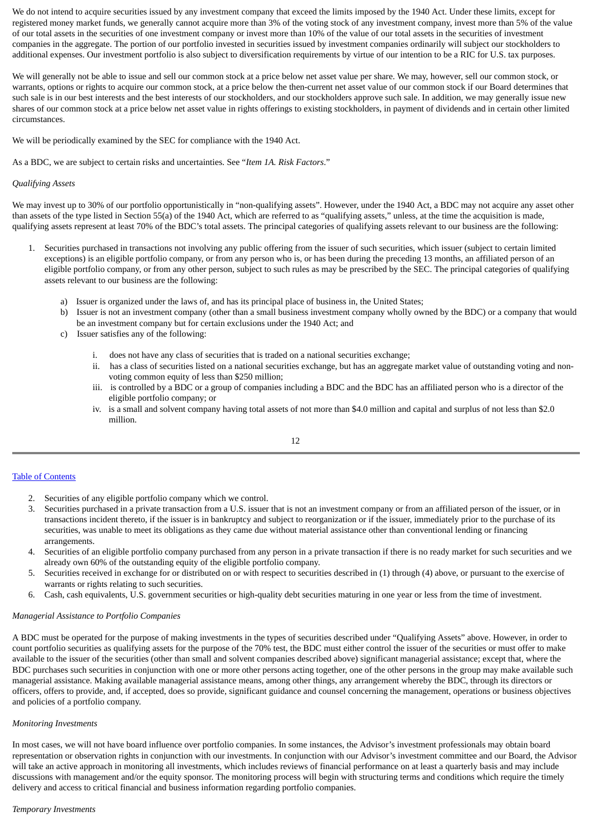We do not intend to acquire securities issued by any investment company that exceed the limits imposed by the 1940 Act. Under these limits, except for registered money market funds, we generally cannot acquire more than 3% of the voting stock of any investment company, invest more than 5% of the value of our total assets in the securities of one investment company or invest more than 10% of the value of our total assets in the securities of investment companies in the aggregate. The portion of our portfolio invested in securities issued by investment companies ordinarily will subject our stockholders to additional expenses. Our investment portfolio is also subject to diversification requirements by virtue of our intention to be a RIC for U.S. tax purposes.

We will generally not be able to issue and sell our common stock at a price below net asset value per share. We may, however, sell our common stock, or warrants, options or rights to acquire our common stock, at a price below the then-current net asset value of our common stock if our Board determines that such sale is in our best interests and the best interests of our stockholders, and our stockholders approve such sale. In addition, we may generally issue new shares of our common stock at a price below net asset value in rights offerings to existing stockholders, in payment of dividends and in certain other limited circumstances.

We will be periodically examined by the SEC for compliance with the 1940 Act.

As a BDC, we are subject to certain risks and uncertainties. See "*Item 1A. Risk Factors*."

# *Qualifying Assets*

We may invest up to 30% of our portfolio opportunistically in "non-qualifying assets". However, under the 1940 Act, a BDC may not acquire any asset other than assets of the type listed in Section 55(a) of the 1940 Act, which are referred to as "qualifying assets," unless, at the time the acquisition is made, qualifying assets represent at least 70% of the BDC's total assets. The principal categories of qualifying assets relevant to our business are the following:

- 1. Securities purchased in transactions not involving any public offering from the issuer of such securities, which issuer (subject to certain limited exceptions) is an eligible portfolio company, or from any person who is, or has been during the preceding 13 months, an affiliated person of an eligible portfolio company, or from any other person, subject to such rules as may be prescribed by the SEC. The principal categories of qualifying assets relevant to our business are the following:
	- a) Issuer is organized under the laws of, and has its principal place of business in, the United States;
	- b) Issuer is not an investment company (other than a small business investment company wholly owned by the BDC) or a company that would be an investment company but for certain exclusions under the 1940 Act; and
	- c) Issuer satisfies any of the following:
		- i. does not have any class of securities that is traded on a national securities exchange;
		- ii. has a class of securities listed on a national securities exchange, but has an aggregate market value of outstanding voting and nonvoting common equity of less than \$250 million;
		- iii. is controlled by a BDC or a group of companies including a BDC and the BDC has an affiliated person who is a director of the eligible portfolio company; or
		- iv. is a small and solvent company having total assets of not more than \$4.0 million and capital and surplus of not less than \$2.0 million.

# 12

#### Table of [Contents](#page-0-0)

- 2. Securities of any eligible portfolio company which we control.
- 3. Securities purchased in a private transaction from a U.S. issuer that is not an investment company or from an affiliated person of the issuer, or in transactions incident thereto, if the issuer is in bankruptcy and subject to reorganization or if the issuer, immediately prior to the purchase of its securities, was unable to meet its obligations as they came due without material assistance other than conventional lending or financing arrangements.
- 4. Securities of an eligible portfolio company purchased from any person in a private transaction if there is no ready market for such securities and we already own 60% of the outstanding equity of the eligible portfolio company.
- 5. Securities received in exchange for or distributed on or with respect to securities described in (1) through (4) above, or pursuant to the exercise of warrants or rights relating to such securities.
- 6. Cash, cash equivalents, U.S. government securities or high-quality debt securities maturing in one year or less from the time of investment.

#### *Managerial Assistance to Portfolio Companies*

A BDC must be operated for the purpose of making investments in the types of securities described under "Qualifying Assets" above. However, in order to count portfolio securities as qualifying assets for the purpose of the 70% test, the BDC must either control the issuer of the securities or must offer to make available to the issuer of the securities (other than small and solvent companies described above) significant managerial assistance; except that, where the BDC purchases such securities in conjunction with one or more other persons acting together, one of the other persons in the group may make available such managerial assistance. Making available managerial assistance means, among other things, any arrangement whereby the BDC, through its directors or officers, offers to provide, and, if accepted, does so provide, significant guidance and counsel concerning the management, operations or business objectives and policies of a portfolio company.

#### *Monitoring Investments*

In most cases, we will not have board influence over portfolio companies. In some instances, the Advisor's investment professionals may obtain board representation or observation rights in conjunction with our investments. In conjunction with our Advisor's investment committee and our Board, the Advisor will take an active approach in monitoring all investments, which includes reviews of financial performance on at least a quarterly basis and may include discussions with management and/or the equity sponsor. The monitoring process will begin with structuring terms and conditions which require the timely delivery and access to critical financial and business information regarding portfolio companies.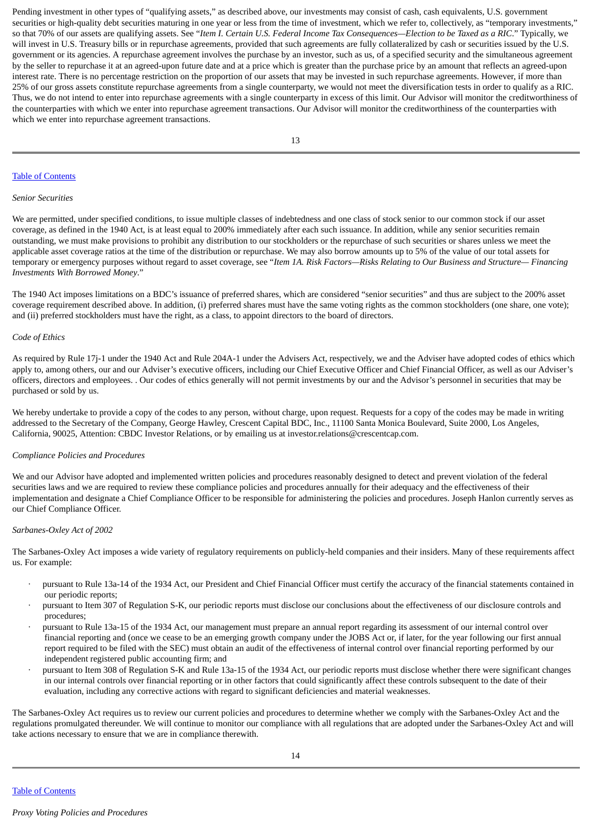Pending investment in other types of "qualifying assets," as described above, our investments may consist of cash, cash equivalents, U.S. government securities or high-quality debt securities maturing in one year or less from the time of investment, which we refer to, collectively, as "temporary investments," so that 70% of our assets are qualifying assets. See "Item I. Certain U.S. Federal Income Tax Consequences—Election to be Taxed as a RIC." Typically, we will invest in U.S. Treasury bills or in repurchase agreements, provided that such agreements are fully collateralized by cash or securities issued by the U.S. government or its agencies. A repurchase agreement involves the purchase by an investor, such as us, of a specified security and the simultaneous agreement by the seller to repurchase it at an agreed-upon future date and at a price which is greater than the purchase price by an amount that reflects an agreed-upon interest rate. There is no percentage restriction on the proportion of our assets that may be invested in such repurchase agreements. However, if more than 25% of our gross assets constitute repurchase agreements from a single counterparty, we would not meet the diversification tests in order to qualify as a RIC. Thus, we do not intend to enter into repurchase agreements with a single counterparty in excess of this limit. Our Advisor will monitor the creditworthiness of the counterparties with which we enter into repurchase agreement transactions. Our Advisor will monitor the creditworthiness of the counterparties with which we enter into repurchase agreement transactions.

#### Table of [Contents](#page-0-0)

#### *Senior Securities*

We are permitted, under specified conditions, to issue multiple classes of indebtedness and one class of stock senior to our common stock if our asset coverage, as defined in the 1940 Act, is at least equal to 200% immediately after each such issuance. In addition, while any senior securities remain outstanding, we must make provisions to prohibit any distribution to our stockholders or the repurchase of such securities or shares unless we meet the applicable asset coverage ratios at the time of the distribution or repurchase. We may also borrow amounts up to 5% of the value of our total assets for temporary or emergency purposes without regard to asset coverage, see "Item 1A. Risk Factors-Risks Relating to Our Business and Structure-Financing *Investments With Borrowed Money*."

The 1940 Act imposes limitations on a BDC's issuance of preferred shares, which are considered "senior securities" and thus are subject to the 200% asset coverage requirement described above. In addition, (i) preferred shares must have the same voting rights as the common stockholders (one share, one vote); and (ii) preferred stockholders must have the right, as a class, to appoint directors to the board of directors.

### *Code of Ethics*

As required by Rule 17j-1 under the 1940 Act and Rule 204A-1 under the Advisers Act, respectively, we and the Adviser have adopted codes of ethics which apply to, among others, our and our Adviser's executive officers, including our Chief Executive Officer and Chief Financial Officer, as well as our Adviser's officers, directors and employees. . Our codes of ethics generally will not permit investments by our and the Advisor's personnel in securities that may be purchased or sold by us.

We hereby undertake to provide a copy of the codes to any person, without charge, upon request. Requests for a copy of the codes may be made in writing addressed to the Secretary of the Company, George Hawley, Crescent Capital BDC, Inc., 11100 Santa Monica Boulevard, Suite 2000, Los Angeles, California, 90025, Attention: CBDC Investor Relations, or by emailing us at investor.relations@crescentcap.com.

#### *Compliance Policies and Procedures*

We and our Advisor have adopted and implemented written policies and procedures reasonably designed to detect and prevent violation of the federal securities laws and we are required to review these compliance policies and procedures annually for their adequacy and the effectiveness of their implementation and designate a Chief Compliance Officer to be responsible for administering the policies and procedures. Joseph Hanlon currently serves as our Chief Compliance Officer.

#### *Sarbanes-Oxley Act of 2002*

The Sarbanes-Oxley Act imposes a wide variety of regulatory requirements on publicly-held companies and their insiders. Many of these requirements affect us. For example:

- pursuant to Rule 13a-14 of the 1934 Act, our President and Chief Financial Officer must certify the accuracy of the financial statements contained in our periodic reports;
- · pursuant to Item 307 of Regulation S-K, our periodic reports must disclose our conclusions about the effectiveness of our disclosure controls and procedures;
- · pursuant to Rule 13a-15 of the 1934 Act, our management must prepare an annual report regarding its assessment of our internal control over financial reporting and (once we cease to be an emerging growth company under the JOBS Act or, if later, for the year following our first annual report required to be filed with the SEC) must obtain an audit of the effectiveness of internal control over financial reporting performed by our independent registered public accounting firm; and
- · pursuant to Item 308 of Regulation S-K and Rule 13a-15 of the 1934 Act, our periodic reports must disclose whether there were significant changes in our internal controls over financial reporting or in other factors that could significantly affect these controls subsequent to the date of their evaluation, including any corrective actions with regard to significant deficiencies and material weaknesses.

The Sarbanes-Oxley Act requires us to review our current policies and procedures to determine whether we comply with the Sarbanes-Oxley Act and the regulations promulgated thereunder. We will continue to monitor our compliance with all regulations that are adopted under the Sarbanes-Oxley Act and will take actions necessary to ensure that we are in compliance therewith.

Table of [Contents](#page-0-0)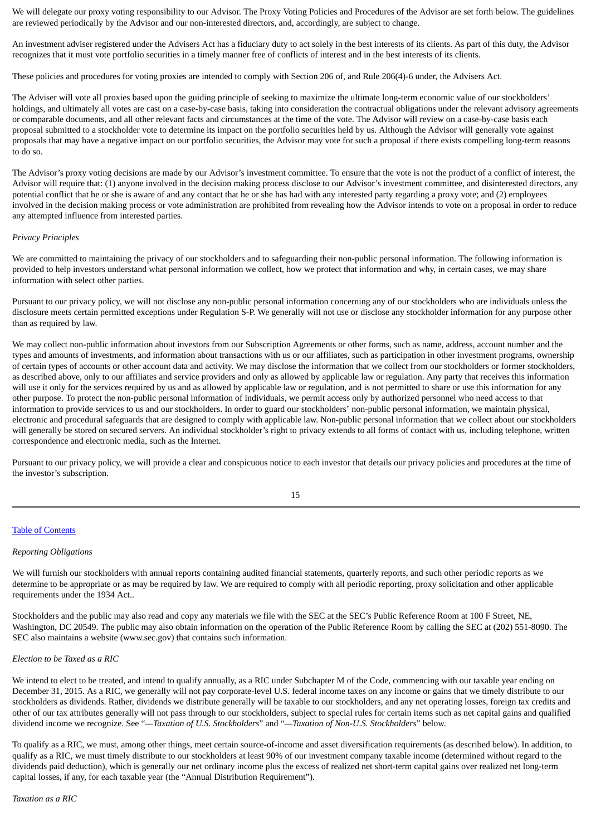We will delegate our proxy voting responsibility to our Advisor. The Proxy Voting Policies and Procedures of the Advisor are set forth below. The guidelines are reviewed periodically by the Advisor and our non-interested directors, and, accordingly, are subject to change.

An investment adviser registered under the Advisers Act has a fiduciary duty to act solely in the best interests of its clients. As part of this duty, the Advisor recognizes that it must vote portfolio securities in a timely manner free of conflicts of interest and in the best interests of its clients.

These policies and procedures for voting proxies are intended to comply with Section 206 of, and Rule 206(4)-6 under, the Advisers Act.

The Adviser will vote all proxies based upon the guiding principle of seeking to maximize the ultimate long-term economic value of our stockholders' holdings, and ultimately all votes are cast on a case-by-case basis, taking into consideration the contractual obligations under the relevant advisory agreements or comparable documents, and all other relevant facts and circumstances at the time of the vote. The Advisor will review on a case-by-case basis each proposal submitted to a stockholder vote to determine its impact on the portfolio securities held by us. Although the Advisor will generally vote against proposals that may have a negative impact on our portfolio securities, the Advisor may vote for such a proposal if there exists compelling long-term reasons to do so.

The Advisor's proxy voting decisions are made by our Advisor's investment committee. To ensure that the vote is not the product of a conflict of interest, the Advisor will require that: (1) anyone involved in the decision making process disclose to our Advisor's investment committee, and disinterested directors, any potential conflict that he or she is aware of and any contact that he or she has had with any interested party regarding a proxy vote; and (2) employees involved in the decision making process or vote administration are prohibited from revealing how the Advisor intends to vote on a proposal in order to reduce any attempted influence from interested parties.

# *Privacy Principles*

We are committed to maintaining the privacy of our stockholders and to safeguarding their non-public personal information. The following information is provided to help investors understand what personal information we collect, how we protect that information and why, in certain cases, we may share information with select other parties.

Pursuant to our privacy policy, we will not disclose any non-public personal information concerning any of our stockholders who are individuals unless the disclosure meets certain permitted exceptions under Regulation S-P. We generally will not use or disclose any stockholder information for any purpose other than as required by law.

We may collect non-public information about investors from our Subscription Agreements or other forms, such as name, address, account number and the types and amounts of investments, and information about transactions with us or our affiliates, such as participation in other investment programs, ownership of certain types of accounts or other account data and activity. We may disclose the information that we collect from our stockholders or former stockholders, as described above, only to our affiliates and service providers and only as allowed by applicable law or regulation. Any party that receives this information will use it only for the services required by us and as allowed by applicable law or regulation, and is not permitted to share or use this information for any other purpose. To protect the non-public personal information of individuals, we permit access only by authorized personnel who need access to that information to provide services to us and our stockholders. In order to guard our stockholders' non-public personal information, we maintain physical, electronic and procedural safeguards that are designed to comply with applicable law. Non-public personal information that we collect about our stockholders will generally be stored on secured servers. An individual stockholder's right to privacy extends to all forms of contact with us, including telephone, written correspondence and electronic media, such as the Internet.

Pursuant to our privacy policy, we will provide a clear and conspicuous notice to each investor that details our privacy policies and procedures at the time of the investor's subscription.

15

# Table of [Contents](#page-0-0)

#### *Reporting Obligations*

We will furnish our stockholders with annual reports containing audited financial statements, quarterly reports, and such other periodic reports as we determine to be appropriate or as may be required by law. We are required to comply with all periodic reporting, proxy solicitation and other applicable requirements under the 1934 Act..

Stockholders and the public may also read and copy any materials we file with the SEC at the SEC's Public Reference Room at 100 F Street, NE, Washington, DC 20549. The public may also obtain information on the operation of the Public Reference Room by calling the SEC at (202) 551-8090. The SEC also maintains a website (www.sec.gov) that contains such information.

#### *Election to be Taxed as a RIC*

We intend to elect to be treated, and intend to qualify annually, as a RIC under Subchapter M of the Code, commencing with our taxable year ending on December 31, 2015. As a RIC, we generally will not pay corporate-level U.S. federal income taxes on any income or gains that we timely distribute to our stockholders as dividends. Rather, dividends we distribute generally will be taxable to our stockholders, and any net operating losses, foreign tax credits and other of our tax attributes generally will not pass through to our stockholders, subject to special rules for certain items such as net capital gains and qualified dividend income we recognize. See "*—Taxation of U.S. Stockholders*" and "*—Taxation of Non-U.S. Stockholders*" below.

To qualify as a RIC, we must, among other things, meet certain source-of-income and asset diversification requirements (as described below). In addition, to qualify as a RIC, we must timely distribute to our stockholders at least 90% of our investment company taxable income (determined without regard to the dividends paid deduction), which is generally our net ordinary income plus the excess of realized net short-term capital gains over realized net long-term capital losses, if any, for each taxable year (the "Annual Distribution Requirement").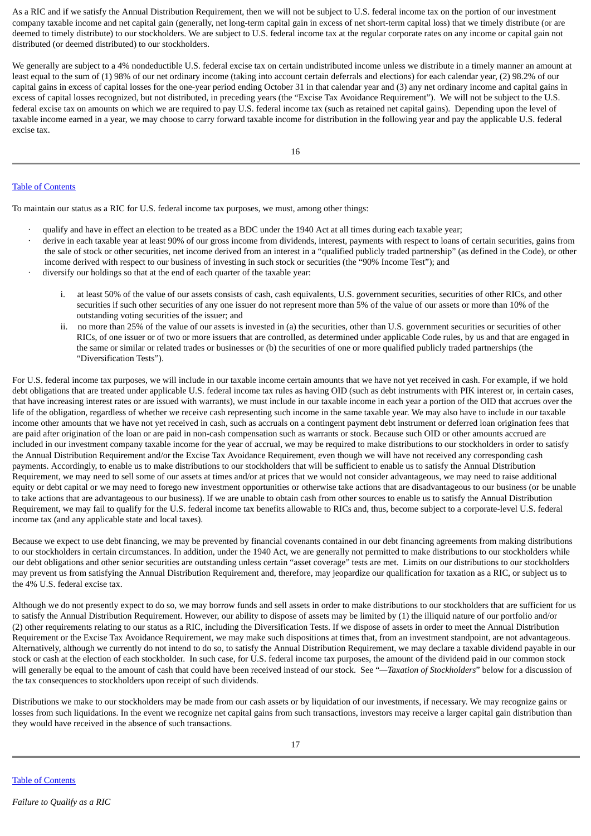As a RIC and if we satisfy the Annual Distribution Requirement, then we will not be subject to U.S. federal income tax on the portion of our investment company taxable income and net capital gain (generally, net long-term capital gain in excess of net short-term capital loss) that we timely distribute (or are deemed to timely distribute) to our stockholders. We are subject to U.S. federal income tax at the regular corporate rates on any income or capital gain not distributed (or deemed distributed) to our stockholders.

We generally are subject to a 4% nondeductible U.S. federal excise tax on certain undistributed income unless we distribute in a timely manner an amount at least equal to the sum of (1) 98% of our net ordinary income (taking into account certain deferrals and elections) for each calendar year, (2) 98.2% of our capital gains in excess of capital losses for the one-year period ending October 31 in that calendar year and (3) any net ordinary income and capital gains in excess of capital losses recognized, but not distributed, in preceding years (the "Excise Tax Avoidance Requirement"). We will not be subject to the U.S. federal excise tax on amounts on which we are required to pay U.S. federal income tax (such as retained net capital gains). Depending upon the level of taxable income earned in a year, we may choose to carry forward taxable income for distribution in the following year and pay the applicable U.S. federal excise tax.

# Table of [Contents](#page-0-0)

To maintain our status as a RIC for U.S. federal income tax purposes, we must, among other things:

- · qualify and have in effect an election to be treated as a BDC under the 1940 Act at all times during each taxable year;
- derive in each taxable year at least 90% of our gross income from dividends, interest, payments with respect to loans of certain securities, gains from the sale of stock or other securities, net income derived from an interest in a "qualified publicly traded partnership" (as defined in the Code), or other income derived with respect to our business of investing in such stock or securities (the "90% Income Test"); and
- diversify our holdings so that at the end of each quarter of the taxable year:
	- i. at least 50% of the value of our assets consists of cash, cash equivalents, U.S. government securities, securities of other RICs, and other securities if such other securities of any one issuer do not represent more than 5% of the value of our assets or more than 10% of the outstanding voting securities of the issuer; and
	- ii. no more than 25% of the value of our assets is invested in (a) the securities, other than U.S. government securities or securities of other RICs, of one issuer or of two or more issuers that are controlled, as determined under applicable Code rules, by us and that are engaged in the same or similar or related trades or businesses or (b) the securities of one or more qualified publicly traded partnerships (the "Diversification Tests").

For U.S. federal income tax purposes, we will include in our taxable income certain amounts that we have not yet received in cash. For example, if we hold debt obligations that are treated under applicable U.S. federal income tax rules as having OID (such as debt instruments with PIK interest or, in certain cases, that have increasing interest rates or are issued with warrants), we must include in our taxable income in each year a portion of the OID that accrues over the life of the obligation, regardless of whether we receive cash representing such income in the same taxable year. We may also have to include in our taxable income other amounts that we have not yet received in cash, such as accruals on a contingent payment debt instrument or deferred loan origination fees that are paid after origination of the loan or are paid in non-cash compensation such as warrants or stock. Because such OID or other amounts accrued are included in our investment company taxable income for the year of accrual, we may be required to make distributions to our stockholders in order to satisfy the Annual Distribution Requirement and/or the Excise Tax Avoidance Requirement, even though we will have not received any corresponding cash payments. Accordingly, to enable us to make distributions to our stockholders that will be sufficient to enable us to satisfy the Annual Distribution Requirement, we may need to sell some of our assets at times and/or at prices that we would not consider advantageous, we may need to raise additional equity or debt capital or we may need to forego new investment opportunities or otherwise take actions that are disadvantageous to our business (or be unable to take actions that are advantageous to our business). If we are unable to obtain cash from other sources to enable us to satisfy the Annual Distribution Requirement, we may fail to qualify for the U.S. federal income tax benefits allowable to RICs and, thus, become subject to a corporate-level U.S. federal income tax (and any applicable state and local taxes).

Because we expect to use debt financing, we may be prevented by financial covenants contained in our debt financing agreements from making distributions to our stockholders in certain circumstances. In addition, under the 1940 Act, we are generally not permitted to make distributions to our stockholders while our debt obligations and other senior securities are outstanding unless certain "asset coverage" tests are met. Limits on our distributions to our stockholders may prevent us from satisfying the Annual Distribution Requirement and, therefore, may jeopardize our qualification for taxation as a RIC, or subject us to the 4% U.S. federal excise tax.

Although we do not presently expect to do so, we may borrow funds and sell assets in order to make distributions to our stockholders that are sufficient for us to satisfy the Annual Distribution Requirement. However, our ability to dispose of assets may be limited by (1) the illiquid nature of our portfolio and/or (2) other requirements relating to our status as a RIC, including the Diversification Tests. If we dispose of assets in order to meet the Annual Distribution Requirement or the Excise Tax Avoidance Requirement, we may make such dispositions at times that, from an investment standpoint, are not advantageous. Alternatively, although we currently do not intend to do so, to satisfy the Annual Distribution Requirement, we may declare a taxable dividend payable in our stock or cash at the election of each stockholder. In such case, for U.S. federal income tax purposes, the amount of the dividend paid in our common stock will generally be equal to the amount of cash that could have been received instead of our stock. See "*—Taxation of Stockholders*" below for a discussion of the tax consequences to stockholders upon receipt of such dividends.

Distributions we make to our stockholders may be made from our cash assets or by liquidation of our investments, if necessary. We may recognize gains or losses from such liquidations. In the event we recognize net capital gains from such transactions, investors may receive a larger capital gain distribution than they would have received in the absence of such transactions.

Table of [Contents](#page-0-0)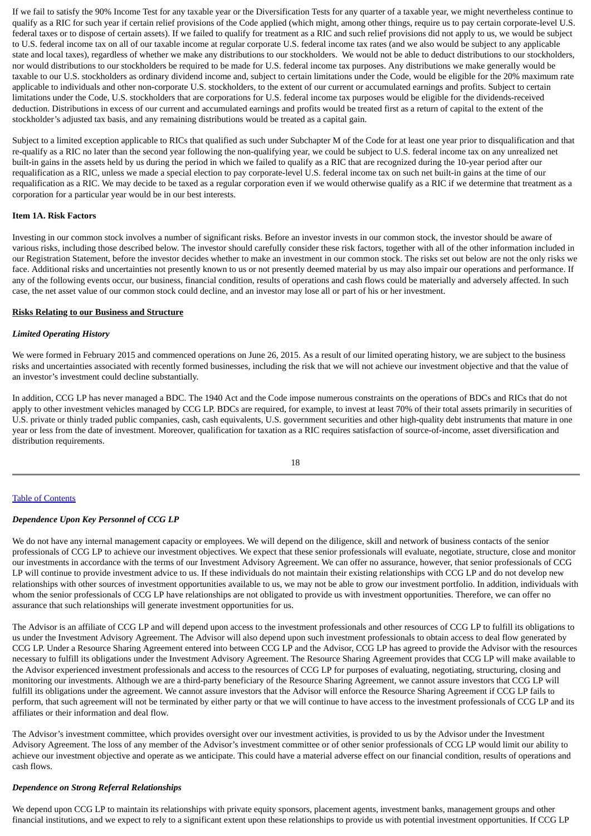If we fail to satisfy the 90% Income Test for any taxable year or the Diversification Tests for any quarter of a taxable year, we might nevertheless continue to qualify as a RIC for such year if certain relief provisions of the Code applied (which might, among other things, require us to pay certain corporate-level U.S. federal taxes or to dispose of certain assets). If we failed to qualify for treatment as a RIC and such relief provisions did not apply to us, we would be subject to U.S. federal income tax on all of our taxable income at regular corporate U.S. federal income tax rates (and we also would be subject to any applicable state and local taxes), regardless of whether we make any distributions to our stockholders. We would not be able to deduct distributions to our stockholders, nor would distributions to our stockholders be required to be made for U.S. federal income tax purposes. Any distributions we make generally would be taxable to our U.S. stockholders as ordinary dividend income and, subject to certain limitations under the Code, would be eligible for the 20% maximum rate applicable to individuals and other non-corporate U.S. stockholders, to the extent of our current or accumulated earnings and profits. Subject to certain limitations under the Code, U.S. stockholders that are corporations for U.S. federal income tax purposes would be eligible for the dividends-received deduction. Distributions in excess of our current and accumulated earnings and profits would be treated first as a return of capital to the extent of the stockholder's adjusted tax basis, and any remaining distributions would be treated as a capital gain.

Subject to a limited exception applicable to RICs that qualified as such under Subchapter M of the Code for at least one year prior to disqualification and that re-qualify as a RIC no later than the second year following the non-qualifying year, we could be subject to U.S. federal income tax on any unrealized net built-in gains in the assets held by us during the period in which we failed to qualify as a RIC that are recognized during the 10-year period after our requalification as a RIC, unless we made a special election to pay corporate-level U.S. federal income tax on such net built-in gains at the time of our requalification as a RIC. We may decide to be taxed as a regular corporation even if we would otherwise qualify as a RIC if we determine that treatment as a corporation for a particular year would be in our best interests.

# <span id="page-13-0"></span>**Item 1A. Risk Factors**

Investing in our common stock involves a number of significant risks. Before an investor invests in our common stock, the investor should be aware of various risks, including those described below. The investor should carefully consider these risk factors, together with all of the other information included in our Registration Statement, before the investor decides whether to make an investment in our common stock. The risks set out below are not the only risks we face. Additional risks and uncertainties not presently known to us or not presently deemed material by us may also impair our operations and performance. If any of the following events occur, our business, financial condition, results of operations and cash flows could be materially and adversely affected. In such case, the net asset value of our common stock could decline, and an investor may lose all or part of his or her investment.

### **Risks Relating to our Business and Structure**

# *Limited Operating History*

We were formed in February 2015 and commenced operations on June 26, 2015. As a result of our limited operating history, we are subject to the business risks and uncertainties associated with recently formed businesses, including the risk that we will not achieve our investment objective and that the value of an investor's investment could decline substantially.

In addition, CCG LP has never managed a BDC. The 1940 Act and the Code impose numerous constraints on the operations of BDCs and RICs that do not apply to other investment vehicles managed by CCG LP. BDCs are required, for example, to invest at least 70% of their total assets primarily in securities of U.S. private or thinly traded public companies, cash, cash equivalents, U.S. government securities and other high-quality debt instruments that mature in one year or less from the date of investment. Moreover, qualification for taxation as a RIC requires satisfaction of source-of-income, asset diversification and distribution requirements.

18

#### Table of [Contents](#page-0-0)

# *Dependence Upon Key Personnel of CCG LP*

We do not have any internal management capacity or employees. We will depend on the diligence, skill and network of business contacts of the senior professionals of CCG LP to achieve our investment objectives. We expect that these senior professionals will evaluate, negotiate, structure, close and monitor our investments in accordance with the terms of our Investment Advisory Agreement. We can offer no assurance, however, that senior professionals of CCG LP will continue to provide investment advice to us. If these individuals do not maintain their existing relationships with CCG LP and do not develop new relationships with other sources of investment opportunities available to us, we may not be able to grow our investment portfolio. In addition, individuals with whom the senior professionals of CCG LP have relationships are not obligated to provide us with investment opportunities. Therefore, we can offer no assurance that such relationships will generate investment opportunities for us.

The Advisor is an affiliate of CCG LP and will depend upon access to the investment professionals and other resources of CCG LP to fulfill its obligations to us under the Investment Advisory Agreement. The Advisor will also depend upon such investment professionals to obtain access to deal flow generated by CCG LP. Under a Resource Sharing Agreement entered into between CCG LP and the Advisor, CCG LP has agreed to provide the Advisor with the resources necessary to fulfill its obligations under the Investment Advisory Agreement. The Resource Sharing Agreement provides that CCG LP will make available to the Advisor experienced investment professionals and access to the resources of CCG LP for purposes of evaluating, negotiating, structuring, closing and monitoring our investments. Although we are a third-party beneficiary of the Resource Sharing Agreement, we cannot assure investors that CCG LP will fulfill its obligations under the agreement. We cannot assure investors that the Advisor will enforce the Resource Sharing Agreement if CCG LP fails to perform, that such agreement will not be terminated by either party or that we will continue to have access to the investment professionals of CCG LP and its affiliates or their information and deal flow.

The Advisor's investment committee, which provides oversight over our investment activities, is provided to us by the Advisor under the Investment Advisory Agreement. The loss of any member of the Advisor's investment committee or of other senior professionals of CCG LP would limit our ability to achieve our investment objective and operate as we anticipate. This could have a material adverse effect on our financial condition, results of operations and cash flows.

#### *Dependence on Strong Referral Relationships*

We depend upon CCG LP to maintain its relationships with private equity sponsors, placement agents, investment banks, management groups and other financial institutions, and we expect to rely to a significant extent upon these relationships to provide us with potential investment opportunities. If CCG LP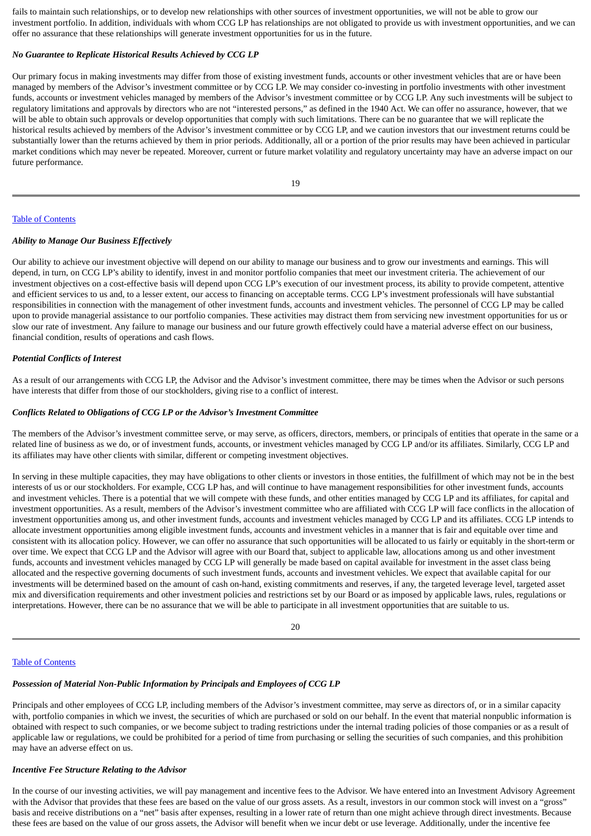fails to maintain such relationships, or to develop new relationships with other sources of investment opportunities, we will not be able to grow our investment portfolio. In addition, individuals with whom CCG LP has relationships are not obligated to provide us with investment opportunities, and we can offer no assurance that these relationships will generate investment opportunities for us in the future.

# *No Guarantee to Replicate Historical Results Achieved by CCG LP*

Our primary focus in making investments may differ from those of existing investment funds, accounts or other investment vehicles that are or have been managed by members of the Advisor's investment committee or by CCG LP. We may consider co-investing in portfolio investments with other investment funds, accounts or investment vehicles managed by members of the Advisor's investment committee or by CCG LP. Any such investments will be subject to regulatory limitations and approvals by directors who are not "interested persons," as defined in the 1940 Act. We can offer no assurance, however, that we will be able to obtain such approvals or develop opportunities that comply with such limitations. There can be no guarantee that we will replicate the historical results achieved by members of the Advisor's investment committee or by CCG LP, and we caution investors that our investment returns could be substantially lower than the returns achieved by them in prior periods. Additionally, all or a portion of the prior results may have been achieved in particular market conditions which may never be repeated. Moreover, current or future market volatility and regulatory uncertainty may have an adverse impact on our future performance.

19

# Table of [Contents](#page-0-0)

# *Ability to Manage Our Business Effectively*

Our ability to achieve our investment objective will depend on our ability to manage our business and to grow our investments and earnings. This will depend, in turn, on CCG LP's ability to identify, invest in and monitor portfolio companies that meet our investment criteria. The achievement of our investment objectives on a cost-effective basis will depend upon CCG LP's execution of our investment process, its ability to provide competent, attentive and efficient services to us and, to a lesser extent, our access to financing on acceptable terms. CCG LP's investment professionals will have substantial responsibilities in connection with the management of other investment funds, accounts and investment vehicles. The personnel of CCG LP may be called upon to provide managerial assistance to our portfolio companies. These activities may distract them from servicing new investment opportunities for us or slow our rate of investment. Any failure to manage our business and our future growth effectively could have a material adverse effect on our business, financial condition, results of operations and cash flows.

# *Potential Conflicts of Interest*

As a result of our arrangements with CCG LP, the Advisor and the Advisor's investment committee, there may be times when the Advisor or such persons have interests that differ from those of our stockholders, giving rise to a conflict of interest.

# *Conflicts Related to Obligations of CCG LP or the Advisor's Investment Committee*

The members of the Advisor's investment committee serve, or may serve, as officers, directors, members, or principals of entities that operate in the same or a related line of business as we do, or of investment funds, accounts, or investment vehicles managed by CCG LP and/or its affiliates. Similarly, CCG LP and its affiliates may have other clients with similar, different or competing investment objectives.

In serving in these multiple capacities, they may have obligations to other clients or investors in those entities, the fulfillment of which may not be in the best interests of us or our stockholders. For example, CCG LP has, and will continue to have management responsibilities for other investment funds, accounts and investment vehicles. There is a potential that we will compete with these funds, and other entities managed by CCG LP and its affiliates, for capital and investment opportunities. As a result, members of the Advisor's investment committee who are affiliated with CCG LP will face conflicts in the allocation of investment opportunities among us, and other investment funds, accounts and investment vehicles managed by CCG LP and its affiliates. CCG LP intends to allocate investment opportunities among eligible investment funds, accounts and investment vehicles in a manner that is fair and equitable over time and consistent with its allocation policy. However, we can offer no assurance that such opportunities will be allocated to us fairly or equitably in the short-term or over time. We expect that CCG LP and the Advisor will agree with our Board that, subject to applicable law, allocations among us and other investment funds, accounts and investment vehicles managed by CCG LP will generally be made based on capital available for investment in the asset class being allocated and the respective governing documents of such investment funds, accounts and investment vehicles. We expect that available capital for our investments will be determined based on the amount of cash on-hand, existing commitments and reserves, if any, the targeted leverage level, targeted asset mix and diversification requirements and other investment policies and restrictions set by our Board or as imposed by applicable laws, rules, regulations or interpretations. However, there can be no assurance that we will be able to participate in all investment opportunities that are suitable to us.

20

#### Table of [Contents](#page-0-0)

# *Possession of Material Non-Public Information by Principals and Employees of CCG LP*

Principals and other employees of CCG LP, including members of the Advisor's investment committee, may serve as directors of, or in a similar capacity with, portfolio companies in which we invest, the securities of which are purchased or sold on our behalf. In the event that material nonpublic information is obtained with respect to such companies, or we become subject to trading restrictions under the internal trading policies of those companies or as a result of applicable law or regulations, we could be prohibited for a period of time from purchasing or selling the securities of such companies, and this prohibition may have an adverse effect on us.

# *Incentive Fee Structure Relating to the Advisor*

In the course of our investing activities, we will pay management and incentive fees to the Advisor. We have entered into an Investment Advisory Agreement with the Advisor that provides that these fees are based on the value of our gross assets. As a result, investors in our common stock will invest on a "gross" basis and receive distributions on a "net" basis after expenses, resulting in a lower rate of return than one might achieve through direct investments. Because these fees are based on the value of our gross assets, the Advisor will benefit when we incur debt or use leverage. Additionally, under the incentive fee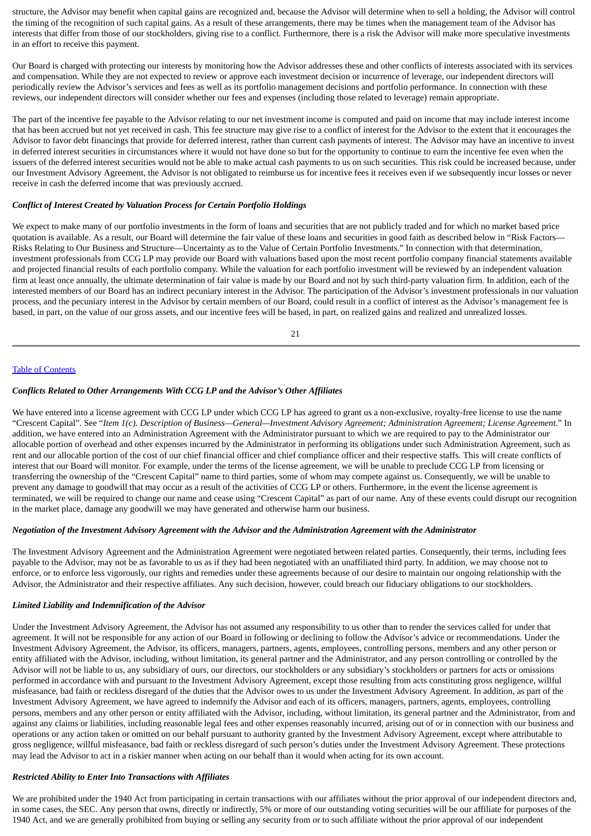structure, the Advisor may benefit when capital gains are recognized and, because the Advisor will determine when to sell a holding, the Advisor will control the timing of the recognition of such capital gains. As a result of these arrangements, there may be times when the management team of the Advisor has interests that differ from those of our stockholders, giving rise to a conflict. Furthermore, there is a risk the Advisor will make more speculative investments in an effort to receive this payment.

Our Board is charged with protecting our interests by monitoring how the Advisor addresses these and other conflicts of interests associated with its services and compensation. While they are not expected to review or approve each investment decision or incurrence of leverage, our independent directors will periodically review the Advisor's services and fees as well as its portfolio management decisions and portfolio performance. In connection with these reviews, our independent directors will consider whether our fees and expenses (including those related to leverage) remain appropriate.

The part of the incentive fee payable to the Advisor relating to our net investment income is computed and paid on income that may include interest income that has been accrued but not yet received in cash. This fee structure may give rise to a conflict of interest for the Advisor to the extent that it encourages the Advisor to favor debt financings that provide for deferred interest, rather than current cash payments of interest. The Advisor may have an incentive to invest in deferred interest securities in circumstances where it would not have done so but for the opportunity to continue to earn the incentive fee even when the issuers of the deferred interest securities would not be able to make actual cash payments to us on such securities. This risk could be increased because, under our Investment Advisory Agreement, the Advisor is not obligated to reimburse us for incentive fees it receives even if we subsequently incur losses or never receive in cash the deferred income that was previously accrued.

#### *Conflict of Interest Created by Valuation Process for Certain Portfolio Holdings*

We expect to make many of our portfolio investments in the form of loans and securities that are not publicly traded and for which no market based price quotation is available. As a result, our Board will determine the fair value of these loans and securities in good faith as described below in "Risk Factors— Risks Relating to Our Business and Structure—Uncertainty as to the Value of Certain Portfolio Investments." In connection with that determination, investment professionals from CCG LP may provide our Board with valuations based upon the most recent portfolio company financial statements available and projected financial results of each portfolio company. While the valuation for each portfolio investment will be reviewed by an independent valuation firm at least once annually, the ultimate determination of fair value is made by our Board and not by such third-party valuation firm. In addition, each of the interested members of our Board has an indirect pecuniary interest in the Advisor. The participation of the Advisor's investment professionals in our valuation process, and the pecuniary interest in the Advisor by certain members of our Board, could result in a conflict of interest as the Advisor's management fee is based, in part, on the value of our gross assets, and our incentive fees will be based, in part, on realized gains and realized and unrealized losses.

21

#### Table of [Contents](#page-0-0)

#### *Conflicts Related to Other Arrangements With CCG LP and the Advisor's Other Affiliates*

We have entered into a license agreement with CCG LP under which CCG LP has agreed to grant us a non-exclusive, royalty-free license to use the name "Crescent Capital". See "*Item 1(c). Description of Business—General—Investment Advisory Agreement; Administration Agreement; License Agreement*." In addition, we have entered into an Administration Agreement with the Administrator pursuant to which we are required to pay to the Administrator our allocable portion of overhead and other expenses incurred by the Administrator in performing its obligations under such Administration Agreement, such as rent and our allocable portion of the cost of our chief financial officer and chief compliance officer and their respective staffs. This will create conflicts of interest that our Board will monitor. For example, under the terms of the license agreement, we will be unable to preclude CCG LP from licensing or transferring the ownership of the "Crescent Capital" name to third parties, some of whom may compete against us. Consequently, we will be unable to prevent any damage to goodwill that may occur as a result of the activities of CCG LP or others. Furthermore, in the event the license agreement is terminated, we will be required to change our name and cease using "Crescent Capital" as part of our name. Any of these events could disrupt our recognition in the market place, damage any goodwill we may have generated and otherwise harm our business.

# Negotiation of the Investment Advisory Agreement with the Advisor and the Administration Agreement with the Administrator

The Investment Advisory Agreement and the Administration Agreement were negotiated between related parties. Consequently, their terms, including fees payable to the Advisor, may not be as favorable to us as if they had been negotiated with an unaffiliated third party. In addition, we may choose not to enforce, or to enforce less vigorously, our rights and remedies under these agreements because of our desire to maintain our ongoing relationship with the Advisor, the Administrator and their respective affiliates. Any such decision, however, could breach our fiduciary obligations to our stockholders.

#### *Limited Liability and Indemnification of the Advisor*

Under the Investment Advisory Agreement, the Advisor has not assumed any responsibility to us other than to render the services called for under that agreement. It will not be responsible for any action of our Board in following or declining to follow the Advisor's advice or recommendations. Under the Investment Advisory Agreement, the Advisor, its officers, managers, partners, agents, employees, controlling persons, members and any other person or entity affiliated with the Advisor, including, without limitation, its general partner and the Administrator, and any person controlling or controlled by the Advisor will not be liable to us, any subsidiary of ours, our directors, our stockholders or any subsidiary's stockholders or partners for acts or omissions performed in accordance with and pursuant to the Investment Advisory Agreement, except those resulting from acts constituting gross negligence, willful misfeasance, bad faith or reckless disregard of the duties that the Advisor owes to us under the Investment Advisory Agreement. In addition, as part of the Investment Advisory Agreement, we have agreed to indemnify the Advisor and each of its officers, managers, partners, agents, employees, controlling persons, members and any other person or entity affiliated with the Advisor, including, without limitation, its general partner and the Administrator, from and against any claims or liabilities, including reasonable legal fees and other expenses reasonably incurred, arising out of or in connection with our business and operations or any action taken or omitted on our behalf pursuant to authority granted by the Investment Advisory Agreement, except where attributable to gross negligence, willful misfeasance, bad faith or reckless disregard of such person's duties under the Investment Advisory Agreement. These protections may lead the Advisor to act in a riskier manner when acting on our behalf than it would when acting for its own account.

#### *Restricted Ability to Enter Into Transactions with Affiliates*

We are prohibited under the 1940 Act from participating in certain transactions with our affiliates without the prior approval of our independent directors and, in some cases, the SEC. Any person that owns, directly or indirectly, 5% or more of our outstanding voting securities will be our affiliate for purposes of the 1940 Act, and we are generally prohibited from buying or selling any security from or to such affiliate without the prior approval of our independent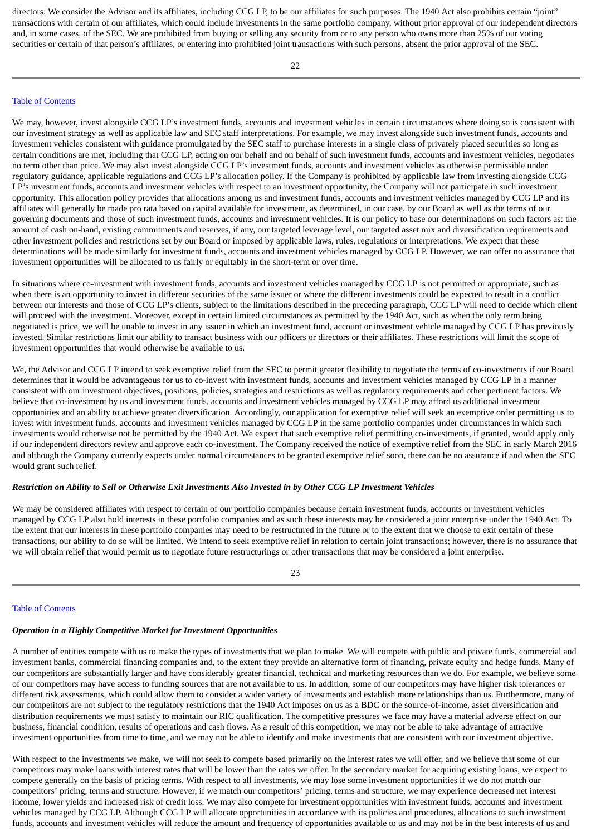directors. We consider the Advisor and its affiliates, including CCG LP, to be our affiliates for such purposes. The 1940 Act also prohibits certain "joint" transactions with certain of our affiliates, which could include investments in the same portfolio company, without prior approval of our independent directors and, in some cases, of the SEC. We are prohibited from buying or selling any security from or to any person who owns more than 25% of our voting securities or certain of that person's affiliates, or entering into prohibited joint transactions with such persons, absent the prior approval of the SEC.

# Table of [Contents](#page-0-0)

We may, however, invest alongside CCG LP's investment funds, accounts and investment vehicles in certain circumstances where doing so is consistent with our investment strategy as well as applicable law and SEC staff interpretations. For example, we may invest alongside such investment funds, accounts and investment vehicles consistent with guidance promulgated by the SEC staff to purchase interests in a single class of privately placed securities so long as certain conditions are met, including that CCG LP, acting on our behalf and on behalf of such investment funds, accounts and investment vehicles, negotiates no term other than price. We may also invest alongside CCG LP's investment funds, accounts and investment vehicles as otherwise permissible under regulatory guidance, applicable regulations and CCG LP's allocation policy. If the Company is prohibited by applicable law from investing alongside CCG LP's investment funds, accounts and investment vehicles with respect to an investment opportunity, the Company will not participate in such investment opportunity. This allocation policy provides that allocations among us and investment funds, accounts and investment vehicles managed by CCG LP and its affiliates will generally be made pro rata based on capital available for investment, as determined, in our case, by our Board as well as the terms of our governing documents and those of such investment funds, accounts and investment vehicles. It is our policy to base our determinations on such factors as: the amount of cash on-hand, existing commitments and reserves, if any, our targeted leverage level, our targeted asset mix and diversification requirements and other investment policies and restrictions set by our Board or imposed by applicable laws, rules, regulations or interpretations. We expect that these determinations will be made similarly for investment funds, accounts and investment vehicles managed by CCG LP. However, we can offer no assurance that investment opportunities will be allocated to us fairly or equitably in the short-term or over time.

In situations where co-investment with investment funds, accounts and investment vehicles managed by CCG LP is not permitted or appropriate, such as when there is an opportunity to invest in different securities of the same issuer or where the different investments could be expected to result in a conflict between our interests and those of CCG LP's clients, subject to the limitations described in the preceding paragraph, CCG LP will need to decide which client will proceed with the investment. Moreover, except in certain limited circumstances as permitted by the 1940 Act, such as when the only term being negotiated is price, we will be unable to invest in any issuer in which an investment fund, account or investment vehicle managed by CCG LP has previously invested. Similar restrictions limit our ability to transact business with our officers or directors or their affiliates. These restrictions will limit the scope of investment opportunities that would otherwise be available to us.

We, the Advisor and CCG LP intend to seek exemptive relief from the SEC to permit greater flexibility to negotiate the terms of co-investments if our Board determines that it would be advantageous for us to co-invest with investment funds, accounts and investment vehicles managed by CCG LP in a manner consistent with our investment objectives, positions, policies, strategies and restrictions as well as regulatory requirements and other pertinent factors. We believe that co-investment by us and investment funds, accounts and investment vehicles managed by CCG LP may afford us additional investment opportunities and an ability to achieve greater diversification. Accordingly, our application for exemptive relief will seek an exemptive order permitting us to invest with investment funds, accounts and investment vehicles managed by CCG LP in the same portfolio companies under circumstances in which such investments would otherwise not be permitted by the 1940 Act. We expect that such exemptive relief permitting co-investments, if granted, would apply only if our independent directors review and approve each co-investment. The Company received the notice of exemptive relief from the SEC in early March 2016 and although the Company currently expects under normal circumstances to be granted exemptive relief soon, there can be no assurance if and when the SEC would grant such relief.

# Restriction on Ability to Sell or Otherwise Exit Investments Also Invested in by Other CCG LP Investment Vehicles

We may be considered affiliates with respect to certain of our portfolio companies because certain investment funds, accounts or investment vehicles managed by CCG LP also hold interests in these portfolio companies and as such these interests may be considered a joint enterprise under the 1940 Act. To the extent that our interests in these portfolio companies may need to be restructured in the future or to the extent that we choose to exit certain of these transactions, our ability to do so will be limited. We intend to seek exemptive relief in relation to certain joint transactions; however, there is no assurance that we will obtain relief that would permit us to negotiate future restructurings or other transactions that may be considered a joint enterprise.

# 23

# Table of [Contents](#page-0-0)

# *Operation in a Highly Competitive Market for Investment Opportunities*

A number of entities compete with us to make the types of investments that we plan to make. We will compete with public and private funds, commercial and investment banks, commercial financing companies and, to the extent they provide an alternative form of financing, private equity and hedge funds. Many of our competitors are substantially larger and have considerably greater financial, technical and marketing resources than we do. For example, we believe some of our competitors may have access to funding sources that are not available to us. In addition, some of our competitors may have higher risk tolerances or different risk assessments, which could allow them to consider a wider variety of investments and establish more relationships than us. Furthermore, many of our competitors are not subject to the regulatory restrictions that the 1940 Act imposes on us as a BDC or the source-of-income, asset diversification and distribution requirements we must satisfy to maintain our RIC qualification. The competitive pressures we face may have a material adverse effect on our business, financial condition, results of operations and cash flows. As a result of this competition, we may not be able to take advantage of attractive investment opportunities from time to time, and we may not be able to identify and make investments that are consistent with our investment objective.

With respect to the investments we make, we will not seek to compete based primarily on the interest rates we will offer, and we believe that some of our competitors may make loans with interest rates that will be lower than the rates we offer. In the secondary market for acquiring existing loans, we expect to compete generally on the basis of pricing terms. With respect to all investments, we may lose some investment opportunities if we do not match our competitors' pricing, terms and structure. However, if we match our competitors' pricing, terms and structure, we may experience decreased net interest income, lower yields and increased risk of credit loss. We may also compete for investment opportunities with investment funds, accounts and investment vehicles managed by CCG LP. Although CCG LP will allocate opportunities in accordance with its policies and procedures, allocations to such investment funds, accounts and investment vehicles will reduce the amount and frequency of opportunities available to us and may not be in the best interests of us and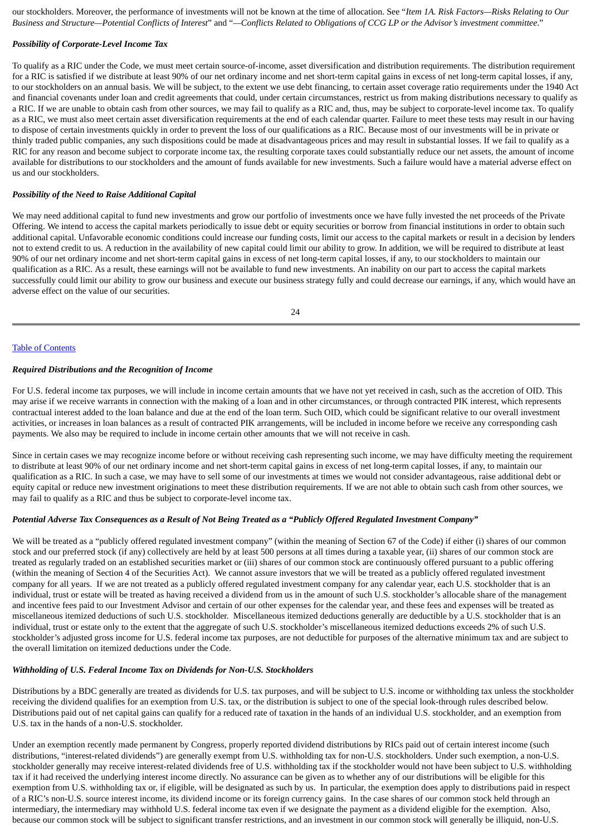our stockholders. Moreover, the performance of investments will not be known at the time of allocation. See "*Item 1A. Risk Factors—Risks Relating to Our* Business and Structure—Potential Conflicts of Interest" and "-Conflicts Related to Obligations of CCG LP or the Advisor's investment committee."

### *Possibility of Corporate-Level Income Tax*

To qualify as a RIC under the Code, we must meet certain source-of-income, asset diversification and distribution requirements. The distribution requirement for a RIC is satisfied if we distribute at least 90% of our net ordinary income and net short-term capital gains in excess of net long-term capital losses, if any, to our stockholders on an annual basis. We will be subject, to the extent we use debt financing, to certain asset coverage ratio requirements under the 1940 Act and financial covenants under loan and credit agreements that could, under certain circumstances, restrict us from making distributions necessary to qualify as a RIC. If we are unable to obtain cash from other sources, we may fail to qualify as a RIC and, thus, may be subject to corporate-level income tax. To qualify as a RIC, we must also meet certain asset diversification requirements at the end of each calendar quarter. Failure to meet these tests may result in our having to dispose of certain investments quickly in order to prevent the loss of our qualifications as a RIC. Because most of our investments will be in private or thinly traded public companies, any such dispositions could be made at disadvantageous prices and may result in substantial losses. If we fail to qualify as a RIC for any reason and become subject to corporate income tax, the resulting corporate taxes could substantially reduce our net assets, the amount of income available for distributions to our stockholders and the amount of funds available for new investments. Such a failure would have a material adverse effect on us and our stockholders.

### *Possibility of the Need to Raise Additional Capital*

We may need additional capital to fund new investments and grow our portfolio of investments once we have fully invested the net proceeds of the Private Offering. We intend to access the capital markets periodically to issue debt or equity securities or borrow from financial institutions in order to obtain such additional capital. Unfavorable economic conditions could increase our funding costs, limit our access to the capital markets or result in a decision by lenders not to extend credit to us. A reduction in the availability of new capital could limit our ability to grow. In addition, we will be required to distribute at least 90% of our net ordinary income and net short-term capital gains in excess of net long-term capital losses, if any, to our stockholders to maintain our qualification as a RIC. As a result, these earnings will not be available to fund new investments. An inability on our part to access the capital markets successfully could limit our ability to grow our business and execute our business strategy fully and could decrease our earnings, if any, which would have an adverse effect on the value of our securities.

24

#### Table of [Contents](#page-0-0)

### *Required Distributions and the Recognition of Income*

For U.S. federal income tax purposes, we will include in income certain amounts that we have not yet received in cash, such as the accretion of OID. This may arise if we receive warrants in connection with the making of a loan and in other circumstances, or through contracted PIK interest, which represents contractual interest added to the loan balance and due at the end of the loan term. Such OID, which could be significant relative to our overall investment activities, or increases in loan balances as a result of contracted PIK arrangements, will be included in income before we receive any corresponding cash payments. We also may be required to include in income certain other amounts that we will not receive in cash.

Since in certain cases we may recognize income before or without receiving cash representing such income, we may have difficulty meeting the requirement to distribute at least 90% of our net ordinary income and net short-term capital gains in excess of net long-term capital losses, if any, to maintain our qualification as a RIC. In such a case, we may have to sell some of our investments at times we would not consider advantageous, raise additional debt or equity capital or reduce new investment originations to meet these distribution requirements. If we are not able to obtain such cash from other sources, we may fail to qualify as a RIC and thus be subject to corporate-level income tax.

# Potential Adverse Tax Consequences as a Result of Not Being Treated as a "Publicly Offered Regulated Investment Company"

We will be treated as a "publicly offered regulated investment company" (within the meaning of Section 67 of the Code) if either (i) shares of our common stock and our preferred stock (if any) collectively are held by at least 500 persons at all times during a taxable year, (ii) shares of our common stock are treated as regularly traded on an established securities market or (iii) shares of our common stock are continuously offered pursuant to a public offering (within the meaning of Section 4 of the Securities Act). We cannot assure investors that we will be treated as a publicly offered regulated investment company for all years. If we are not treated as a publicly offered regulated investment company for any calendar year, each U.S. stockholder that is an individual, trust or estate will be treated as having received a dividend from us in the amount of such U.S. stockholder's allocable share of the management and incentive fees paid to our Investment Advisor and certain of our other expenses for the calendar year, and these fees and expenses will be treated as miscellaneous itemized deductions of such U.S. stockholder. Miscellaneous itemized deductions generally are deductible by a U.S. stockholder that is an individual, trust or estate only to the extent that the aggregate of such U.S. stockholder's miscellaneous itemized deductions exceeds 2% of such U.S. stockholder's adjusted gross income for U.S. federal income tax purposes, are not deductible for purposes of the alternative minimum tax and are subject to the overall limitation on itemized deductions under the Code.

#### *Withholding of U.S. Federal Income Tax on Dividends for Non-U.S. Stockholders*

Distributions by a BDC generally are treated as dividends for U.S. tax purposes, and will be subject to U.S. income or withholding tax unless the stockholder receiving the dividend qualifies for an exemption from U.S. tax, or the distribution is subject to one of the special look-through rules described below. Distributions paid out of net capital gains can qualify for a reduced rate of taxation in the hands of an individual U.S. stockholder, and an exemption from U.S. tax in the hands of a non-U.S. stockholder.

Under an exemption recently made permanent by Congress, properly reported dividend distributions by RICs paid out of certain interest income (such distributions, "interest-related dividends") are generally exempt from U.S. withholding tax for non-U.S. stockholders. Under such exemption, a non-U.S. stockholder generally may receive interest-related dividends free of U.S. withholding tax if the stockholder would not have been subject to U.S. withholding tax if it had received the underlying interest income directly. No assurance can be given as to whether any of our distributions will be eligible for this exemption from U.S. withholding tax or, if eligible, will be designated as such by us. In particular, the exemption does apply to distributions paid in respect of a RIC's non-U.S. source interest income, its dividend income or its foreign currency gains. In the case shares of our common stock held through an intermediary, the intermediary may withhold U.S. federal income tax even if we designate the payment as a dividend eligible for the exemption. Also, because our common stock will be subject to significant transfer restrictions, and an investment in our common stock will generally be illiquid, non-U.S.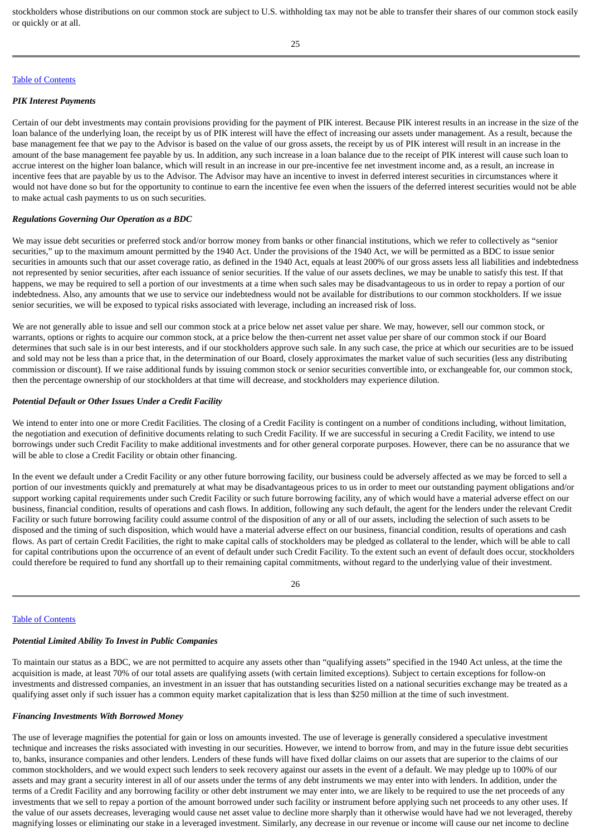stockholders whose distributions on our common stock are subject to U.S. withholding tax may not be able to transfer their shares of our common stock easily or quickly or at all.

# Table of [Contents](#page-0-0)

# *PIK Interest Payments*

Certain of our debt investments may contain provisions providing for the payment of PIK interest. Because PIK interest results in an increase in the size of the loan balance of the underlying loan, the receipt by us of PIK interest will have the effect of increasing our assets under management. As a result, because the base management fee that we pay to the Advisor is based on the value of our gross assets, the receipt by us of PIK interest will result in an increase in the amount of the base management fee payable by us. In addition, any such increase in a loan balance due to the receipt of PIK interest will cause such loan to accrue interest on the higher loan balance, which will result in an increase in our pre-incentive fee net investment income and, as a result, an increase in incentive fees that are payable by us to the Advisor. The Advisor may have an incentive to invest in deferred interest securities in circumstances where it would not have done so but for the opportunity to continue to earn the incentive fee even when the issuers of the deferred interest securities would not be able to make actual cash payments to us on such securities.

# *Regulations Governing Our Operation as a BDC*

We may issue debt securities or preferred stock and/or borrow money from banks or other financial institutions, which we refer to collectively as "senior securities," up to the maximum amount permitted by the 1940 Act. Under the provisions of the 1940 Act, we will be permitted as a BDC to issue senior securities in amounts such that our asset coverage ratio, as defined in the 1940 Act, equals at least 200% of our gross assets less all liabilities and indebtedness not represented by senior securities, after each issuance of senior securities. If the value of our assets declines, we may be unable to satisfy this test. If that happens, we may be required to sell a portion of our investments at a time when such sales may be disadvantageous to us in order to repay a portion of our indebtedness. Also, any amounts that we use to service our indebtedness would not be available for distributions to our common stockholders. If we issue senior securities, we will be exposed to typical risks associated with leverage, including an increased risk of loss.

We are not generally able to issue and sell our common stock at a price below net asset value per share. We may, however, sell our common stock, or warrants, options or rights to acquire our common stock, at a price below the then-current net asset value per share of our common stock if our Board determines that such sale is in our best interests, and if our stockholders approve such sale. In any such case, the price at which our securities are to be issued and sold may not be less than a price that, in the determination of our Board, closely approximates the market value of such securities (less any distributing commission or discount). If we raise additional funds by issuing common stock or senior securities convertible into, or exchangeable for, our common stock, then the percentage ownership of our stockholders at that time will decrease, and stockholders may experience dilution.

# *Potential Default or Other Issues Under a Credit Facility*

We intend to enter into one or more Credit Facilities. The closing of a Credit Facility is contingent on a number of conditions including, without limitation, the negotiation and execution of definitive documents relating to such Credit Facility. If we are successful in securing a Credit Facility, we intend to use borrowings under such Credit Facility to make additional investments and for other general corporate purposes. However, there can be no assurance that we will be able to close a Credit Facility or obtain other financing.

In the event we default under a Credit Facility or any other future borrowing facility, our business could be adversely affected as we may be forced to sell a portion of our investments quickly and prematurely at what may be disadvantageous prices to us in order to meet our outstanding payment obligations and/or support working capital requirements under such Credit Facility or such future borrowing facility, any of which would have a material adverse effect on our business, financial condition, results of operations and cash flows. In addition, following any such default, the agent for the lenders under the relevant Credit Facility or such future borrowing facility could assume control of the disposition of any or all of our assets, including the selection of such assets to be disposed and the timing of such disposition, which would have a material adverse effect on our business, financial condition, results of operations and cash flows. As part of certain Credit Facilities, the right to make capital calls of stockholders may be pledged as collateral to the lender, which will be able to call for capital contributions upon the occurrence of an event of default under such Credit Facility. To the extent such an event of default does occur, stockholders could therefore be required to fund any shortfall up to their remaining capital commitments, without regard to the underlying value of their investment.

# 26

#### Table of [Contents](#page-0-0)

# *Potential Limited Ability To Invest in Public Companies*

To maintain our status as a BDC, we are not permitted to acquire any assets other than "qualifying assets" specified in the 1940 Act unless, at the time the acquisition is made, at least 70% of our total assets are qualifying assets (with certain limited exceptions). Subject to certain exceptions for follow-on investments and distressed companies, an investment in an issuer that has outstanding securities listed on a national securities exchange may be treated as a qualifying asset only if such issuer has a common equity market capitalization that is less than \$250 million at the time of such investment.

# *Financing Investments With Borrowed Money*

The use of leverage magnifies the potential for gain or loss on amounts invested. The use of leverage is generally considered a speculative investment technique and increases the risks associated with investing in our securities. However, we intend to borrow from, and may in the future issue debt securities to, banks, insurance companies and other lenders. Lenders of these funds will have fixed dollar claims on our assets that are superior to the claims of our common stockholders, and we would expect such lenders to seek recovery against our assets in the event of a default. We may pledge up to 100% of our assets and may grant a security interest in all of our assets under the terms of any debt instruments we may enter into with lenders. In addition, under the terms of a Credit Facility and any borrowing facility or other debt instrument we may enter into, we are likely to be required to use the net proceeds of any investments that we sell to repay a portion of the amount borrowed under such facility or instrument before applying such net proceeds to any other uses. If the value of our assets decreases, leveraging would cause net asset value to decline more sharply than it otherwise would have had we not leveraged, thereby magnifying losses or eliminating our stake in a leveraged investment. Similarly, any decrease in our revenue or income will cause our net income to decline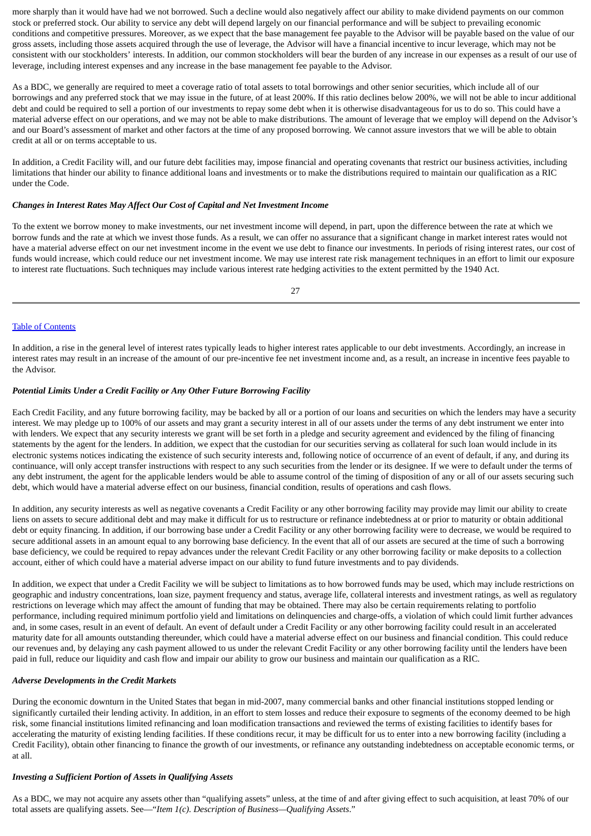more sharply than it would have had we not borrowed. Such a decline would also negatively affect our ability to make dividend payments on our common stock or preferred stock. Our ability to service any debt will depend largely on our financial performance and will be subject to prevailing economic conditions and competitive pressures. Moreover, as we expect that the base management fee payable to the Advisor will be payable based on the value of our gross assets, including those assets acquired through the use of leverage, the Advisor will have a financial incentive to incur leverage, which may not be consistent with our stockholders' interests. In addition, our common stockholders will bear the burden of any increase in our expenses as a result of our use of leverage, including interest expenses and any increase in the base management fee payable to the Advisor.

As a BDC, we generally are required to meet a coverage ratio of total assets to total borrowings and other senior securities, which include all of our borrowings and any preferred stock that we may issue in the future, of at least 200%. If this ratio declines below 200%, we will not be able to incur additional debt and could be required to sell a portion of our investments to repay some debt when it is otherwise disadvantageous for us to do so. This could have a material adverse effect on our operations, and we may not be able to make distributions. The amount of leverage that we employ will depend on the Advisor's and our Board's assessment of market and other factors at the time of any proposed borrowing. We cannot assure investors that we will be able to obtain credit at all or on terms acceptable to us.

In addition, a Credit Facility will, and our future debt facilities may, impose financial and operating covenants that restrict our business activities, including limitations that hinder our ability to finance additional loans and investments or to make the distributions required to maintain our qualification as a RIC under the Code.

#### *Changes in Interest Rates May Affect Our Cost of Capital and Net Investment Income*

To the extent we borrow money to make investments, our net investment income will depend, in part, upon the difference between the rate at which we borrow funds and the rate at which we invest those funds. As a result, we can offer no assurance that a significant change in market interest rates would not have a material adverse effect on our net investment income in the event we use debt to finance our investments. In periods of rising interest rates, our cost of funds would increase, which could reduce our net investment income. We may use interest rate risk management techniques in an effort to limit our exposure to interest rate fluctuations. Such techniques may include various interest rate hedging activities to the extent permitted by the 1940 Act.

27

#### Table of [Contents](#page-0-0)

In addition, a rise in the general level of interest rates typically leads to higher interest rates applicable to our debt investments. Accordingly, an increase in interest rates may result in an increase of the amount of our pre-incentive fee net investment income and, as a result, an increase in incentive fees payable to the Advisor.

# *Potential Limits Under a Credit Facility or Any Other Future Borrowing Facility*

Each Credit Facility, and any future borrowing facility, may be backed by all or a portion of our loans and securities on which the lenders may have a security interest. We may pledge up to 100% of our assets and may grant a security interest in all of our assets under the terms of any debt instrument we enter into with lenders. We expect that any security interests we grant will be set forth in a pledge and security agreement and evidenced by the filing of financing statements by the agent for the lenders. In addition, we expect that the custodian for our securities serving as collateral for such loan would include in its electronic systems notices indicating the existence of such security interests and, following notice of occurrence of an event of default, if any, and during its continuance, will only accept transfer instructions with respect to any such securities from the lender or its designee. If we were to default under the terms of any debt instrument, the agent for the applicable lenders would be able to assume control of the timing of disposition of any or all of our assets securing such debt, which would have a material adverse effect on our business, financial condition, results of operations and cash flows.

In addition, any security interests as well as negative covenants a Credit Facility or any other borrowing facility may provide may limit our ability to create liens on assets to secure additional debt and may make it difficult for us to restructure or refinance indebtedness at or prior to maturity or obtain additional debt or equity financing. In addition, if our borrowing base under a Credit Facility or any other borrowing facility were to decrease, we would be required to secure additional assets in an amount equal to any borrowing base deficiency. In the event that all of our assets are secured at the time of such a borrowing base deficiency, we could be required to repay advances under the relevant Credit Facility or any other borrowing facility or make deposits to a collection account, either of which could have a material adverse impact on our ability to fund future investments and to pay dividends.

In addition, we expect that under a Credit Facility we will be subject to limitations as to how borrowed funds may be used, which may include restrictions on geographic and industry concentrations, loan size, payment frequency and status, average life, collateral interests and investment ratings, as well as regulatory restrictions on leverage which may affect the amount of funding that may be obtained. There may also be certain requirements relating to portfolio performance, including required minimum portfolio yield and limitations on delinquencies and charge-offs, a violation of which could limit further advances and, in some cases, result in an event of default. An event of default under a Credit Facility or any other borrowing facility could result in an accelerated maturity date for all amounts outstanding thereunder, which could have a material adverse effect on our business and financial condition. This could reduce our revenues and, by delaying any cash payment allowed to us under the relevant Credit Facility or any other borrowing facility until the lenders have been paid in full, reduce our liquidity and cash flow and impair our ability to grow our business and maintain our qualification as a RIC.

### *Adverse Developments in the Credit Markets*

During the economic downturn in the United States that began in mid-2007, many commercial banks and other financial institutions stopped lending or significantly curtailed their lending activity. In addition, in an effort to stem losses and reduce their exposure to segments of the economy deemed to be high risk, some financial institutions limited refinancing and loan modification transactions and reviewed the terms of existing facilities to identify bases for accelerating the maturity of existing lending facilities. If these conditions recur, it may be difficult for us to enter into a new borrowing facility (including a Credit Facility), obtain other financing to finance the growth of our investments, or refinance any outstanding indebtedness on acceptable economic terms, or at all.

# *Investing a Sufficient Portion of Assets in Qualifying Assets*

As a BDC, we may not acquire any assets other than "qualifying assets" unless, at the time of and after giving effect to such acquisition, at least 70% of our total assets are qualifying assets. See—"*Item 1(c). Description of Business—Qualifying Assets*."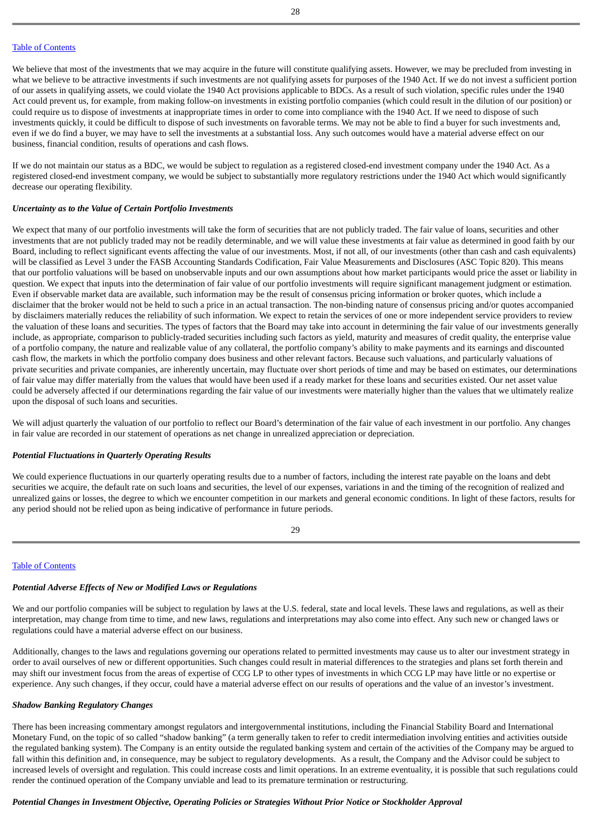#### Table of [Contents](#page-0-0)

We believe that most of the investments that we may acquire in the future will constitute qualifying assets. However, we may be precluded from investing in what we believe to be attractive investments if such investments are not qualifying assets for purposes of the 1940 Act. If we do not invest a sufficient portion of our assets in qualifying assets, we could violate the 1940 Act provisions applicable to BDCs. As a result of such violation, specific rules under the 1940 Act could prevent us, for example, from making follow-on investments in existing portfolio companies (which could result in the dilution of our position) or could require us to dispose of investments at inappropriate times in order to come into compliance with the 1940 Act. If we need to dispose of such investments quickly, it could be difficult to dispose of such investments on favorable terms. We may not be able to find a buyer for such investments and, even if we do find a buyer, we may have to sell the investments at a substantial loss. Any such outcomes would have a material adverse effect on our business, financial condition, results of operations and cash flows.

If we do not maintain our status as a BDC, we would be subject to regulation as a registered closed-end investment company under the 1940 Act. As a registered closed-end investment company, we would be subject to substantially more regulatory restrictions under the 1940 Act which would significantly decrease our operating flexibility.

#### *Uncertainty as to the Value of Certain Portfolio Investments*

We expect that many of our portfolio investments will take the form of securities that are not publicly traded. The fair value of loans, securities and other investments that are not publicly traded may not be readily determinable, and we will value these investments at fair value as determined in good faith by our Board, including to reflect significant events affecting the value of our investments. Most, if not all, of our investments (other than cash and cash equivalents) will be classified as Level 3 under the FASB Accounting Standards Codification, Fair Value Measurements and Disclosures (ASC Topic 820). This means that our portfolio valuations will be based on unobservable inputs and our own assumptions about how market participants would price the asset or liability in question. We expect that inputs into the determination of fair value of our portfolio investments will require significant management judgment or estimation. Even if observable market data are available, such information may be the result of consensus pricing information or broker quotes, which include a disclaimer that the broker would not be held to such a price in an actual transaction. The non-binding nature of consensus pricing and/or quotes accompanied by disclaimers materially reduces the reliability of such information. We expect to retain the services of one or more independent service providers to review the valuation of these loans and securities. The types of factors that the Board may take into account in determining the fair value of our investments generally include, as appropriate, comparison to publicly-traded securities including such factors as yield, maturity and measures of credit quality, the enterprise value of a portfolio company, the nature and realizable value of any collateral, the portfolio company's ability to make payments and its earnings and discounted cash flow, the markets in which the portfolio company does business and other relevant factors. Because such valuations, and particularly valuations of private securities and private companies, are inherently uncertain, may fluctuate over short periods of time and may be based on estimates, our determinations of fair value may differ materially from the values that would have been used if a ready market for these loans and securities existed. Our net asset value could be adversely affected if our determinations regarding the fair value of our investments were materially higher than the values that we ultimately realize upon the disposal of such loans and securities.

We will adjust quarterly the valuation of our portfolio to reflect our Board's determination of the fair value of each investment in our portfolio. Any changes in fair value are recorded in our statement of operations as net change in unrealized appreciation or depreciation.

#### *Potential Fluctuations in Quarterly Operating Results*

We could experience fluctuations in our quarterly operating results due to a number of factors, including the interest rate payable on the loans and debt securities we acquire, the default rate on such loans and securities, the level of our expenses, variations in and the timing of the recognition of realized and unrealized gains or losses, the degree to which we encounter competition in our markets and general economic conditions. In light of these factors, results for any period should not be relied upon as being indicative of performance in future periods.

# Table of [Contents](#page-0-0)

#### *Potential Adverse Effects of New or Modified Laws or Regulations*

We and our portfolio companies will be subject to regulation by laws at the U.S. federal, state and local levels. These laws and regulations, as well as their interpretation, may change from time to time, and new laws, regulations and interpretations may also come into effect. Any such new or changed laws or regulations could have a material adverse effect on our business.

Additionally, changes to the laws and regulations governing our operations related to permitted investments may cause us to alter our investment strategy in order to avail ourselves of new or different opportunities. Such changes could result in material differences to the strategies and plans set forth therein and may shift our investment focus from the areas of expertise of CCG LP to other types of investments in which CCG LP may have little or no expertise or experience. Any such changes, if they occur, could have a material adverse effect on our results of operations and the value of an investor's investment.

#### *Shadow Banking Regulatory Changes*

There has been increasing commentary amongst regulators and intergovernmental institutions, including the Financial Stability Board and International Monetary Fund, on the topic of so called "shadow banking" (a term generally taken to refer to credit intermediation involving entities and activities outside the regulated banking system). The Company is an entity outside the regulated banking system and certain of the activities of the Company may be argued to fall within this definition and, in consequence, may be subject to regulatory developments. As a result, the Company and the Advisor could be subject to increased levels of oversight and regulation. This could increase costs and limit operations. In an extreme eventuality, it is possible that such regulations could render the continued operation of the Company unviable and lead to its premature termination or restructuring.

#### Potential Changes in Investment Objective, Operating Policies or Strategies Without Prior Notice or Stockholder Approval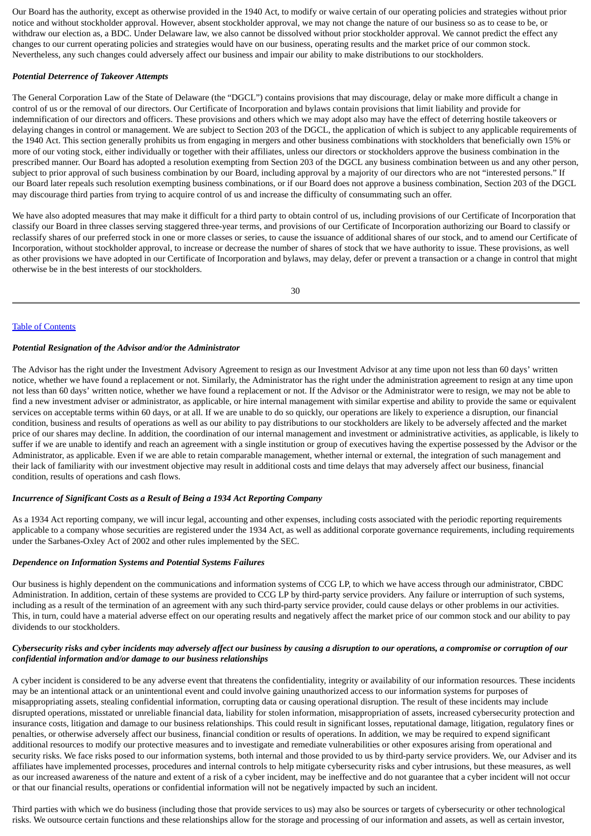Our Board has the authority, except as otherwise provided in the 1940 Act, to modify or waive certain of our operating policies and strategies without prior notice and without stockholder approval. However, absent stockholder approval, we may not change the nature of our business so as to cease to be, or withdraw our election as, a BDC. Under Delaware law, we also cannot be dissolved without prior stockholder approval. We cannot predict the effect any changes to our current operating policies and strategies would have on our business, operating results and the market price of our common stock. Nevertheless, any such changes could adversely affect our business and impair our ability to make distributions to our stockholders.

# *Potential Deterrence of Takeover Attempts*

The General Corporation Law of the State of Delaware (the "DGCL") contains provisions that may discourage, delay or make more difficult a change in control of us or the removal of our directors. Our Certificate of Incorporation and bylaws contain provisions that limit liability and provide for indemnification of our directors and officers. These provisions and others which we may adopt also may have the effect of deterring hostile takeovers or delaying changes in control or management. We are subject to Section 203 of the DGCL, the application of which is subject to any applicable requirements of the 1940 Act. This section generally prohibits us from engaging in mergers and other business combinations with stockholders that beneficially own 15% or more of our voting stock, either individually or together with their affiliates, unless our directors or stockholders approve the business combination in the prescribed manner. Our Board has adopted a resolution exempting from Section 203 of the DGCL any business combination between us and any other person, subject to prior approval of such business combination by our Board, including approval by a majority of our directors who are not "interested persons." If our Board later repeals such resolution exempting business combinations, or if our Board does not approve a business combination, Section 203 of the DGCL may discourage third parties from trying to acquire control of us and increase the difficulty of consummating such an offer.

We have also adopted measures that may make it difficult for a third party to obtain control of us, including provisions of our Certificate of Incorporation that classify our Board in three classes serving staggered three-year terms, and provisions of our Certificate of Incorporation authorizing our Board to classify or reclassify shares of our preferred stock in one or more classes or series, to cause the issuance of additional shares of our stock, and to amend our Certificate of Incorporation, without stockholder approval, to increase or decrease the number of shares of stock that we have authority to issue. These provisions, as well as other provisions we have adopted in our Certificate of Incorporation and bylaws, may delay, defer or prevent a transaction or a change in control that might otherwise be in the best interests of our stockholders.

30

#### Table of [Contents](#page-0-0)

#### *Potential Resignation of the Advisor and/or the Administrator*

The Advisor has the right under the Investment Advisory Agreement to resign as our Investment Advisor at any time upon not less than 60 days' written notice, whether we have found a replacement or not. Similarly, the Administrator has the right under the administration agreement to resign at any time upon not less than 60 days' written notice, whether we have found a replacement or not. If the Advisor or the Administrator were to resign, we may not be able to find a new investment adviser or administrator, as applicable, or hire internal management with similar expertise and ability to provide the same or equivalent services on acceptable terms within 60 days, or at all. If we are unable to do so quickly, our operations are likely to experience a disruption, our financial condition, business and results of operations as well as our ability to pay distributions to our stockholders are likely to be adversely affected and the market price of our shares may decline. In addition, the coordination of our internal management and investment or administrative activities, as applicable, is likely to suffer if we are unable to identify and reach an agreement with a single institution or group of executives having the expertise possessed by the Advisor or the Administrator, as applicable. Even if we are able to retain comparable management, whether internal or external, the integration of such management and their lack of familiarity with our investment objective may result in additional costs and time delays that may adversely affect our business, financial condition, results of operations and cash flows.

# *Incurrence of Significant Costs as a Result of Being a 1934 Act Reporting Company*

As a 1934 Act reporting company, we will incur legal, accounting and other expenses, including costs associated with the periodic reporting requirements applicable to a company whose securities are registered under the 1934 Act, as well as additional corporate governance requirements, including requirements under the Sarbanes-Oxley Act of 2002 and other rules implemented by the SEC.

#### *Dependence on Information Systems and Potential Systems Failures*

Our business is highly dependent on the communications and information systems of CCG LP, to which we have access through our administrator, CBDC Administration. In addition, certain of these systems are provided to CCG LP by third-party service providers. Any failure or interruption of such systems, including as a result of the termination of an agreement with any such third-party service provider, could cause delays or other problems in our activities. This, in turn, could have a material adverse effect on our operating results and negatively affect the market price of our common stock and our ability to pay dividends to our stockholders.

### Cybersecurity risks and cyber incidents may adversely affect our business by causing a disruption to our operations, a compromise or corruption of our *confidential information and/or damage to our business relationships*

A cyber incident is considered to be any adverse event that threatens the confidentiality, integrity or availability of our information resources. These incidents may be an intentional attack or an unintentional event and could involve gaining unauthorized access to our information systems for purposes of misappropriating assets, stealing confidential information, corrupting data or causing operational disruption. The result of these incidents may include disrupted operations, misstated or unreliable financial data, liability for stolen information, misappropriation of assets, increased cybersecurity protection and insurance costs, litigation and damage to our business relationships. This could result in significant losses, reputational damage, litigation, regulatory fines or penalties, or otherwise adversely affect our business, financial condition or results of operations. In addition, we may be required to expend significant additional resources to modify our protective measures and to investigate and remediate vulnerabilities or other exposures arising from operational and security risks. We face risks posed to our information systems, both internal and those provided to us by third-party service providers. We, our Adviser and its affiliates have implemented processes, procedures and internal controls to help mitigate cybersecurity risks and cyber intrusions, but these measures, as well as our increased awareness of the nature and extent of a risk of a cyber incident, may be ineffective and do not guarantee that a cyber incident will not occur or that our financial results, operations or confidential information will not be negatively impacted by such an incident.

Third parties with which we do business (including those that provide services to us) may also be sources or targets of cybersecurity or other technological risks. We outsource certain functions and these relationships allow for the storage and processing of our information and assets, as well as certain investor,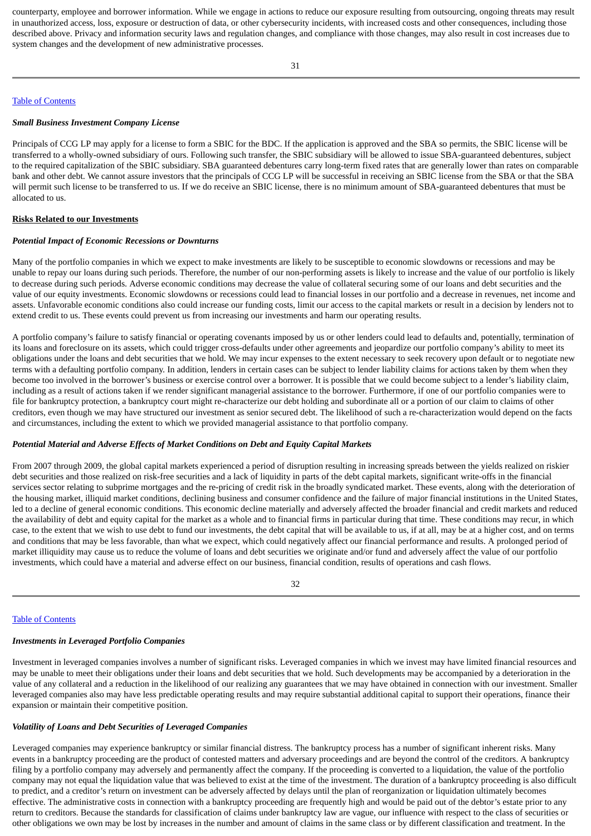counterparty, employee and borrower information. While we engage in actions to reduce our exposure resulting from outsourcing, ongoing threats may result in unauthorized access, loss, exposure or destruction of data, or other cybersecurity incidents, with increased costs and other consequences, including those described above. Privacy and information security laws and regulation changes, and compliance with those changes, may also result in cost increases due to system changes and the development of new administrative processes.

### Table of [Contents](#page-0-0)

#### *Small Business Investment Company License*

Principals of CCG LP may apply for a license to form a SBIC for the BDC. If the application is approved and the SBA so permits, the SBIC license will be transferred to a wholly-owned subsidiary of ours. Following such transfer, the SBIC subsidiary will be allowed to issue SBA-guaranteed debentures, subject to the required capitalization of the SBIC subsidiary. SBA guaranteed debentures carry long-term fixed rates that are generally lower than rates on comparable bank and other debt. We cannot assure investors that the principals of CCG LP will be successful in receiving an SBIC license from the SBA or that the SBA will permit such license to be transferred to us. If we do receive an SBIC license, there is no minimum amount of SBA-guaranteed debentures that must be allocated to us.

### **Risks Related to our Investments**

#### *Potential Impact of Economic Recessions or Downturns*

Many of the portfolio companies in which we expect to make investments are likely to be susceptible to economic slowdowns or recessions and may be unable to repay our loans during such periods. Therefore, the number of our non-performing assets is likely to increase and the value of our portfolio is likely to decrease during such periods. Adverse economic conditions may decrease the value of collateral securing some of our loans and debt securities and the value of our equity investments. Economic slowdowns or recessions could lead to financial losses in our portfolio and a decrease in revenues, net income and assets. Unfavorable economic conditions also could increase our funding costs, limit our access to the capital markets or result in a decision by lenders not to extend credit to us. These events could prevent us from increasing our investments and harm our operating results.

A portfolio company's failure to satisfy financial or operating covenants imposed by us or other lenders could lead to defaults and, potentially, termination of its loans and foreclosure on its assets, which could trigger cross-defaults under other agreements and jeopardize our portfolio company's ability to meet its obligations under the loans and debt securities that we hold. We may incur expenses to the extent necessary to seek recovery upon default or to negotiate new terms with a defaulting portfolio company. In addition, lenders in certain cases can be subject to lender liability claims for actions taken by them when they become too involved in the borrower's business or exercise control over a borrower. It is possible that we could become subject to a lender's liability claim, including as a result of actions taken if we render significant managerial assistance to the borrower. Furthermore, if one of our portfolio companies were to file for bankruptcy protection, a bankruptcy court might re-characterize our debt holding and subordinate all or a portion of our claim to claims of other creditors, even though we may have structured our investment as senior secured debt. The likelihood of such a re-characterization would depend on the facts and circumstances, including the extent to which we provided managerial assistance to that portfolio company.

#### *Potential Material and Adverse Effects of Market Conditions on Debt and Equity Capital Markets*

From 2007 through 2009, the global capital markets experienced a period of disruption resulting in increasing spreads between the yields realized on riskier debt securities and those realized on risk-free securities and a lack of liquidity in parts of the debt capital markets, significant write-offs in the financial services sector relating to subprime mortgages and the re-pricing of credit risk in the broadly syndicated market. These events, along with the deterioration of the housing market, illiquid market conditions, declining business and consumer confidence and the failure of major financial institutions in the United States, led to a decline of general economic conditions. This economic decline materially and adversely affected the broader financial and credit markets and reduced the availability of debt and equity capital for the market as a whole and to financial firms in particular during that time. These conditions may recur, in which case, to the extent that we wish to use debt to fund our investments, the debt capital that will be available to us, if at all, may be at a higher cost, and on terms and conditions that may be less favorable, than what we expect, which could negatively affect our financial performance and results. A prolonged period of market illiquidity may cause us to reduce the volume of loans and debt securities we originate and/or fund and adversely affect the value of our portfolio investments, which could have a material and adverse effect on our business, financial condition, results of operations and cash flows.

#### Table of [Contents](#page-0-0)

#### *Investments in Leveraged Portfolio Companies*

Investment in leveraged companies involves a number of significant risks. Leveraged companies in which we invest may have limited financial resources and may be unable to meet their obligations under their loans and debt securities that we hold. Such developments may be accompanied by a deterioration in the value of any collateral and a reduction in the likelihood of our realizing any guarantees that we may have obtained in connection with our investment. Smaller leveraged companies also may have less predictable operating results and may require substantial additional capital to support their operations, finance their expansion or maintain their competitive position.

#### *Volatility of Loans and Debt Securities of Leveraged Companies*

Leveraged companies may experience bankruptcy or similar financial distress. The bankruptcy process has a number of significant inherent risks. Many events in a bankruptcy proceeding are the product of contested matters and adversary proceedings and are beyond the control of the creditors. A bankruptcy filing by a portfolio company may adversely and permanently affect the company. If the proceeding is converted to a liquidation, the value of the portfolio company may not equal the liquidation value that was believed to exist at the time of the investment. The duration of a bankruptcy proceeding is also difficult to predict, and a creditor's return on investment can be adversely affected by delays until the plan of reorganization or liquidation ultimately becomes effective. The administrative costs in connection with a bankruptcy proceeding are frequently high and would be paid out of the debtor's estate prior to any return to creditors. Because the standards for classification of claims under bankruptcy law are vague, our influence with respect to the class of securities or other obligations we own may be lost by increases in the number and amount of claims in the same class or by different classification and treatment. In the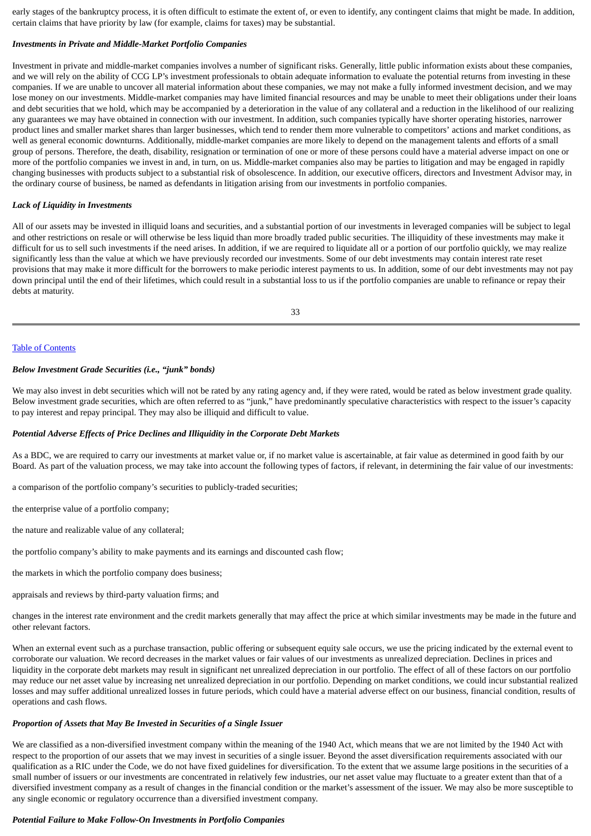early stages of the bankruptcy process, it is often difficult to estimate the extent of, or even to identify, any contingent claims that might be made. In addition, certain claims that have priority by law (for example, claims for taxes) may be substantial.

#### *Investments in Private and Middle-Market Portfolio Companies*

Investment in private and middle-market companies involves a number of significant risks. Generally, little public information exists about these companies, and we will rely on the ability of CCG LP's investment professionals to obtain adequate information to evaluate the potential returns from investing in these companies. If we are unable to uncover all material information about these companies, we may not make a fully informed investment decision, and we may lose money on our investments. Middle-market companies may have limited financial resources and may be unable to meet their obligations under their loans and debt securities that we hold, which may be accompanied by a deterioration in the value of any collateral and a reduction in the likelihood of our realizing any guarantees we may have obtained in connection with our investment. In addition, such companies typically have shorter operating histories, narrower product lines and smaller market shares than larger businesses, which tend to render them more vulnerable to competitors' actions and market conditions, as well as general economic downturns. Additionally, middle-market companies are more likely to depend on the management talents and efforts of a small group of persons. Therefore, the death, disability, resignation or termination of one or more of these persons could have a material adverse impact on one or more of the portfolio companies we invest in and, in turn, on us. Middle-market companies also may be parties to litigation and may be engaged in rapidly changing businesses with products subject to a substantial risk of obsolescence. In addition, our executive officers, directors and Investment Advisor may, in the ordinary course of business, be named as defendants in litigation arising from our investments in portfolio companies.

## *Lack of Liquidity in Investments*

All of our assets may be invested in illiquid loans and securities, and a substantial portion of our investments in leveraged companies will be subject to legal and other restrictions on resale or will otherwise be less liquid than more broadly traded public securities. The illiquidity of these investments may make it difficult for us to sell such investments if the need arises. In addition, if we are required to liquidate all or a portion of our portfolio quickly, we may realize significantly less than the value at which we have previously recorded our investments. Some of our debt investments may contain interest rate reset provisions that may make it more difficult for the borrowers to make periodic interest payments to us. In addition, some of our debt investments may not pay down principal until the end of their lifetimes, which could result in a substantial loss to us if the portfolio companies are unable to refinance or repay their debts at maturity.

33

#### Table of [Contents](#page-0-0)

#### *Below Investment Grade Securities (i.e., "junk" bonds)*

We may also invest in debt securities which will not be rated by any rating agency and, if they were rated, would be rated as below investment grade quality. Below investment grade securities, which are often referred to as "junk," have predominantly speculative characteristics with respect to the issuer's capacity to pay interest and repay principal. They may also be illiquid and difficult to value.

#### *Potential Adverse Effects of Price Declines and Illiquidity in the Corporate Debt Markets*

As a BDC, we are required to carry our investments at market value or, if no market value is ascertainable, at fair value as determined in good faith by our Board. As part of the valuation process, we may take into account the following types of factors, if relevant, in determining the fair value of our investments:

a comparison of the portfolio company's securities to publicly-traded securities;

the enterprise value of a portfolio company;

the nature and realizable value of any collateral;

the portfolio company's ability to make payments and its earnings and discounted cash flow;

the markets in which the portfolio company does business;

appraisals and reviews by third-party valuation firms; and

changes in the interest rate environment and the credit markets generally that may affect the price at which similar investments may be made in the future and other relevant factors.

When an external event such as a purchase transaction, public offering or subsequent equity sale occurs, we use the pricing indicated by the external event to corroborate our valuation. We record decreases in the market values or fair values of our investments as unrealized depreciation. Declines in prices and liquidity in the corporate debt markets may result in significant net unrealized depreciation in our portfolio. The effect of all of these factors on our portfolio may reduce our net asset value by increasing net unrealized depreciation in our portfolio. Depending on market conditions, we could incur substantial realized losses and may suffer additional unrealized losses in future periods, which could have a material adverse effect on our business, financial condition, results of operations and cash flows.

#### *Proportion of Assets that May Be Invested in Securities of a Single Issuer*

We are classified as a non-diversified investment company within the meaning of the 1940 Act, which means that we are not limited by the 1940 Act with respect to the proportion of our assets that we may invest in securities of a single issuer. Beyond the asset diversification requirements associated with our qualification as a RIC under the Code, we do not have fixed guidelines for diversification. To the extent that we assume large positions in the securities of a small number of issuers or our investments are concentrated in relatively few industries, our net asset value may fluctuate to a greater extent than that of a diversified investment company as a result of changes in the financial condition or the market's assessment of the issuer. We may also be more susceptible to any single economic or regulatory occurrence than a diversified investment company.

# *Potential Failure to Make Follow-On Investments in Portfolio Companies*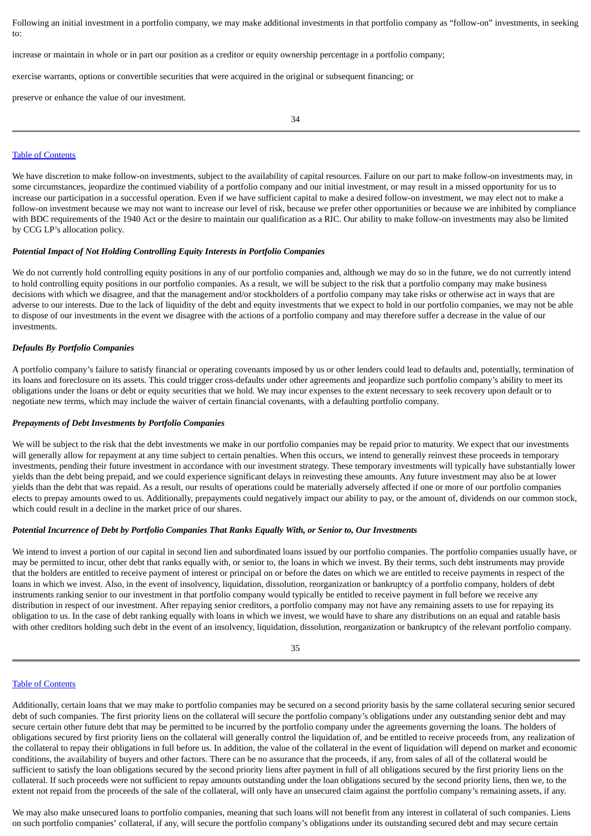Following an initial investment in a portfolio company, we may make additional investments in that portfolio company as "follow-on" investments, in seeking to:

increase or maintain in whole or in part our position as a creditor or equity ownership percentage in a portfolio company;

exercise warrants, options or convertible securities that were acquired in the original or subsequent financing; or

preserve or enhance the value of our investment.

#### Table of [Contents](#page-0-0)

We have discretion to make follow-on investments, subject to the availability of capital resources. Failure on our part to make follow-on investments may, in some circumstances, jeopardize the continued viability of a portfolio company and our initial investment, or may result in a missed opportunity for us to increase our participation in a successful operation. Even if we have sufficient capital to make a desired follow-on investment, we may elect not to make a follow-on investment because we may not want to increase our level of risk, because we prefer other opportunities or because we are inhibited by compliance with BDC requirements of the 1940 Act or the desire to maintain our qualification as a RIC. Our ability to make follow-on investments may also be limited by CCG LP's allocation policy.

# *Potential Impact of Not Holding Controlling Equity Interests in Portfolio Companies*

We do not currently hold controlling equity positions in any of our portfolio companies and, although we may do so in the future, we do not currently intend to hold controlling equity positions in our portfolio companies. As a result, we will be subject to the risk that a portfolio company may make business decisions with which we disagree, and that the management and/or stockholders of a portfolio company may take risks or otherwise act in ways that are adverse to our interests. Due to the lack of liquidity of the debt and equity investments that we expect to hold in our portfolio companies, we may not be able to dispose of our investments in the event we disagree with the actions of a portfolio company and may therefore suffer a decrease in the value of our investments.

#### *Defaults By Portfolio Companies*

A portfolio company's failure to satisfy financial or operating covenants imposed by us or other lenders could lead to defaults and, potentially, termination of its loans and foreclosure on its assets. This could trigger cross-defaults under other agreements and jeopardize such portfolio company's ability to meet its obligations under the loans or debt or equity securities that we hold. We may incur expenses to the extent necessary to seek recovery upon default or to negotiate new terms, which may include the waiver of certain financial covenants, with a defaulting portfolio company.

#### *Prepayments of Debt Investments by Portfolio Companies*

We will be subject to the risk that the debt investments we make in our portfolio companies may be repaid prior to maturity. We expect that our investments will generally allow for repayment at any time subject to certain penalties. When this occurs, we intend to generally reinvest these proceeds in temporary investments, pending their future investment in accordance with our investment strategy. These temporary investments will typically have substantially lower yields than the debt being prepaid, and we could experience significant delays in reinvesting these amounts. Any future investment may also be at lower yields than the debt that was repaid. As a result, our results of operations could be materially adversely affected if one or more of our portfolio companies elects to prepay amounts owed to us. Additionally, prepayments could negatively impact our ability to pay, or the amount of, dividends on our common stock, which could result in a decline in the market price of our shares.

# *Potential Incurrence of Debt by Portfolio Companies That Ranks Equally With, or Senior to, Our Investments*

We intend to invest a portion of our capital in second lien and subordinated loans issued by our portfolio companies. The portfolio companies usually have, or may be permitted to incur, other debt that ranks equally with, or senior to, the loans in which we invest. By their terms, such debt instruments may provide that the holders are entitled to receive payment of interest or principal on or before the dates on which we are entitled to receive payments in respect of the loans in which we invest. Also, in the event of insolvency, liquidation, dissolution, reorganization or bankruptcy of a portfolio company, holders of debt instruments ranking senior to our investment in that portfolio company would typically be entitled to receive payment in full before we receive any distribution in respect of our investment. After repaying senior creditors, a portfolio company may not have any remaining assets to use for repaying its obligation to us. In the case of debt ranking equally with loans in which we invest, we would have to share any distributions on an equal and ratable basis with other creditors holding such debt in the event of an insolvency, liquidation, dissolution, reorganization or bankruptcy of the relevant portfolio company.

35

#### Table of [Contents](#page-0-0)

Additionally, certain loans that we may make to portfolio companies may be secured on a second priority basis by the same collateral securing senior secured debt of such companies. The first priority liens on the collateral will secure the portfolio company's obligations under any outstanding senior debt and may secure certain other future debt that may be permitted to be incurred by the portfolio company under the agreements governing the loans. The holders of obligations secured by first priority liens on the collateral will generally control the liquidation of, and be entitled to receive proceeds from, any realization of the collateral to repay their obligations in full before us. In addition, the value of the collateral in the event of liquidation will depend on market and economic conditions, the availability of buyers and other factors. There can be no assurance that the proceeds, if any, from sales of all of the collateral would be sufficient to satisfy the loan obligations secured by the second priority liens after payment in full of all obligations secured by the first priority liens on the collateral. If such proceeds were not sufficient to repay amounts outstanding under the loan obligations secured by the second priority liens, then we, to the extent not repaid from the proceeds of the sale of the collateral, will only have an unsecured claim against the portfolio company's remaining assets, if any.

We may also make unsecured loans to portfolio companies, meaning that such loans will not benefit from any interest in collateral of such companies. Liens on such portfolio companies' collateral, if any, will secure the portfolio company's obligations under its outstanding secured debt and may secure certain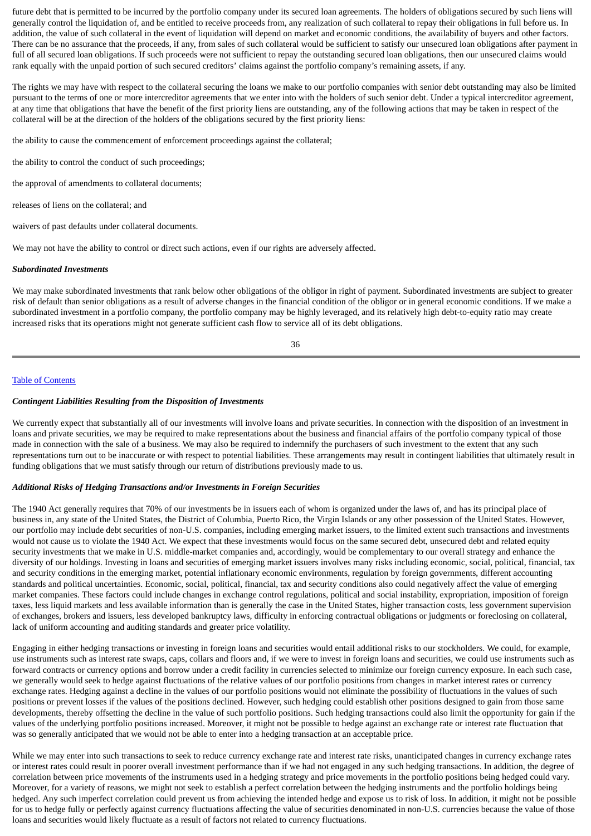future debt that is permitted to be incurred by the portfolio company under its secured loan agreements. The holders of obligations secured by such liens will generally control the liquidation of, and be entitled to receive proceeds from, any realization of such collateral to repay their obligations in full before us. In addition, the value of such collateral in the event of liquidation will depend on market and economic conditions, the availability of buyers and other factors. There can be no assurance that the proceeds, if any, from sales of such collateral would be sufficient to satisfy our unsecured loan obligations after payment in full of all secured loan obligations. If such proceeds were not sufficient to repay the outstanding secured loan obligations, then our unsecured claims would rank equally with the unpaid portion of such secured creditors' claims against the portfolio company's remaining assets, if any.

The rights we may have with respect to the collateral securing the loans we make to our portfolio companies with senior debt outstanding may also be limited pursuant to the terms of one or more intercreditor agreements that we enter into with the holders of such senior debt. Under a typical intercreditor agreement, at any time that obligations that have the benefit of the first priority liens are outstanding, any of the following actions that may be taken in respect of the collateral will be at the direction of the holders of the obligations secured by the first priority liens:

the ability to cause the commencement of enforcement proceedings against the collateral;

the ability to control the conduct of such proceedings;

the approval of amendments to collateral documents;

releases of liens on the collateral; and

waivers of past defaults under collateral documents.

We may not have the ability to control or direct such actions, even if our rights are adversely affected.

### *Subordinated Investments*

We may make subordinated investments that rank below other obligations of the obligor in right of payment. Subordinated investments are subject to greater risk of default than senior obligations as a result of adverse changes in the financial condition of the obligor or in general economic conditions. If we make a subordinated investment in a portfolio company, the portfolio company may be highly leveraged, and its relatively high debt-to-equity ratio may create increased risks that its operations might not generate sufficient cash flow to service all of its debt obligations.

36

#### Table of [Contents](#page-0-0)

# *Contingent Liabilities Resulting from the Disposition of Investments*

We currently expect that substantially all of our investments will involve loans and private securities. In connection with the disposition of an investment in loans and private securities, we may be required to make representations about the business and financial affairs of the portfolio company typical of those made in connection with the sale of a business. We may also be required to indemnify the purchasers of such investment to the extent that any such representations turn out to be inaccurate or with respect to potential liabilities. These arrangements may result in contingent liabilities that ultimately result in funding obligations that we must satisfy through our return of distributions previously made to us.

# *Additional Risks of Hedging Transactions and/or Investments in Foreign Securities*

The 1940 Act generally requires that 70% of our investments be in issuers each of whom is organized under the laws of, and has its principal place of business in, any state of the United States, the District of Columbia, Puerto Rico, the Virgin Islands or any other possession of the United States. However, our portfolio may include debt securities of non-U.S. companies, including emerging market issuers, to the limited extent such transactions and investments would not cause us to violate the 1940 Act. We expect that these investments would focus on the same secured debt, unsecured debt and related equity security investments that we make in U.S. middle-market companies and, accordingly, would be complementary to our overall strategy and enhance the diversity of our holdings. Investing in loans and securities of emerging market issuers involves many risks including economic, social, political, financial, tax and security conditions in the emerging market, potential inflationary economic environments, regulation by foreign governments, different accounting standards and political uncertainties. Economic, social, political, financial, tax and security conditions also could negatively affect the value of emerging market companies. These factors could include changes in exchange control regulations, political and social instability, expropriation, imposition of foreign taxes, less liquid markets and less available information than is generally the case in the United States, higher transaction costs, less government supervision of exchanges, brokers and issuers, less developed bankruptcy laws, difficulty in enforcing contractual obligations or judgments or foreclosing on collateral, lack of uniform accounting and auditing standards and greater price volatility.

Engaging in either hedging transactions or investing in foreign loans and securities would entail additional risks to our stockholders. We could, for example, use instruments such as interest rate swaps, caps, collars and floors and, if we were to invest in foreign loans and securities, we could use instruments such as forward contracts or currency options and borrow under a credit facility in currencies selected to minimize our foreign currency exposure. In each such case, we generally would seek to hedge against fluctuations of the relative values of our portfolio positions from changes in market interest rates or currency exchange rates. Hedging against a decline in the values of our portfolio positions would not eliminate the possibility of fluctuations in the values of such positions or prevent losses if the values of the positions declined. However, such hedging could establish other positions designed to gain from those same developments, thereby offsetting the decline in the value of such portfolio positions. Such hedging transactions could also limit the opportunity for gain if the values of the underlying portfolio positions increased. Moreover, it might not be possible to hedge against an exchange rate or interest rate fluctuation that was so generally anticipated that we would not be able to enter into a hedging transaction at an acceptable price.

While we may enter into such transactions to seek to reduce currency exchange rate and interest rate risks, unanticipated changes in currency exchange rates or interest rates could result in poorer overall investment performance than if we had not engaged in any such hedging transactions. In addition, the degree of correlation between price movements of the instruments used in a hedging strategy and price movements in the portfolio positions being hedged could vary. Moreover, for a variety of reasons, we might not seek to establish a perfect correlation between the hedging instruments and the portfolio holdings being hedged. Any such imperfect correlation could prevent us from achieving the intended hedge and expose us to risk of loss. In addition, it might not be possible for us to hedge fully or perfectly against currency fluctuations affecting the value of securities denominated in non-U.S. currencies because the value of those loans and securities would likely fluctuate as a result of factors not related to currency fluctuations.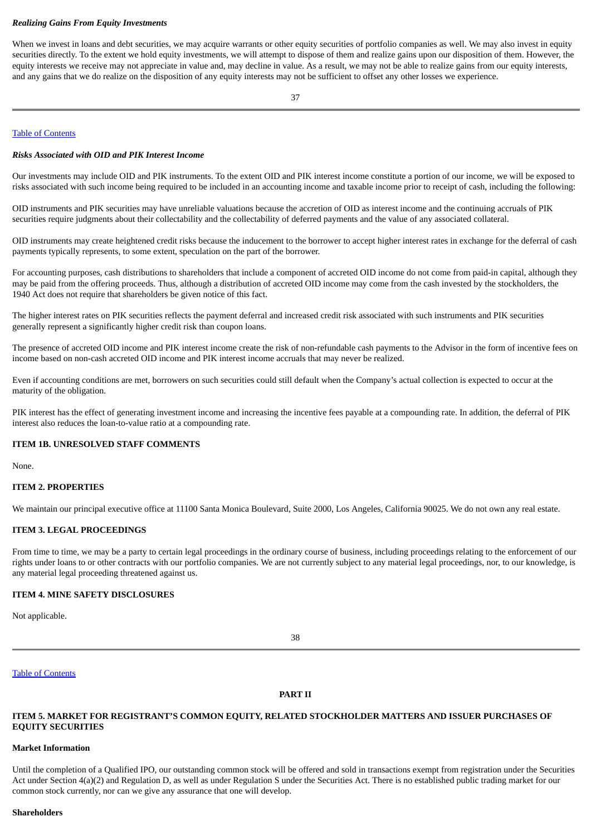# *Realizing Gains From Equity Investments*

When we invest in loans and debt securities, we may acquire warrants or other equity securities of portfolio companies as well. We may also invest in equity securities directly. To the extent we hold equity investments, we will attempt to dispose of them and realize gains upon our disposition of them. However, the equity interests we receive may not appreciate in value and, may decline in value. As a result, we may not be able to realize gains from our equity interests, and any gains that we do realize on the disposition of any equity interests may not be sufficient to offset any other losses we experience.

### Table of [Contents](#page-0-0)

### *Risks Associated with OID and PIK Interest Income*

Our investments may include OID and PIK instruments. To the extent OID and PIK interest income constitute a portion of our income, we will be exposed to risks associated with such income being required to be included in an accounting income and taxable income prior to receipt of cash, including the following:

OID instruments and PIK securities may have unreliable valuations because the accretion of OID as interest income and the continuing accruals of PIK securities require judgments about their collectability and the collectability of deferred payments and the value of any associated collateral.

OID instruments may create heightened credit risks because the inducement to the borrower to accept higher interest rates in exchange for the deferral of cash payments typically represents, to some extent, speculation on the part of the borrower.

For accounting purposes, cash distributions to shareholders that include a component of accreted OID income do not come from paid-in capital, although they may be paid from the offering proceeds. Thus, although a distribution of accreted OID income may come from the cash invested by the stockholders, the 1940 Act does not require that shareholders be given notice of this fact.

The higher interest rates on PIK securities reflects the payment deferral and increased credit risk associated with such instruments and PIK securities generally represent a significantly higher credit risk than coupon loans.

The presence of accreted OID income and PIK interest income create the risk of non-refundable cash payments to the Advisor in the form of incentive fees on income based on non-cash accreted OID income and PIK interest income accruals that may never be realized.

Even if accounting conditions are met, borrowers on such securities could still default when the Company's actual collection is expected to occur at the maturity of the obligation.

PIK interest has the effect of generating investment income and increasing the incentive fees payable at a compounding rate. In addition, the deferral of PIK interest also reduces the loan-to-value ratio at a compounding rate.

### <span id="page-26-0"></span>**ITEM 1B. UNRESOLVED STAFF COMMENTS**

None.

# <span id="page-26-1"></span>**ITEM 2. PROPERTIES**

We maintain our principal executive office at 11100 Santa Monica Boulevard, Suite 2000, Los Angeles, California 90025. We do not own any real estate.

# <span id="page-26-2"></span>**ITEM 3. LEGAL PROCEEDINGS**

From time to time, we may be a party to certain legal proceedings in the ordinary course of business, including proceedings relating to the enforcement of our rights under loans to or other contracts with our portfolio companies. We are not currently subject to any material legal proceedings, nor, to our knowledge, is any material legal proceeding threatened against us.

#### **ITEM 4. MINE SAFETY DISCLOSURES**

Not applicable.

<span id="page-26-3"></span>38

#### Table of [Contents](#page-0-0)

#### <span id="page-26-4"></span>**PART II**

# <span id="page-26-5"></span>**ITEM 5. MARKET FOR REGISTRANT'S COMMON EQUITY, RELATED STOCKHOLDER MATTERS AND ISSUER PURCHASES OF EQUITY SECURITIES**

#### **Market Information**

Until the completion of a Qualified IPO, our outstanding common stock will be offered and sold in transactions exempt from registration under the Securities Act under Section 4(a)(2) and Regulation D, as well as under Regulation S under the Securities Act. There is no established public trading market for our common stock currently, nor can we give any assurance that one will develop.

#### **Shareholders**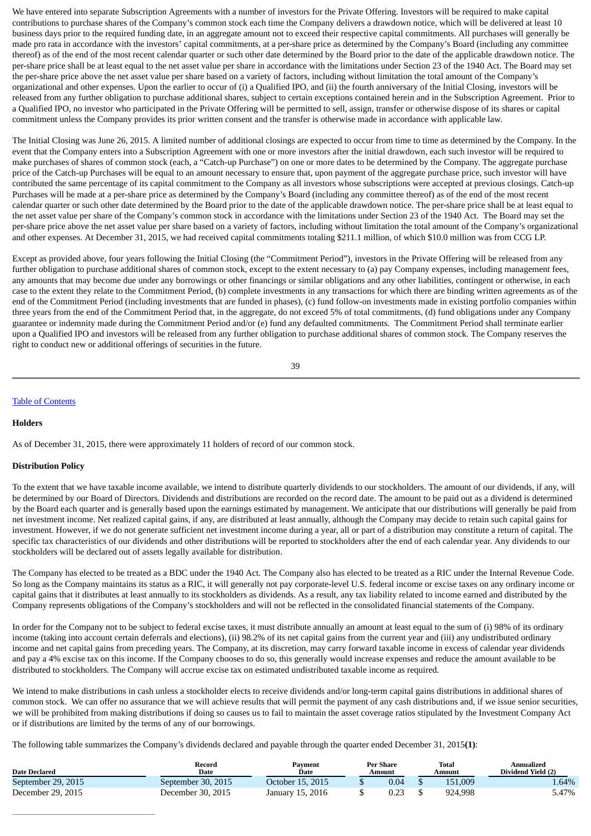We have entered into separate Subscription Agreements with a number of investors for the Private Offering. Investors will be required to make capital contributions to purchase shares of the Company's common stock each time the Company delivers a drawdown notice, which will be delivered at least 10 business days prior to the required funding date, in an aggregate amount not to exceed their respective capital commitments. All purchases will generally be made pro rata in accordance with the investors' capital commitments, at a per-share price as determined by the Company's Board (including any committee thereof) as of the end of the most recent calendar quarter or such other date determined by the Board prior to the date of the applicable drawdown notice. The per-share price shall be at least equal to the net asset value per share in accordance with the limitations under Section 23 of the 1940 Act. The Board may set the per-share price above the net asset value per share based on a variety of factors, including without limitation the total amount of the Company's organizational and other expenses. Upon the earlier to occur of (i) a Qualified IPO, and (ii) the fourth anniversary of the Initial Closing, investors will be released from any further obligation to purchase additional shares, subject to certain exceptions contained herein and in the Subscription Agreement. Prior to a Qualified IPO, no investor who participated in the Private Offering will be permitted to sell, assign, transfer or otherwise dispose of its shares or capital commitment unless the Company provides its prior written consent and the transfer is otherwise made in accordance with applicable law.

The Initial Closing was June 26, 2015. A limited number of additional closings are expected to occur from time to time as determined by the Company. In the event that the Company enters into a Subscription Agreement with one or more investors after the initial drawdown, each such investor will be required to make purchases of shares of common stock (each, a "Catch-up Purchase") on one or more dates to be determined by the Company. The aggregate purchase price of the Catch-up Purchases will be equal to an amount necessary to ensure that, upon payment of the aggregate purchase price, such investor will have contributed the same percentage of its capital commitment to the Company as all investors whose subscriptions were accepted at previous closings. Catch-up Purchases will be made at a per-share price as determined by the Company's Board (including any committee thereof) as of the end of the most recent calendar quarter or such other date determined by the Board prior to the date of the applicable drawdown notice. The per-share price shall be at least equal to the net asset value per share of the Company's common stock in accordance with the limitations under Section 23 of the 1940 Act. The Board may set the per-share price above the net asset value per share based on a variety of factors, including without limitation the total amount of the Company's organizational and other expenses. At December 31, 2015, we had received capital commitments totaling \$211.1 million, of which \$10.0 million was from CCG LP.

Except as provided above, four years following the Initial Closing (the "Commitment Period"), investors in the Private Offering will be released from any further obligation to purchase additional shares of common stock, except to the extent necessary to (a) pay Company expenses, including management fees, any amounts that may become due under any borrowings or other financings or similar obligations and any other liabilities, contingent or otherwise, in each case to the extent they relate to the Commitment Period, (b) complete investments in any transactions for which there are binding written agreements as of the end of the Commitment Period (including investments that are funded in phases), (c) fund follow-on investments made in existing portfolio companies within three years from the end of the Commitment Period that, in the aggregate, do not exceed 5% of total commitments, (d) fund obligations under any Company guarantee or indemnity made during the Commitment Period and/or (e) fund any defaulted commitments. The Commitment Period shall terminate earlier upon a Qualified IPO and investors will be released from any further obligation to purchase additional shares of common stock. The Company reserves the right to conduct new or additional offerings of securities in the future.

```
39
```
# Table of [Contents](#page-0-0)

# **Holders**

As of December 31, 2015, there were approximately 11 holders of record of our common stock.

# **Distribution Policy**

To the extent that we have taxable income available, we intend to distribute quarterly dividends to our stockholders. The amount of our dividends, if any, will be determined by our Board of Directors. Dividends and distributions are recorded on the record date. The amount to be paid out as a dividend is determined by the Board each quarter and is generally based upon the earnings estimated by management. We anticipate that our distributions will generally be paid from net investment income. Net realized capital gains, if any, are distributed at least annually, although the Company may decide to retain such capital gains for investment. However, if we do not generate sufficient net investment income during a year, all or part of a distribution may constitute a return of capital. The specific tax characteristics of our dividends and other distributions will be reported to stockholders after the end of each calendar year. Any dividends to our stockholders will be declared out of assets legally available for distribution.

The Company has elected to be treated as a BDC under the 1940 Act. The Company also has elected to be treated as a RIC under the Internal Revenue Code. So long as the Company maintains its status as a RIC, it will generally not pay corporate-level U.S. federal income or excise taxes on any ordinary income or capital gains that it distributes at least annually to its stockholders as dividends. As a result, any tax liability related to income earned and distributed by the Company represents obligations of the Company's stockholders and will not be reflected in the consolidated financial statements of the Company.

In order for the Company not to be subject to federal excise taxes, it must distribute annually an amount at least equal to the sum of (i) 98% of its ordinary income (taking into account certain deferrals and elections), (ii) 98.2% of its net capital gains from the current year and (iii) any undistributed ordinary income and net capital gains from preceding years. The Company, at its discretion, may carry forward taxable income in excess of calendar year dividends and pay a 4% excise tax on this income. If the Company chooses to do so, this generally would increase expenses and reduce the amount available to be distributed to stockholders. The Company will accrue excise tax on estimated undistributed taxable income as required.

We intend to make distributions in cash unless a stockholder elects to receive dividends and/or long-term capital gains distributions in additional shares of common stock. We can offer no assurance that we will achieve results that will permit the payment of any cash distributions and, if we issue senior securities, we will be prohibited from making distributions if doing so causes us to fail to maintain the asset coverage ratios stipulated by the Investment Company Act or if distributions are limited by the terms of any of our borrowings.

The following table summarizes the Company's dividends declared and payable through the quarter ended December 31, 2015**(1)**:

| <b>Date Declared</b> | Record<br>Date     | Pavment<br>Date  | <b>Per Share</b><br>Amount | <b>Total</b><br>Amount | Annualized<br>Dividend Yield (2) |
|----------------------|--------------------|------------------|----------------------------|------------------------|----------------------------------|
| September 29, 2015   | September 30, 2015 | October 15, 2015 | 0.04                       | 151.009                | 64%                              |
| December 29, 2015    | December 30. 2015  | January 15, 2016 | 0.23                       | 924.998                | 47%.د                            |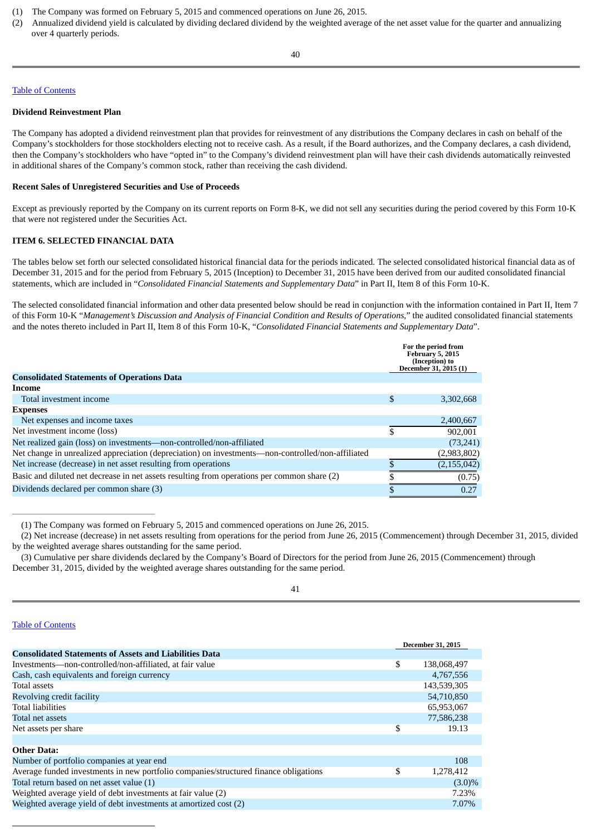- (1) The Company was formed on February 5, 2015 and commenced operations on June 26, 2015.
- (2) Annualized dividend yield is calculated by dividing declared dividend by the weighted average of the net asset value for the quarter and annualizing over 4 quarterly periods.

#### Table of [Contents](#page-0-0)

#### **Dividend Reinvestment Plan**

The Company has adopted a dividend reinvestment plan that provides for reinvestment of any distributions the Company declares in cash on behalf of the Company's stockholders for those stockholders electing not to receive cash. As a result, if the Board authorizes, and the Company declares, a cash dividend, then the Company's stockholders who have "opted in" to the Company's dividend reinvestment plan will have their cash dividends automatically reinvested in additional shares of the Company's common stock, rather than receiving the cash dividend.

# **Recent Sales of Unregistered Securities and Use of Proceeds**

Except as previously reported by the Company on its current reports on Form 8-K, we did not sell any securities during the period covered by this Form 10-K that were not registered under the Securities Act.

# <span id="page-28-0"></span>**ITEM 6. SELECTED FINANCIAL DATA**

The tables below set forth our selected consolidated historical financial data for the periods indicated. The selected consolidated historical financial data as of December 31, 2015 and for the period from February 5, 2015 (Inception) to December 31, 2015 have been derived from our audited consolidated financial statements, which are included in "*Consolidated Financial Statements and Supplementary Data*" in Part II, Item 8 of this Form 10-K.

The selected consolidated financial information and other data presented below should be read in conjunction with the information contained in Part II, Item 7 of this Form 10-K "Management's Discussion and Analysis of Financial Condition and Results of Operations," the audited consolidated financial statements and the notes thereto included in Part II, Item 8 of this Form 10-K, "*Consolidated Financial Statements and Supplementary Data*".

|                                                                                                   | For the period from<br>February 5, 2015<br>(Inception) to<br>December 31, 2015 (1) |
|---------------------------------------------------------------------------------------------------|------------------------------------------------------------------------------------|
| <b>Consolidated Statements of Operations Data</b>                                                 |                                                                                    |
| Income                                                                                            |                                                                                    |
| Total investment income                                                                           | \$<br>3,302,668                                                                    |
| <b>Expenses</b>                                                                                   |                                                                                    |
| Net expenses and income taxes                                                                     | 2,400,667                                                                          |
| Net investment income (loss)                                                                      | \$<br>902.001                                                                      |
| Net realized gain (loss) on investments-non-controlled/non-affiliated                             | (73, 241)                                                                          |
| Net change in unrealized appreciation (depreciation) on investments—non-controlled/non-affiliated | (2,983,802)                                                                        |
| Net increase (decrease) in net asset resulting from operations                                    | (2, 155, 042)                                                                      |
| Basic and diluted net decrease in net assets resulting from operations per common share (2)       | (0.75)                                                                             |
| Dividends declared per common share (3)                                                           | \$<br>0.27                                                                         |

(1) The Company was formed on February 5, 2015 and commenced operations on June 26, 2015.

(2) Net increase (decrease) in net assets resulting from operations for the period from June 26, 2015 (Commencement) through December 31, 2015, divided by the weighted average shares outstanding for the same period.

(3) Cumulative per share dividends declared by the Company's Board of Directors for the period from June 26, 2015 (Commencement) through December 31, 2015, divided by the weighted average shares outstanding for the same period.

# 41

# Table of [Contents](#page-0-0)

|                                                                                      | <b>December 31, 2015</b> |
|--------------------------------------------------------------------------------------|--------------------------|
| <b>Consolidated Statements of Assets and Liabilities Data</b>                        |                          |
| Investments—non-controlled/non-affiliated, at fair value                             | \$<br>138,068,497        |
| Cash, cash equivalents and foreign currency                                          | 4,767,556                |
| Total assets                                                                         | 143,539,305              |
| Revolving credit facility                                                            | 54,710,850               |
| <b>Total liabilities</b>                                                             | 65,953,067               |
| Total net assets                                                                     | 77,586,238               |
| Net assets per share                                                                 | \$<br>19.13              |
|                                                                                      |                          |
| <b>Other Data:</b>                                                                   |                          |
| Number of portfolio companies at year end                                            | 108                      |
| Average funded investments in new portfolio companies/structured finance obligations | \$<br>1,278,412          |
| Total return based on net asset value (1)                                            | $(3.0)\%$                |
| Weighted average yield of debt investments at fair value (2)                         | 7.23%                    |
| Weighted average yield of debt investments at amortized cost (2)                     | 7.07%                    |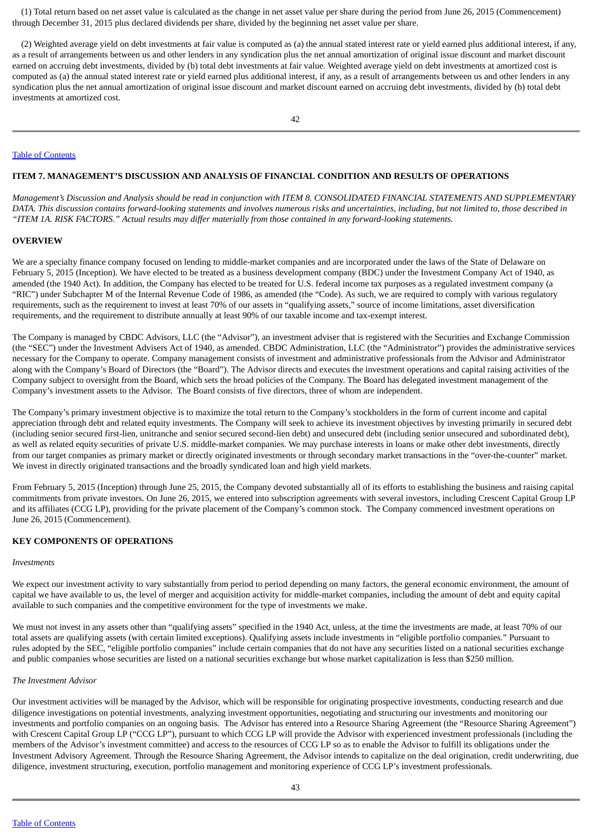(1) Total return based on net asset value is calculated as the change in net asset value per share during the period from June 26, 2015 (Commencement) through December 31, 2015 plus declared dividends per share, divided by the beginning net asset value per share.

(2) Weighted average yield on debt investments at fair value is computed as (a) the annual stated interest rate or yield earned plus additional interest, if any, as a result of arrangements between us and other lenders in any syndication plus the net annual amortization of original issue discount and market discount earned on accruing debt investments, divided by (b) total debt investments at fair value. Weighted average yield on debt investments at amortized cost is computed as (a) the annual stated interest rate or yield earned plus additional interest, if any, as a result of arrangements between us and other lenders in any syndication plus the net annual amortization of original issue discount and market discount earned on accruing debt investments, divided by (b) total debt investments at amortized cost.

#### Table of [Contents](#page-0-0)

# <span id="page-29-0"></span>**ITEM 7. MANAGEMENT'S DISCUSSION AND ANALYSIS OF FINANCIAL CONDITION AND RESULTS OF OPERATIONS**

Management's Discussion and Analysis should be read in conjunction with ITEM 8. CONSOLIDATED FINANCIAL STATEMENTS AND SUPPLEMENTARY DATA. This discussion contains forward-looking statements and involves numerous risks and uncertainties, including, but not limited to, those described in "ITEM 1A. RISK FACTORS." Actual results may differ materially from those contained in any forward-looking statements.

# **OVERVIEW**

We are a specialty finance company focused on lending to middle-market companies and are incorporated under the laws of the State of Delaware on February 5, 2015 (Inception). We have elected to be treated as a business development company (BDC) under the Investment Company Act of 1940, as amended (the 1940 Act). In addition, the Company has elected to be treated for U.S. federal income tax purposes as a regulated investment company (a "RIC") under Subchapter M of the Internal Revenue Code of 1986, as amended (the "Code). As such, we are required to comply with various regulatory requirements, such as the requirement to invest at least 70% of our assets in "qualifying assets," source of income limitations, asset diversification requirements, and the requirement to distribute annually at least 90% of our taxable income and tax-exempt interest.

The Company is managed by CBDC Advisors, LLC (the "Advisor"), an investment adviser that is registered with the Securities and Exchange Commission (the "SEC") under the Investment Advisers Act of 1940, as amended. CBDC Administration, LLC (the "Administrator") provides the administrative services necessary for the Company to operate. Company management consists of investment and administrative professionals from the Advisor and Administrator along with the Company's Board of Directors (the "Board"). The Advisor directs and executes the investment operations and capital raising activities of the Company subject to oversight from the Board, which sets the broad policies of the Company. The Board has delegated investment management of the Company's investment assets to the Advisor. The Board consists of five directors, three of whom are independent.

The Company's primary investment objective is to maximize the total return to the Company's stockholders in the form of current income and capital appreciation through debt and related equity investments. The Company will seek to achieve its investment objectives by investing primarily in secured debt (including senior secured first-lien, unitranche and senior secured second-lien debt) and unsecured debt (including senior unsecured and subordinated debt), as well as related equity securities of private U.S. middle-market companies. We may purchase interests in loans or make other debt investments, directly from our target companies as primary market or directly originated investments or through secondary market transactions in the "over-the-counter" market. We invest in directly originated transactions and the broadly syndicated loan and high yield markets.

From February 5, 2015 (Inception) through June 25, 2015, the Company devoted substantially all of its efforts to establishing the business and raising capital commitments from private investors. On June 26, 2015, we entered into subscription agreements with several investors, including Crescent Capital Group LP and its affiliates (CCG LP), providing for the private placement of the Company's common stock. The Company commenced investment operations on June 26, 2015 (Commencement).

# **KEY COMPONENTS OF OPERATIONS**

#### *Investments*

We expect our investment activity to vary substantially from period to period depending on many factors, the general economic environment, the amount of capital we have available to us, the level of merger and acquisition activity for middle-market companies, including the amount of debt and equity capital available to such companies and the competitive environment for the type of investments we make.

We must not invest in any assets other than "qualifying assets" specified in the 1940 Act, unless, at the time the investments are made, at least 70% of our total assets are qualifying assets (with certain limited exceptions). Qualifying assets include investments in "eligible portfolio companies." Pursuant to rules adopted by the SEC, "eligible portfolio companies" include certain companies that do not have any securities listed on a national securities exchange and public companies whose securities are listed on a national securities exchange but whose market capitalization is less than \$250 million.

### *The Investment Advisor*

Our investment activities will be managed by the Advisor, which will be responsible for originating prospective investments, conducting research and due diligence investigations on potential investments, analyzing investment opportunities, negotiating and structuring our investments and monitoring our investments and portfolio companies on an ongoing basis. The Advisor has entered into a Resource Sharing Agreement (the "Resource Sharing Agreement") with Crescent Capital Group LP ("CCG LP"), pursuant to which CCG LP will provide the Advisor with experienced investment professionals (including the members of the Advisor's investment committee) and access to the resources of CCG LP so as to enable the Advisor to fulfill its obligations under the Investment Advisory Agreement. Through the Resource Sharing Agreement, the Advisor intends to capitalize on the deal origination, credit underwriting, due diligence, investment structuring, execution, portfolio management and monitoring experience of CCG LP's investment professionals.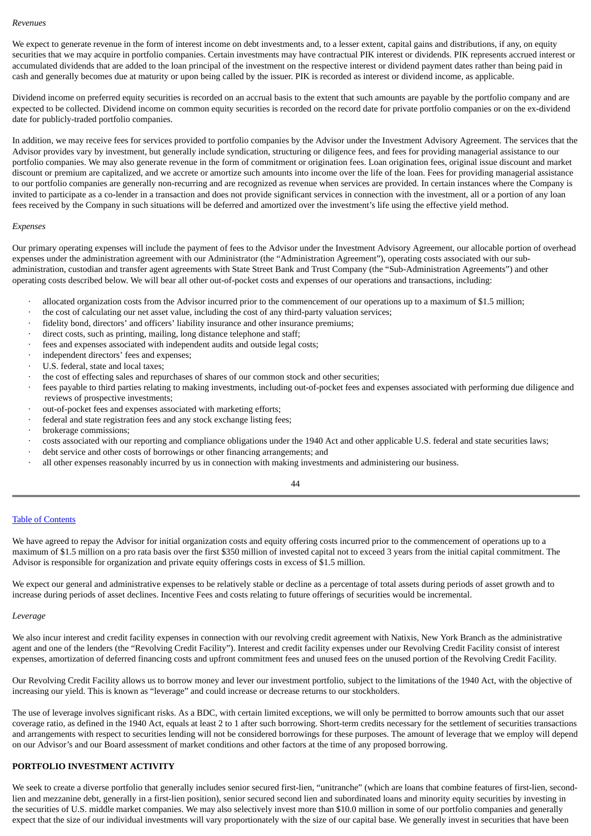*Revenues*

We expect to generate revenue in the form of interest income on debt investments and, to a lesser extent, capital gains and distributions, if any, on equity securities that we may acquire in portfolio companies. Certain investments may have contractual PIK interest or dividends. PIK represents accrued interest or accumulated dividends that are added to the loan principal of the investment on the respective interest or dividend payment dates rather than being paid in cash and generally becomes due at maturity or upon being called by the issuer. PIK is recorded as interest or dividend income, as applicable.

Dividend income on preferred equity securities is recorded on an accrual basis to the extent that such amounts are payable by the portfolio company and are expected to be collected. Dividend income on common equity securities is recorded on the record date for private portfolio companies or on the ex-dividend date for publicly-traded portfolio companies.

In addition, we may receive fees for services provided to portfolio companies by the Advisor under the Investment Advisory Agreement. The services that the Advisor provides vary by investment, but generally include syndication, structuring or diligence fees, and fees for providing managerial assistance to our portfolio companies. We may also generate revenue in the form of commitment or origination fees. Loan origination fees, original issue discount and market discount or premium are capitalized, and we accrete or amortize such amounts into income over the life of the loan. Fees for providing managerial assistance to our portfolio companies are generally non-recurring and are recognized as revenue when services are provided. In certain instances where the Company is invited to participate as a co-lender in a transaction and does not provide significant services in connection with the investment, all or a portion of any loan fees received by the Company in such situations will be deferred and amortized over the investment's life using the effective yield method.

### *Expenses*

Our primary operating expenses will include the payment of fees to the Advisor under the Investment Advisory Agreement, our allocable portion of overhead expenses under the administration agreement with our Administrator (the "Administration Agreement"), operating costs associated with our subadministration, custodian and transfer agent agreements with State Street Bank and Trust Company (the "Sub-Administration Agreements") and other operating costs described below. We will bear all other out-of-pocket costs and expenses of our operations and transactions, including:

- · allocated organization costs from the Advisor incurred prior to the commencement of our operations up to a maximum of \$1.5 million;
- · the cost of calculating our net asset value, including the cost of any third-party valuation services;
- fidelity bond, directors' and officers' liability insurance and other insurance premiums;
- direct costs, such as printing, mailing, long distance telephone and staff;
- fees and expenses associated with independent audits and outside legal costs;
- independent directors' fees and expenses;
- U.S. federal, state and local taxes;
- · the cost of effecting sales and repurchases of shares of our common stock and other securities;
- fees payable to third parties relating to making investments, including out-of-pocket fees and expenses associated with performing due diligence and reviews of prospective investments;
- · out-of-pocket fees and expenses associated with marketing efforts;
- federal and state registration fees and any stock exchange listing fees;
- · brokerage commissions;
- · costs associated with our reporting and compliance obligations under the 1940 Act and other applicable U.S. federal and state securities laws;
- debt service and other costs of borrowings or other financing arrangements; and
- · all other expenses reasonably incurred by us in connection with making investments and administering our business.

# 44

#### Table of [Contents](#page-0-0)

We have agreed to repay the Advisor for initial organization costs and equity offering costs incurred prior to the commencement of operations up to a maximum of \$1.5 million on a pro rata basis over the first \$350 million of invested capital not to exceed 3 years from the initial capital commitment. The Advisor is responsible for organization and private equity offerings costs in excess of \$1.5 million.

We expect our general and administrative expenses to be relatively stable or decline as a percentage of total assets during periods of asset growth and to increase during periods of asset declines. Incentive Fees and costs relating to future offerings of securities would be incremental.

*Leverage*

We also incur interest and credit facility expenses in connection with our revolving credit agreement with Natixis, New York Branch as the administrative agent and one of the lenders (the "Revolving Credit Facility"). Interest and credit facility expenses under our Revolving Credit Facility consist of interest expenses, amortization of deferred financing costs and upfront commitment fees and unused fees on the unused portion of the Revolving Credit Facility.

Our Revolving Credit Facility allows us to borrow money and lever our investment portfolio, subject to the limitations of the 1940 Act, with the objective of increasing our yield. This is known as "leverage" and could increase or decrease returns to our stockholders.

The use of leverage involves significant risks. As a BDC, with certain limited exceptions, we will only be permitted to borrow amounts such that our asset coverage ratio, as defined in the 1940 Act, equals at least 2 to 1 after such borrowing. Short-term credits necessary for the settlement of securities transactions and arrangements with respect to securities lending will not be considered borrowings for these purposes. The amount of leverage that we employ will depend on our Advisor's and our Board assessment of market conditions and other factors at the time of any proposed borrowing.

# **PORTFOLIO INVESTMENT ACTIVITY**

We seek to create a diverse portfolio that generally includes senior secured first-lien, "unitranche" (which are loans that combine features of first-lien, secondlien and mezzanine debt, generally in a first-lien position), senior secured second lien and subordinated loans and minority equity securities by investing in the securities of U.S. middle market companies. We may also selectively invest more than \$10.0 million in some of our portfolio companies and generally expect that the size of our individual investments will vary proportionately with the size of our capital base. We generally invest in securities that have been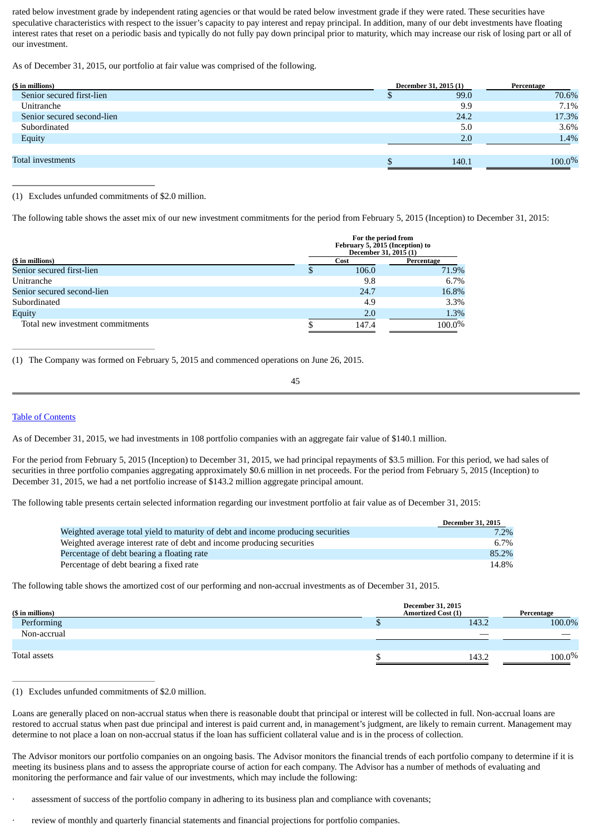rated below investment grade by independent rating agencies or that would be rated below investment grade if they were rated. These securities have speculative characteristics with respect to the issuer's capacity to pay interest and repay principal. In addition, many of our debt investments have floating interest rates that reset on a periodic basis and typically do not fully pay down principal prior to maturity, which may increase our risk of losing part or all of our investment.

As of December 31, 2015, our portfolio at fair value was comprised of the following.

| (\$ in millions)           | December 31, 2015 (1) | Percentage |
|----------------------------|-----------------------|------------|
| Senior secured first-lien  | 99.0                  | 70.6%      |
| Unitranche                 | 9.9                   | 7.1%       |
| Senior secured second-lien | 24.2                  | 17.3%      |
| Subordinated               | 5.0                   | 3.6%       |
| Equity                     | 2.0                   | 1.4%       |
|                            |                       |            |
| Total investments          | 140.1                 | 100.0%     |

# (1) Excludes unfunded commitments of \$2.0 million.

The following table shows the asset mix of our new investment commitments for the period from February 5, 2015 (Inception) to December 31, 2015:

|                                  |       | For the period from<br>February 5, 2015 (Inception) to<br>December 31, 2015 (1) |
|----------------------------------|-------|---------------------------------------------------------------------------------|
| (\$ in millions)                 | Cost  | Percentage                                                                      |
| Senior secured first-lien        | 106.0 | 71.9%                                                                           |
| Unitranche                       | 9.8   | 6.7%                                                                            |
| Senior secured second-lien       | 24.7  | 16.8%                                                                           |
| Subordinated                     | 4.9   | 3.3%                                                                            |
| Equity                           | 2.0   | 1.3%                                                                            |
| Total new investment commitments | 147.4 | $100.0\%$                                                                       |

(1) The Company was formed on February 5, 2015 and commenced operations on June 26, 2015.

### Table of [Contents](#page-0-0)

As of December 31, 2015, we had investments in 108 portfolio companies with an aggregate fair value of \$140.1 million.

For the period from February 5, 2015 (Inception) to December 31, 2015, we had principal repayments of \$3.5 million. For this period, we had sales of securities in three portfolio companies aggregating approximately \$0.6 million in net proceeds. For the period from February 5, 2015 (Inception) to December 31, 2015, we had a net portfolio increase of \$143.2 million aggregate principal amount.

The following table presents certain selected information regarding our investment portfolio at fair value as of December 31, 2015:

|                                                                                  | <b>December 31, 2015</b> |
|----------------------------------------------------------------------------------|--------------------------|
| Weighted average total yield to maturity of debt and income producing securities | $7.2\%$                  |
| Weighted average interest rate of debt and income producing securities           | $6.7\%$                  |
| Percentage of debt bearing a floating rate                                       | 85.2%                    |
| Percentage of debt bearing a fixed rate                                          | 14.8%                    |

The following table shows the amortized cost of our performing and non-accrual investments as of December 31, 2015.

| (\$ in millions) | <b>December 31, 2015</b><br><b>Amortized Cost (1)</b> | Percentage |
|------------------|-------------------------------------------------------|------------|
| Performing       | 143.2                                                 | 100.0%     |
| Non-accrual      | __                                                    |            |
|                  |                                                       |            |
| Total assets     | 143.2                                                 | 100.0%     |

(1) Excludes unfunded commitments of \$2.0 million.

Loans are generally placed on non-accrual status when there is reasonable doubt that principal or interest will be collected in full. Non-accrual loans are restored to accrual status when past due principal and interest is paid current and, in management's judgment, are likely to remain current. Management may determine to not place a loan on non-accrual status if the loan has sufficient collateral value and is in the process of collection.

The Advisor monitors our portfolio companies on an ongoing basis. The Advisor monitors the financial trends of each portfolio company to determine if it is meeting its business plans and to assess the appropriate course of action for each company. The Advisor has a number of methods of evaluating and monitoring the performance and fair value of our investments, which may include the following:

assessment of success of the portfolio company in adhering to its business plan and compliance with covenants;

review of monthly and quarterly financial statements and financial projections for portfolio companies.

<sup>45</sup>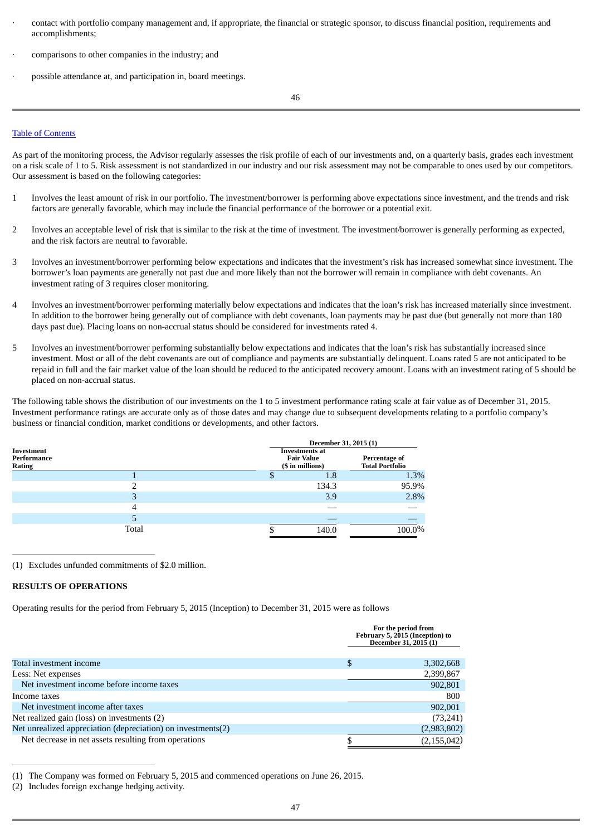- contact with portfolio company management and, if appropriate, the financial or strategic sponsor, to discuss financial position, requirements and accomplishments;
- comparisons to other companies in the industry; and
- possible attendance at, and participation in, board meetings.

46

# Table of [Contents](#page-0-0)

As part of the monitoring process, the Advisor regularly assesses the risk profile of each of our investments and, on a quarterly basis, grades each investment on a risk scale of 1 to 5. Risk assessment is not standardized in our industry and our risk assessment may not be comparable to ones used by our competitors. Our assessment is based on the following categories:

- 1 Involves the least amount of risk in our portfolio. The investment/borrower is performing above expectations since investment, and the trends and risk factors are generally favorable, which may include the financial performance of the borrower or a potential exit.
- 2 Involves an acceptable level of risk that is similar to the risk at the time of investment. The investment/borrower is generally performing as expected, and the risk factors are neutral to favorable.
- 3 Involves an investment/borrower performing below expectations and indicates that the investment's risk has increased somewhat since investment. The borrower's loan payments are generally not past due and more likely than not the borrower will remain in compliance with debt covenants. An investment rating of 3 requires closer monitoring.
- 4 Involves an investment/borrower performing materially below expectations and indicates that the loan's risk has increased materially since investment. In addition to the borrower being generally out of compliance with debt covenants, loan payments may be past due (but generally not more than 180 days past due). Placing loans on non-accrual status should be considered for investments rated 4.
- 5 Involves an investment/borrower performing substantially below expectations and indicates that the loan's risk has substantially increased since investment. Most or all of the debt covenants are out of compliance and payments are substantially delinquent. Loans rated 5 are not anticipated to be repaid in full and the fair market value of the loan should be reduced to the anticipated recovery amount. Loans with an investment rating of 5 should be placed on non-accrual status.

The following table shows the distribution of our investments on the 1 to 5 investment performance rating scale at fair value as of December 31, 2015. Investment performance ratings are accurate only as of those dates and may change due to subsequent developments relating to a portfolio company's business or financial condition, market conditions or developments, and other factors.

| Investment<br>Performance<br><b>Rating</b> |       |   | Investments at<br><b>Fair Value</b><br>(\$ in millions) | December 31, 2015 (1)<br>Percentage of<br><b>Total Portfolio</b> |
|--------------------------------------------|-------|---|---------------------------------------------------------|------------------------------------------------------------------|
|                                            |       | Φ | 1.8                                                     | 1.3%                                                             |
|                                            |       |   | 134.3                                                   | 95.9%                                                            |
|                                            | 3     |   | 3.9                                                     | 2.8%                                                             |
|                                            | 4     |   |                                                         |                                                                  |
|                                            | ה     |   |                                                         |                                                                  |
|                                            | Total |   | 140.0                                                   | 100.0%                                                           |

(1) Excludes unfunded commitments of \$2.0 million.

# **RESULTS OF OPERATIONS**

Operating results for the period from February 5, 2015 (Inception) to December 31, 2015 were as follows

|                                                              |     | For the period from<br>February 5, 2015 (Inception) to<br>December 31, 2015 (1) |
|--------------------------------------------------------------|-----|---------------------------------------------------------------------------------|
| Total investment income                                      | \$  | 3,302,668                                                                       |
| Less: Net expenses                                           |     | 2,399,867                                                                       |
| Net investment income before income taxes                    |     | 902,801                                                                         |
| Income taxes                                                 |     | 800                                                                             |
| Net investment income after taxes                            |     | 902,001                                                                         |
| Net realized gain (loss) on investments (2)                  |     | (73,241)                                                                        |
| Net unrealized appreciation (depreciation) on investments(2) |     | (2,983,802)                                                                     |
| Net decrease in net assets resulting from operations         | \$. | (2, 155, 042)                                                                   |

<sup>(1)</sup> The Company was formed on February 5, 2015 and commenced operations on June 26, 2015.

<sup>(2)</sup> Includes foreign exchange hedging activity.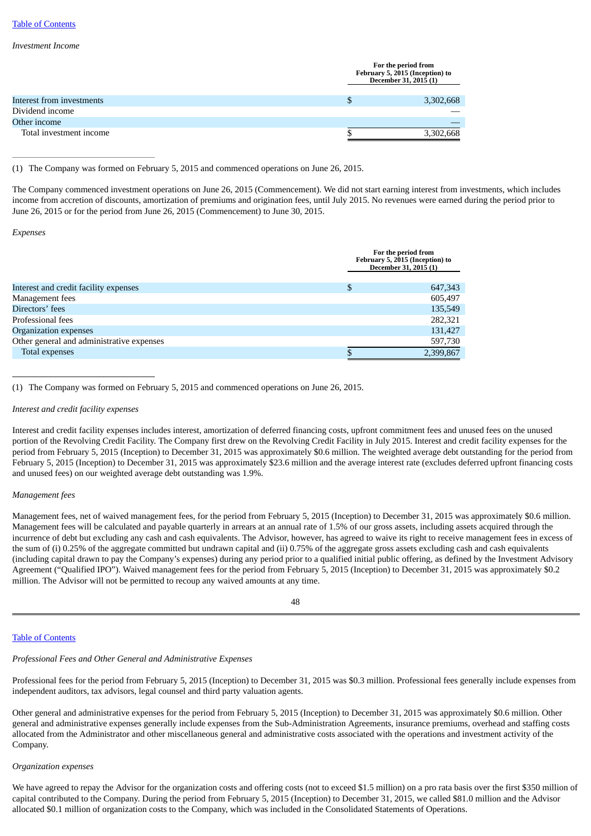### Table of [Contents](#page-0-0)

*Investment Income*

|                           | For the period from<br>February 5, 2015 (Inception) to<br>December 31, 2015 (1) |  |  |
|---------------------------|---------------------------------------------------------------------------------|--|--|
| Interest from investments | 3,302,668                                                                       |  |  |
| Dividend income           |                                                                                 |  |  |
| Other income              |                                                                                 |  |  |
| Total investment income   | 3,302,668                                                                       |  |  |

(1) The Company was formed on February 5, 2015 and commenced operations on June 26, 2015.

The Company commenced investment operations on June 26, 2015 (Commencement). We did not start earning interest from investments, which includes income from accretion of discounts, amortization of premiums and origination fees, until July 2015. No revenues were earned during the period prior to June 26, 2015 or for the period from June 26, 2015 (Commencement) to June 30, 2015.

*Expenses*

|                                           | For the period from<br>February 5, 2015 (Inception) to<br>December 31, 2015 (1) |
|-------------------------------------------|---------------------------------------------------------------------------------|
| Interest and credit facility expenses     | \$<br>647,343                                                                   |
| Management fees                           | 605,497                                                                         |
| Directors' fees                           | 135,549                                                                         |
| Professional fees                         | 282,321                                                                         |
| Organization expenses                     | 131,427                                                                         |
| Other general and administrative expenses | 597,730                                                                         |
| Total expenses                            | 2,399,867                                                                       |

(1) The Company was formed on February 5, 2015 and commenced operations on June 26, 2015.

### *Interest and credit facility expenses*

Interest and credit facility expenses includes interest, amortization of deferred financing costs, upfront commitment fees and unused fees on the unused portion of the Revolving Credit Facility. The Company first drew on the Revolving Credit Facility in July 2015. Interest and credit facility expenses for the period from February 5, 2015 (Inception) to December 31, 2015 was approximately \$0.6 million. The weighted average debt outstanding for the period from February 5, 2015 (Inception) to December 31, 2015 was approximately \$23.6 million and the average interest rate (excludes deferred upfront financing costs and unused fees) on our weighted average debt outstanding was 1.9%.

#### *Management fees*

Management fees, net of waived management fees, for the period from February 5, 2015 (Inception) to December 31, 2015 was approximately \$0.6 million. Management fees will be calculated and payable quarterly in arrears at an annual rate of 1.5% of our gross assets, including assets acquired through the incurrence of debt but excluding any cash and cash equivalents. The Advisor, however, has agreed to waive its right to receive management fees in excess of the sum of (i) 0.25% of the aggregate committed but undrawn capital and (ii) 0.75% of the aggregate gross assets excluding cash and cash equivalents (including capital drawn to pay the Company's expenses) during any period prior to a qualified initial public offering, as defined by the Investment Advisory Agreement ("Qualified IPO"). Waived management fees for the period from February 5, 2015 (Inception) to December 31, 2015 was approximately \$0.2 million. The Advisor will not be permitted to recoup any waived amounts at any time.

48

#### Table of [Contents](#page-0-0)

*Professional Fees and Other General and Administrative Expenses*

Professional fees for the period from February 5, 2015 (Inception) to December 31, 2015 was \$0.3 million. Professional fees generally include expenses from independent auditors, tax advisors, legal counsel and third party valuation agents.

Other general and administrative expenses for the period from February 5, 2015 (Inception) to December 31, 2015 was approximately \$0.6 million. Other general and administrative expenses generally include expenses from the Sub-Administration Agreements, insurance premiums, overhead and staffing costs allocated from the Administrator and other miscellaneous general and administrative costs associated with the operations and investment activity of the Company.

# *Organization expenses*

We have agreed to repay the Advisor for the organization costs and offering costs (not to exceed \$1.5 million) on a pro rata basis over the first \$350 million of capital contributed to the Company. During the period from February 5, 2015 (Inception) to December 31, 2015, we called \$81.0 million and the Advisor allocated \$0.1 million of organization costs to the Company, which was included in the Consolidated Statements of Operations.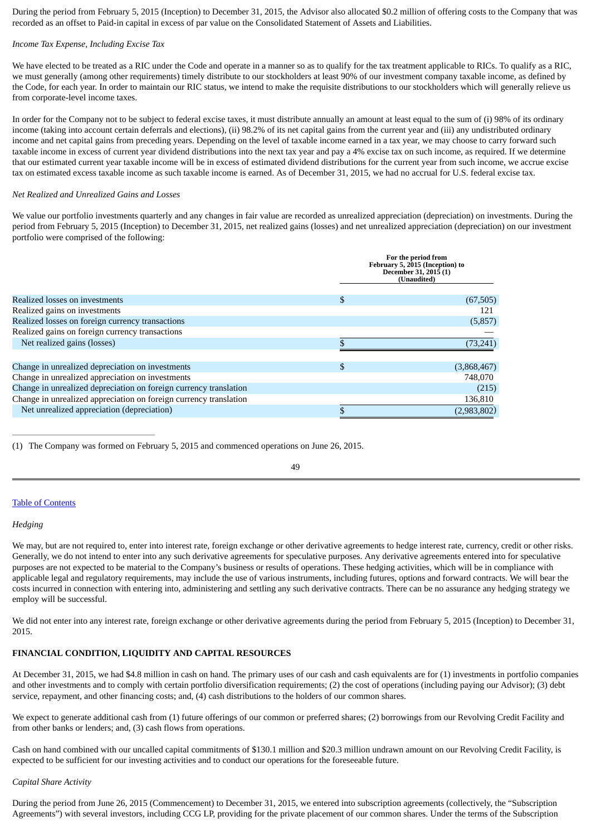During the period from February 5, 2015 (Inception) to December 31, 2015, the Advisor also allocated \$0.2 million of offering costs to the Company that was recorded as an offset to Paid-in capital in excess of par value on the Consolidated Statement of Assets and Liabilities.

#### *Income Tax Expense, Including Excise Tax*

We have elected to be treated as a RIC under the Code and operate in a manner so as to qualify for the tax treatment applicable to RICs. To qualify as a RIC, we must generally (among other requirements) timely distribute to our stockholders at least 90% of our investment company taxable income, as defined by the Code, for each year. In order to maintain our RIC status, we intend to make the requisite distributions to our stockholders which will generally relieve us from corporate-level income taxes.

In order for the Company not to be subject to federal excise taxes, it must distribute annually an amount at least equal to the sum of (i) 98% of its ordinary income (taking into account certain deferrals and elections), (ii) 98.2% of its net capital gains from the current year and (iii) any undistributed ordinary income and net capital gains from preceding years. Depending on the level of taxable income earned in a tax year, we may choose to carry forward such taxable income in excess of current year dividend distributions into the next tax year and pay a 4% excise tax on such income, as required. If we determine that our estimated current year taxable income will be in excess of estimated dividend distributions for the current year from such income, we accrue excise tax on estimated excess taxable income as such taxable income is earned. As of December 31, 2015, we had no accrual for U.S. federal excise tax.

### *Net Realized and Unrealized Gains and Losses*

We value our portfolio investments quarterly and any changes in fair value are recorded as unrealized appreciation (depreciation) on investments. During the period from February 5, 2015 (Inception) to December 31, 2015, net realized gains (losses) and net unrealized appreciation (depreciation) on our investment portfolio were comprised of the following:

|                                                                   |    | For the period from<br>February 5, 2015 (Inception) to<br>December 31, 2015 (1)<br>(Unaudited) |
|-------------------------------------------------------------------|----|------------------------------------------------------------------------------------------------|
| Realized losses on investments                                    | S  | (67, 505)                                                                                      |
| Realized gains on investments                                     |    | 121                                                                                            |
| Realized losses on foreign currency transactions                  |    | (5,857)                                                                                        |
| Realized gains on foreign currency transactions                   |    |                                                                                                |
| Net realized gains (losses)                                       |    | (73, 241)                                                                                      |
| Change in unrealized depreciation on investments                  | \$ | (3,868,467)                                                                                    |
| Change in unrealized appreciation on investments                  |    | 748,070                                                                                        |
| Change in unrealized depreciation on foreign currency translation |    | (215)                                                                                          |
| Change in unrealized appreciation on foreign currency translation |    | 136,810                                                                                        |
| Net unrealized appreciation (depreciation)                        |    | (2.983.802)                                                                                    |

(1) The Company was formed on February 5, 2015 and commenced operations on June 26, 2015.

49

#### Table of [Contents](#page-0-0)

#### *Hedging*

We may, but are not required to, enter into interest rate, foreign exchange or other derivative agreements to hedge interest rate, currency, credit or other risks. Generally, we do not intend to enter into any such derivative agreements for speculative purposes. Any derivative agreements entered into for speculative purposes are not expected to be material to the Company's business or results of operations. These hedging activities, which will be in compliance with applicable legal and regulatory requirements, may include the use of various instruments, including futures, options and forward contracts. We will bear the costs incurred in connection with entering into, administering and settling any such derivative contracts. There can be no assurance any hedging strategy we employ will be successful.

We did not enter into any interest rate, foreign exchange or other derivative agreements during the period from February 5, 2015 (Inception) to December 31, 2015.

#### **FINANCIAL CONDITION, LIQUIDITY AND CAPITAL RESOURCES**

At December 31, 2015, we had \$4.8 million in cash on hand. The primary uses of our cash and cash equivalents are for (1) investments in portfolio companies and other investments and to comply with certain portfolio diversification requirements; (2) the cost of operations (including paying our Advisor); (3) debt service, repayment, and other financing costs; and, (4) cash distributions to the holders of our common shares.

We expect to generate additional cash from (1) future offerings of our common or preferred shares; (2) borrowings from our Revolving Credit Facility and from other banks or lenders; and, (3) cash flows from operations.

Cash on hand combined with our uncalled capital commitments of \$130.1 million and \$20.3 million undrawn amount on our Revolving Credit Facility, is expected to be sufficient for our investing activities and to conduct our operations for the foreseeable future.

#### *Capital Share Activity*

During the period from June 26, 2015 (Commencement) to December 31, 2015, we entered into subscription agreements (collectively, the "Subscription Agreements") with several investors, including CCG LP, providing for the private placement of our common shares. Under the terms of the Subscription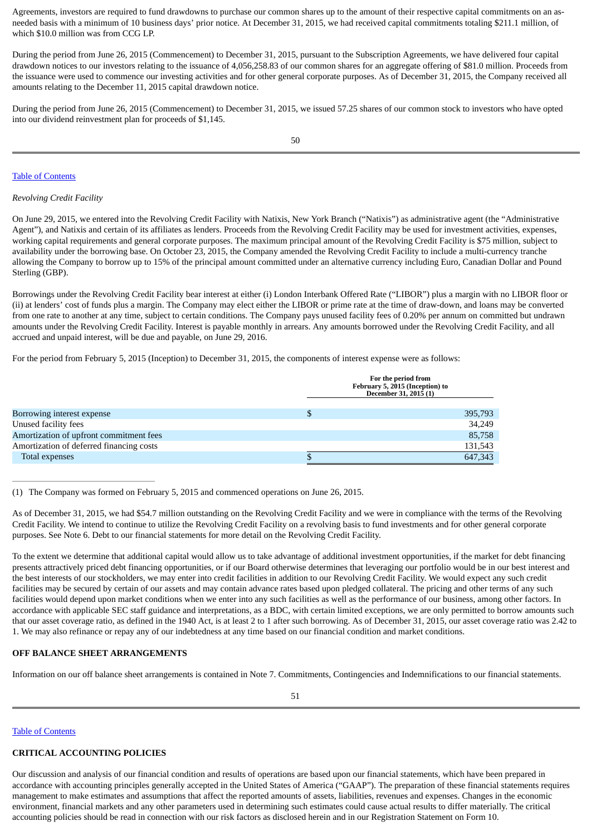Agreements, investors are required to fund drawdowns to purchase our common shares up to the amount of their respective capital commitments on an asneeded basis with a minimum of 10 business days' prior notice. At December 31, 2015, we had received capital commitments totaling \$211.1 million, of which \$10.0 million was from CCG LP.

During the period from June 26, 2015 (Commencement) to December 31, 2015, pursuant to the Subscription Agreements, we have delivered four capital drawdown notices to our investors relating to the issuance of 4,056,258.83 of our common shares for an aggregate offering of \$81.0 million. Proceeds from the issuance were used to commence our investing activities and for other general corporate purposes. As of December 31, 2015, the Company received all amounts relating to the December 11, 2015 capital drawdown notice.

During the period from June 26, 2015 (Commencement) to December 31, 2015, we issued 57.25 shares of our common stock to investors who have opted into our dividend reinvestment plan for proceeds of \$1,145.

# Table of [Contents](#page-0-0)

### *Revolving Credit Facility*

On June 29, 2015, we entered into the Revolving Credit Facility with Natixis, New York Branch ("Natixis") as administrative agent (the "Administrative Agent"), and Natixis and certain of its affiliates as lenders. Proceeds from the Revolving Credit Facility may be used for investment activities, expenses, working capital requirements and general corporate purposes. The maximum principal amount of the Revolving Credit Facility is \$75 million, subject to availability under the borrowing base. On October 23, 2015, the Company amended the Revolving Credit Facility to include a multi-currency tranche allowing the Company to borrow up to 15% of the principal amount committed under an alternative currency including Euro, Canadian Dollar and Pound Sterling (GBP).

Borrowings under the Revolving Credit Facility bear interest at either (i) London Interbank Offered Rate ("LIBOR") plus a margin with no LIBOR floor or (ii) at lenders' cost of funds plus a margin. The Company may elect either the LIBOR or prime rate at the time of draw-down, and loans may be converted from one rate to another at any time, subject to certain conditions. The Company pays unused facility fees of 0.20% per annum on committed but undrawn amounts under the Revolving Credit Facility. Interest is payable monthly in arrears. Any amounts borrowed under the Revolving Credit Facility, and all accrued and unpaid interest, will be due and payable, on June 29, 2016.

For the period from February 5, 2015 (Inception) to December 31, 2015, the components of interest expense were as follows:

|                                          |   | For the period from<br>February 5, 2015 (Inception) to<br>December 31, 2015 (1) |
|------------------------------------------|---|---------------------------------------------------------------------------------|
| Borrowing interest expense               | ზ | 395,793                                                                         |
| Unused facility fees                     |   | 34,249                                                                          |
| Amortization of upfront commitment fees  |   | 85,758                                                                          |
| Amortization of deferred financing costs |   | 131,543                                                                         |
| Total expenses                           |   | 647,343                                                                         |

(1) The Company was formed on February 5, 2015 and commenced operations on June 26, 2015.

As of December 31, 2015, we had \$54.7 million outstanding on the Revolving Credit Facility and we were in compliance with the terms of the Revolving Credit Facility. We intend to continue to utilize the Revolving Credit Facility on a revolving basis to fund investments and for other general corporate purposes. See Note 6. Debt to our financial statements for more detail on the Revolving Credit Facility.

To the extent we determine that additional capital would allow us to take advantage of additional investment opportunities, if the market for debt financing presents attractively priced debt financing opportunities, or if our Board otherwise determines that leveraging our portfolio would be in our best interest and the best interests of our stockholders, we may enter into credit facilities in addition to our Revolving Credit Facility. We would expect any such credit facilities may be secured by certain of our assets and may contain advance rates based upon pledged collateral. The pricing and other terms of any such facilities would depend upon market conditions when we enter into any such facilities as well as the performance of our business, among other factors. In accordance with applicable SEC staff guidance and interpretations, as a BDC, with certain limited exceptions, we are only permitted to borrow amounts such that our asset coverage ratio, as defined in the 1940 Act, is at least 2 to 1 after such borrowing. As of December 31, 2015, our asset coverage ratio was 2.42 to 1. We may also refinance or repay any of our indebtedness at any time based on our financial condition and market conditions.

# **OFF BALANCE SHEET ARRANGEMENTS**

Information on our off balance sheet arrangements is contained in Note 7. Commitments, Contingencies and Indemnifications to our financial statements.

#### Table of [Contents](#page-0-0)

# **CRITICAL ACCOUNTING POLICIES**

Our discussion and analysis of our financial condition and results of operations are based upon our financial statements, which have been prepared in accordance with accounting principles generally accepted in the United States of America ("GAAP"). The preparation of these financial statements requires management to make estimates and assumptions that affect the reported amounts of assets, liabilities, revenues and expenses. Changes in the economic environment, financial markets and any other parameters used in determining such estimates could cause actual results to differ materially. The critical accounting policies should be read in connection with our risk factors as disclosed herein and in our Registration Statement on Form 10.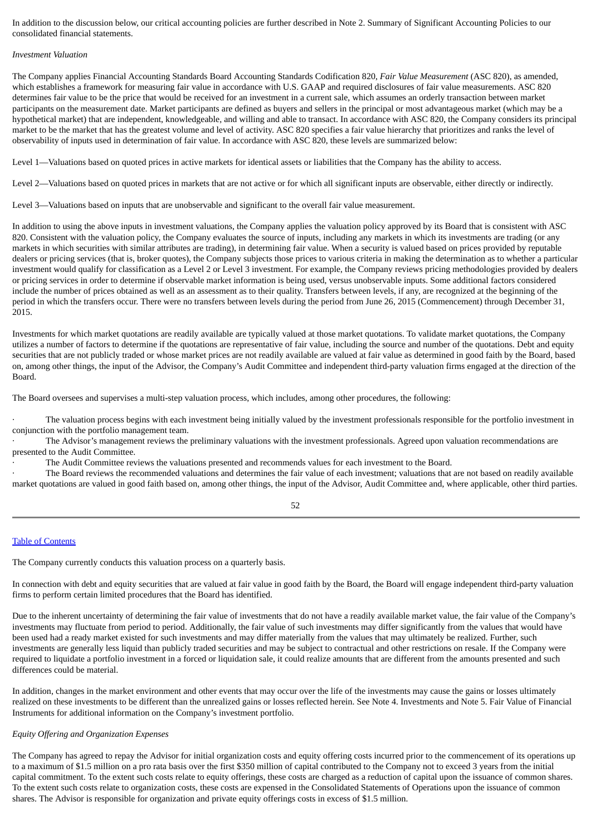In addition to the discussion below, our critical accounting policies are further described in Note 2. Summary of Significant Accounting Policies to our consolidated financial statements.

#### *Investment Valuation*

The Company applies Financial Accounting Standards Board Accounting Standards Codification 820, *Fair Value Measurement* (ASC 820), as amended, which establishes a framework for measuring fair value in accordance with U.S. GAAP and required disclosures of fair value measurements. ASC 820 determines fair value to be the price that would be received for an investment in a current sale, which assumes an orderly transaction between market participants on the measurement date. Market participants are defined as buyers and sellers in the principal or most advantageous market (which may be a hypothetical market) that are independent, knowledgeable, and willing and able to transact. In accordance with ASC 820, the Company considers its principal market to be the market that has the greatest volume and level of activity. ASC 820 specifies a fair value hierarchy that prioritizes and ranks the level of observability of inputs used in determination of fair value. In accordance with ASC 820, these levels are summarized below:

Level 1—Valuations based on quoted prices in active markets for identical assets or liabilities that the Company has the ability to access.

Level 2—Valuations based on quoted prices in markets that are not active or for which all significant inputs are observable, either directly or indirectly.

Level 3—Valuations based on inputs that are unobservable and significant to the overall fair value measurement.

In addition to using the above inputs in investment valuations, the Company applies the valuation policy approved by its Board that is consistent with ASC 820. Consistent with the valuation policy, the Company evaluates the source of inputs, including any markets in which its investments are trading (or any markets in which securities with similar attributes are trading), in determining fair value. When a security is valued based on prices provided by reputable dealers or pricing services (that is, broker quotes), the Company subjects those prices to various criteria in making the determination as to whether a particular investment would qualify for classification as a Level 2 or Level 3 investment. For example, the Company reviews pricing methodologies provided by dealers or pricing services in order to determine if observable market information is being used, versus unobservable inputs. Some additional factors considered include the number of prices obtained as well as an assessment as to their quality. Transfers between levels, if any, are recognized at the beginning of the period in which the transfers occur. There were no transfers between levels during the period from June 26, 2015 (Commencement) through December 31, 2015.

Investments for which market quotations are readily available are typically valued at those market quotations. To validate market quotations, the Company utilizes a number of factors to determine if the quotations are representative of fair value, including the source and number of the quotations. Debt and equity securities that are not publicly traded or whose market prices are not readily available are valued at fair value as determined in good faith by the Board, based on, among other things, the input of the Advisor, the Company's Audit Committee and independent third-party valuation firms engaged at the direction of the Board.

The Board oversees and supervises a multi-step valuation process, which includes, among other procedures, the following:

The valuation process begins with each investment being initially valued by the investment professionals responsible for the portfolio investment in conjunction with the portfolio management team.

The Advisor's management reviews the preliminary valuations with the investment professionals. Agreed upon valuation recommendations are presented to the Audit Committee.

· The Audit Committee reviews the valuations presented and recommends values for each investment to the Board.

· The Board reviews the recommended valuations and determines the fair value of each investment; valuations that are not based on readily available market quotations are valued in good faith based on, among other things, the input of the Advisor, Audit Committee and, where applicable, other third parties.

52

### Table of [Contents](#page-0-0)

The Company currently conducts this valuation process on a quarterly basis.

In connection with debt and equity securities that are valued at fair value in good faith by the Board, the Board will engage independent third-party valuation firms to perform certain limited procedures that the Board has identified.

Due to the inherent uncertainty of determining the fair value of investments that do not have a readily available market value, the fair value of the Company's investments may fluctuate from period to period. Additionally, the fair value of such investments may differ significantly from the values that would have been used had a ready market existed for such investments and may differ materially from the values that may ultimately be realized. Further, such investments are generally less liquid than publicly traded securities and may be subject to contractual and other restrictions on resale. If the Company were required to liquidate a portfolio investment in a forced or liquidation sale, it could realize amounts that are different from the amounts presented and such differences could be material.

In addition, changes in the market environment and other events that may occur over the life of the investments may cause the gains or losses ultimately realized on these investments to be different than the unrealized gains or losses reflected herein. See Note 4. Investments and Note 5. Fair Value of Financial Instruments for additional information on the Company's investment portfolio.

# *Equity Offering and Organization Expenses*

The Company has agreed to repay the Advisor for initial organization costs and equity offering costs incurred prior to the commencement of its operations up to a maximum of \$1.5 million on a pro rata basis over the first \$350 million of capital contributed to the Company not to exceed 3 years from the initial capital commitment. To the extent such costs relate to equity offerings, these costs are charged as a reduction of capital upon the issuance of common shares. To the extent such costs relate to organization costs, these costs are expensed in the Consolidated Statements of Operations upon the issuance of common shares. The Advisor is responsible for organization and private equity offerings costs in excess of \$1.5 million.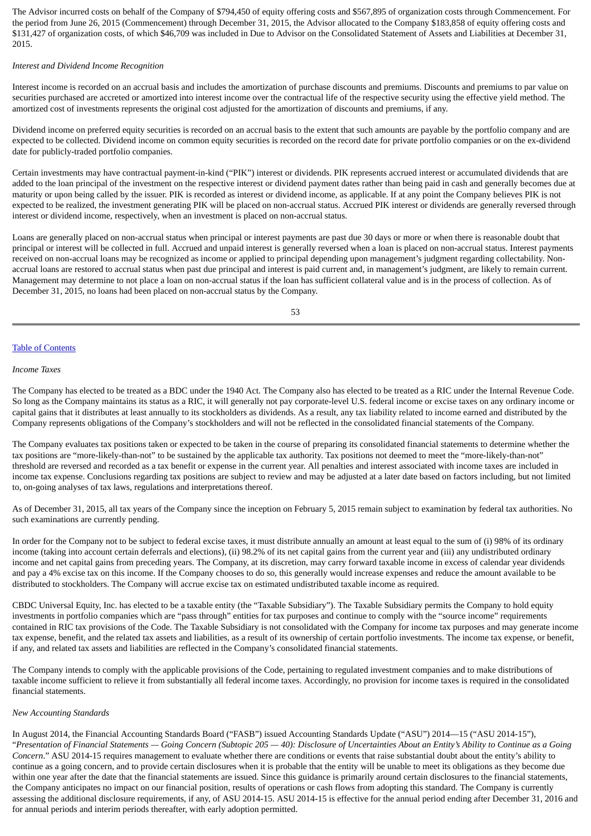The Advisor incurred costs on behalf of the Company of \$794,450 of equity offering costs and \$567,895 of organization costs through Commencement. For the period from June 26, 2015 (Commencement) through December 31, 2015, the Advisor allocated to the Company \$183,858 of equity offering costs and \$131,427 of organization costs, of which \$46,709 was included in Due to Advisor on the Consolidated Statement of Assets and Liabilities at December 31, 2015.

# *Interest and Dividend Income Recognition*

Interest income is recorded on an accrual basis and includes the amortization of purchase discounts and premiums. Discounts and premiums to par value on securities purchased are accreted or amortized into interest income over the contractual life of the respective security using the effective yield method. The amortized cost of investments represents the original cost adjusted for the amortization of discounts and premiums, if any.

Dividend income on preferred equity securities is recorded on an accrual basis to the extent that such amounts are payable by the portfolio company and are expected to be collected. Dividend income on common equity securities is recorded on the record date for private portfolio companies or on the ex-dividend date for publicly-traded portfolio companies.

Certain investments may have contractual payment-in-kind ("PIK") interest or dividends. PIK represents accrued interest or accumulated dividends that are added to the loan principal of the investment on the respective interest or dividend payment dates rather than being paid in cash and generally becomes due at maturity or upon being called by the issuer. PIK is recorded as interest or dividend income, as applicable. If at any point the Company believes PIK is not expected to be realized, the investment generating PIK will be placed on non-accrual status. Accrued PIK interest or dividends are generally reversed through interest or dividend income, respectively, when an investment is placed on non-accrual status.

Loans are generally placed on non-accrual status when principal or interest payments are past due 30 days or more or when there is reasonable doubt that principal or interest will be collected in full. Accrued and unpaid interest is generally reversed when a loan is placed on non-accrual status. Interest payments received on non-accrual loans may be recognized as income or applied to principal depending upon management's judgment regarding collectability. Nonaccrual loans are restored to accrual status when past due principal and interest is paid current and, in management's judgment, are likely to remain current. Management may determine to not place a loan on non-accrual status if the loan has sufficient collateral value and is in the process of collection. As of December 31, 2015, no loans had been placed on non-accrual status by the Company.

53

#### Table of [Contents](#page-0-0)

#### *Income Taxes*

The Company has elected to be treated as a BDC under the 1940 Act. The Company also has elected to be treated as a RIC under the Internal Revenue Code. So long as the Company maintains its status as a RIC, it will generally not pay corporate-level U.S. federal income or excise taxes on any ordinary income or capital gains that it distributes at least annually to its stockholders as dividends. As a result, any tax liability related to income earned and distributed by the Company represents obligations of the Company's stockholders and will not be reflected in the consolidated financial statements of the Company.

The Company evaluates tax positions taken or expected to be taken in the course of preparing its consolidated financial statements to determine whether the tax positions are "more-likely-than-not" to be sustained by the applicable tax authority. Tax positions not deemed to meet the "more-likely-than-not" threshold are reversed and recorded as a tax benefit or expense in the current year. All penalties and interest associated with income taxes are included in income tax expense. Conclusions regarding tax positions are subject to review and may be adjusted at a later date based on factors including, but not limited to, on-going analyses of tax laws, regulations and interpretations thereof.

As of December 31, 2015, all tax years of the Company since the inception on February 5, 2015 remain subject to examination by federal tax authorities. No such examinations are currently pending.

In order for the Company not to be subject to federal excise taxes, it must distribute annually an amount at least equal to the sum of (i) 98% of its ordinary income (taking into account certain deferrals and elections), (ii) 98.2% of its net capital gains from the current year and (iii) any undistributed ordinary income and net capital gains from preceding years. The Company, at its discretion, may carry forward taxable income in excess of calendar year dividends and pay a 4% excise tax on this income. If the Company chooses to do so, this generally would increase expenses and reduce the amount available to be distributed to stockholders. The Company will accrue excise tax on estimated undistributed taxable income as required.

CBDC Universal Equity, Inc. has elected to be a taxable entity (the "Taxable Subsidiary"). The Taxable Subsidiary permits the Company to hold equity investments in portfolio companies which are "pass through" entities for tax purposes and continue to comply with the "source income" requirements contained in RIC tax provisions of the Code. The Taxable Subsidiary is not consolidated with the Company for income tax purposes and may generate income tax expense, benefit, and the related tax assets and liabilities, as a result of its ownership of certain portfolio investments. The income tax expense, or benefit, if any, and related tax assets and liabilities are reflected in the Company's consolidated financial statements.

The Company intends to comply with the applicable provisions of the Code, pertaining to regulated investment companies and to make distributions of taxable income sufficient to relieve it from substantially all federal income taxes. Accordingly, no provision for income taxes is required in the consolidated financial statements.

#### *New Accounting Standards*

In August 2014, the Financial Accounting Standards Board ("FASB") issued Accounting Standards Update ("ASU") 2014—15 ("ASU 2014-15"), "Presentation of Financial Statements — Going Concern (Subtopic 205 — 40): Disclosure of Uncertainties About an Entity's Ability to Continue as a Going *Concern*." ASU 2014-15 requires management to evaluate whether there are conditions or events that raise substantial doubt about the entity's ability to continue as a going concern, and to provide certain disclosures when it is probable that the entity will be unable to meet its obligations as they become due within one year after the date that the financial statements are issued. Since this guidance is primarily around certain disclosures to the financial statements, the Company anticipates no impact on our financial position, results of operations or cash flows from adopting this standard. The Company is currently assessing the additional disclosure requirements, if any, of ASU 2014-15. ASU 2014-15 is effective for the annual period ending after December 31, 2016 and for annual periods and interim periods thereafter, with early adoption permitted.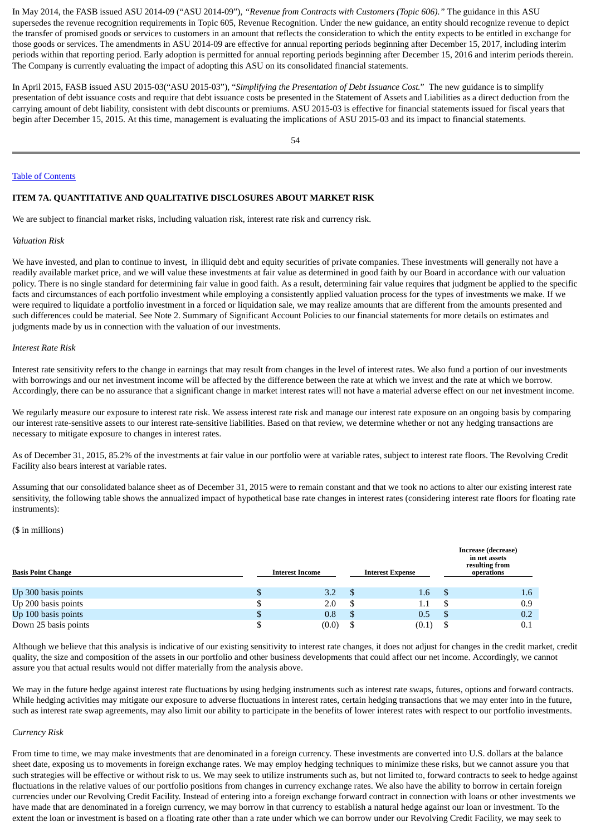In May 2014, the FASB issued ASU 2014-09 ("ASU 2014-09"), *"Revenue from Contracts with Customers (Topic 606)."* The guidance in this ASU supersedes the revenue recognition requirements in Topic 605, Revenue Recognition. Under the new guidance, an entity should recognize revenue to depict the transfer of promised goods or services to customers in an amount that reflects the consideration to which the entity expects to be entitled in exchange for those goods or services. The amendments in ASU 2014-09 are effective for annual reporting periods beginning after December 15, 2017, including interim periods within that reporting period. Early adoption is permitted for annual reporting periods beginning after December 15, 2016 and interim periods therein. The Company is currently evaluating the impact of adopting this ASU on its consolidated financial statements.

In April 2015, FASB issued ASU 2015-03("ASU 2015-03"), "*Simplifying the Presentation of Debt Issuance Cost.*" The new guidance is to simplify presentation of debt issuance costs and require that debt issuance costs be presented in the Statement of Assets and Liabilities as a direct deduction from the carrying amount of debt liability, consistent with debt discounts or premiums. ASU 2015-03 is effective for financial statements issued for fiscal years that begin after December 15, 2015. At this time, management is evaluating the implications of ASU 2015-03 and its impact to financial statements.

<span id="page-38-0"></span>54

#### Table of [Contents](#page-0-0)

### **ITEM 7A. QUANTITATIVE AND QUALITATIVE DISCLOSURES ABOUT MARKET RISK**

We are subject to financial market risks, including valuation risk, interest rate risk and currency risk.

#### *Valuation Risk*

We have invested, and plan to continue to invest, in illiquid debt and equity securities of private companies. These investments will generally not have a readily available market price, and we will value these investments at fair value as determined in good faith by our Board in accordance with our valuation policy. There is no single standard for determining fair value in good faith. As a result, determining fair value requires that judgment be applied to the specific facts and circumstances of each portfolio investment while employing a consistently applied valuation process for the types of investments we make. If we were required to liquidate a portfolio investment in a forced or liquidation sale, we may realize amounts that are different from the amounts presented and such differences could be material. See Note 2. Summary of Significant Account Policies to our financial statements for more details on estimates and judgments made by us in connection with the valuation of our investments.

#### *Interest Rate Risk*

Interest rate sensitivity refers to the change in earnings that may result from changes in the level of interest rates. We also fund a portion of our investments with borrowings and our net investment income will be affected by the difference between the rate at which we invest and the rate at which we borrow. Accordingly, there can be no assurance that a significant change in market interest rates will not have a material adverse effect on our net investment income.

We regularly measure our exposure to interest rate risk. We assess interest rate risk and manage our interest rate exposure on an ongoing basis by comparing our interest rate-sensitive assets to our interest rate-sensitive liabilities. Based on that review, we determine whether or not any hedging transactions are necessary to mitigate exposure to changes in interest rates.

As of December 31, 2015, 85.2% of the investments at fair value in our portfolio were at variable rates, subject to interest rate floors. The Revolving Credit Facility also bears interest at variable rates.

Assuming that our consolidated balance sheet as of December 31, 2015 were to remain constant and that we took no actions to alter our existing interest rate sensitivity, the following table shows the annualized impact of hypothetical base rate changes in interest rates (considering interest rate floors for floating rate instruments):

#### (\$ in millions)

| <b>Basis Point Change</b> | <b>Interest Income</b><br><b>Interest Expense</b> |  | Increase (decrease)<br>in net assets<br>resulting from<br>operations |     |
|---------------------------|---------------------------------------------------|--|----------------------------------------------------------------------|-----|
| Up 300 basis points       | 3.2                                               |  | 1.6                                                                  | 1.6 |
| Up 200 basis points       | 2.0                                               |  | 1.I                                                                  | 0.9 |
| Up 100 basis points       | 0.8                                               |  | 0.5                                                                  | 0.2 |
| Down 25 basis points      | (0.0)                                             |  | (0.1)                                                                | 0.1 |

Although we believe that this analysis is indicative of our existing sensitivity to interest rate changes, it does not adjust for changes in the credit market, credit quality, the size and composition of the assets in our portfolio and other business developments that could affect our net income. Accordingly, we cannot assure you that actual results would not differ materially from the analysis above.

We may in the future hedge against interest rate fluctuations by using hedging instruments such as interest rate swaps, futures, options and forward contracts. While hedging activities may mitigate our exposure to adverse fluctuations in interest rates, certain hedging transactions that we may enter into in the future, such as interest rate swap agreements, may also limit our ability to participate in the benefits of lower interest rates with respect to our portfolio investments.

#### *Currency Risk*

From time to time, we may make investments that are denominated in a foreign currency. These investments are converted into U.S. dollars at the balance sheet date, exposing us to movements in foreign exchange rates. We may employ hedging techniques to minimize these risks, but we cannot assure you that such strategies will be effective or without risk to us. We may seek to utilize instruments such as, but not limited to, forward contracts to seek to hedge against fluctuations in the relative values of our portfolio positions from changes in currency exchange rates. We also have the ability to borrow in certain foreign currencies under our Revolving Credit Facility. Instead of entering into a foreign exchange forward contract in connection with loans or other investments we have made that are denominated in a foreign currency, we may borrow in that currency to establish a natural hedge against our loan or investment. To the extent the loan or investment is based on a floating rate other than a rate under which we can borrow under our Revolving Credit Facility, we may seek to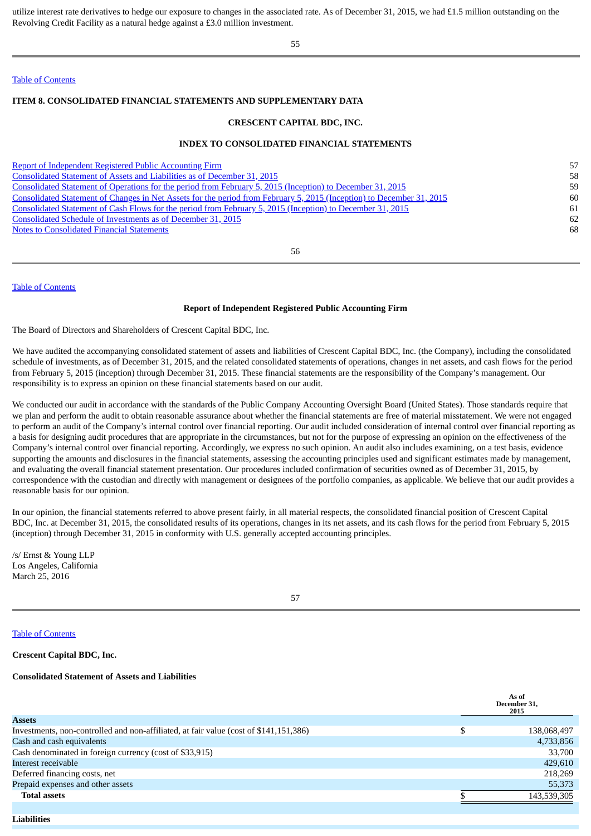utilize interest rate derivatives to hedge our exposure to changes in the associated rate. As of December 31, 2015, we had £1.5 million outstanding on the Revolving Credit Facility as a natural hedge against a £3.0 million investment.

<span id="page-39-0"></span>55

#### Table of [Contents](#page-0-0)

#### **ITEM 8. CONSOLIDATED FINANCIAL STATEMENTS AND SUPPLEMENTARY DATA**

#### **CRESCENT CAPITAL BDC, INC.**

#### **INDEX TO CONSOLIDATED FINANCIAL STATEMENTS**

| <b>Report of Independent Registered Public Accounting Firm</b>                                                        | 57 |
|-----------------------------------------------------------------------------------------------------------------------|----|
| <b>Consolidated Statement of Assets and Liabilities as of December 31, 2015</b>                                       | 58 |
| Consolidated Statement of Operations for the period from February 5, 2015 (Inception) to December 31, 2015            | 59 |
| Consolidated Statement of Changes in Net Assets for the period from February 5, 2015 (Inception) to December 31, 2015 | 60 |
| Consolidated Statement of Cash Flows for the period from February 5, 2015 (Inception) to December 31, 2015            | 61 |
| Consolidated Schedule of Investments as of December 31, 2015                                                          | 62 |
| <b>Notes to Consolidated Financial Statements</b>                                                                     | 68 |
|                                                                                                                       |    |

<span id="page-39-1"></span>56

Table of [Contents](#page-0-0)

# **Report of Independent Registered Public Accounting Firm**

The Board of Directors and Shareholders of Crescent Capital BDC, Inc.

We have audited the accompanying consolidated statement of assets and liabilities of Crescent Capital BDC, Inc. (the Company), including the consolidated schedule of investments, as of December 31, 2015, and the related consolidated statements of operations, changes in net assets, and cash flows for the period from February 5, 2015 (inception) through December 31, 2015. These financial statements are the responsibility of the Company's management. Our responsibility is to express an opinion on these financial statements based on our audit.

We conducted our audit in accordance with the standards of the Public Company Accounting Oversight Board (United States). Those standards require that we plan and perform the audit to obtain reasonable assurance about whether the financial statements are free of material misstatement. We were not engaged to perform an audit of the Company's internal control over financial reporting. Our audit included consideration of internal control over financial reporting as a basis for designing audit procedures that are appropriate in the circumstances, but not for the purpose of expressing an opinion on the effectiveness of the Company's internal control over financial reporting. Accordingly, we express no such opinion. An audit also includes examining, on a test basis, evidence supporting the amounts and disclosures in the financial statements, assessing the accounting principles used and significant estimates made by management, and evaluating the overall financial statement presentation. Our procedures included confirmation of securities owned as of December 31, 2015, by correspondence with the custodian and directly with management or designees of the portfolio companies, as applicable. We believe that our audit provides a reasonable basis for our opinion.

In our opinion, the financial statements referred to above present fairly, in all material respects, the consolidated financial position of Crescent Capital BDC, Inc. at December 31, 2015, the consolidated results of its operations, changes in its net assets, and its cash flows for the period from February 5, 2015 (inception) through December 31, 2015 in conformity with U.S. generally accepted accounting principles.

/s/ Ernst & Young LLP Los Angeles, California March 25, 2016

<span id="page-39-2"></span>57

# Table of [Contents](#page-0-0)

**Liabilities**

#### **Crescent Capital BDC, Inc.**

#### **Consolidated Statement of Assets and Liabilities**

|                                                                                       |   | As of<br>December 31,<br>2015 |
|---------------------------------------------------------------------------------------|---|-------------------------------|
| <b>Assets</b>                                                                         |   |                               |
| Investments, non-controlled and non-affiliated, at fair value (cost of \$141,151,386) | S | 138,068,497                   |
| Cash and cash equivalents                                                             |   | 4,733,856                     |
| Cash denominated in foreign currency (cost of \$33,915)                               |   | 33,700                        |
| Interest receivable                                                                   |   | 429,610                       |
| Deferred financing costs, net                                                         |   | 218,269                       |
| Prepaid expenses and other assets                                                     |   | 55,373                        |
| <b>Total assets</b>                                                                   |   | 143,539,305                   |
|                                                                                       |   |                               |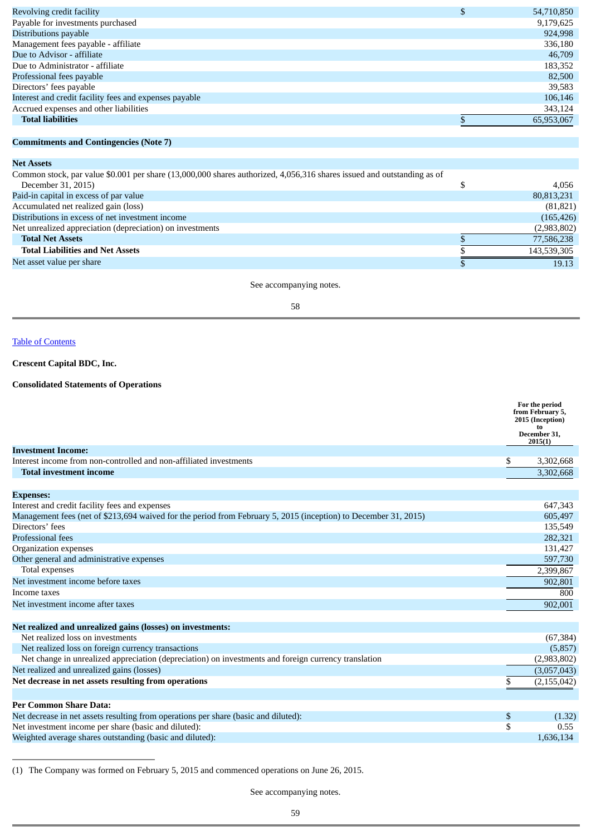| Revolving credit facility                              | 54,710,850 |
|--------------------------------------------------------|------------|
| Payable for investments purchased                      | 9,179,625  |
| Distributions payable                                  | 924,998    |
| Management fees payable - affiliate                    | 336,180    |
| Due to Advisor - affiliate                             | 46,709     |
| Due to Administrator - affiliate                       | 183,352    |
| Professional fees payable                              | 82,500     |
| Directors' fees payable                                | 39,583     |
| Interest and credit facility fees and expenses payable | 106,146    |
| Accrued expenses and other liabilities                 | 343,124    |
| <b>Total liabilities</b>                               | 65,953,067 |
|                                                        |            |

# **Commitments and Contingencies (Note 7)**

# **Net Assets**

| Common stock, par value \$0.001 per share (13,000,000 shares authorized, 4,056,316 shares issued and outstanding as of |             |
|------------------------------------------------------------------------------------------------------------------------|-------------|
| December 31, 2015)                                                                                                     | 4.056       |
| Paid-in capital in excess of par value                                                                                 | 80,813,231  |
| Accumulated net realized gain (loss)                                                                                   | (81, 821)   |
| Distributions in excess of net investment income                                                                       | (165, 426)  |
| Net unrealized appreciation (depreciation) on investments                                                              | (2,983,802) |
| <b>Total Net Assets</b>                                                                                                | 77,586,238  |
| <b>Total Liabilities and Net Assets</b>                                                                                | 143,539,305 |
| Net asset value per share                                                                                              | 19.13       |

<span id="page-40-0"></span>See accompanying notes.

58

# Table of [Contents](#page-0-0)

# **Crescent Capital BDC, Inc.**

# **Consolidated Statements of Operations**

|                                                                                                                 | For the period<br>from February 5,<br>2015 (Inception)<br>to |
|-----------------------------------------------------------------------------------------------------------------|--------------------------------------------------------------|
|                                                                                                                 | December 31,<br>2015(1)                                      |
| <b>Investment Income:</b>                                                                                       |                                                              |
| Interest income from non-controlled and non-affiliated investments                                              | \$<br>3,302,668                                              |
| <b>Total investment income</b>                                                                                  | 3,302,668                                                    |
|                                                                                                                 |                                                              |
| <b>Expenses:</b>                                                                                                |                                                              |
| Interest and credit facility fees and expenses                                                                  | 647,343                                                      |
| Management fees (net of \$213,694 waived for the period from February 5, 2015 (inception) to December 31, 2015) | 605,497                                                      |
| Directors' fees                                                                                                 | 135,549                                                      |
| <b>Professional fees</b>                                                                                        | 282,321                                                      |
| Organization expenses                                                                                           | 131,427                                                      |
| Other general and administrative expenses                                                                       | 597,730                                                      |
| Total expenses                                                                                                  | 2,399,867                                                    |
| Net investment income before taxes                                                                              | 902.801                                                      |
| Income taxes                                                                                                    | 800                                                          |
| Net investment income after taxes                                                                               | 902,001                                                      |
|                                                                                                                 |                                                              |
| Net realized and unrealized gains (losses) on investments:                                                      |                                                              |
| Net realized loss on investments                                                                                | (67, 384)                                                    |
| Net realized loss on foreign currency transactions                                                              | (5,857)                                                      |
| Net change in unrealized appreciation (depreciation) on investments and foreign currency translation            | (2,983,802)                                                  |
| Net realized and unrealized gains (losses)                                                                      | (3,057,043)                                                  |
| Net decrease in net assets resulting from operations                                                            | \$<br>(2, 155, 042)                                          |
|                                                                                                                 |                                                              |
| <b>Per Common Share Data:</b>                                                                                   |                                                              |
| Net decrease in net assets resulting from operations per share (basic and diluted):                             | \$<br>(1.32)                                                 |
| Net investment income per share (basic and diluted):                                                            | \$<br>0.55                                                   |
| Weighted average shares outstanding (basic and diluted):                                                        | 1,636,134                                                    |
|                                                                                                                 |                                                              |

(1) The Company was formed on February 5, 2015 and commenced operations on June 26, 2015.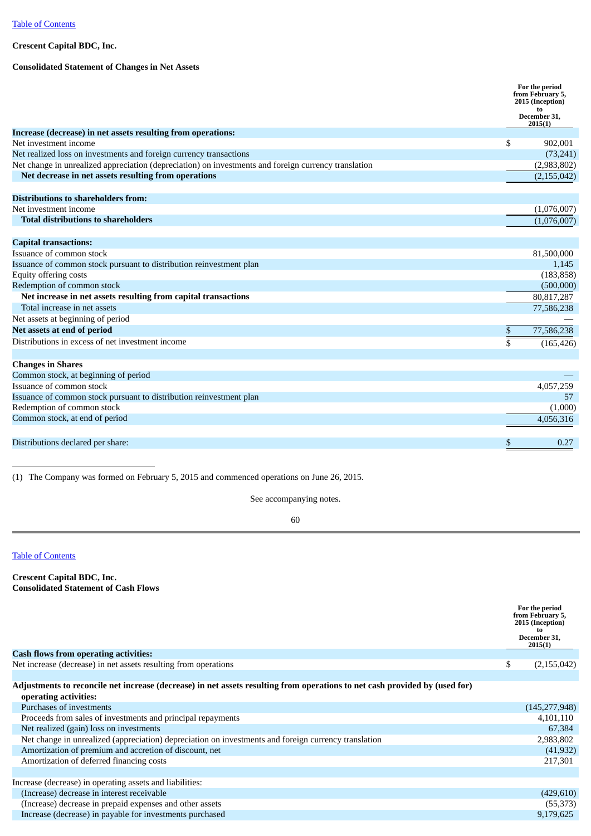# **Crescent Capital BDC, Inc.**

**Consolidated Statement of Changes in Net Assets**

<span id="page-41-0"></span>

|                                                                                                      | For the period<br>from February 5,<br>2015 (Inception) |
|------------------------------------------------------------------------------------------------------|--------------------------------------------------------|
|                                                                                                      | to<br>December 31,<br>2015(1)                          |
| Increase (decrease) in net assets resulting from operations:                                         |                                                        |
| Net investment income                                                                                | \$<br>902,001                                          |
| Net realized loss on investments and foreign currency transactions                                   | (73, 241)                                              |
| Net change in unrealized appreciation (depreciation) on investments and foreign currency translation | (2,983,802)                                            |
| Net decrease in net assets resulting from operations                                                 | (2, 155, 042)                                          |
|                                                                                                      |                                                        |
| <b>Distributions to shareholders from:</b>                                                           |                                                        |
| Net investment income                                                                                | (1,076,007)                                            |
| <b>Total distributions to shareholders</b>                                                           | (1,076,007)                                            |
|                                                                                                      |                                                        |
| <b>Capital transactions:</b>                                                                         |                                                        |
| Issuance of common stock                                                                             | 81,500,000                                             |
| Issuance of common stock pursuant to distribution reinvestment plan                                  | 1,145                                                  |
| Equity offering costs                                                                                | (183, 858)                                             |
| Redemption of common stock                                                                           | (500,000)                                              |
| Net increase in net assets resulting from capital transactions                                       | 80,817,287                                             |
| Total increase in net assets                                                                         | 77,586,238                                             |
| Net assets at beginning of period                                                                    |                                                        |
| Net assets at end of period                                                                          | \$<br>77,586,238                                       |
| Distributions in excess of net investment income                                                     | \$<br>(165, 426)                                       |
|                                                                                                      |                                                        |
| <b>Changes in Shares</b>                                                                             |                                                        |
| Common stock, at beginning of period                                                                 |                                                        |
| Issuance of common stock                                                                             | 4,057,259                                              |
| Issuance of common stock pursuant to distribution reinvestment plan                                  | 57                                                     |
| Redemption of common stock                                                                           | (1,000)                                                |
| Common stock, at end of period                                                                       | 4,056,316                                              |
|                                                                                                      |                                                        |
| Distributions declared per share:                                                                    | \$<br>0.27                                             |

(1) The Company was formed on February 5, 2015 and commenced operations on June 26, 2015.

<span id="page-41-1"></span>See accompanying notes.

60

Table of [Contents](#page-0-0)

# **Crescent Capital BDC, Inc. Consolidated Statement of Cash Flows**

|                                                                                                                | For the period<br>from February 5,<br>2015 (Inception)<br>December 31,<br>2015(1) |
|----------------------------------------------------------------------------------------------------------------|-----------------------------------------------------------------------------------|
| <b>Cash flows from operating activities:</b>                                                                   |                                                                                   |
| Net increase (decrease) in net assets resulting from operations                                                | (2, 155, 042)                                                                     |
|                                                                                                                |                                                                                   |
| A distance to a concelle and increase (decrease) in and contemplated from concellent to and cooled all all for |                                                                                   |

# Adjustments to reconcile net increase (decrease) in net assets resulting from operations to net cash provided by (used for)

| operating activities:                                                                                |                 |
|------------------------------------------------------------------------------------------------------|-----------------|
| Purchases of investments                                                                             | (145, 277, 948) |
| Proceeds from sales of investments and principal repayments                                          | 4,101,110       |
| Net realized (gain) loss on investments                                                              | 67,384          |
| Net change in unrealized (appreciation) depreciation on investments and foreign currency translation | 2,983,802       |
| Amortization of premium and accretion of discount, net                                               | (41, 932)       |
| Amortization of deferred financing costs                                                             | 217,301         |
|                                                                                                      |                 |
| Increase (decrease) in operating assets and liabilities:                                             |                 |
| (Increase) decrease in interest receivable                                                           | (429,610)       |
| (Increase) decrease in prepaid expenses and other assets                                             | (55, 373)       |
| Increase (decrease) in payable for investments purchased                                             | 9,179,625       |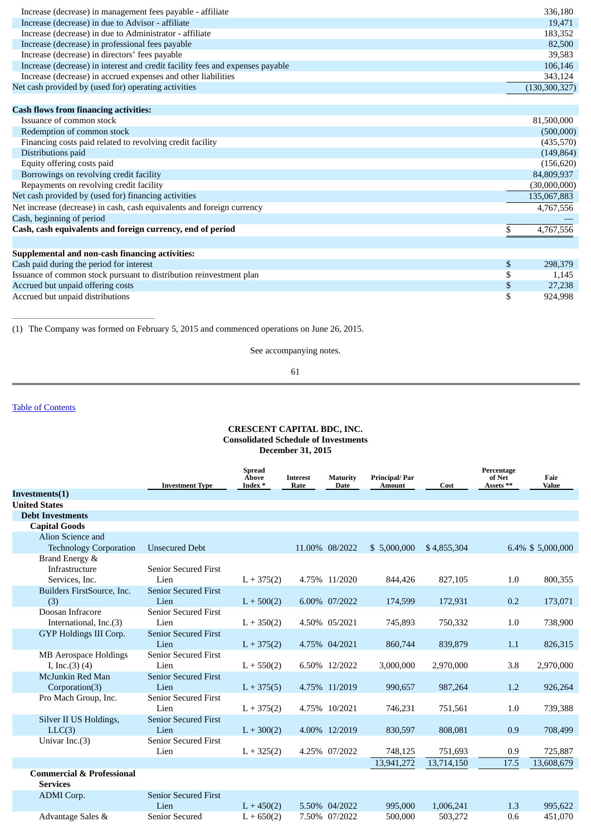| Increase (decrease) in management fees payable - affiliate                    | 336,180         |
|-------------------------------------------------------------------------------|-----------------|
| Increase (decrease) in due to Advisor - affiliate                             | 19,471          |
| Increase (decrease) in due to Administrator - affiliate                       | 183,352         |
| Increase (decrease) in professional fees payable                              | 82,500          |
| Increase (decrease) in directors' fees payable                                | 39,583          |
| Increase (decrease) in interest and credit facility fees and expenses payable | 106,146         |
| Increase (decrease) in accrued expenses and other liabilities                 | 343,124         |
| Net cash provided by (used for) operating activities                          | (130, 300, 327) |
|                                                                               |                 |
| <b>Cash flows from financing activities:</b>                                  |                 |
| Issuance of common stock                                                      | 81,500,000      |
| Redemption of common stock                                                    | (500,000)       |
| Financing costs paid related to revolving credit facility                     | (435, 570)      |
| Distributions paid                                                            | (149, 864)      |
| Equity offering costs paid                                                    | (156, 620)      |
| Borrowings on revolving credit facility                                       | 84,809,937      |
| Repayments on revolving credit facility                                       | (30,000,000)    |
| Net cash provided by (used for) financing activities                          | 135,067,883     |
| Net increase (decrease) in cash, cash equivalents and foreign currency        | 4,767,556       |
| Cash, beginning of period                                                     |                 |
| Cash, cash equivalents and foreign currency, end of period                    | \$<br>4,767,556 |
|                                                                               |                 |
| Supplemental and non-cash financing activities:                               |                 |
| Cash paid during the period for interest                                      | \$<br>298,379   |
| Issuance of common stock pursuant to distribution reinvestment plan           | \$<br>1,145     |
| Accrued but unpaid offering costs                                             | \$<br>27,238    |
| Accrued but unpaid distributions                                              | \$<br>924,998   |
|                                                                               |                 |

(1) The Company was formed on February 5, 2015 and commenced operations on June 26, 2015.

See accompanying notes.

<span id="page-42-0"></span>61

Table of [Contents](#page-0-0)

|                                                         | <b>Investment Type</b>              | <b>Spread</b><br>Above<br>Index * | Interest<br>Rate | <b>Maturity</b><br><b>Date</b> | Principal/Par<br><b>Amount</b> | Cost        | Percentage<br>of Net<br>Assets ** | Fair<br><b>Value</b> |
|---------------------------------------------------------|-------------------------------------|-----------------------------------|------------------|--------------------------------|--------------------------------|-------------|-----------------------------------|----------------------|
| Investments(1)                                          |                                     |                                   |                  |                                |                                |             |                                   |                      |
| <b>United States</b>                                    |                                     |                                   |                  |                                |                                |             |                                   |                      |
| <b>Debt Investments</b>                                 |                                     |                                   |                  |                                |                                |             |                                   |                      |
| <b>Capital Goods</b>                                    |                                     |                                   |                  |                                |                                |             |                                   |                      |
| Alion Science and                                       |                                     |                                   |                  |                                |                                |             |                                   |                      |
| <b>Technology Corporation</b>                           | <b>Unsecured Debt</b>               |                                   |                  | 11.00% 08/2022                 | \$5,000,000                    | \$4,855,304 |                                   | 6.4% \$5,000,000     |
| Brand Energy &                                          |                                     |                                   |                  |                                |                                |             |                                   |                      |
| Infrastructure                                          | <b>Senior Secured First</b>         |                                   |                  |                                |                                |             |                                   |                      |
| Services, Inc.                                          | Lien                                | $L + 375(2)$                      |                  | 4.75% 11/2020                  | 844,426                        | 827,105     | 1.0                               | 800,355              |
| Builders FirstSource, Inc.                              | <b>Senior Secured First</b>         |                                   |                  |                                |                                |             |                                   |                      |
| (3)<br>Doosan Infracore                                 | Lien                                | $L + 500(2)$                      |                  | 6.00% 07/2022                  | 174,599                        | 172,931     | 0.2                               | 173,071              |
|                                                         | <b>Senior Secured First</b><br>Lien |                                   |                  | 4.50% 05/2021                  | 745,893                        | 750,332     | 1.0                               |                      |
| International, Inc.(3)<br>GYP Holdings III Corp.        | <b>Senior Secured First</b>         | $L + 350(2)$                      |                  |                                |                                |             |                                   | 738,900              |
|                                                         | Lien                                | $L + 375(2)$                      |                  | 4.75% 04/2021                  | 860,744                        | 839,879     | 1.1                               | 826,315              |
| <b>MB Aerospace Holdings</b>                            | <b>Senior Secured First</b>         |                                   |                  |                                |                                |             |                                   |                      |
| I, Inc.(3) $(4)$                                        | Lien                                | $L + 550(2)$                      |                  | 6.50% 12/2022                  | 3,000,000                      | 2,970,000   | 3.8                               | 2,970,000            |
| McJunkin Red Man                                        | <b>Senior Secured First</b>         |                                   |                  |                                |                                |             |                                   |                      |
| Corporation(3)                                          | Lien                                | $L + 375(5)$                      |                  | 4.75% 11/2019                  | 990,657                        | 987,264     | 1.2                               | 926,264              |
| Pro Mach Group, Inc.                                    | <b>Senior Secured First</b>         |                                   |                  |                                |                                |             |                                   |                      |
|                                                         | Lien                                | $L + 375(2)$                      |                  | 4.75% 10/2021                  | 746,231                        | 751,561     | 1.0                               | 739,388              |
| Silver II US Holdings,                                  | <b>Senior Secured First</b>         |                                   |                  |                                |                                |             |                                   |                      |
| LLC(3)                                                  | Lien                                | $L + 300(2)$                      |                  | 4.00% 12/2019                  | 830,597                        | 808.081     | 0.9                               | 708,499              |
| Univar $Inc.(3)$                                        | <b>Senior Secured First</b>         |                                   |                  |                                |                                |             |                                   |                      |
|                                                         | Lien                                | $L + 325(2)$                      |                  | 4.25% 07/2022                  | 748,125                        | 751,693     | 0.9                               | 725,887              |
|                                                         |                                     |                                   |                  |                                | 13,941,272                     | 13,714,150  | 17.5                              | 13,608,679           |
| <b>Commercial &amp; Professional</b><br><b>Services</b> |                                     |                                   |                  |                                |                                |             |                                   |                      |
| ADMI Corp.                                              | <b>Senior Secured First</b>         |                                   |                  |                                |                                |             |                                   |                      |
|                                                         | Lien                                | $L + 450(2)$                      |                  | 5.50% 04/2022                  | 995,000                        | 1,006,241   | 1.3                               | 995,622              |
| Advantage Sales &                                       | <b>Senior Secured</b>               | $L + 650(2)$                      |                  | 7.50% 07/2022                  | 500,000                        | 503,272     | 0.6                               | 451,070              |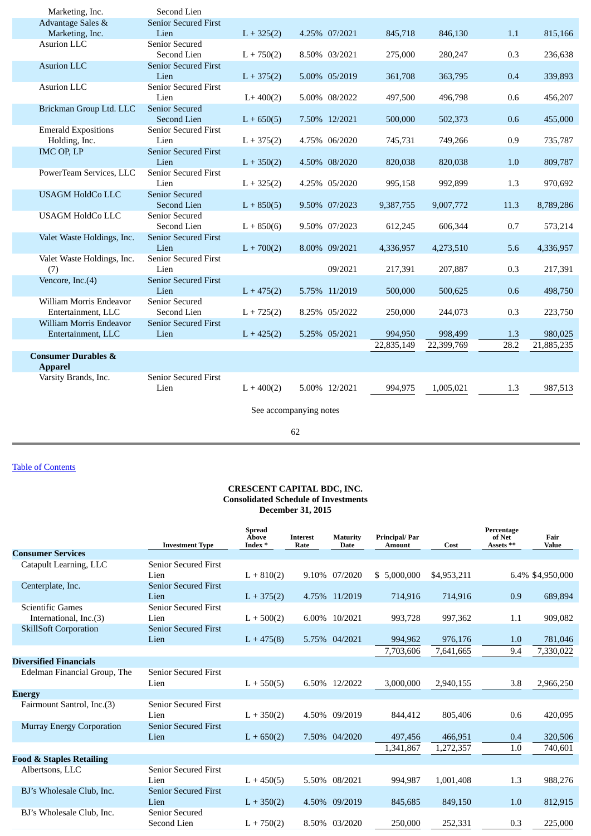| Marketing, Inc.                        | Second Lien                                |              |                        |            |            |      |            |
|----------------------------------------|--------------------------------------------|--------------|------------------------|------------|------------|------|------------|
| Advantage Sales &                      | <b>Senior Secured First</b>                |              |                        |            |            |      |            |
| Marketing, Inc.                        | Lien                                       | $L + 325(2)$ | 4.25% 07/2021          | 845,718    | 846,130    | 1.1  | 815,166    |
| Asurion LLC                            | Senior Secured                             |              |                        |            |            |      |            |
| <b>Asurion LLC</b>                     | Second Lien<br><b>Senior Secured First</b> | $L + 750(2)$ | 8.50% 03/2021          | 275,000    | 280,247    | 0.3  | 236,638    |
|                                        | Lien                                       | $L + 375(2)$ | 5.00% 05/2019          | 361,708    | 363,795    | 0.4  | 339,893    |
| <b>Asurion LLC</b>                     | <b>Senior Secured First</b>                |              |                        |            |            |      |            |
|                                        | Lien                                       | $L+400(2)$   | 5.00% 08/2022          | 497,500    | 496,798    | 0.6  | 456,207    |
| Brickman Group Ltd. LLC                | <b>Senior Secured</b>                      |              |                        |            |            |      |            |
|                                        | <b>Second Lien</b>                         | $L + 650(5)$ | 7.50% 12/2021          | 500,000    | 502,373    | 0.6  | 455,000    |
| <b>Emerald Expositions</b>             | <b>Senior Secured First</b>                |              |                        |            |            |      |            |
| Holding, Inc.                          | Lien                                       | $L + 375(2)$ | 4.75% 06/2020          | 745,731    | 749,266    | 0.9  | 735,787    |
| IMC OP, LP                             | <b>Senior Secured First</b>                |              |                        |            |            |      |            |
| PowerTeam Services, LLC                | Lien<br><b>Senior Secured First</b>        | $L + 350(2)$ | 4.50% 08/2020          | 820,038    | 820,038    | 1.0  | 809,787    |
|                                        | Lien                                       | $L + 325(2)$ | 4.25% 05/2020          | 995,158    | 992,899    | 1.3  | 970,692    |
| <b>USAGM HoldCo LLC</b>                | <b>Senior Secured</b>                      |              |                        |            |            |      |            |
|                                        | <b>Second Lien</b>                         | $L + 850(5)$ | 9.50% 07/2023          | 9,387,755  | 9,007,772  | 11.3 | 8,789,286  |
| <b>USAGM HoldCo LLC</b>                | Senior Secured                             |              |                        |            |            |      |            |
|                                        | Second Lien                                | $L + 850(6)$ | 9.50% 07/2023          | 612,245    | 606,344    | 0.7  | 573,214    |
| Valet Waste Holdings, Inc.             | <b>Senior Secured First</b>                |              |                        |            |            |      |            |
|                                        | Lien                                       | $L + 700(2)$ | 8.00% 09/2021          | 4,336,957  | 4,273,510  | 5.6  | 4,336,957  |
| Valet Waste Holdings, Inc.             | <b>Senior Secured First</b><br>Lien        |              |                        |            |            |      |            |
| (7)<br>Vencore, Inc.(4)                | <b>Senior Secured First</b>                |              | 09/2021                | 217,391    | 207,887    | 0.3  | 217,391    |
|                                        | Lien                                       | $L + 475(2)$ | 5.75% 11/2019          | 500,000    | 500,625    | 0.6  | 498,750    |
| William Morris Endeavor                | Senior Secured                             |              |                        |            |            |      |            |
| Entertainment, LLC                     | Second Lien                                | $L + 725(2)$ | 8.25% 05/2022          | 250,000    | 244,073    | 0.3  | 223,750    |
| <b>William Morris Endeavor</b>         | <b>Senior Secured First</b>                |              |                        |            |            |      |            |
| Entertainment, LLC                     | Lien                                       | $L + 425(2)$ | 5.25% 05/2021          | 994,950    | 998,499    | 1.3  | 980,025    |
|                                        |                                            |              |                        | 22,835,149 | 22,399,769 | 28.2 | 21,885,235 |
| <b>Consumer Durables &amp;</b>         |                                            |              |                        |            |            |      |            |
| <b>Apparel</b><br>Varsity Brands, Inc. | <b>Senior Secured First</b>                |              |                        |            |            |      |            |
|                                        | Lien                                       | $L + 400(2)$ | 5.00% 12/2021          | 994,975    | 1,005,021  | 1.3  | 987,513    |
|                                        |                                            |              |                        |            |            |      |            |
|                                        |                                            |              | See accompanying notes |            |            |      |            |
|                                        |                                            |              |                        |            |            |      |            |

62

Table of [Contents](#page-0-0)

|                                                   | <b>Investment Type</b>               | <b>Spread</b><br><b>Above</b><br>Index * | <b>Interest</b><br>Rate | <b>Maturity</b><br><b>Date</b> | Principal/Par<br><b>Amount</b> | Cost        | Percentage<br>of Net<br>Assets ** | Fair<br>Value    |
|---------------------------------------------------|--------------------------------------|------------------------------------------|-------------------------|--------------------------------|--------------------------------|-------------|-----------------------------------|------------------|
| <b>Consumer Services</b>                          |                                      |                                          |                         |                                |                                |             |                                   |                  |
| Catapult Learning, LLC                            | <b>Senior Secured First</b><br>Lien  | $L + 810(2)$                             |                         | 9.10% 07/2020                  | \$5,000,000                    | \$4,953,211 |                                   | 6.4% \$4,950,000 |
| Centerplate, Inc.                                 | <b>Senior Secured First</b><br>Lien  | $L + 375(2)$                             |                         | 4.75% 11/2019                  | 714,916                        | 714,916     | 0.9                               | 689,894          |
| <b>Scientific Games</b><br>International, Inc.(3) | <b>Senior Secured First</b><br>Lien  | $L + 500(2)$                             |                         | 6.00% 10/2021                  | 993,728                        | 997,362     | 1.1                               | 909,082          |
| <b>SkillSoft Corporation</b>                      | <b>Senior Secured First</b><br>Lien  | $L + 475(8)$                             |                         | 5.75% 04/2021                  | 994,962                        | 976,176     | 1.0                               | 781,046          |
|                                                   |                                      |                                          |                         |                                | 7,703,606                      | 7,641,665   | 9.4                               | 7,330,022        |
| <b>Diversified Financials</b>                     |                                      |                                          |                         |                                |                                |             |                                   |                  |
| Edelman Financial Group, The                      | <b>Senior Secured First</b><br>Lien  | $L + 550(5)$                             |                         | 6.50% 12/2022                  | 3.000.000                      | 2,940,155   | 3.8                               | 2,966,250        |
| <b>Energy</b>                                     |                                      |                                          |                         |                                |                                |             |                                   |                  |
| Fairmount Santrol, Inc.(3)                        | <b>Senior Secured First</b><br>Lien  | $L + 350(2)$                             |                         | 4.50% 09/2019                  | 844,412                        | 805,406     | 0.6                               | 420,095          |
| <b>Murray Energy Corporation</b>                  | <b>Senior Secured First</b><br>Lien  | $L + 650(2)$                             |                         | 7.50% 04/2020                  | 497,456                        | 466,951     | 0.4                               | 320,506          |
|                                                   |                                      |                                          |                         |                                | 1,341,867                      | 1,272,357   | 1.0                               | 740,601          |
| <b>Food &amp; Staples Retailing</b>               |                                      |                                          |                         |                                |                                |             |                                   |                  |
| Albertsons, LLC                                   | <b>Senior Secured First</b><br>Lien  | $L + 450(5)$                             |                         | 5.50% 08/2021                  | 994,987                        | 1,001,408   | 1.3                               | 988,276          |
| BJ's Wholesale Club, Inc.                         | <b>Senior Secured First</b><br>Lien  | $L + 350(2)$                             |                         | 4.50% 09/2019                  | 845,685                        | 849,150     | 1.0                               | 812,915          |
| BJ's Wholesale Club. Inc.                         | <b>Senior Secured</b><br>Second Lien | $L + 750(2)$                             |                         | 8.50% 03/2020                  | 250,000                        | 252,331     | 0.3                               | 225,000          |
|                                                   |                                      |                                          |                         |                                |                                |             |                                   |                  |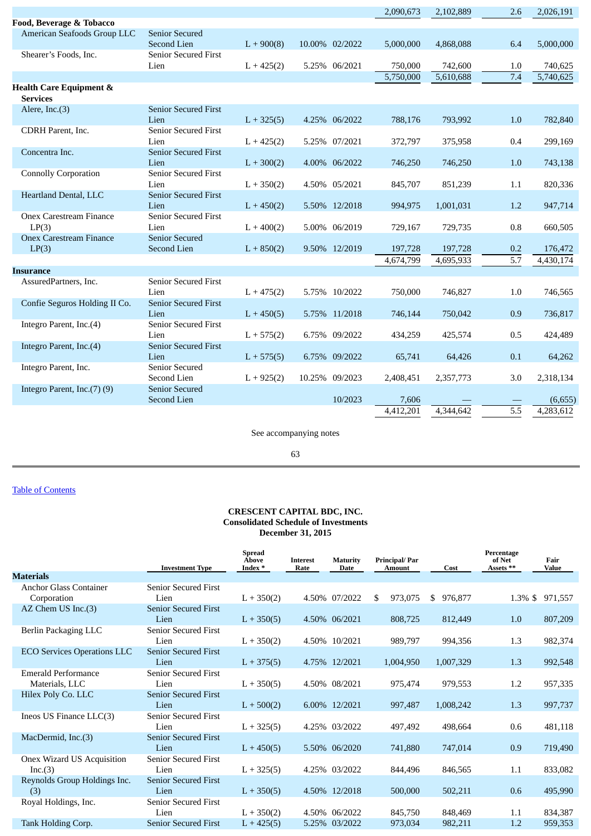|                                                       |                                             |              |                | 2,090,673 | 2,102,889 | 2.6 | 2,026,191 |
|-------------------------------------------------------|---------------------------------------------|--------------|----------------|-----------|-----------|-----|-----------|
| Food, Beverage & Tobacco                              |                                             |              |                |           |           |     |           |
| American Seafoods Group LLC                           | <b>Senior Secured</b>                       |              |                |           |           |     |           |
|                                                       | <b>Second Lien</b>                          | $L + 900(8)$ | 10.00% 02/2022 | 5,000,000 | 4,868,088 | 6.4 | 5,000,000 |
| Shearer's Foods, Inc.                                 | <b>Senior Secured First</b><br>Lien         | $L + 425(2)$ | 5.25% 06/2021  | 750,000   | 742,600   | 1.0 | 740,625   |
|                                                       |                                             |              |                | 5,750,000 | 5,610,688 | 7.4 | 5,740,625 |
| <b>Health Care Equipment &amp;</b><br><b>Services</b> |                                             |              |                |           |           |     |           |
| Alere, Inc.(3)                                        | <b>Senior Secured First</b><br>Lien         | $L + 325(5)$ | 4.25% 06/2022  | 788,176   | 793,992   | 1.0 | 782,840   |
| CDRH Parent, Inc.                                     | <b>Senior Secured First</b><br>Lien         | $L + 425(2)$ | 5.25% 07/2021  | 372,797   | 375,958   | 0.4 | 299,169   |
| Concentra Inc.                                        | <b>Senior Secured First</b><br>Lien         | $L + 300(2)$ | 4.00% 06/2022  | 746,250   | 746,250   | 1.0 | 743,138   |
| <b>Connolly Corporation</b>                           | <b>Senior Secured First</b><br>Lien         | $L + 350(2)$ | 4.50% 05/2021  | 845,707   | 851,239   | 1.1 | 820,336   |
| Heartland Dental, LLC                                 | <b>Senior Secured First</b><br>Lien         | $L + 450(2)$ | 5.50% 12/2018  | 994,975   | 1,001,031 | 1.2 | 947,714   |
| <b>Onex Carestream Finance</b>                        | Senior Secured First<br>Lien                |              | 5.00% 06/2019  |           |           | 0.8 | 660,505   |
| LP(3)<br><b>Onex Carestream Finance</b>               | <b>Senior Secured</b>                       | $L + 400(2)$ |                | 729,167   | 729,735   |     |           |
| LP(3)                                                 | <b>Second Lien</b>                          | $L + 850(2)$ | 9.50% 12/2019  | 197,728   | 197,728   | 0.2 | 176,472   |
|                                                       |                                             |              |                | 4,674,799 | 4,695,933 | 5.7 | 4,430,174 |
| <b>Insurance</b>                                      |                                             |              |                |           |           |     |           |
| AssuredPartners, Inc.                                 | <b>Senior Secured First</b><br>Lien         | $L + 475(2)$ | 5.75% 10/2022  | 750,000   | 746.827   | 1.0 | 746,565   |
| Confie Seguros Holding II Co.                         | <b>Senior Secured First</b><br>Lien         | $L + 450(5)$ | 5.75% 11/2018  | 746,144   | 750,042   | 0.9 | 736,817   |
| Integro Parent, Inc.(4)                               | <b>Senior Secured First</b><br>Lien         | $L + 575(2)$ | 6.75% 09/2022  | 434,259   | 425,574   | 0.5 | 424,489   |
| Integro Parent, Inc.(4)                               | <b>Senior Secured First</b><br>Lien         | $L + 575(5)$ | 6.75% 09/2022  | 65,741    | 64,426    | 0.1 | 64,262    |
| Integro Parent, Inc.                                  | <b>Senior Secured</b>                       |              |                |           |           |     |           |
|                                                       | Second Lien                                 | $L + 925(2)$ | 10.25% 09/2023 | 2,408,451 | 2,357,773 | 3.0 | 2,318,134 |
| Integro Parent, Inc.(7)(9)                            | <b>Senior Secured</b><br><b>Second Lien</b> |              | 10/2023        | 7,606     |           |     | (6,655)   |
|                                                       |                                             |              |                | 4,412,201 | 4,344,642 | 5.5 | 4,283,612 |

See accompanying notes

63

Table of [Contents](#page-0-0)

|                                     | <b>Investment Type</b>              | <b>Spread</b><br><b>Above</b><br>Index * | <b>Interest</b><br>Rate | <b>Maturity</b><br><b>Date</b> |   | Principal/Par<br><b>Amount</b> | Cost          | Percentage<br>of Net<br>Assets ** | Fair<br>Value |
|-------------------------------------|-------------------------------------|------------------------------------------|-------------------------|--------------------------------|---|--------------------------------|---------------|-----------------------------------|---------------|
| <b>Materials</b>                    |                                     |                                          |                         |                                |   |                                |               |                                   |               |
| <b>Anchor Glass Container</b>       | <b>Senior Secured First</b>         |                                          |                         |                                |   |                                |               |                                   |               |
| Corporation                         | Lien                                | $L + 350(2)$                             |                         | 4.50% 07/2022                  | S | 973,075                        | 976,877<br>S. | $1.3\%$ \$                        | 971,557       |
| $AZ$ Chem US Inc. $(3)$             | <b>Senior Secured First</b>         |                                          |                         |                                |   |                                |               |                                   |               |
|                                     | Lien                                | $L + 350(5)$                             |                         | 4.50% 06/2021                  |   | 808,725                        | 812,449       | 1.0                               | 807,209       |
| <b>Berlin Packaging LLC</b>         | <b>Senior Secured First</b>         |                                          |                         |                                |   |                                |               |                                   |               |
|                                     | Lien                                | $L + 350(2)$                             |                         | 4.50% 10/2021                  |   | 989,797                        | 994,356       | 1.3                               | 982,374       |
| <b>ECO Services Operations LLC</b>  | <b>Senior Secured First</b>         |                                          |                         |                                |   |                                |               |                                   |               |
|                                     | Lien                                | $L + 375(5)$                             |                         | 4.75% 12/2021                  |   | 1,004,950                      | 1,007,329     | 1.3                               | 992,548       |
| Emerald Performance                 | <b>Senior Secured First</b>         |                                          |                         |                                |   |                                |               |                                   |               |
| Materials, LLC                      | Lien                                | $L + 350(5)$                             |                         | 4.50% 08/2021                  |   | 975,474                        | 979,553       | 1.2                               | 957,335       |
| Hilex Poly Co. LLC                  | <b>Senior Secured First</b>         |                                          |                         |                                |   |                                |               |                                   |               |
|                                     | Lien                                | $L + 500(2)$                             |                         | 6.00% 12/2021                  |   | 997,487                        | 1,008,242     | 1.3                               | 997,737       |
| Ineos US Finance LLC(3)             | <b>Senior Secured First</b>         |                                          |                         |                                |   |                                |               |                                   |               |
|                                     | Lien                                | $L + 325(5)$                             |                         | 4.25% 03/2022                  |   | 497,492                        | 498,664       | 0.6                               | 481,118       |
| MacDermid, Inc.(3)                  | <b>Senior Secured First</b>         |                                          |                         |                                |   |                                |               |                                   |               |
|                                     | Lien                                | $L + 450(5)$                             |                         | 5.50% 06/2020                  |   | 741,880                        | 747,014       | 0.9                               | 719,490       |
| Onex Wizard US Acquisition          | <b>Senior Secured First</b><br>Lien |                                          |                         |                                |   | 844.496                        |               | 1.1                               |               |
| Inc.(3)                             | <b>Senior Secured First</b>         | $L + 325(5)$                             |                         | 4.25% 03/2022                  |   |                                | 846,565       |                                   | 833,082       |
| Reynolds Group Holdings Inc.<br>(3) | Lien                                | $L + 350(5)$                             |                         | 4.50% 12/2018                  |   | 500,000                        | 502,211       | 0.6                               | 495,990       |
| Royal Holdings, Inc.                | <b>Senior Secured First</b>         |                                          |                         |                                |   |                                |               |                                   |               |
|                                     | Lien                                | $L + 350(2)$                             |                         | 4.50% 06/2022                  |   | 845,750                        | 848,469       | 1.1                               | 834,387       |
| Tank Holding Corp.                  | <b>Senior Secured First</b>         | $L + 425(5)$                             |                         | 5.25% 03/2022                  |   | 973,034                        | 982,211       | 1.2                               | 959,353       |
|                                     |                                     |                                          |                         |                                |   |                                |               |                                   |               |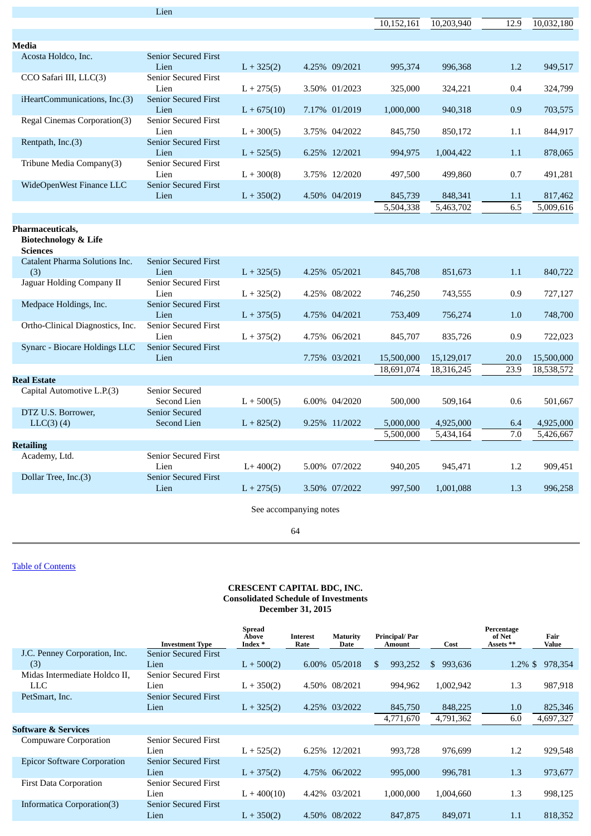|                                                                        | Lien                                        |               |                        |                      |                      |            |                      |
|------------------------------------------------------------------------|---------------------------------------------|---------------|------------------------|----------------------|----------------------|------------|----------------------|
|                                                                        |                                             |               |                        | 10,152,161           | 10,203,940           | 12.9       | 10,032,180           |
|                                                                        |                                             |               |                        |                      |                      |            |                      |
| <b>Media</b>                                                           |                                             |               |                        |                      |                      |            |                      |
| Acosta Holdco, Inc.                                                    | <b>Senior Secured First</b><br>Lien         | $L + 325(2)$  | 4.25% 09/2021          | 995,374              | 996,368              | 1.2        | 949,517              |
| CCO Safari III, LLC(3)                                                 | <b>Senior Secured First</b><br>Lien         | $L + 275(5)$  | 3.50% 01/2023          | 325,000              | 324,221              | 0.4        | 324,799              |
| iHeartCommunications, Inc.(3)                                          | <b>Senior Secured First</b><br>Lien         | $L + 675(10)$ | 7.17% 01/2019          | 1,000,000            | 940,318              | 0.9        | 703,575              |
| Regal Cinemas Corporation(3)                                           | <b>Senior Secured First</b><br>Lien         | $L + 300(5)$  | 3.75% 04/2022          | 845,750              | 850,172              | 1.1        | 844,917              |
| Rentpath, Inc.(3)                                                      | <b>Senior Secured First</b><br>Lien         | $L + 525(5)$  | 6.25% 12/2021          | 994,975              | 1,004,422            | 1.1        | 878,065              |
| Tribune Media Company(3)                                               | <b>Senior Secured First</b><br>Lien         | $L + 300(8)$  | 3.75% 12/2020          | 497,500              | 499,860              | 0.7        | 491,281              |
| WideOpenWest Finance LLC                                               | <b>Senior Secured First</b><br>Lien         | $L + 350(2)$  | 4.50% 04/2019          | 845,739<br>5,504,338 | 848,341<br>5,463,702 | 1.1<br>6.5 | 817,462<br>5,009,616 |
| Pharmaceuticals,<br><b>Biotechnology &amp; Life</b><br><b>Sciences</b> |                                             |               |                        |                      |                      |            |                      |
| Catalent Pharma Solutions Inc.<br>(3)                                  | <b>Senior Secured First</b><br>Lien         | $L + 325(5)$  | 4.25% 05/2021          | 845,708              | 851,673              | 1.1        | 840,722              |
| Jaguar Holding Company II                                              | <b>Senior Secured First</b><br>Lien         | $L + 325(2)$  | 4.25% 08/2022          | 746,250              | 743,555              | 0.9        | 727,127              |
| Medpace Holdings, Inc.                                                 | <b>Senior Secured First</b><br>Lien         | $L + 375(5)$  | 4.75% 04/2021          | 753,409              | 756,274              | 1.0        | 748,700              |
| Ortho-Clinical Diagnostics, Inc.                                       | <b>Senior Secured First</b><br>Lien         | $L + 375(2)$  | 4.75% 06/2021          | 845,707              | 835,726              | 0.9        | 722,023              |
| Synarc - Biocare Holdings LLC                                          | <b>Senior Secured First</b><br>Lien         |               | 7.75% 03/2021          | 15,500,000           | 15,129,017           | 20.0       | 15,500,000           |
|                                                                        |                                             |               |                        | 18,691,074           | 18,316,245           | 23.9       | 18,538,572           |
| <b>Real Estate</b><br>Capital Automotive L.P.(3)                       | Senior Secured<br>Second Lien               | $L + 500(5)$  | 6.00% 04/2020          | 500,000              | 509,164              | 0.6        | 501,667              |
| DTZ U.S. Borrower,<br>LLC(3) (4)                                       | <b>Senior Secured</b><br><b>Second Lien</b> | $L + 825(2)$  | 9.25% 11/2022          | 5,000,000            | 4,925,000            | 6.4        | 4,925,000            |
|                                                                        |                                             |               |                        | 5,500,000            | 5,434,164            | 7.0        | 5,426,667            |
| <b>Retailing</b>                                                       |                                             |               |                        |                      |                      |            |                      |
| Academy, Ltd.                                                          | <b>Senior Secured First</b><br>Lien         | $L+400(2)$    | 5.00% 07/2022          | 940,205              | 945,471              | 1.2        | 909,451              |
| Dollar Tree, Inc.(3)                                                   | <b>Senior Secured First</b><br>Lien         | $L + 275(5)$  | 3.50% 07/2022          | 997,500              | 1,001,088            | 1.3        | 996.258              |
|                                                                        |                                             |               | See accompanying notes |                      |                      |            |                      |

64

Table of [Contents](#page-0-0)

|                                    | <b>Investment Type</b>      | <b>Spread</b><br>Above<br>Index * | Interest<br>Rate | <b>Maturity</b><br>Date | Principal/Par<br>Amount | Cost           | Percentage<br>of Net<br>Assets ** | Fair<br>Value |
|------------------------------------|-----------------------------|-----------------------------------|------------------|-------------------------|-------------------------|----------------|-----------------------------------|---------------|
| J.C. Penney Corporation, Inc.      | <b>Senior Secured First</b> |                                   |                  |                         |                         |                |                                   |               |
| (3)                                | Lien                        | $L + 500(2)$                      | $6.00\%$         | 05/2018                 | \$<br>993,252           | 993,636<br>\$. | $1.2\%$ \$                        | 978,354       |
| Midas Intermediate Holdco II,      | <b>Senior Secured First</b> |                                   |                  |                         |                         |                |                                   |               |
| <b>LLC</b>                         | Lien                        | $L + 350(2)$                      |                  | 4.50% 08/2021           | 994,962                 | 1,002,942      | 1.3                               | 987,918       |
| PetSmart, Inc.                     | <b>Senior Secured First</b> |                                   |                  |                         |                         |                |                                   |               |
|                                    | Lien                        | $L + 325(2)$                      |                  | 4.25% 03/2022           | 845,750                 | 848,225        | 1.0                               | 825,346       |
|                                    |                             |                                   |                  |                         | 4,771,670               | 4,791,362      | 6.0                               | 4,697,327     |
| <b>Software &amp; Services</b>     |                             |                                   |                  |                         |                         |                |                                   |               |
| <b>Compuware Corporation</b>       | <b>Senior Secured First</b> |                                   |                  |                         |                         |                |                                   |               |
|                                    | Lien                        | $L + 525(2)$                      |                  | 6.25% 12/2021           | 993.728                 | 976,699        | 1.2                               | 929,548       |
| <b>Epicor Software Corporation</b> | <b>Senior Secured First</b> |                                   |                  |                         |                         |                |                                   |               |
|                                    | Lien                        | $L + 375(2)$                      |                  | 4.75% 06/2022           | 995,000                 | 996,781        | 1.3                               | 973,677       |
| <b>First Data Corporation</b>      | <b>Senior Secured First</b> |                                   |                  |                         |                         |                |                                   |               |
|                                    | Lien                        | $L + 400(10)$                     |                  | 4.42% 03/2021           | 1,000,000               | 1,004,660      | 1.3                               | 998,125       |
| <b>Informatica Corporation(3)</b>  | <b>Senior Secured First</b> |                                   |                  |                         |                         |                |                                   |               |
|                                    | Lien                        | $L + 350(2)$                      |                  | 4.50% 08/2022           | 847,875                 | 849,071        | 1.1                               | 818,352       |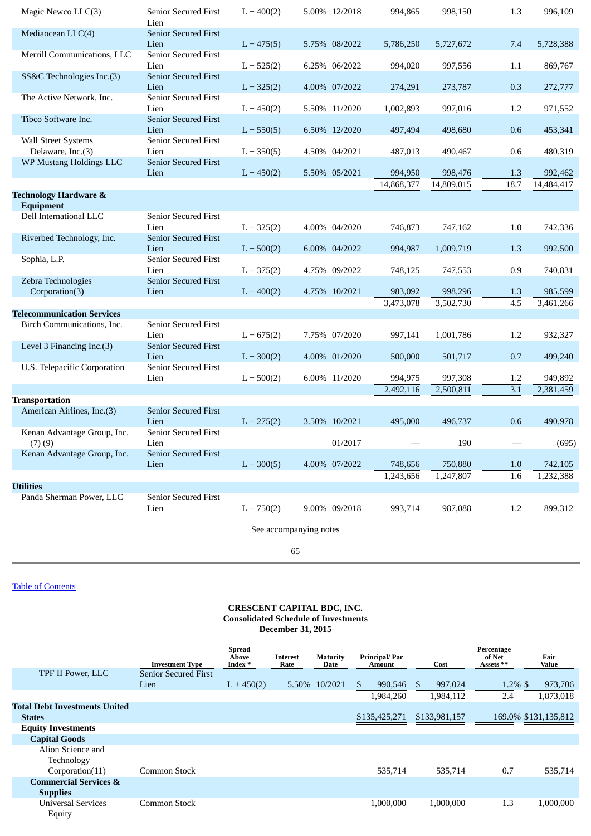| Magic Newco LLC(3)                                                         | Senior Secured First<br>Lien                                | $L + 400(2)$ | 5.00% 12/2018          | 994,865               | 998.150               | 1.3         | 996,109               |
|----------------------------------------------------------------------------|-------------------------------------------------------------|--------------|------------------------|-----------------------|-----------------------|-------------|-----------------------|
| Mediaocean LLC(4)                                                          | <b>Senior Secured First</b><br>Lien                         | $L + 475(5)$ | 5.75% 08/2022          | 5,786,250             | 5,727,672             | 7.4         | 5,728,388             |
| Merrill Communications, LLC                                                | Senior Secured First<br>Lien                                | $L + 525(2)$ | 6.25% 06/2022          | 994,020               | 997,556               | 1.1         | 869,767               |
| SS&C Technologies Inc.(3)                                                  | <b>Senior Secured First</b><br>Lien                         | $L + 325(2)$ | 4.00% 07/2022          | 274,291               | 273,787               | 0.3         | 272,777               |
| The Active Network, Inc.                                                   | Senior Secured First<br>Lien                                | $L + 450(2)$ | 5.50% 11/2020          | 1,002,893             | 997,016               | 1.2         | 971,552               |
| Tibco Software Inc.                                                        | <b>Senior Secured First</b><br>Lien                         | $L + 550(5)$ | 6.50% 12/2020          | 497,494               | 498,680               | 0.6         | 453,341               |
| <b>Wall Street Systems</b><br>Delaware, Inc.(3)<br>WP Mustang Holdings LLC | Senior Secured First<br>Lien<br><b>Senior Secured First</b> | $L + 350(5)$ | 4.50% 04/2021          | 487,013               | 490,467               | 0.6         | 480,319               |
|                                                                            | Lien                                                        | $L + 450(2)$ | 5.50% 05/2021          | 994,950<br>14,868,377 | 998,476<br>14,809,015 | 1.3<br>18.7 | 992,462<br>14,484,417 |
| <b>Technology Hardware &amp;</b>                                           |                                                             |              |                        |                       |                       |             |                       |
| <b>Equipment</b>                                                           |                                                             |              |                        |                       |                       |             |                       |
| Dell International LLC                                                     | <b>Senior Secured First</b><br>Lien                         | $L + 325(2)$ | 4.00% 04/2020          | 746,873               | 747,162               | 1.0         | 742,336               |
| Riverbed Technology, Inc.                                                  | <b>Senior Secured First</b><br>Lien                         | $L + 500(2)$ | 6.00% 04/2022          | 994,987               | 1,009,719             | 1.3         | 992,500               |
| Sophia, L.P.                                                               | Senior Secured First<br>Lien                                | $L + 375(2)$ | 4.75% 09/2022          | 748,125               | 747,553               | 0.9         | 740,831               |
| Zebra Technologies<br>Corporation(3)                                       | <b>Senior Secured First</b><br>Lien                         | $L + 400(2)$ | 4.75% 10/2021          | 983,092               | 998,296               | 1.3         | 985,599               |
|                                                                            |                                                             |              |                        | 3,473,078             | 3,502,730             | 4.5         | 3,461,266             |
| <b>Telecommunication Services</b><br>Birch Communications, Inc.            | Senior Secured First                                        |              |                        |                       |                       |             |                       |
|                                                                            | Lien                                                        | $L + 675(2)$ | 7.75% 07/2020          | 997,141               | 1,001,786             | 1.2         | 932,327               |
| Level 3 Financing Inc.(3)                                                  | <b>Senior Secured First</b><br>Lien                         | $L + 300(2)$ | 4.00% 01/2020          | 500,000               | 501,717               | 0.7         | 499,240               |
| U.S. Telepacific Corporation                                               | Senior Secured First<br>Lien                                | $L + 500(2)$ | 6.00% 11/2020          | 994,975               | 997,308               | 1.2         | 949,892               |
|                                                                            |                                                             |              |                        | 2,492,116             | 2,500,811             | 3.1         | 2,381,459             |
| <b>Transportation</b><br>American Airlines, Inc.(3)                        | <b>Senior Secured First</b>                                 |              |                        |                       |                       |             |                       |
|                                                                            | Lien                                                        | $L + 275(2)$ | 3.50% 10/2021          | 495,000               | 496,737               | 0.6         | 490,978               |
| Kenan Advantage Group, Inc.<br>(7)(9)                                      | Senior Secured First<br>Lien                                |              | 01/2017                |                       | 190                   |             | (695)                 |
| Kenan Advantage Group, Inc.                                                | <b>Senior Secured First</b><br>Lien                         | $L + 300(5)$ | 4.00% 07/2022          | 748,656               | 750,880               | 1.0         | 742,105               |
|                                                                            |                                                             |              |                        | 1,243,656             | 1,247,807             | 1.6         | 1,232,388             |
| <b>Utilities</b>                                                           |                                                             |              |                        |                       |                       |             |                       |
| Panda Sherman Power, LLC                                                   | <b>Senior Secured First</b><br>Lien                         | $L + 750(2)$ | 9.00% 09/2018          | 993,714               | 987,088               | 1.2         | 899,312               |
|                                                                            |                                                             |              | See accompanying notes |                       |                       |             |                       |
|                                                                            |                                                             |              | 65                     |                       |                       |             |                       |

Table of [Contents](#page-0-0)

|                                      | <b>Investment Type</b>      | <b>Spread</b><br>Above<br>Index * | <b>Interest</b><br>Rate | <b>Maturity</b><br>Date |     | Principal/Par<br>Amount |               | Cost          | Percentage<br>of Net<br>Assets ** | Fair<br>Value        |
|--------------------------------------|-----------------------------|-----------------------------------|-------------------------|-------------------------|-----|-------------------------|---------------|---------------|-----------------------------------|----------------------|
| TPF II Power, LLC                    | <b>Senior Secured First</b> |                                   |                         |                         |     |                         |               |               |                                   |                      |
|                                      | Lien                        | $L + 450(2)$                      |                         | 5.50% 10/2021           | \$. | 990,546                 | <sup>\$</sup> | 997,024       | $1.2\%$ \$                        | 973,706              |
|                                      |                             |                                   |                         |                         |     | 1,984,260               |               | 1,984,112     | 2.4                               | 1,873,018            |
| <b>Total Debt Investments United</b> |                             |                                   |                         |                         |     |                         |               |               |                                   |                      |
| <b>States</b>                        |                             |                                   |                         |                         |     | \$135,425,271           |               | \$133,981,157 |                                   | 169.0% \$131,135,812 |
| <b>Equity Investments</b>            |                             |                                   |                         |                         |     |                         |               |               |                                   |                      |
| <b>Capital Goods</b>                 |                             |                                   |                         |                         |     |                         |               |               |                                   |                      |
| Alion Science and                    |                             |                                   |                         |                         |     |                         |               |               |                                   |                      |
| Technology                           |                             |                                   |                         |                         |     |                         |               |               |                                   |                      |
| Corporation(11)                      | Common Stock                |                                   |                         |                         |     | 535,714                 |               | 535,714       | 0.7                               | 535,714              |
| <b>Commercial Services &amp;</b>     |                             |                                   |                         |                         |     |                         |               |               |                                   |                      |
| <b>Supplies</b>                      |                             |                                   |                         |                         |     |                         |               |               |                                   |                      |
| <b>Universal Services</b><br>Equity  | Common Stock                |                                   |                         |                         |     | 1,000,000               |               | 1,000,000     | 1.3                               | 1,000,000            |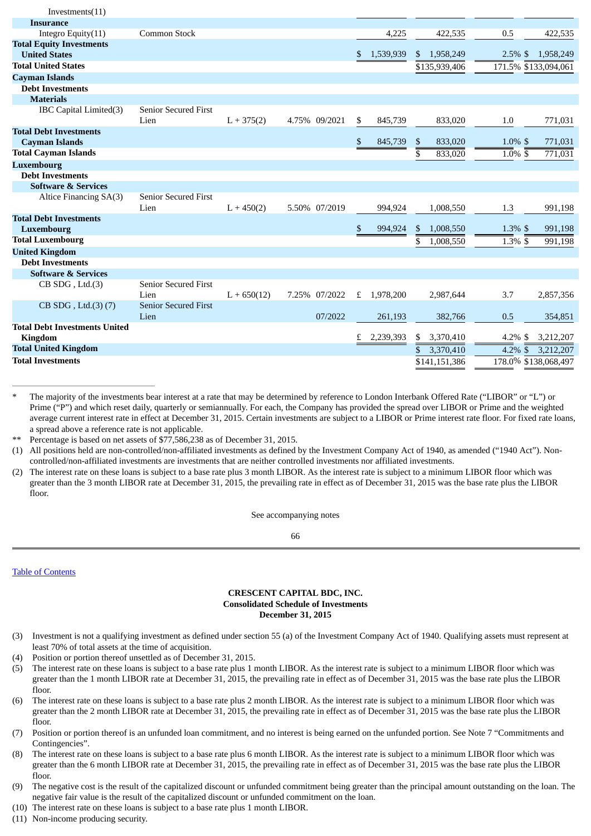| Investments(11)                      |                                     |               |               |     |             |     |               |            |                      |
|--------------------------------------|-------------------------------------|---------------|---------------|-----|-------------|-----|---------------|------------|----------------------|
| <b>Insurance</b>                     |                                     |               |               |     |             |     |               |            |                      |
| Integro Equity(11)                   | <b>Common Stock</b>                 |               |               |     | 4,225       |     | 422,535       | 0.5        | 422,535              |
| <b>Total Equity Investments</b>      |                                     |               |               |     |             |     |               |            |                      |
| <b>United States</b>                 |                                     |               |               | \$. | 1,539,939   |     | \$1,958,249   | $2.5\%$ \$ | 1,958,249            |
| <b>Total United States</b>           |                                     |               |               |     |             |     | \$135,939,406 |            | 171.5% \$133,094,061 |
| <b>Cayman Islands</b>                |                                     |               |               |     |             |     |               |            |                      |
| <b>Debt Investments</b>              |                                     |               |               |     |             |     |               |            |                      |
| <b>Materials</b>                     |                                     |               |               |     |             |     |               |            |                      |
| IBC Capital Limited(3)               | <b>Senior Secured First</b>         |               |               |     |             |     |               |            |                      |
|                                      | Lien                                | $L + 375(2)$  | 4.75% 09/2021 | \$  | 845,739     |     | 833,020       | 1.0        | 771,031              |
| <b>Total Debt Investments</b>        |                                     |               |               |     |             |     |               |            |                      |
| <b>Cayman Islands</b>                |                                     |               |               | \$  | 845,739     | \$. | 833,020       | $1.0\%$ \$ | 771,031              |
| <b>Total Cayman Islands</b>          |                                     |               |               |     |             | \$  | 833,020       | $1.0\%$ \$ | 771,031              |
| Luxembourg                           |                                     |               |               |     |             |     |               |            |                      |
| <b>Debt Investments</b>              |                                     |               |               |     |             |     |               |            |                      |
| <b>Software &amp; Services</b>       |                                     |               |               |     |             |     |               |            |                      |
| Altice Financing SA(3)               | <b>Senior Secured First</b>         |               |               |     |             |     |               |            |                      |
|                                      | Lien                                | $L + 450(2)$  | 5.50% 07/2019 |     | 994,924     |     | 1,008,550     | 1.3        | 991,198              |
| <b>Total Debt Investments</b>        |                                     |               |               |     |             |     |               |            |                      |
| Luxembourg                           |                                     |               |               | \$  | 994,924     | \$  | 1,008,550     | $1.3\%$ \$ | 991,198              |
| <b>Total Luxembourg</b>              |                                     |               |               |     |             |     | 1,008,550     | 1.3% \$    | 991,198              |
| <b>United Kingdom</b>                |                                     |               |               |     |             |     |               |            |                      |
| <b>Debt Investments</b>              |                                     |               |               |     |             |     |               |            |                      |
| <b>Software &amp; Services</b>       |                                     |               |               |     |             |     |               |            |                      |
| $CB$ SDG, $Ltd.(3)$                  | <b>Senior Secured First</b><br>Lien |               |               |     |             |     |               |            |                      |
|                                      | <b>Senior Secured First</b>         | $L + 650(12)$ | 7.25% 07/2022 | £   | 1,978,200   |     | 2,987,644     | 3.7        | 2,857,356            |
| $CB$ SDG, Ltd. $(3)$ $(7)$           | Lien                                |               | 07/2022       |     | 261,193     |     | 382,766       | 0.5        | 354,851              |
| <b>Total Debt Investments United</b> |                                     |               |               |     |             |     |               |            |                      |
| <b>Kingdom</b>                       |                                     |               |               |     | £ 2,239,393 | \$  | 3,370,410     | 4.2% \$    | 3,212,207            |
| <b>Total United Kingdom</b>          |                                     |               |               |     |             | \$  | 3,370,410     | $4.2\%$ \$ | 3,212,207            |
| <b>Total Investments</b>             |                                     |               |               |     |             |     | \$141,151,386 |            | 178.0% \$138,068,497 |
|                                      |                                     |               |               |     |             |     |               |            |                      |

The majority of the investments bear interest at a rate that may be determined by reference to London Interbank Offered Rate ("LIBOR" or "L") or Prime ("P") and which reset daily, quarterly or semiannually. For each, the Company has provided the spread over LIBOR or Prime and the weighted average current interest rate in effect at December 31, 2015. Certain investments are subject to a LIBOR or Prime interest rate floor. For fixed rate loans, a spread above a reference rate is not applicable.

Percentage is based on net assets of \$77,586,238 as of December 31, 2015.

(1) All positions held are non-controlled/non-affiliated investments as defined by the Investment Company Act of 1940, as amended ("1940 Act"). Noncontrolled/non-affiliated investments are investments that are neither controlled investments nor affiliated investments.

(2) The interest rate on these loans is subject to a base rate plus 3 month LIBOR. As the interest rate is subject to a minimum LIBOR floor which was greater than the 3 month LIBOR rate at December 31, 2015, the prevailing rate in effect as of December 31, 2015 was the base rate plus the LIBOR floor.

See accompanying notes

66

Table of [Contents](#page-0-0)

- (3) Investment is not a qualifying investment as defined under section 55 (a) of the Investment Company Act of 1940. Qualifying assets must represent at least 70% of total assets at the time of acquisition.
- (4) Position or portion thereof unsettled as of December 31, 2015.
- (5) The interest rate on these loans is subject to a base rate plus 1 month LIBOR. As the interest rate is subject to a minimum LIBOR floor which was greater than the 1 month LIBOR rate at December 31, 2015, the prevailing rate in effect as of December 31, 2015 was the base rate plus the LIBOR floor.
- (6) The interest rate on these loans is subject to a base rate plus 2 month LIBOR. As the interest rate is subject to a minimum LIBOR floor which was greater than the 2 month LIBOR rate at December 31, 2015, the prevailing rate in effect as of December 31, 2015 was the base rate plus the LIBOR floor.
- (7) Position or portion thereof is an unfunded loan commitment, and no interest is being earned on the unfunded portion. See Note 7 "Commitments and Contingencies".
- (8) The interest rate on these loans is subject to a base rate plus 6 month LIBOR. As the interest rate is subject to a minimum LIBOR floor which was greater than the 6 month LIBOR rate at December 31, 2015, the prevailing rate in effect as of December 31, 2015 was the base rate plus the LIBOR floor.
- (9) The negative cost is the result of the capitalized discount or unfunded commitment being greater than the principal amount outstanding on the loan. The negative fair value is the result of the capitalized discount or unfunded commitment on the loan.
- (10) The interest rate on these loans is subject to a base rate plus 1 month LIBOR.
- (11) Non-income producing security.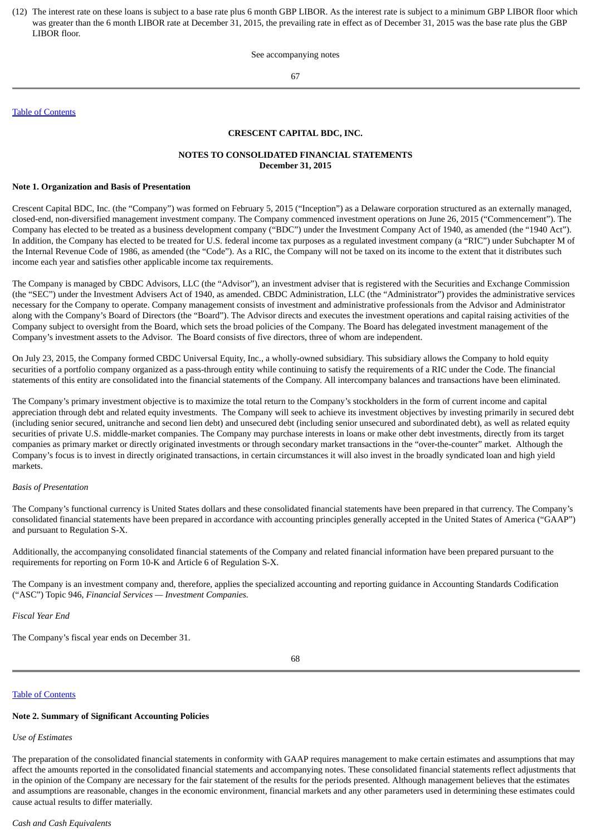(12) The interest rate on these loans is subject to a base rate plus 6 month GBP LIBOR. As the interest rate is subject to a minimum GBP LIBOR floor which was greater than the 6 month LIBOR rate at December 31, 2015, the prevailing rate in effect as of December 31, 2015 was the base rate plus the GBP LIBOR floor.

See accompanying notes

<span id="page-48-0"></span>67

Table of [Contents](#page-0-0)

#### **CRESCENT CAPITAL BDC, INC.**

#### **NOTES TO CONSOLIDATED FINANCIAL STATEMENTS December 31, 2015**

#### **Note 1. Organization and Basis of Presentation**

Crescent Capital BDC, Inc. (the "Company") was formed on February 5, 2015 ("Inception") as a Delaware corporation structured as an externally managed, closed-end, non-diversified management investment company. The Company commenced investment operations on June 26, 2015 ("Commencement"). The Company has elected to be treated as a business development company ("BDC") under the Investment Company Act of 1940, as amended (the "1940 Act"). In addition, the Company has elected to be treated for U.S. federal income tax purposes as a regulated investment company (a "RIC") under Subchapter M of the Internal Revenue Code of 1986, as amended (the "Code"). As a RIC, the Company will not be taxed on its income to the extent that it distributes such income each year and satisfies other applicable income tax requirements.

The Company is managed by CBDC Advisors, LLC (the "Advisor"), an investment adviser that is registered with the Securities and Exchange Commission (the "SEC") under the Investment Advisers Act of 1940, as amended. CBDC Administration, LLC (the "Administrator") provides the administrative services necessary for the Company to operate. Company management consists of investment and administrative professionals from the Advisor and Administrator along with the Company's Board of Directors (the "Board"). The Advisor directs and executes the investment operations and capital raising activities of the Company subject to oversight from the Board, which sets the broad policies of the Company. The Board has delegated investment management of the Company's investment assets to the Advisor. The Board consists of five directors, three of whom are independent.

On July 23, 2015, the Company formed CBDC Universal Equity, Inc., a wholly-owned subsidiary. This subsidiary allows the Company to hold equity securities of a portfolio company organized as a pass-through entity while continuing to satisfy the requirements of a RIC under the Code. The financial statements of this entity are consolidated into the financial statements of the Company. All intercompany balances and transactions have been eliminated.

The Company's primary investment objective is to maximize the total return to the Company's stockholders in the form of current income and capital appreciation through debt and related equity investments. The Company will seek to achieve its investment objectives by investing primarily in secured debt (including senior secured, unitranche and second lien debt) and unsecured debt (including senior unsecured and subordinated debt), as well as related equity securities of private U.S. middle-market companies. The Company may purchase interests in loans or make other debt investments, directly from its target companies as primary market or directly originated investments or through secondary market transactions in the "over-the-counter" market. Although the Company's focus is to invest in directly originated transactions, in certain circumstances it will also invest in the broadly syndicated loan and high yield markets.

# *Basis of Presentation*

The Company's functional currency is United States dollars and these consolidated financial statements have been prepared in that currency. The Company's consolidated financial statements have been prepared in accordance with accounting principles generally accepted in the United States of America ("GAAP") and pursuant to Regulation S-X.

Additionally, the accompanying consolidated financial statements of the Company and related financial information have been prepared pursuant to the requirements for reporting on Form 10-K and Article 6 of Regulation S-X.

The Company is an investment company and, therefore, applies the specialized accounting and reporting guidance in Accounting Standards Codification ("ASC") Topic 946, *Financial Services — Investment Companies.*

*Fiscal Year End*

The Company's fiscal year ends on December 31.

68

# Table of [Contents](#page-0-0)

#### **Note 2. Summary of Significant Accounting Policies**

#### *Use of Estimates*

The preparation of the consolidated financial statements in conformity with GAAP requires management to make certain estimates and assumptions that may affect the amounts reported in the consolidated financial statements and accompanying notes. These consolidated financial statements reflect adjustments that in the opinion of the Company are necessary for the fair statement of the results for the periods presented. Although management believes that the estimates and assumptions are reasonable, changes in the economic environment, financial markets and any other parameters used in determining these estimates could cause actual results to differ materially.

#### *Cash and Cash Equivalents*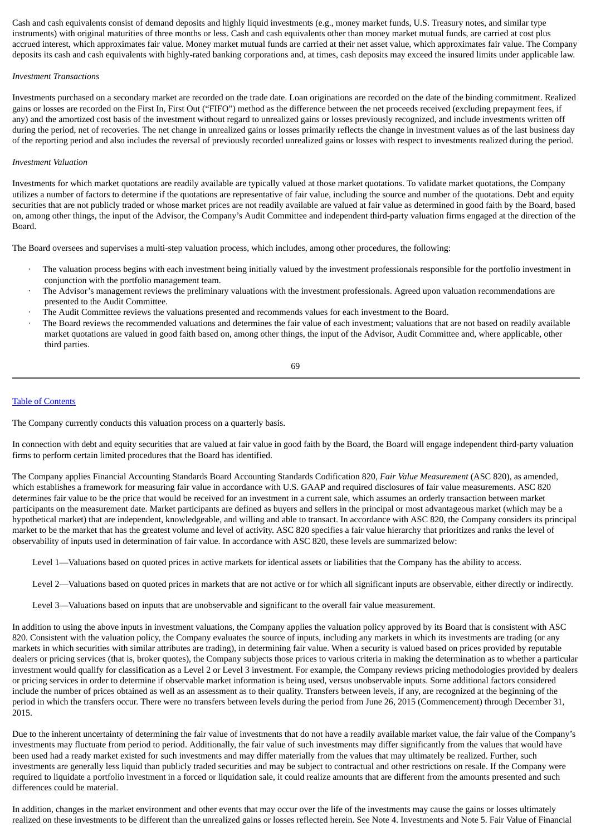Cash and cash equivalents consist of demand deposits and highly liquid investments (e.g., money market funds, U.S. Treasury notes, and similar type instruments) with original maturities of three months or less. Cash and cash equivalents other than money market mutual funds, are carried at cost plus accrued interest, which approximates fair value. Money market mutual funds are carried at their net asset value, which approximates fair value. The Company deposits its cash and cash equivalents with highly-rated banking corporations and, at times, cash deposits may exceed the insured limits under applicable law.

#### *Investment Transactions*

Investments purchased on a secondary market are recorded on the trade date. Loan originations are recorded on the date of the binding commitment. Realized gains or losses are recorded on the First In, First Out ("FIFO") method as the difference between the net proceeds received (excluding prepayment fees, if any) and the amortized cost basis of the investment without regard to unrealized gains or losses previously recognized, and include investments written off during the period, net of recoveries. The net change in unrealized gains or losses primarily reflects the change in investment values as of the last business day of the reporting period and also includes the reversal of previously recorded unrealized gains or losses with respect to investments realized during the period.

# *Investment Valuation*

Investments for which market quotations are readily available are typically valued at those market quotations. To validate market quotations, the Company utilizes a number of factors to determine if the quotations are representative of fair value, including the source and number of the quotations. Debt and equity securities that are not publicly traded or whose market prices are not readily available are valued at fair value as determined in good faith by the Board, based on, among other things, the input of the Advisor, the Company's Audit Committee and independent third-party valuation firms engaged at the direction of the Board.

The Board oversees and supervises a multi-step valuation process, which includes, among other procedures, the following:

- The valuation process begins with each investment being initially valued by the investment professionals responsible for the portfolio investment in conjunction with the portfolio management team.
- The Advisor's management reviews the preliminary valuations with the investment professionals. Agreed upon valuation recommendations are presented to the Audit Committee.
- The Audit Committee reviews the valuations presented and recommends values for each investment to the Board.
- · The Board reviews the recommended valuations and determines the fair value of each investment; valuations that are not based on readily available market quotations are valued in good faith based on, among other things, the input of the Advisor, Audit Committee and, where applicable, other third parties.

$$
69\\
$$

# Table of [Contents](#page-0-0)

The Company currently conducts this valuation process on a quarterly basis.

In connection with debt and equity securities that are valued at fair value in good faith by the Board, the Board will engage independent third-party valuation firms to perform certain limited procedures that the Board has identified.

The Company applies Financial Accounting Standards Board Accounting Standards Codification 820, *Fair Value Measurement* (ASC 820), as amended, which establishes a framework for measuring fair value in accordance with U.S. GAAP and required disclosures of fair value measurements. ASC 820 determines fair value to be the price that would be received for an investment in a current sale, which assumes an orderly transaction between market participants on the measurement date. Market participants are defined as buyers and sellers in the principal or most advantageous market (which may be a hypothetical market) that are independent, knowledgeable, and willing and able to transact. In accordance with ASC 820, the Company considers its principal market to be the market that has the greatest volume and level of activity. ASC 820 specifies a fair value hierarchy that prioritizes and ranks the level of observability of inputs used in determination of fair value. In accordance with ASC 820, these levels are summarized below:

Level 1—Valuations based on quoted prices in active markets for identical assets or liabilities that the Company has the ability to access.

Level 2—Valuations based on quoted prices in markets that are not active or for which all significant inputs are observable, either directly or indirectly.

Level 3—Valuations based on inputs that are unobservable and significant to the overall fair value measurement.

In addition to using the above inputs in investment valuations, the Company applies the valuation policy approved by its Board that is consistent with ASC 820. Consistent with the valuation policy, the Company evaluates the source of inputs, including any markets in which its investments are trading (or any markets in which securities with similar attributes are trading), in determining fair value. When a security is valued based on prices provided by reputable dealers or pricing services (that is, broker quotes), the Company subjects those prices to various criteria in making the determination as to whether a particular investment would qualify for classification as a Level 2 or Level 3 investment. For example, the Company reviews pricing methodologies provided by dealers or pricing services in order to determine if observable market information is being used, versus unobservable inputs. Some additional factors considered include the number of prices obtained as well as an assessment as to their quality. Transfers between levels, if any, are recognized at the beginning of the period in which the transfers occur. There were no transfers between levels during the period from June 26, 2015 (Commencement) through December 31, 2015.

Due to the inherent uncertainty of determining the fair value of investments that do not have a readily available market value, the fair value of the Company's investments may fluctuate from period to period. Additionally, the fair value of such investments may differ significantly from the values that would have been used had a ready market existed for such investments and may differ materially from the values that may ultimately be realized. Further, such investments are generally less liquid than publicly traded securities and may be subject to contractual and other restrictions on resale. If the Company were required to liquidate a portfolio investment in a forced or liquidation sale, it could realize amounts that are different from the amounts presented and such differences could be material.

In addition, changes in the market environment and other events that may occur over the life of the investments may cause the gains or losses ultimately realized on these investments to be different than the unrealized gains or losses reflected herein. See Note 4. Investments and Note 5. Fair Value of Financial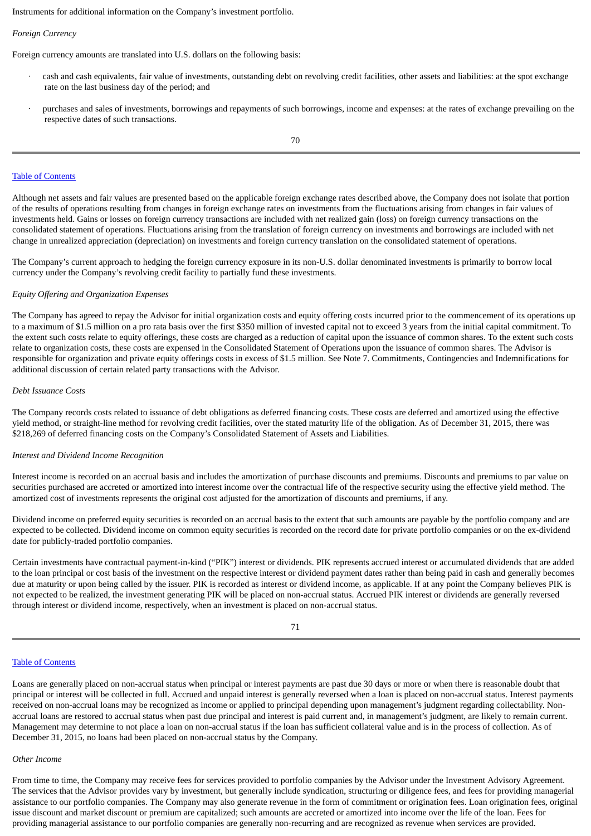Instruments for additional information on the Company's investment portfolio.

*Foreign Currency*

Foreign currency amounts are translated into U.S. dollars on the following basis:

- cash and cash equivalents, fair value of investments, outstanding debt on revolving credit facilities, other assets and liabilities: at the spot exchange rate on the last business day of the period; and
- · purchases and sales of investments, borrowings and repayments of such borrowings, income and expenses: at the rates of exchange prevailing on the respective dates of such transactions.

# Table of [Contents](#page-0-0)

Although net assets and fair values are presented based on the applicable foreign exchange rates described above, the Company does not isolate that portion of the results of operations resulting from changes in foreign exchange rates on investments from the fluctuations arising from changes in fair values of investments held. Gains or losses on foreign currency transactions are included with net realized gain (loss) on foreign currency transactions on the consolidated statement of operations. Fluctuations arising from the translation of foreign currency on investments and borrowings are included with net change in unrealized appreciation (depreciation) on investments and foreign currency translation on the consolidated statement of operations.

The Company's current approach to hedging the foreign currency exposure in its non-U.S. dollar denominated investments is primarily to borrow local currency under the Company's revolving credit facility to partially fund these investments.

### *Equity Offering and Organization Expenses*

The Company has agreed to repay the Advisor for initial organization costs and equity offering costs incurred prior to the commencement of its operations up to a maximum of \$1.5 million on a pro rata basis over the first \$350 million of invested capital not to exceed 3 years from the initial capital commitment. To the extent such costs relate to equity offerings, these costs are charged as a reduction of capital upon the issuance of common shares. To the extent such costs relate to organization costs, these costs are expensed in the Consolidated Statement of Operations upon the issuance of common shares. The Advisor is responsible for organization and private equity offerings costs in excess of \$1.5 million. See Note 7. Commitments, Contingencies and Indemnifications for additional discussion of certain related party transactions with the Advisor.

#### *Debt Issuance Costs*

The Company records costs related to issuance of debt obligations as deferred financing costs. These costs are deferred and amortized using the effective yield method, or straight-line method for revolving credit facilities, over the stated maturity life of the obligation. As of December 31, 2015, there was \$218,269 of deferred financing costs on the Company's Consolidated Statement of Assets and Liabilities.

#### *Interest and Dividend Income Recognition*

Interest income is recorded on an accrual basis and includes the amortization of purchase discounts and premiums. Discounts and premiums to par value on securities purchased are accreted or amortized into interest income over the contractual life of the respective security using the effective yield method. The amortized cost of investments represents the original cost adjusted for the amortization of discounts and premiums, if any.

Dividend income on preferred equity securities is recorded on an accrual basis to the extent that such amounts are payable by the portfolio company and are expected to be collected. Dividend income on common equity securities is recorded on the record date for private portfolio companies or on the ex-dividend date for publicly-traded portfolio companies.

Certain investments have contractual payment-in-kind ("PIK") interest or dividends. PIK represents accrued interest or accumulated dividends that are added to the loan principal or cost basis of the investment on the respective interest or dividend payment dates rather than being paid in cash and generally becomes due at maturity or upon being called by the issuer. PIK is recorded as interest or dividend income, as applicable. If at any point the Company believes PIK is not expected to be realized, the investment generating PIK will be placed on non-accrual status. Accrued PIK interest or dividends are generally reversed through interest or dividend income, respectively, when an investment is placed on non-accrual status.

71

#### Table of [Contents](#page-0-0)

Loans are generally placed on non-accrual status when principal or interest payments are past due 30 days or more or when there is reasonable doubt that principal or interest will be collected in full. Accrued and unpaid interest is generally reversed when a loan is placed on non-accrual status. Interest payments received on non-accrual loans may be recognized as income or applied to principal depending upon management's judgment regarding collectability. Nonaccrual loans are restored to accrual status when past due principal and interest is paid current and, in management's judgment, are likely to remain current. Management may determine to not place a loan on non-accrual status if the loan has sufficient collateral value and is in the process of collection. As of December 31, 2015, no loans had been placed on non-accrual status by the Company.

#### *Other Income*

From time to time, the Company may receive fees for services provided to portfolio companies by the Advisor under the Investment Advisory Agreement. The services that the Advisor provides vary by investment, but generally include syndication, structuring or diligence fees, and fees for providing managerial assistance to our portfolio companies. The Company may also generate revenue in the form of commitment or origination fees. Loan origination fees, original issue discount and market discount or premium are capitalized; such amounts are accreted or amortized into income over the life of the loan. Fees for providing managerial assistance to our portfolio companies are generally non-recurring and are recognized as revenue when services are provided.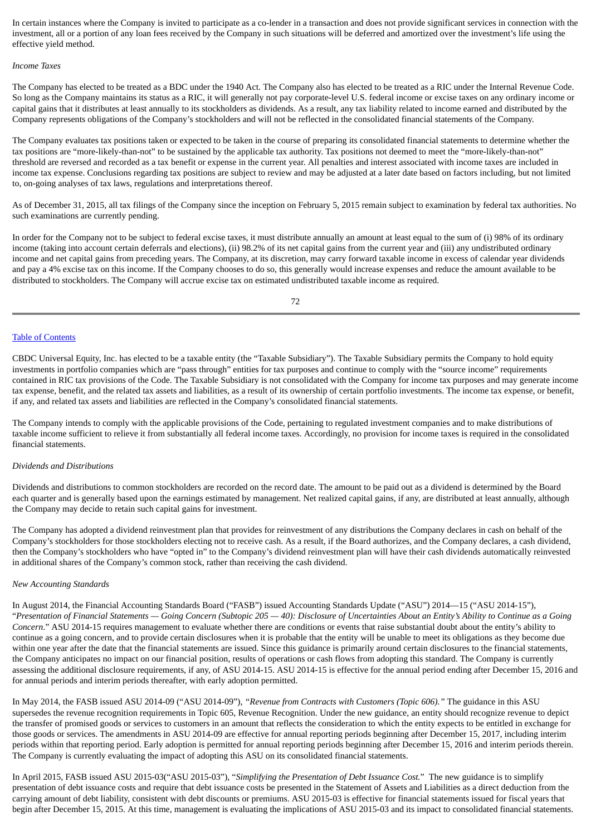In certain instances where the Company is invited to participate as a co-lender in a transaction and does not provide significant services in connection with the investment, all or a portion of any loan fees received by the Company in such situations will be deferred and amortized over the investment's life using the effective yield method.

# *Income Taxes*

The Company has elected to be treated as a BDC under the 1940 Act. The Company also has elected to be treated as a RIC under the Internal Revenue Code. So long as the Company maintains its status as a RIC, it will generally not pay corporate-level U.S. federal income or excise taxes on any ordinary income or capital gains that it distributes at least annually to its stockholders as dividends. As a result, any tax liability related to income earned and distributed by the Company represents obligations of the Company's stockholders and will not be reflected in the consolidated financial statements of the Company.

The Company evaluates tax positions taken or expected to be taken in the course of preparing its consolidated financial statements to determine whether the tax positions are "more-likely-than-not" to be sustained by the applicable tax authority. Tax positions not deemed to meet the "more-likely-than-not" threshold are reversed and recorded as a tax benefit or expense in the current year. All penalties and interest associated with income taxes are included in income tax expense. Conclusions regarding tax positions are subject to review and may be adjusted at a later date based on factors including, but not limited to, on-going analyses of tax laws, regulations and interpretations thereof.

As of December 31, 2015, all tax filings of the Company since the inception on February 5, 2015 remain subject to examination by federal tax authorities. No such examinations are currently pending.

In order for the Company not to be subject to federal excise taxes, it must distribute annually an amount at least equal to the sum of (i) 98% of its ordinary income (taking into account certain deferrals and elections), (ii) 98.2% of its net capital gains from the current year and (iii) any undistributed ordinary income and net capital gains from preceding years. The Company, at its discretion, may carry forward taxable income in excess of calendar year dividends and pay a 4% excise tax on this income. If the Company chooses to do so, this generally would increase expenses and reduce the amount available to be distributed to stockholders. The Company will accrue excise tax on estimated undistributed taxable income as required.

#### Table of [Contents](#page-0-0)

CBDC Universal Equity, Inc. has elected to be a taxable entity (the "Taxable Subsidiary"). The Taxable Subsidiary permits the Company to hold equity investments in portfolio companies which are "pass through" entities for tax purposes and continue to comply with the "source income" requirements contained in RIC tax provisions of the Code. The Taxable Subsidiary is not consolidated with the Company for income tax purposes and may generate income tax expense, benefit, and the related tax assets and liabilities, as a result of its ownership of certain portfolio investments. The income tax expense, or benefit, if any, and related tax assets and liabilities are reflected in the Company's consolidated financial statements.

The Company intends to comply with the applicable provisions of the Code, pertaining to regulated investment companies and to make distributions of taxable income sufficient to relieve it from substantially all federal income taxes. Accordingly, no provision for income taxes is required in the consolidated financial statements.

### *Dividends and Distributions*

Dividends and distributions to common stockholders are recorded on the record date. The amount to be paid out as a dividend is determined by the Board each quarter and is generally based upon the earnings estimated by management. Net realized capital gains, if any, are distributed at least annually, although the Company may decide to retain such capital gains for investment.

The Company has adopted a dividend reinvestment plan that provides for reinvestment of any distributions the Company declares in cash on behalf of the Company's stockholders for those stockholders electing not to receive cash. As a result, if the Board authorizes, and the Company declares, a cash dividend, then the Company's stockholders who have "opted in" to the Company's dividend reinvestment plan will have their cash dividends automatically reinvested in additional shares of the Company's common stock, rather than receiving the cash dividend.

#### *New Accounting Standards*

In August 2014, the Financial Accounting Standards Board ("FASB") issued Accounting Standards Update ("ASU") 2014—15 ("ASU 2014-15"), "Presentation of Financial Statements — Goina Concern (Subtopic 205 — 40): Disclosure of Uncertainties About an Entity's Ability to Continue as a Goina *Concern*." ASU 2014-15 requires management to evaluate whether there are conditions or events that raise substantial doubt about the entity's ability to continue as a going concern, and to provide certain disclosures when it is probable that the entity will be unable to meet its obligations as they become due within one year after the date that the financial statements are issued. Since this guidance is primarily around certain disclosures to the financial statements, the Company anticipates no impact on our financial position, results of operations or cash flows from adopting this standard. The Company is currently assessing the additional disclosure requirements, if any, of ASU 2014-15. ASU 2014-15 is effective for the annual period ending after December 15, 2016 and for annual periods and interim periods thereafter, with early adoption permitted.

In May 2014, the FASB issued ASU 2014-09 ("ASU 2014-09"), *"Revenue from Contracts with Customers (Topic 606)."* The guidance in this ASU supersedes the revenue recognition requirements in Topic 605, Revenue Recognition. Under the new guidance, an entity should recognize revenue to depict the transfer of promised goods or services to customers in an amount that reflects the consideration to which the entity expects to be entitled in exchange for those goods or services. The amendments in ASU 2014-09 are effective for annual reporting periods beginning after December 15, 2017, including interim periods within that reporting period. Early adoption is permitted for annual reporting periods beginning after December 15, 2016 and interim periods therein. The Company is currently evaluating the impact of adopting this ASU on its consolidated financial statements.

In April 2015, FASB issued ASU 2015-03("ASU 2015-03"), "*Simplifying the Presentation of Debt Issuance Cost.*" The new guidance is to simplify presentation of debt issuance costs and require that debt issuance costs be presented in the Statement of Assets and Liabilities as a direct deduction from the carrying amount of debt liability, consistent with debt discounts or premiums. ASU 2015-03 is effective for financial statements issued for fiscal years that begin after December 15, 2015. At this time, management is evaluating the implications of ASU 2015-03 and its impact to consolidated financial statements.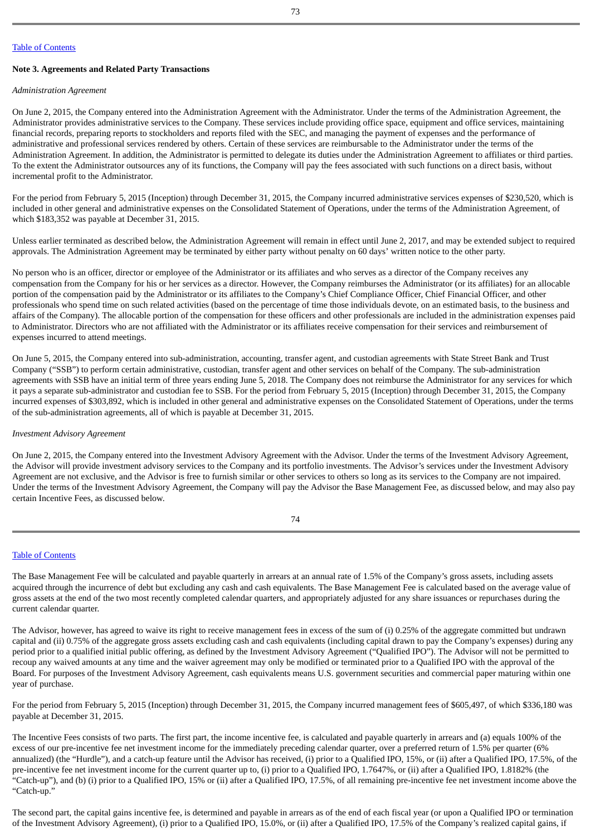#### Table of [Contents](#page-0-0)

#### **Note 3. Agreements and Related Party Transactions**

#### *Administration Agreement*

On June 2, 2015, the Company entered into the Administration Agreement with the Administrator. Under the terms of the Administration Agreement, the Administrator provides administrative services to the Company. These services include providing office space, equipment and office services, maintaining financial records, preparing reports to stockholders and reports filed with the SEC, and managing the payment of expenses and the performance of administrative and professional services rendered by others. Certain of these services are reimbursable to the Administrator under the terms of the Administration Agreement. In addition, the Administrator is permitted to delegate its duties under the Administration Agreement to affiliates or third parties. To the extent the Administrator outsources any of its functions, the Company will pay the fees associated with such functions on a direct basis, without incremental profit to the Administrator.

For the period from February 5, 2015 (Inception) through December 31, 2015, the Company incurred administrative services expenses of \$230,520, which is included in other general and administrative expenses on the Consolidated Statement of Operations, under the terms of the Administration Agreement, of which \$183,352 was payable at December 31, 2015.

Unless earlier terminated as described below, the Administration Agreement will remain in effect until June 2, 2017, and may be extended subject to required approvals. The Administration Agreement may be terminated by either party without penalty on 60 days' written notice to the other party.

No person who is an officer, director or employee of the Administrator or its affiliates and who serves as a director of the Company receives any compensation from the Company for his or her services as a director. However, the Company reimburses the Administrator (or its affiliates) for an allocable portion of the compensation paid by the Administrator or its affiliates to the Company's Chief Compliance Officer, Chief Financial Officer, and other professionals who spend time on such related activities (based on the percentage of time those individuals devote, on an estimated basis, to the business and affairs of the Company). The allocable portion of the compensation for these officers and other professionals are included in the administration expenses paid to Administrator. Directors who are not affiliated with the Administrator or its affiliates receive compensation for their services and reimbursement of expenses incurred to attend meetings.

On June 5, 2015, the Company entered into sub-administration, accounting, transfer agent, and custodian agreements with State Street Bank and Trust Company ("SSB") to perform certain administrative, custodian, transfer agent and other services on behalf of the Company. The sub-administration agreements with SSB have an initial term of three years ending June 5, 2018. The Company does not reimburse the Administrator for any services for which it pays a separate sub-administrator and custodian fee to SSB. For the period from February 5, 2015 (Inception) through December 31, 2015, the Company incurred expenses of \$303,892, which is included in other general and administrative expenses on the Consolidated Statement of Operations, under the terms of the sub-administration agreements, all of which is payable at December 31, 2015.

#### *Investment Advisory Agreement*

On June 2, 2015, the Company entered into the Investment Advisory Agreement with the Advisor. Under the terms of the Investment Advisory Agreement, the Advisor will provide investment advisory services to the Company and its portfolio investments. The Advisor's services under the Investment Advisory Agreement are not exclusive, and the Advisor is free to furnish similar or other services to others so long as its services to the Company are not impaired. Under the terms of the Investment Advisory Agreement, the Company will pay the Advisor the Base Management Fee, as discussed below, and may also pay certain Incentive Fees, as discussed below.

$$
74 \\
$$

#### Table of [Contents](#page-0-0)

The Base Management Fee will be calculated and payable quarterly in arrears at an annual rate of 1.5% of the Company's gross assets, including assets acquired through the incurrence of debt but excluding any cash and cash equivalents. The Base Management Fee is calculated based on the average value of gross assets at the end of the two most recently completed calendar quarters, and appropriately adjusted for any share issuances or repurchases during the current calendar quarter.

The Advisor, however, has agreed to waive its right to receive management fees in excess of the sum of (i) 0.25% of the aggregate committed but undrawn capital and (ii) 0.75% of the aggregate gross assets excluding cash and cash equivalents (including capital drawn to pay the Company's expenses) during any period prior to a qualified initial public offering, as defined by the Investment Advisory Agreement ("Qualified IPO"). The Advisor will not be permitted to recoup any waived amounts at any time and the waiver agreement may only be modified or terminated prior to a Qualified IPO with the approval of the Board. For purposes of the Investment Advisory Agreement, cash equivalents means U.S. government securities and commercial paper maturing within one year of purchase.

For the period from February 5, 2015 (Inception) through December 31, 2015, the Company incurred management fees of \$605,497, of which \$336,180 was payable at December 31, 2015.

The Incentive Fees consists of two parts. The first part, the income incentive fee, is calculated and payable quarterly in arrears and (a) equals 100% of the excess of our pre-incentive fee net investment income for the immediately preceding calendar quarter, over a preferred return of 1.5% per quarter (6% annualized) (the "Hurdle"), and a catch-up feature until the Advisor has received, (i) prior to a Qualified IPO, 15%, or (ii) after a Qualified IPO, 17.5%, of the pre-incentive fee net investment income for the current quarter up to, (i) prior to a Qualified IPO, 1.7647%, or (ii) after a Qualified IPO, 1.8182% (the "Catch-up"), and (b) (i) prior to a Qualified IPO, 15% or (ii) after a Qualified IPO, 17.5%, of all remaining pre-incentive fee net investment income above the "Catch-up."

The second part, the capital gains incentive fee, is determined and payable in arrears as of the end of each fiscal year (or upon a Qualified IPO or termination of the Investment Advisory Agreement), (i) prior to a Qualified IPO, 15.0%, or (ii) after a Qualified IPO, 17.5% of the Company's realized capital gains, if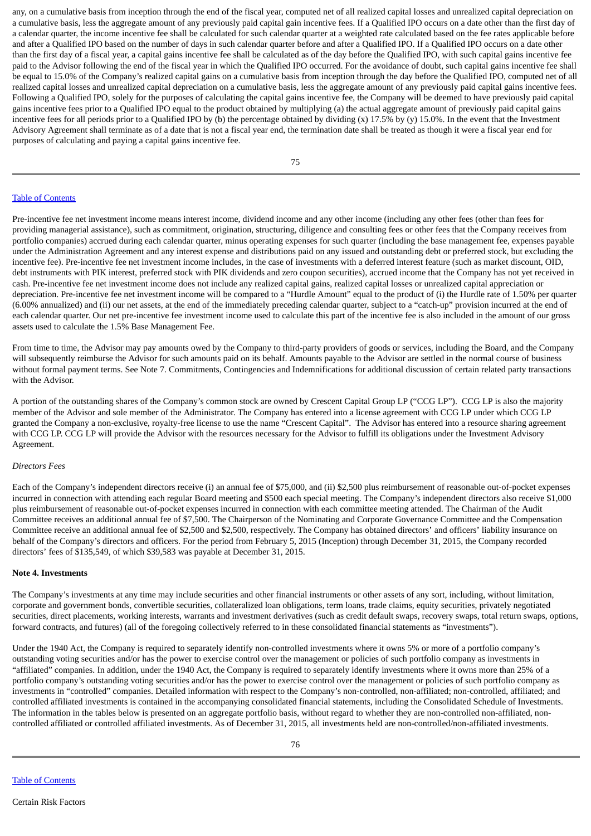any, on a cumulative basis from inception through the end of the fiscal year, computed net of all realized capital losses and unrealized capital depreciation on a cumulative basis, less the aggregate amount of any previously paid capital gain incentive fees. If a Qualified IPO occurs on a date other than the first day of a calendar quarter, the income incentive fee shall be calculated for such calendar quarter at a weighted rate calculated based on the fee rates applicable before and after a Qualified IPO based on the number of days in such calendar quarter before and after a Qualified IPO. If a Qualified IPO occurs on a date other than the first day of a fiscal year, a capital gains incentive fee shall be calculated as of the day before the Qualified IPO, with such capital gains incentive fee paid to the Advisor following the end of the fiscal year in which the Qualified IPO occurred. For the avoidance of doubt, such capital gains incentive fee shall be equal to 15.0% of the Company's realized capital gains on a cumulative basis from inception through the day before the Qualified IPO, computed net of all realized capital losses and unrealized capital depreciation on a cumulative basis, less the aggregate amount of any previously paid capital gains incentive fees. Following a Qualified IPO, solely for the purposes of calculating the capital gains incentive fee, the Company will be deemed to have previously paid capital gains incentive fees prior to a Qualified IPO equal to the product obtained by multiplying (a) the actual aggregate amount of previously paid capital gains incentive fees for all periods prior to a Qualified IPO by (b) the percentage obtained by dividing  $(x)$  17.5% by  $(y)$  15.0%. In the event that the Investment Advisory Agreement shall terminate as of a date that is not a fiscal year end, the termination date shall be treated as though it were a fiscal year end for purposes of calculating and paying a capital gains incentive fee.

#### Table of [Contents](#page-0-0)

Pre-incentive fee net investment income means interest income, dividend income and any other income (including any other fees (other than fees for providing managerial assistance), such as commitment, origination, structuring, diligence and consulting fees or other fees that the Company receives from portfolio companies) accrued during each calendar quarter, minus operating expenses for such quarter (including the base management fee, expenses payable under the Administration Agreement and any interest expense and distributions paid on any issued and outstanding debt or preferred stock, but excluding the incentive fee). Pre-incentive fee net investment income includes, in the case of investments with a deferred interest feature (such as market discount, OID, debt instruments with PIK interest, preferred stock with PIK dividends and zero coupon securities), accrued income that the Company has not yet received in cash. Pre-incentive fee net investment income does not include any realized capital gains, realized capital losses or unrealized capital appreciation or depreciation. Pre-incentive fee net investment income will be compared to a "Hurdle Amount" equal to the product of (i) the Hurdle rate of 1.50% per quarter (6.00% annualized) and (ii) our net assets, at the end of the immediately preceding calendar quarter, subject to a "catch-up" provision incurred at the end of each calendar quarter. Our net pre-incentive fee investment income used to calculate this part of the incentive fee is also included in the amount of our gross assets used to calculate the 1.5% Base Management Fee.

From time to time, the Advisor may pay amounts owed by the Company to third-party providers of goods or services, including the Board, and the Company will subsequently reimburse the Advisor for such amounts paid on its behalf. Amounts payable to the Advisor are settled in the normal course of business without formal payment terms. See Note 7. Commitments, Contingencies and Indemnifications for additional discussion of certain related party transactions with the Advisor.

A portion of the outstanding shares of the Company's common stock are owned by Crescent Capital Group LP ("CCG LP"). CCG LP is also the majority member of the Advisor and sole member of the Administrator. The Company has entered into a license agreement with CCG LP under which CCG LP granted the Company a non-exclusive, royalty-free license to use the name "Crescent Capital". The Advisor has entered into a resource sharing agreement with CCG LP. CCG LP will provide the Advisor with the resources necessary for the Advisor to fulfill its obligations under the Investment Advisory Agreement.

### *Directors Fees*

Each of the Company's independent directors receive (i) an annual fee of \$75,000, and (ii) \$2,500 plus reimbursement of reasonable out-of-pocket expenses incurred in connection with attending each regular Board meeting and \$500 each special meeting. The Company's independent directors also receive \$1,000 plus reimbursement of reasonable out-of-pocket expenses incurred in connection with each committee meeting attended. The Chairman of the Audit Committee receives an additional annual fee of \$7,500. The Chairperson of the Nominating and Corporate Governance Committee and the Compensation Committee receive an additional annual fee of \$2,500 and \$2,500, respectively. The Company has obtained directors' and officers' liability insurance on behalf of the Company's directors and officers. For the period from February 5, 2015 (Inception) through December 31, 2015, the Company recorded directors' fees of \$135,549, of which \$39,583 was payable at December 31, 2015.

#### **Note 4. Investments**

The Company's investments at any time may include securities and other financial instruments or other assets of any sort, including, without limitation, corporate and government bonds, convertible securities, collateralized loan obligations, term loans, trade claims, equity securities, privately negotiated securities, direct placements, working interests, warrants and investment derivatives (such as credit default swaps, recovery swaps, total return swaps, options, forward contracts, and futures) (all of the foregoing collectively referred to in these consolidated financial statements as "investments").

Under the 1940 Act, the Company is required to separately identify non-controlled investments where it owns 5% or more of a portfolio company's outstanding voting securities and/or has the power to exercise control over the management or policies of such portfolio company as investments in "affiliated" companies. In addition, under the 1940 Act, the Company is required to separately identify investments where it owns more than 25% of a portfolio company's outstanding voting securities and/or has the power to exercise control over the management or policies of such portfolio company as investments in "controlled" companies. Detailed information with respect to the Company's non-controlled, non-affiliated; non-controlled, affiliated; and controlled affiliated investments is contained in the accompanying consolidated financial statements, including the Consolidated Schedule of Investments. The information in the tables below is presented on an aggregate portfolio basis, without regard to whether they are non-controlled non-affiliated, noncontrolled affiliated or controlled affiliated investments. As of December 31, 2015, all investments held are non-controlled/non-affiliated investments.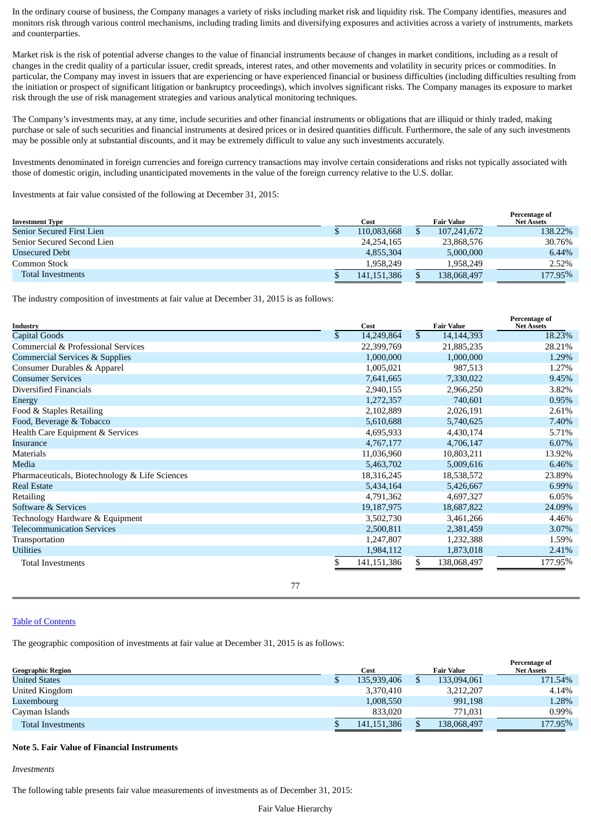In the ordinary course of business, the Company manages a variety of risks including market risk and liquidity risk. The Company identifies, measures and monitors risk through various control mechanisms, including trading limits and diversifying exposures and activities across a variety of instruments, markets and counterparties.

Market risk is the risk of potential adverse changes to the value of financial instruments because of changes in market conditions, including as a result of changes in the credit quality of a particular issuer, credit spreads, interest rates, and other movements and volatility in security prices or commodities. In particular, the Company may invest in issuers that are experiencing or have experienced financial or business difficulties (including difficulties resulting from the initiation or prospect of significant litigation or bankruptcy proceedings), which involves significant risks. The Company manages its exposure to market risk through the use of risk management strategies and various analytical monitoring techniques.

The Company's investments may, at any time, include securities and other financial instruments or obligations that are illiquid or thinly traded, making purchase or sale of such securities and financial instruments at desired prices or in desired quantities difficult. Furthermore, the sale of any such investments may be possible only at substantial discounts, and it may be extremely difficult to value any such investments accurately.

Investments denominated in foreign currencies and foreign currency transactions may involve certain considerations and risks not typically associated with those of domestic origin, including unanticipated movements in the value of the foreign currency relative to the U.S. dollar.

Investments at fair value consisted of the following at December 31, 2015:

| <b>Investment Type</b>     | Cost          | <b>Fair Value</b> | Percentage of<br><b>Net Assets</b> |
|----------------------------|---------------|-------------------|------------------------------------|
| Senior Secured First Lien  | 110,083,668   | 107,241,672       | 138.22%                            |
| Senior Secured Second Lien | 24,254,165    | 23,868,576        | 30.76%                             |
| <b>Unsecured Debt</b>      | 4,855,304     | 5,000,000         | 6.44%                              |
| Common Stock               | 1.958.249     | 1,958,249         | 2.52%                              |
| <b>Total Investments</b>   | 141, 151, 386 | 138,068,497       | 177.95%                            |

The industry composition of investments at fair value at December 31, 2015 is as follows:

| Industry                                       |    | Cost        |              | <b>Fair Value</b> | Percentage of<br><b>Net Assets</b> |
|------------------------------------------------|----|-------------|--------------|-------------------|------------------------------------|
| <b>Capital Goods</b>                           | \$ | 14,249,864  | $\mathbb{S}$ | 14,144,393        | 18.23%                             |
| Commercial & Professional Services             |    | 22,399,769  |              | 21,885,235        | 28.21%                             |
| <b>Commercial Services &amp; Supplies</b>      |    | 1,000,000   |              | 1,000,000         | 1.29%                              |
| Consumer Durables & Apparel                    |    | 1,005,021   |              | 987,513           | 1.27%                              |
| <b>Consumer Services</b>                       |    | 7,641,665   |              | 7,330,022         | 9.45%                              |
| Diversified Financials                         |    | 2,940,155   |              | 2,966,250         | 3.82%                              |
| Energy                                         |    | 1,272,357   |              | 740,601           | 0.95%                              |
| Food & Staples Retailing                       |    | 2,102,889   |              | 2,026,191         | 2.61%                              |
| Food, Beverage & Tobacco                       |    | 5,610,688   |              | 5,740,625         | 7.40%                              |
| Health Care Equipment & Services               |    | 4,695,933   |              | 4,430,174         | 5.71%                              |
| Insurance                                      |    | 4,767,177   |              | 4,706,147         | 6.07%                              |
| Materials                                      |    | 11,036,960  |              | 10,803,211        | 13.92%                             |
| Media                                          |    | 5,463,702   |              | 5,009,616         | 6.46%                              |
| Pharmaceuticals, Biotechnology & Life Sciences |    | 18,316,245  |              | 18,538,572        | 23.89%                             |
| <b>Real Estate</b>                             |    | 5,434,164   |              | 5,426,667         | 6.99%                              |
| Retailing                                      |    | 4,791,362   |              | 4,697,327         | 6.05%                              |
| Software & Services                            |    | 19,187,975  |              | 18,687,822        | 24.09%                             |
| Technology Hardware & Equipment                |    | 3,502,730   |              | 3,461,266         | 4.46%                              |
| <b>Telecommunication Services</b>              |    | 2,500,811   |              | 2,381,459         | 3.07%                              |
| Transportation                                 |    | 1,247,807   |              | 1,232,388         | 1.59%                              |
| <b>Utilities</b>                               |    | 1,984,112   |              | 1,873,018         | 2.41%                              |
| <b>Total Investments</b>                       | S  | 141,151,386 | \$           | 138,068,497       | 177.95%                            |
|                                                | 77 |             |              |                   |                                    |

#### Table of [Contents](#page-0-0)

The geographic composition of investments at fair value at December 31, 2015 is as follows:

| <b>Geographic Region</b> | Cost          | <b>Fair Value</b> | Percentage of<br><b>Net Assets</b> |
|--------------------------|---------------|-------------------|------------------------------------|
| <b>United States</b>     | 135,939,406   | 133,094,061       | 171.54%                            |
| United Kingdom           | 3,370,410     | 3,212,207         | 4.14%                              |
| Luxembourg               | 1,008,550     | 991,198           | 1.28%                              |
| Cayman Islands           | 833.020       | 771.031           | 0.99%                              |
| <b>Total Investments</b> | 141, 151, 386 | 138,068,497       | 177.95%                            |

#### **Note 5. Fair Value of Financial Instruments**

*Investments*

The following table presents fair value measurements of investments as of December 31, 2015: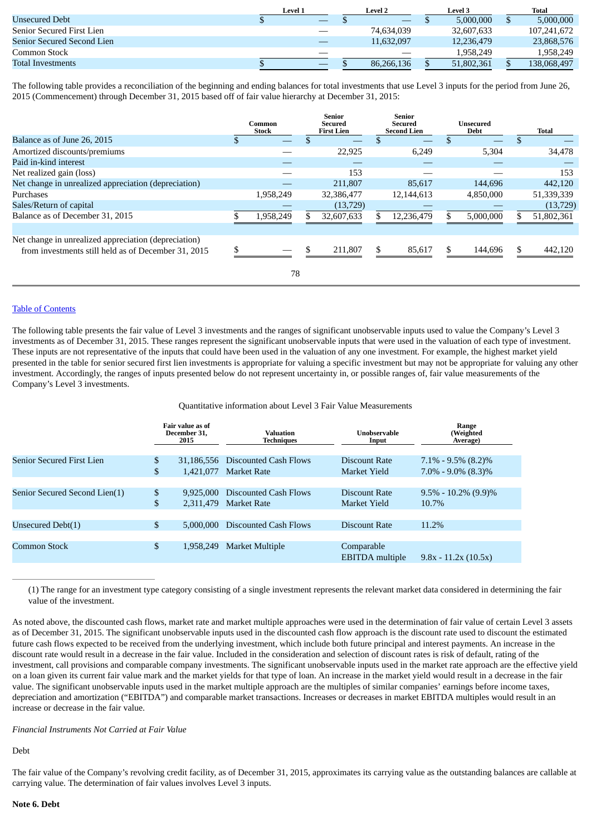|                                  | <b>Level 1</b> |   | <b>Level 2</b> | <b>Level 3</b> | <b>Total</b> |
|----------------------------------|----------------|---|----------------|----------------|--------------|
| Unsecured Debt                   |                |   |                | 5.000.000      | 5,000,000    |
| <b>Senior Secured First Lien</b> |                |   | 74.634.039     | 32,607,633     | 107.241.672  |
| Senior Secured Second Lien       |                |   | 11.632.097     | 12.236.479     | 23,868,576   |
| Common Stock                     |                |   |                | 1,958,249      | 1.958.249    |
| <b>Total Investments</b>         |                | _ | 86.266.136     | 51,802,361     | 138,068,497  |

The following table provides a reconciliation of the beginning and ending balances for total investments that use Level 3 inputs for the period from June 26, 2015 (Commencement) through December 31, 2015 based off of fair value hierarchy at December 31, 2015:

|                                                      | Common<br>Stock | <b>Senior</b><br>Secured<br><b>First Lien</b> |     | <b>Senior</b><br>Secured<br><b>Second Lien</b> |     | <b>Unsecured</b><br><b>Debt</b> | Total      |
|------------------------------------------------------|-----------------|-----------------------------------------------|-----|------------------------------------------------|-----|---------------------------------|------------|
| Balance as of June 26, 2015                          |                 |                                               | \$  |                                                | \$. |                                 |            |
| Amortized discounts/premiums                         |                 | 22,925                                        |     | 6,249                                          |     | 5,304                           | 34,478     |
| Paid in-kind interest                                |                 |                                               |     |                                                |     |                                 |            |
| Net realized gain (loss)                             |                 | 153                                           |     |                                                |     |                                 | 153        |
| Net change in unrealized appreciation (depreciation) |                 | 211,807                                       |     | 85,617                                         |     | 144,696                         | 442,120    |
| Purchases                                            | 1,958,249       | 32,386,477                                    |     | 12,144,613                                     |     | 4,850,000                       | 51,339,339 |
| Sales/Return of capital                              |                 | (13, 729)                                     |     |                                                |     |                                 | (13, 729)  |
| Balance as of December 31, 2015                      | 1,958,249       | 32,607,633                                    |     | 12,236,479                                     |     | 5,000,000                       | 51,802,361 |
| Net change in unrealized appreciation (depreciation) |                 |                                               |     |                                                |     |                                 |            |
| from investments still held as of December 31, 2015  |                 | 211,807                                       | \$. | 85,617                                         | \$. | 144,696                         | 442,120    |
|                                                      | 78              |                                               |     |                                                |     |                                 |            |

# Table of [Contents](#page-0-0)

The following table presents the fair value of Level 3 investments and the ranges of significant unobservable inputs used to value the Company's Level 3 investments as of December 31, 2015. These ranges represent the significant unobservable inputs that were used in the valuation of each type of investment. These inputs are not representative of the inputs that could have been used in the valuation of any one investment. For example, the highest market yield presented in the table for senior secured first lien investments is appropriate for valuing a specific investment but may not be appropriate for valuing any other investment. Accordingly, the ranges of inputs presented below do not represent uncertainty in, or possible ranges of, fair value measurements of the Company's Level 3 investments.

#### Quantitative information about Level 3 Fair Value Measurements

|                                  |          | <b>Fair value as of</b><br>December 31.<br>2015 | Valuation<br><b>Techniques</b>                  | <b>Unobservable</b><br>Input         | Range<br>(Weighted<br>Average)                   |
|----------------------------------|----------|-------------------------------------------------|-------------------------------------------------|--------------------------------------|--------------------------------------------------|
| <b>Senior Secured First Lien</b> | \$<br>\$ | 1,421,077                                       | 31.186.556 Discounted Cash Flows<br>Market Rate | Discount Rate<br>Market Yield        | $7.1\% - 9.5\%$ (8.2)%<br>$7.0\% - 9.0\%$ (8.3)% |
| Senior Secured Second Lien(1)    | \$<br>\$ | 9.925.000                                       | Discounted Cash Flows<br>2.311.479 Market Rate  | Discount Rate<br>Market Yield        | $9.5\% - 10.2\%$ (9.9)%<br>10.7%                 |
| Unsecured $Debt(1)$              | \$       | 5.000.000                                       | <b>Discounted Cash Flows</b>                    | Discount Rate                        | 11.2%                                            |
| Common Stock                     | \$       | 1.958.249                                       | <b>Market Multiple</b>                          | Comparable<br><b>EBITDA</b> multiple | $9.8x - 11.2x(10.5x)$                            |

(1) The range for an investment type category consisting of a single investment represents the relevant market data considered in determining the fair value of the investment.

As noted above, the discounted cash flows, market rate and market multiple approaches were used in the determination of fair value of certain Level 3 assets as of December 31, 2015. The significant unobservable inputs used in the discounted cash flow approach is the discount rate used to discount the estimated future cash flows expected to be received from the underlying investment, which include both future principal and interest payments. An increase in the discount rate would result in a decrease in the fair value. Included in the consideration and selection of discount rates is risk of default, rating of the investment, call provisions and comparable company investments. The significant unobservable inputs used in the market rate approach are the effective yield on a loan given its current fair value mark and the market yields for that type of loan. An increase in the market yield would result in a decrease in the fair value. The significant unobservable inputs used in the market multiple approach are the multiples of similar companies' earnings before income taxes, depreciation and amortization ("EBITDA") and comparable market transactions. Increases or decreases in market EBITDA multiples would result in an increase or decrease in the fair value.

*Financial Instruments Not Carried at Fair Value*

Debt

The fair value of the Company's revolving credit facility, as of December 31, 2015, approximates its carrying value as the outstanding balances are callable at carrying value. The determination of fair values involves Level 3 inputs.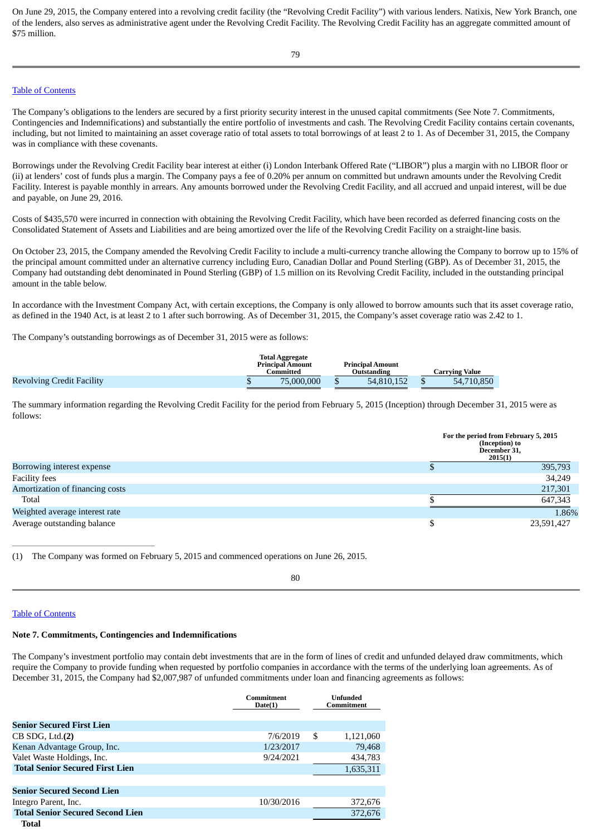On June 29, 2015, the Company entered into a revolving credit facility (the "Revolving Credit Facility") with various lenders. Natixis, New York Branch, one of the lenders, also serves as administrative agent under the Revolving Credit Facility. The Revolving Credit Facility has an aggregate committed amount of \$75 million.

# Table of [Contents](#page-0-0)

The Company's obligations to the lenders are secured by a first priority security interest in the unused capital commitments (See Note 7. Commitments, Contingencies and Indemnifications) and substantially the entire portfolio of investments and cash. The Revolving Credit Facility contains certain covenants, including, but not limited to maintaining an asset coverage ratio of total assets to total borrowings of at least 2 to 1. As of December 31, 2015, the Company was in compliance with these covenants.

Borrowings under the Revolving Credit Facility bear interest at either (i) London Interbank Offered Rate ("LIBOR") plus a margin with no LIBOR floor or (ii) at lenders' cost of funds plus a margin. The Company pays a fee of 0.20% per annum on committed but undrawn amounts under the Revolving Credit Facility. Interest is payable monthly in arrears. Any amounts borrowed under the Revolving Credit Facility, and all accrued and unpaid interest, will be due and payable, on June 29, 2016.

Costs of \$435,570 were incurred in connection with obtaining the Revolving Credit Facility, which have been recorded as deferred financing costs on the Consolidated Statement of Assets and Liabilities and are being amortized over the life of the Revolving Credit Facility on a straight-line basis.

On October 23, 2015, the Company amended the Revolving Credit Facility to include a multi-currency tranche allowing the Company to borrow up to 15% of the principal amount committed under an alternative currency including Euro, Canadian Dollar and Pound Sterling (GBP). As of December 31, 2015, the Company had outstanding debt denominated in Pound Sterling (GBP) of 1.5 million on its Revolving Credit Facility, included in the outstanding principal amount in the table below.

In accordance with the Investment Company Act, with certain exceptions, the Company is only allowed to borrow amounts such that its asset coverage ratio, as defined in the 1940 Act, is at least 2 to 1 after such borrowing. As of December 31, 2015, the Company's asset coverage ratio was 2.42 to 1.

The Company's outstanding borrowings as of December 31, 2015 were as follows:

|                                  | <b>Total Aggregate</b><br><b>Principal Amount</b><br>∵ommitted | <b>Principal Amount</b><br>Outstanding |            |  | Carrving Value |
|----------------------------------|----------------------------------------------------------------|----------------------------------------|------------|--|----------------|
| <b>Revolving Credit Facility</b> | 75,000,000                                                     |                                        | 54.810.152 |  | 54,710,850     |

The summary information regarding the Revolving Credit Facility for the period from February 5, 2015 (Inception) through December 31, 2015 were as follows:

|                                 | For the period from February 5, 2015<br>(Inception) to<br>December 31,<br>2015(1) |  |  |  |  |
|---------------------------------|-----------------------------------------------------------------------------------|--|--|--|--|
| Borrowing interest expense      | 395,793                                                                           |  |  |  |  |
| <b>Facility fees</b>            | 34,249                                                                            |  |  |  |  |
| Amortization of financing costs | 217,301                                                                           |  |  |  |  |
| Total                           | 647,343                                                                           |  |  |  |  |
| Weighted average interest rate  | 1.86%                                                                             |  |  |  |  |
| Average outstanding balance     | 23,591,427                                                                        |  |  |  |  |

(1) The Company was formed on February 5, 2015 and commenced operations on June 26, 2015.

80

### Table of [Contents](#page-0-0)

# **Note 7. Commitments, Contingencies and Indemnifications**

The Company's investment portfolio may contain debt investments that are in the form of lines of credit and unfunded delayed draw commitments, which require the Company to provide funding when requested by portfolio companies in accordance with the terms of the underlying loan agreements. As of December 31, 2015, the Company had \$2,007,987 of unfunded commitments under loan and financing agreements as follows:

|                                         | Commitment<br>Date(1) |   | Unfunded<br>Commitment |
|-----------------------------------------|-----------------------|---|------------------------|
| <b>Senior Secured First Lien</b>        |                       |   |                        |
| $CB$ SDG, Ltd. $(2)$                    | 7/6/2019              | S | 1,121,060              |
| Kenan Advantage Group, Inc.             | 1/23/2017             |   | 79,468                 |
| Valet Waste Holdings, Inc.              | 9/24/2021             |   | 434,783                |
| <b>Total Senior Secured First Lien</b>  |                       |   | 1,635,311              |
|                                         |                       |   |                        |
| <b>Senior Secured Second Lien</b>       |                       |   |                        |
| Integro Parent, Inc.                    | 10/30/2016            |   | 372,676                |
| <b>Total Senior Secured Second Lien</b> |                       |   | 372,676                |
| Total                                   |                       |   |                        |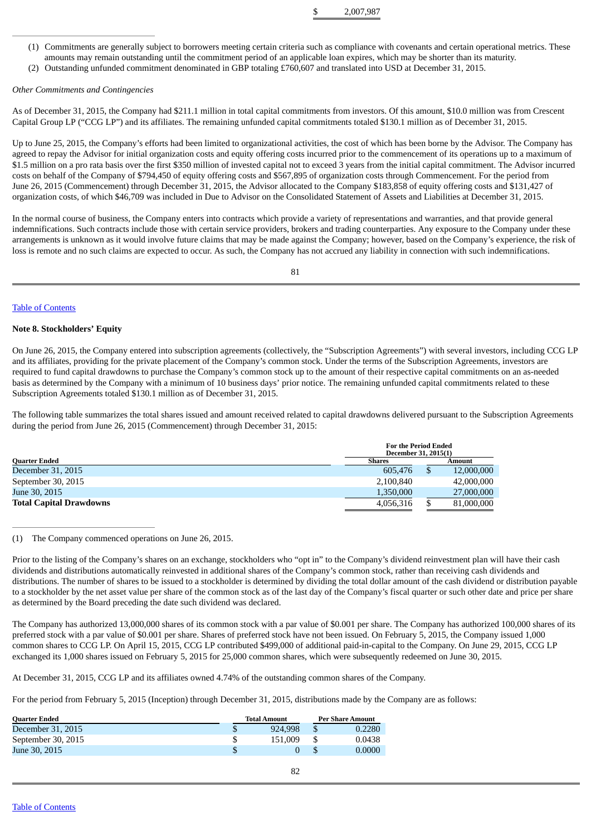- (1) Commitments are generally subject to borrowers meeting certain criteria such as compliance with covenants and certain operational metrics. These amounts may remain outstanding until the commitment period of an applicable loan expires, which may be shorter than its maturity.
- (2) Outstanding unfunded commitment denominated in GBP totaling £760,607 and translated into USD at December 31, 2015.

*Other Commitments and Contingencies*

As of December 31, 2015, the Company had \$211.1 million in total capital commitments from investors. Of this amount, \$10.0 million was from Crescent Capital Group LP ("CCG LP") and its affiliates. The remaining unfunded capital commitments totaled \$130.1 million as of December 31, 2015.

Up to June 25, 2015, the Company's efforts had been limited to organizational activities, the cost of which has been borne by the Advisor. The Company has agreed to repay the Advisor for initial organization costs and equity offering costs incurred prior to the commencement of its operations up to a maximum of \$1.5 million on a pro rata basis over the first \$350 million of invested capital not to exceed 3 years from the initial capital commitment. The Advisor incurred costs on behalf of the Company of \$794,450 of equity offering costs and \$567,895 of organization costs through Commencement. For the period from June 26, 2015 (Commencement) through December 31, 2015, the Advisor allocated to the Company \$183,858 of equity offering costs and \$131,427 of organization costs, of which \$46,709 was included in Due to Advisor on the Consolidated Statement of Assets and Liabilities at December 31, 2015.

In the normal course of business, the Company enters into contracts which provide a variety of representations and warranties, and that provide general indemnifications. Such contracts include those with certain service providers, brokers and trading counterparties. Any exposure to the Company under these arrangements is unknown as it would involve future claims that may be made against the Company; however, based on the Company's experience, the risk of loss is remote and no such claims are expected to occur. As such, the Company has not accrued any liability in connection with such indemnifications.

81

#### Table of [Contents](#page-0-0)

### **Note 8. Stockholders' Equity**

On June 26, 2015, the Company entered into subscription agreements (collectively, the "Subscription Agreements") with several investors, including CCG LP and its affiliates, providing for the private placement of the Company's common stock. Under the terms of the Subscription Agreements, investors are required to fund capital drawdowns to purchase the Company's common stock up to the amount of their respective capital commitments on an as-needed basis as determined by the Company with a minimum of 10 business days' prior notice. The remaining unfunded capital commitments related to these Subscription Agreements totaled \$130.1 million as of December 31, 2015.

The following table summarizes the total shares issued and amount received related to capital drawdowns delivered pursuant to the Subscription Agreements during the period from June 26, 2015 (Commencement) through December 31, 2015:

|                                | <b>For the Period Ended</b><br>December 31, 2015(1) |   |            |  |
|--------------------------------|-----------------------------------------------------|---|------------|--|
| Quarter Ended                  | Shares                                              |   | Amount     |  |
| December 31, 2015              | 605,476                                             | S | 12,000,000 |  |
| September 30, 2015             | 2,100,840                                           |   | 42,000,000 |  |
| June 30, 2015                  | 1,350,000                                           |   | 27,000,000 |  |
| <b>Total Capital Drawdowns</b> | 4,056,316                                           |   | 81,000,000 |  |

(1) The Company commenced operations on June 26, 2015.

Prior to the listing of the Company's shares on an exchange, stockholders who "opt in" to the Company's dividend reinvestment plan will have their cash dividends and distributions automatically reinvested in additional shares of the Company's common stock, rather than receiving cash dividends and distributions. The number of shares to be issued to a stockholder is determined by dividing the total dollar amount of the cash dividend or distribution payable to a stockholder by the net asset value per share of the common stock as of the last day of the Company's fiscal quarter or such other date and price per share as determined by the Board preceding the date such dividend was declared.

The Company has authorized 13,000,000 shares of its common stock with a par value of \$0.001 per share. The Company has authorized 100,000 shares of its preferred stock with a par value of \$0.001 per share. Shares of preferred stock have not been issued. On February 5, 2015, the Company issued 1,000 common shares to CCG LP. On April 15, 2015, CCG LP contributed \$499,000 of additional paid-in-capital to the Company. On June 29, 2015, CCG LP exchanged its 1,000 shares issued on February 5, 2015 for 25,000 common shares, which were subsequently redeemed on June 30, 2015.

At December 31, 2015, CCG LP and its affiliates owned 4.74% of the outstanding common shares of the Company.

For the period from February 5, 2015 (Inception) through December 31, 2015, distributions made by the Company are as follows:

| <b>Total Amount</b> | <b>Per Share Amount</b> |
|---------------------|-------------------------|
|                     | 0.2280                  |
|                     | 0.0438                  |
|                     | 0.0000                  |
|                     | 924.998<br>151,009      |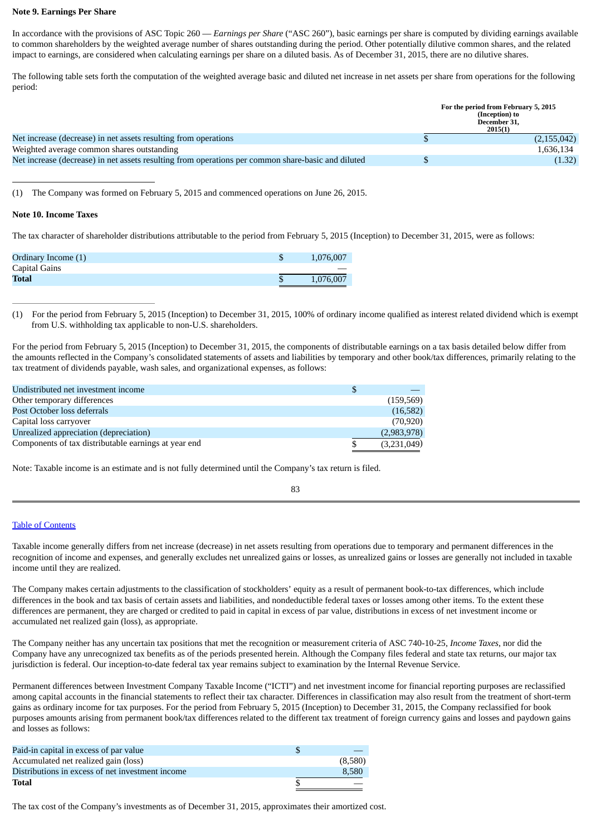#### **Note 9. Earnings Per Share**

In accordance with the provisions of ASC Topic 260 — *Earnings per Share* ("ASC 260"), basic earnings per share is computed by dividing earnings available to common shareholders by the weighted average number of shares outstanding during the period. Other potentially dilutive common shares, and the related impact to earnings, are considered when calculating earnings per share on a diluted basis. As of December 31, 2015, there are no dilutive shares.

The following table sets forth the computation of the weighted average basic and diluted net increase in net assets per share from operations for the following period:

|                                                                                                    | For the period from February 5, 2015<br>(Inception) to<br>December 31,<br>2015(1) |
|----------------------------------------------------------------------------------------------------|-----------------------------------------------------------------------------------|
| Net increase (decrease) in net assets resulting from operations                                    | (2, 155, 042)                                                                     |
| Weighted average common shares outstanding                                                         | 1.636.134                                                                         |
| Net increase (decrease) in net assets resulting from operations per common share-basic and diluted | (1.32)                                                                            |

(1) The Company was formed on February 5, 2015 and commenced operations on June 26, 2015.

### **Note 10. Income Taxes**

The tax character of shareholder distributions attributable to the period from February 5, 2015 (Inception) to December 31, 2015, were as follows:

| Ordinary Income (1) | 1,076,007 |
|---------------------|-----------|
| Capital Gains       |           |
| Total               | 1,076,007 |

(1) For the period from February 5, 2015 (Inception) to December 31, 2015, 100% of ordinary income qualified as interest related dividend which is exempt from U.S. withholding tax applicable to non-U.S. shareholders.

For the period from February 5, 2015 (Inception) to December 31, 2015, the components of distributable earnings on a tax basis detailed below differ from the amounts reflected in the Company's consolidated statements of assets and liabilities by temporary and other book/tax differences, primarily relating to the tax treatment of dividends payable, wash sales, and organizational expenses, as follows:

| Undistributed net investment income                  | \$. |             |
|------------------------------------------------------|-----|-------------|
| Other temporary differences                          |     | (159, 569)  |
| Post October loss deferrals                          |     | (16,582)    |
| Capital loss carryover                               |     | (70, 920)   |
| Unrealized appreciation (depreciation)               |     | (2,983,978) |
| Components of tax distributable earnings at year end | S   | (3,231,049) |

Note: Taxable income is an estimate and is not fully determined until the Company's tax return is filed.

#### 83

### Table of [Contents](#page-0-0)

Taxable income generally differs from net increase (decrease) in net assets resulting from operations due to temporary and permanent differences in the recognition of income and expenses, and generally excludes net unrealized gains or losses, as unrealized gains or losses are generally not included in taxable income until they are realized.

The Company makes certain adjustments to the classification of stockholders' equity as a result of permanent book-to-tax differences, which include differences in the book and tax basis of certain assets and liabilities, and nondeductible federal taxes or losses among other items. To the extent these differences are permanent, they are charged or credited to paid in capital in excess of par value, distributions in excess of net investment income or accumulated net realized gain (loss), as appropriate.

The Company neither has any uncertain tax positions that met the recognition or measurement criteria of ASC 740-10-25, *Income Taxes*, nor did the Company have any unrecognized tax benefits as of the periods presented herein. Although the Company files federal and state tax returns, our major tax jurisdiction is federal. Our inception-to-date federal tax year remains subject to examination by the Internal Revenue Service.

Permanent differences between Investment Company Taxable Income ("ICTI") and net investment income for financial reporting purposes are reclassified among capital accounts in the financial statements to reflect their tax character. Differences in classification may also result from the treatment of short-term gains as ordinary income for tax purposes. For the period from February 5, 2015 (Inception) to December 31, 2015, the Company reclassified for book purposes amounts arising from permanent book/tax differences related to the different tax treatment of foreign currency gains and losses and paydown gains and losses as follows:

| Paid-in capital in excess of par value           |         |
|--------------------------------------------------|---------|
| Accumulated net realized gain (loss)             | (8,580) |
| Distributions in excess of net investment income | 8.580   |
| <b>Total</b>                                     |         |

The tax cost of the Company's investments as of December 31, 2015, approximates their amortized cost.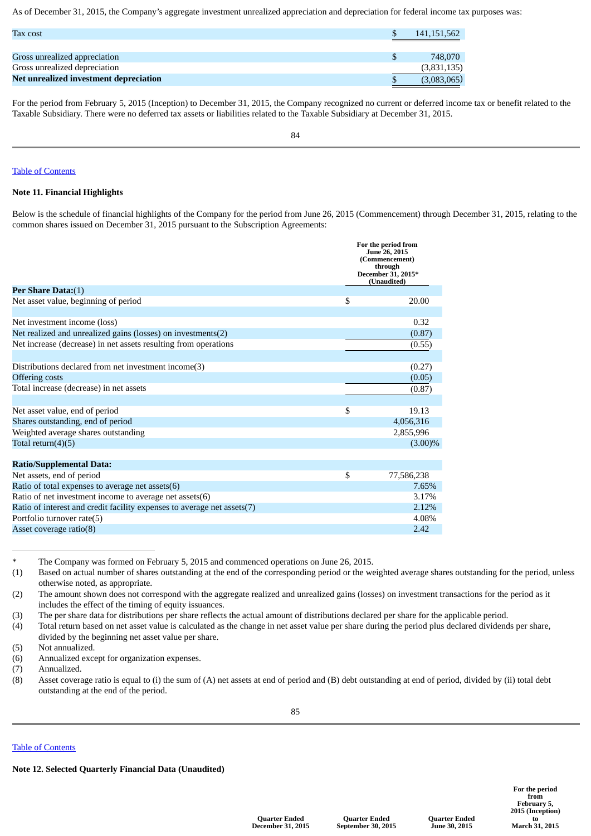As of December 31, 2015, the Company's aggregate investment unrealized appreciation and depreciation for federal income tax purposes was:

| <b>Tax cost</b>                        | 141, 151, 562 |
|----------------------------------------|---------------|
|                                        |               |
| Gross unrealized appreciation          | 748,070       |
| Gross unrealized depreciation          | (3,831,135)   |
| Net unrealized investment depreciation | (3,083,065)   |

For the period from February 5, 2015 (Inception) to December 31, 2015, the Company recognized no current or deferred income tax or benefit related to the Taxable Subsidiary. There were no deferred tax assets or liabilities related to the Taxable Subsidiary at December 31, 2015.

#### Table of [Contents](#page-0-0)

#### **Note 11. Financial Highlights**

Below is the schedule of financial highlights of the Company for the period from June 26, 2015 (Commencement) through December 31, 2015, relating to the common shares issued on December 31, 2015 pursuant to the Subscription Agreements:

|                                                                         | For the period from<br>June 26, 2015<br>(Commencement)<br>through<br>December 31, 2015*<br>(Unaudited) |
|-------------------------------------------------------------------------|--------------------------------------------------------------------------------------------------------|
| Per Share Data: (1)                                                     |                                                                                                        |
| Net asset value, beginning of period                                    | \$<br>20.00                                                                                            |
|                                                                         |                                                                                                        |
| Net investment income (loss)                                            | 0.32                                                                                                   |
| Net realized and unrealized gains (losses) on investments(2)            | (0.87)                                                                                                 |
| Net increase (decrease) in net assets resulting from operations         | (0.55)                                                                                                 |
|                                                                         |                                                                                                        |
| Distributions declared from net investment income(3)                    | (0.27)                                                                                                 |
| Offering costs                                                          | (0.05)                                                                                                 |
| Total increase (decrease) in net assets                                 | (0.87)                                                                                                 |
|                                                                         |                                                                                                        |
| Net asset value, end of period                                          | \$<br>19.13                                                                                            |
| Shares outstanding, end of period                                       | 4,056,316                                                                                              |
| Weighted average shares outstanding                                     | 2,855,996                                                                                              |
| Total return $(4)(5)$                                                   | $(3.00)\%$                                                                                             |
|                                                                         |                                                                                                        |
| <b>Ratio/Supplemental Data:</b>                                         |                                                                                                        |
| Net assets, end of period                                               | \$<br>77,586,238                                                                                       |
| Ratio of total expenses to average net assets(6)                        | 7.65%                                                                                                  |
| Ratio of net investment income to average net assets(6)                 | 3.17%                                                                                                  |
| Ratio of interest and credit facility expenses to average net assets(7) | 2.12%                                                                                                  |
| Portfolio turnover rate(5)                                              | 4.08%                                                                                                  |
| Asset coverage ratio(8)                                                 | 2.42                                                                                                   |

The Company was formed on February 5, 2015 and commenced operations on June 26, 2015.

(1) Based on actual number of shares outstanding at the end of the corresponding period or the weighted average shares outstanding for the period, unless otherwise noted, as appropriate.

(2) The amount shown does not correspond with the aggregate realized and unrealized gains (losses) on investment transactions for the period as it includes the effect of the timing of equity issuances.

(3) The per share data for distributions per share reflects the actual amount of distributions declared per share for the applicable period.

(4) Total return based on net asset value is calculated as the change in net asset value per share during the period plus declared dividends per share, divided by the beginning net asset value per share.

(5) Not annualized.

(6) Annualized except for organization expenses.

(7) Annualized.

(8) Asset coverage ratio is equal to (i) the sum of (A) net assets at end of period and (B) debt outstanding at end of period, divided by (ii) total debt outstanding at the end of the period.

# Table of [Contents](#page-0-0)

**Note 12. Selected Quarterly Financial Data (Unaudited)**

**For the period from February 5, 2015 (Inception) to March 31, 2015**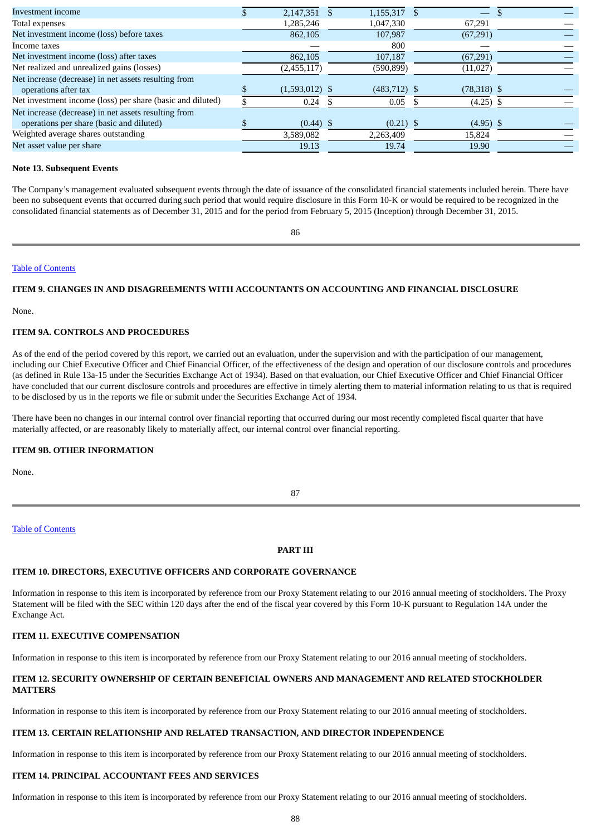| Investment income                                          | 2,147,351        | 1,155,317      | -S | $\overline{\phantom{0}}$ |  |
|------------------------------------------------------------|------------------|----------------|----|--------------------------|--|
| Total expenses                                             | 1,285,246        | 1,047,330      |    | 67,291                   |  |
| Net investment income (loss) before taxes                  | 862,105          | 107,987        |    | (67,291)                 |  |
| Income taxes                                               |                  | 800            |    |                          |  |
| Net investment income (loss) after taxes                   | 862,105          | 107,187        |    | (67,291)                 |  |
| Net realized and unrealized gains (losses)                 | (2,455,117)      | (590, 899)     |    | (11,027)                 |  |
| Net increase (decrease) in net assets resulting from       |                  |                |    |                          |  |
| operations after tax                                       | $(1,593,012)$ \$ | $(483,712)$ \$ |    | $(78,318)$ \$            |  |
| Net investment income (loss) per share (basic and diluted) | 0.24             | 0.05           |    | $(4.25)$ \$              |  |
| Net increase (decrease) in net assets resulting from       |                  |                |    |                          |  |
| operations per share (basic and diluted)                   | $(0.44)$ \$      | $(0.21)$ \$    |    | $(4.95)$ \$              |  |
| Weighted average shares outstanding                        | 3,589,082        | 2,263,409      |    | 15,824                   |  |
| Net asset value per share                                  | 19.13            | 19.74          |    | 19.90                    |  |
|                                                            |                  |                |    |                          |  |

#### **Note 13. Subsequent Events**

The Company's management evaluated subsequent events through the date of issuance of the consolidated financial statements included herein. There have been no subsequent events that occurred during such period that would require disclosure in this Form 10-K or would be required to be recognized in the consolidated financial statements as of December 31, 2015 and for the period from February 5, 2015 (Inception) through December 31, 2015.

<span id="page-60-1"></span><span id="page-60-0"></span>86

# Table of [Contents](#page-0-0)

# **ITEM 9. CHANGES IN AND DISAGREEMENTS WITH ACCOUNTANTS ON ACCOUNTING AND FINANCIAL DISCLOSURE**

None.

# **ITEM 9A. CONTROLS AND PROCEDURES**

As of the end of the period covered by this report, we carried out an evaluation, under the supervision and with the participation of our management, including our Chief Executive Officer and Chief Financial Officer, of the effectiveness of the design and operation of our disclosure controls and procedures (as defined in Rule 13a-15 under the Securities Exchange Act of 1934). Based on that evaluation, our Chief Executive Officer and Chief Financial Officer have concluded that our current disclosure controls and procedures are effective in timely alerting them to material information relating to us that is required to be disclosed by us in the reports we file or submit under the Securities Exchange Act of 1934.

There have been no changes in our internal control over financial reporting that occurred during our most recently completed fiscal quarter that have materially affected, or are reasonably likely to materially affect, our internal control over financial reporting.

#### <span id="page-60-2"></span>**ITEM 9B. OTHER INFORMATION**

None.

Table of [Contents](#page-0-0)

### <span id="page-60-8"></span><span id="page-60-7"></span><span id="page-60-5"></span><span id="page-60-4"></span><span id="page-60-3"></span>**PART III**

87

#### **ITEM 10. DIRECTORS, EXECUTIVE OFFICERS AND CORPORATE GOVERNANCE**

Information in response to this item is incorporated by reference from our Proxy Statement relating to our 2016 annual meeting of stockholders. The Proxy Statement will be filed with the SEC within 120 days after the end of the fiscal year covered by this Form 10-K pursuant to Regulation 14A under the Exchange Act.

#### **ITEM 11. EXECUTIVE COMPENSATION**

Information in response to this item is incorporated by reference from our Proxy Statement relating to our 2016 annual meeting of stockholders.

# <span id="page-60-6"></span>**ITEM 12. SECURITY OWNERSHIP OF CERTAIN BENEFICIAL OWNERS AND MANAGEMENT AND RELATED STOCKHOLDER MATTERS**

Information in response to this item is incorporated by reference from our Proxy Statement relating to our 2016 annual meeting of stockholders.

# **ITEM 13. CERTAIN RELATIONSHIP AND RELATED TRANSACTION, AND DIRECTOR INDEPENDENCE**

Information in response to this item is incorporated by reference from our Proxy Statement relating to our 2016 annual meeting of stockholders.

#### **ITEM 14. PRINCIPAL ACCOUNTANT FEES AND SERVICES**

Information in response to this item is incorporated by reference from our Proxy Statement relating to our 2016 annual meeting of stockholders.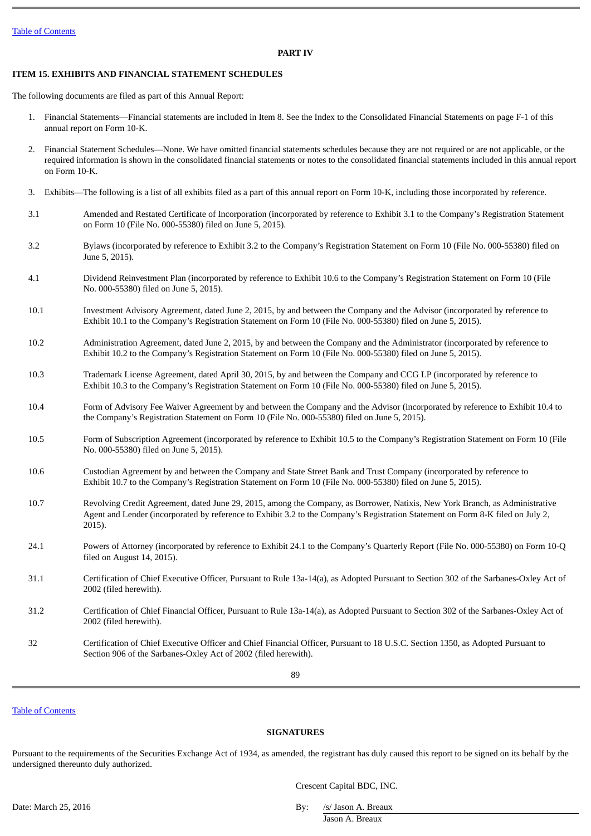#### <span id="page-61-1"></span><span id="page-61-0"></span>**PART IV**

# **ITEM 15. EXHIBITS AND FINANCIAL STATEMENT SCHEDULES**

The following documents are filed as part of this Annual Report:

- 1. Financial Statements—Financial statements are included in Item 8. See the Index to the Consolidated Financial Statements on page F-1 of this annual report on Form 10-K.
- 2. Financial Statement Schedules—None. We have omitted financial statements schedules because they are not required or are not applicable, or the required information is shown in the consolidated financial statements or notes to the consolidated financial statements included in this annual report on Form 10-K.
- 3. Exhibits—The following is a list of all exhibits filed as a part of this annual report on Form 10-K, including those incorporated by reference.
- 3.1 Amended and Restated Certificate of Incorporation (incorporated by reference to Exhibit 3.1 to the Company's Registration Statement on Form 10 (File No. 000-55380) filed on June 5, 2015).
- 3.2 Bylaws (incorporated by reference to Exhibit 3.2 to the Company's Registration Statement on Form 10 (File No. 000-55380) filed on June 5, 2015).
- 4.1 Dividend Reinvestment Plan (incorporated by reference to Exhibit 10.6 to the Company's Registration Statement on Form 10 (File No. 000-55380) filed on June 5, 2015).
- 10.1 Investment Advisory Agreement, dated June 2, 2015, by and between the Company and the Advisor (incorporated by reference to Exhibit 10.1 to the Company's Registration Statement on Form 10 (File No. 000-55380) filed on June 5, 2015).
- 10.2 Administration Agreement, dated June 2, 2015, by and between the Company and the Administrator (incorporated by reference to Exhibit 10.2 to the Company's Registration Statement on Form 10 (File No. 000-55380) filed on June 5, 2015).
- 10.3 Trademark License Agreement, dated April 30, 2015, by and between the Company and CCG LP (incorporated by reference to Exhibit 10.3 to the Company's Registration Statement on Form 10 (File No. 000-55380) filed on June 5, 2015).
- 10.4 Form of Advisory Fee Waiver Agreement by and between the Company and the Advisor (incorporated by reference to Exhibit 10.4 to the Company's Registration Statement on Form 10 (File No. 000-55380) filed on June 5, 2015).
- 10.5 Form of Subscription Agreement (incorporated by reference to Exhibit 10.5 to the Company's Registration Statement on Form 10 (File No. 000-55380) filed on June 5, 2015).
- 10.6 Custodian Agreement by and between the Company and State Street Bank and Trust Company (incorporated by reference to Exhibit 10.7 to the Company's Registration Statement on Form 10 (File No. 000-55380) filed on June 5, 2015).
- 10.7 Revolving Credit Agreement, dated June 29, 2015, among the Company, as Borrower, Natixis, New York Branch, as Administrative Agent and Lender (incorporated by reference to Exhibit 3.2 to the Company's Registration Statement on Form 8-K filed on July 2, 2015).
- 24.1 Powers of Attorney (incorporated by reference to Exhibit 24.1 to the Company's Quarterly Report (File No. 000-55380) on Form 10-Q filed on August 14, 2015).
- 31.1 Certification of Chief Executive Officer, Pursuant to Rule 13a-14(a), as Adopted Pursuant to Section 302 of the Sarbanes-Oxley Act of 2002 (filed herewith).
- 31.2 Certification of Chief Financial Officer, Pursuant to Rule 13a-14(a), as Adopted Pursuant to Section 302 of the Sarbanes-Oxley Act of 2002 (filed herewith).
- 32 Certification of Chief Executive Officer and Chief Financial Officer, Pursuant to 18 U.S.C. Section 1350, as Adopted Pursuant to Section 906 of the Sarbanes-Oxley Act of 2002 (filed herewith).

89

Table of [Contents](#page-0-0)

# **SIGNATURES**

Pursuant to the requirements of the Securities Exchange Act of 1934, as amended, the registrant has duly caused this report to be signed on its behalf by the undersigned thereunto duly authorized.

Crescent Capital BDC, INC.

Jason A. Breaux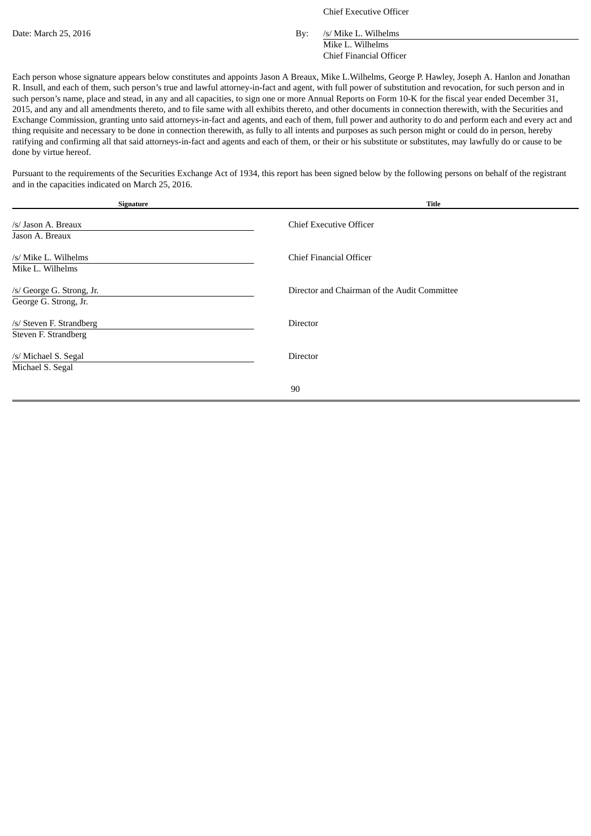Chief Executive Officer

Date: March 25, 2016 **By:** /s/ Mike L. Wilhelms Mike L. Wilhelms

Chief Financial Officer

Each person whose signature appears below constitutes and appoints Jason A Breaux, Mike L.Wilhelms, George P. Hawley, Joseph A. Hanlon and Jonathan R. Insull, and each of them, such person's true and lawful attorney-in-fact and agent, with full power of substitution and revocation, for such person and in such person's name, place and stead, in any and all capacities, to sign one or more Annual Reports on Form 10-K for the fiscal year ended December 31, 2015, and any and all amendments thereto, and to file same with all exhibits thereto, and other documents in connection therewith, with the Securities and Exchange Commission, granting unto said attorneys-in-fact and agents, and each of them, full power and authority to do and perform each and every act and thing requisite and necessary to be done in connection therewith, as fully to all intents and purposes as such person might or could do in person, hereby ratifying and confirming all that said attorneys-in-fact and agents and each of them, or their or his substitute or substitutes, may lawfully do or cause to be done by virtue hereof.

Pursuant to the requirements of the Securities Exchange Act of 1934, this report has been signed below by the following persons on behalf of the registrant and in the capacities indicated on March 25, 2016.

| Signature                                          | <b>Title</b>                                 |
|----------------------------------------------------|----------------------------------------------|
| /s/ Jason A. Breaux<br>Jason A. Breaux             | <b>Chief Executive Officer</b>               |
| /s/ Mike L. Wilhelms<br>Mike L. Wilhelms           | Chief Financial Officer                      |
| /s/ George G. Strong, Jr.<br>George G. Strong, Jr. | Director and Chairman of the Audit Committee |
| /s/ Steven F. Strandberg<br>Steven F. Strandberg   | Director                                     |
| /s/ Michael S. Segal<br>Michael S. Segal           | Director                                     |
|                                                    | 90                                           |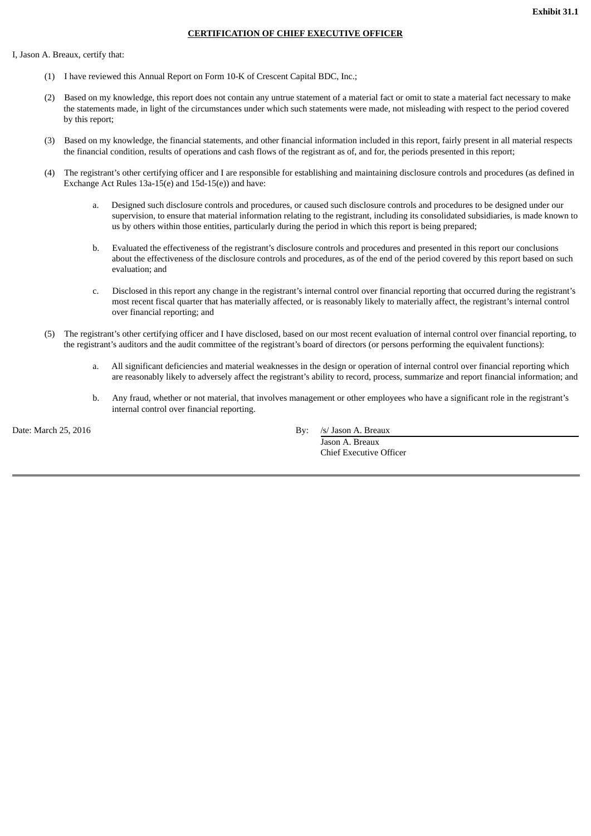# **CERTIFICATION OF CHIEF EXECUTIVE OFFICER**

I, Jason A. Breaux, certify that:

- (1) I have reviewed this Annual Report on Form 10-K of Crescent Capital BDC, Inc.;
- (2) Based on my knowledge, this report does not contain any untrue statement of a material fact or omit to state a material fact necessary to make the statements made, in light of the circumstances under which such statements were made, not misleading with respect to the period covered by this report;
- (3) Based on my knowledge, the financial statements, and other financial information included in this report, fairly present in all material respects the financial condition, results of operations and cash flows of the registrant as of, and for, the periods presented in this report;
- (4) The registrant's other certifying officer and I are responsible for establishing and maintaining disclosure controls and procedures (as defined in Exchange Act Rules 13a-15(e) and 15d-15(e)) and have:
	- a. Designed such disclosure controls and procedures, or caused such disclosure controls and procedures to be designed under our supervision, to ensure that material information relating to the registrant, including its consolidated subsidiaries, is made known to us by others within those entities, particularly during the period in which this report is being prepared;
	- b. Evaluated the effectiveness of the registrant's disclosure controls and procedures and presented in this report our conclusions about the effectiveness of the disclosure controls and procedures, as of the end of the period covered by this report based on such evaluation; and
	- c. Disclosed in this report any change in the registrant's internal control over financial reporting that occurred during the registrant's most recent fiscal quarter that has materially affected, or is reasonably likely to materially affect, the registrant's internal control over financial reporting; and
- (5) The registrant's other certifying officer and I have disclosed, based on our most recent evaluation of internal control over financial reporting, to the registrant's auditors and the audit committee of the registrant's board of directors (or persons performing the equivalent functions):
	- a. All significant deficiencies and material weaknesses in the design or operation of internal control over financial reporting which are reasonably likely to adversely affect the registrant's ability to record, process, summarize and report financial information; and
	- b. Any fraud, whether or not material, that involves management or other employees who have a significant role in the registrant's internal control over financial reporting.

Date: March 25, 2016 **By:** /s/ Jason A. Breaux

Jason A. Breaux Chief Executive Officer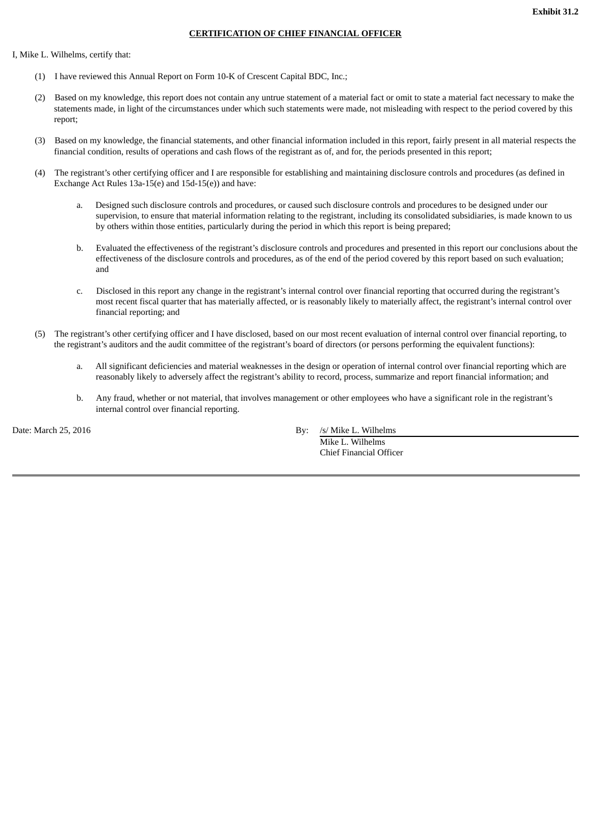# **CERTIFICATION OF CHIEF FINANCIAL OFFICER**

I, Mike L. Wilhelms, certify that:

- (1) I have reviewed this Annual Report on Form 10-K of Crescent Capital BDC, Inc.;
- (2) Based on my knowledge, this report does not contain any untrue statement of a material fact or omit to state a material fact necessary to make the statements made, in light of the circumstances under which such statements were made, not misleading with respect to the period covered by this report;
- (3) Based on my knowledge, the financial statements, and other financial information included in this report, fairly present in all material respects the financial condition, results of operations and cash flows of the registrant as of, and for, the periods presented in this report;
- (4) The registrant's other certifying officer and I are responsible for establishing and maintaining disclosure controls and procedures (as defined in Exchange Act Rules 13a-15(e) and 15d-15(e)) and have:
	- a. Designed such disclosure controls and procedures, or caused such disclosure controls and procedures to be designed under our supervision, to ensure that material information relating to the registrant, including its consolidated subsidiaries, is made known to us by others within those entities, particularly during the period in which this report is being prepared;
	- b. Evaluated the effectiveness of the registrant's disclosure controls and procedures and presented in this report our conclusions about the effectiveness of the disclosure controls and procedures, as of the end of the period covered by this report based on such evaluation; and
	- c. Disclosed in this report any change in the registrant's internal control over financial reporting that occurred during the registrant's most recent fiscal quarter that has materially affected, or is reasonably likely to materially affect, the registrant's internal control over financial reporting; and
- (5) The registrant's other certifying officer and I have disclosed, based on our most recent evaluation of internal control over financial reporting, to the registrant's auditors and the audit committee of the registrant's board of directors (or persons performing the equivalent functions):
	- a. All significant deficiencies and material weaknesses in the design or operation of internal control over financial reporting which are reasonably likely to adversely affect the registrant's ability to record, process, summarize and report financial information; and
	- b. Any fraud, whether or not material, that involves management or other employees who have a significant role in the registrant's internal control over financial reporting.

Date: March 25, 2016 By: /s/ Mike L. Wilhelms

Mike L. Wilhelms Chief Financial Officer